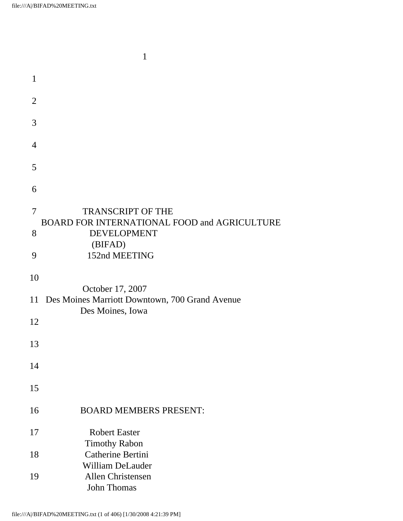|                     | 1                                                                                              |
|---------------------|------------------------------------------------------------------------------------------------|
| $\mathbf{1}$        |                                                                                                |
| $\overline{2}$      |                                                                                                |
| 3                   |                                                                                                |
| $\overline{4}$      |                                                                                                |
| 5                   |                                                                                                |
| 6                   |                                                                                                |
| $\overline{7}$<br>8 | <b>TRANSCRIPT OF THE</b><br>BOARD FOR INTERNATIONAL FOOD and AGRICULTURE<br><b>DEVELOPMENT</b> |
| 9                   | (BIFAD)<br>152nd MEETING                                                                       |
| 10                  | October 17, 2007<br>11 Des Moines Marriott Downtown, 700 Grand Avenue                          |
| 12                  | Des Moines, Iowa                                                                               |
| 13                  |                                                                                                |
| 14                  |                                                                                                |
| 15                  |                                                                                                |
| 16                  | <b>BOARD MEMBERS PRESENT:</b>                                                                  |
| 17                  | <b>Robert Easter</b>                                                                           |
| 18                  | <b>Timothy Rabon</b><br>Catherine Bertini                                                      |
| 19                  | <b>William DeLauder</b><br>Allen Christensen<br><b>John Thomas</b>                             |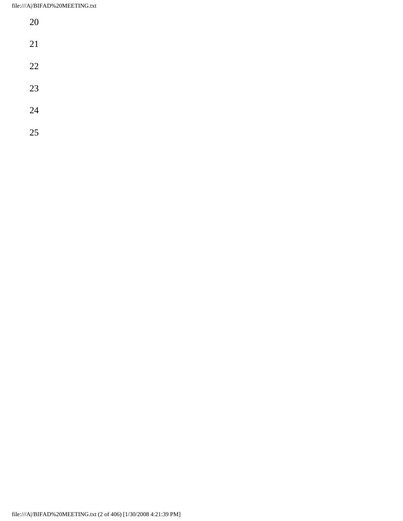| 20 |  |  |  |
|----|--|--|--|
| 21 |  |  |  |
| 22 |  |  |  |
| 23 |  |  |  |
| 24 |  |  |  |
| 25 |  |  |  |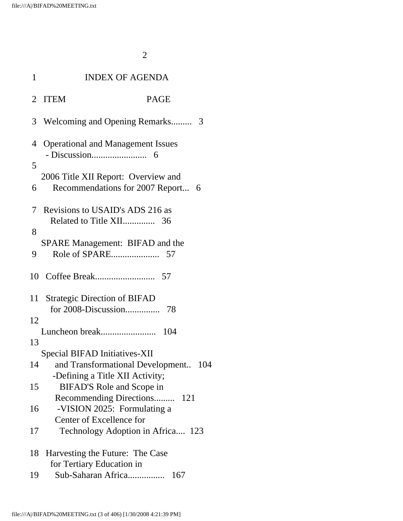| 1                   |                                     | <b>INDEX OF AGENDA</b>                                                 |     |
|---------------------|-------------------------------------|------------------------------------------------------------------------|-----|
|                     | 2 ITEM                              | <b>PAGE</b>                                                            |     |
|                     |                                     | 3 Welcoming and Opening Remarks 3                                      |     |
| $\overline{4}$<br>5 |                                     | <b>Operational and Management Issues</b>                               |     |
| 6                   |                                     | 2006 Title XII Report: Overview and<br>Recommendations for 2007 Report | - 6 |
| 7<br>8              |                                     | Revisions to USAID's ADS 216 as                                        |     |
| 9                   |                                     | <b>SPARE Management: BIFAD and the</b>                                 |     |
|                     |                                     |                                                                        |     |
| 11                  | <b>Strategic Direction of BIFAD</b> |                                                                        |     |
| 12<br>13            |                                     | 104                                                                    |     |
| 14                  | Special BIFAD Initiatives-XII       | and Transformational Development<br>-Defining a Title XII Activity;    | 104 |
| 15                  |                                     | BIFAD'S Role and Scope in                                              |     |
| 16                  | Center of Excellence for            | Recommending Directions<br>-VISION 2025: Formulating a                 | 121 |
| 17                  |                                     | Technology Adoption in Africa                                          | 123 |
| 18                  | for Tertiary Education in           | Harvesting the Future: The Case                                        |     |
| 19                  |                                     | Sub-Saharan Africa<br>167                                              |     |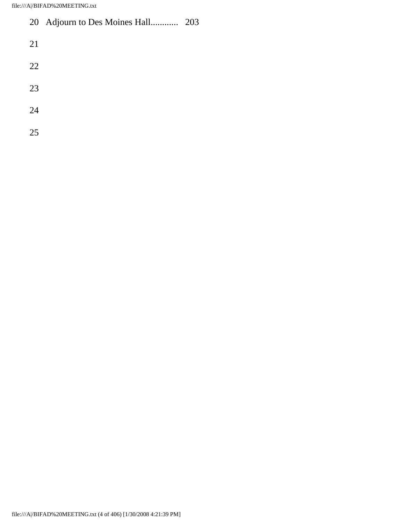## 20 Adjourn to Des Moines Hall............ 203

- 
- 
- 
- 
-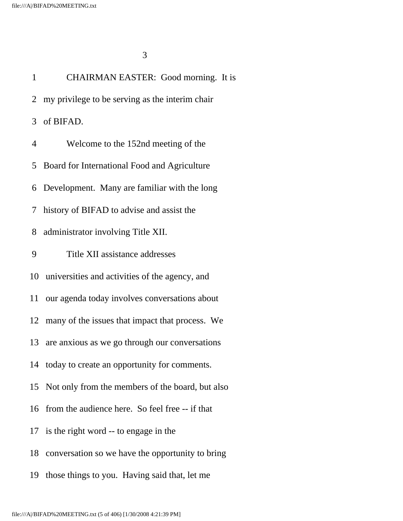1 CHAIRMAN EASTER: Good morning. It is 2 my privilege to be serving as the interim chair 3 of BIFAD. 4 Welcome to the 152nd meeting of the 5 Board for International Food and Agriculture 6 Development. Many are familiar with the long 7 history of BIFAD to advise and assist the 8 administrator involving Title XII. 9 Title XII assistance addresses 10 universities and activities of the agency, and 11 our agenda today involves conversations about 12 many of the issues that impact that process. We 13 are anxious as we go through our conversations 14 today to create an opportunity for comments. 15 Not only from the members of the board, but also 16 from the audience here. So feel free -- if that 17 is the right word -- to engage in the 18 conversation so we have the opportunity to bring 19 those things to you. Having said that, let me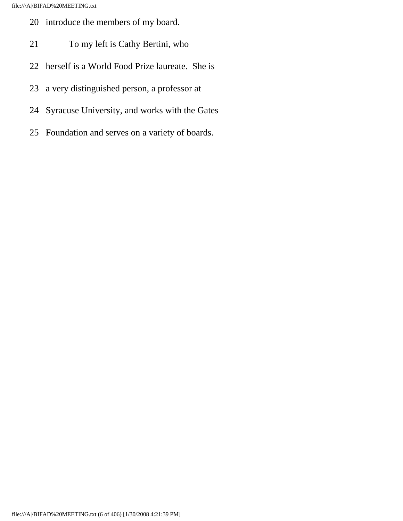- 20 introduce the members of my board.
- 21 To my left is Cathy Bertini, who
- 22 herself is a World Food Prize laureate. She is
- 23 a very distinguished person, a professor at
- 24 Syracuse University, and works with the Gates
- 25 Foundation and serves on a variety of boards.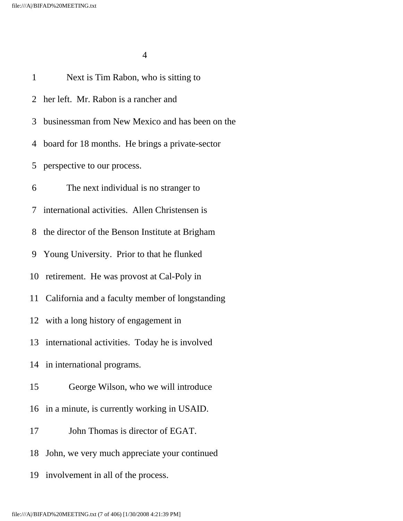| $\mathbf{1}$ | Next is Tim Rabon, who is sitting to               |
|--------------|----------------------------------------------------|
|              | 2 her left. Mr. Rabon is a rancher and             |
|              | 3 businessman from New Mexico and has been on the  |
|              | 4 board for 18 months. He brings a private-sector  |
|              | 5 perspective to our process.                      |
| 6            | The next individual is no stranger to              |
|              | 7 international activities. Allen Christensen is   |
| 8            | the director of the Benson Institute at Brigham    |
|              | 9 Young University. Prior to that he flunked       |
|              | 10 retirement. He was provost at Cal-Poly in       |
|              | 11 California and a faculty member of longstanding |
|              | 12 with a long history of engagement in            |
|              | 13 international activities. Today he is involved  |
|              | 14 in international programs.                      |
| 15           | George Wilson, who we will introduce               |
|              | 16 in a minute, is currently working in USAID.     |
| 17           | John Thomas is director of EGAT.                   |
| 18           | John, we very much appreciate your continued       |
|              | 19 involvement in all of the process.              |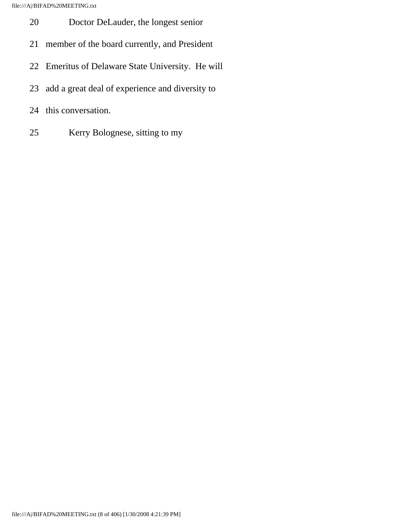- 20 Doctor DeLauder, the longest senior
- 21 member of the board currently, and President
- 22 Emeritus of Delaware State University. He will
- 23 add a great deal of experience and diversity to
- 24 this conversation.
- 25 Kerry Bolognese, sitting to my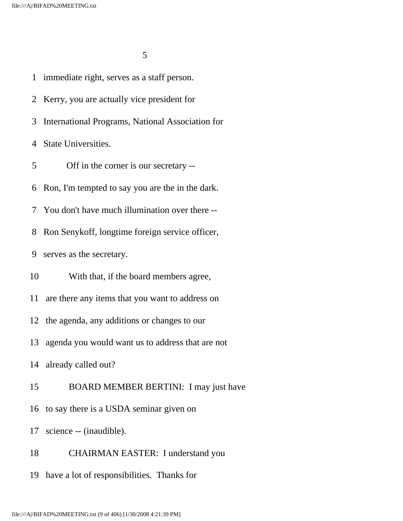2 Kerry, you are actually vice president for 3 International Programs, National Association for 4 State Universities. 5 Off in the corner is our secretary -- 6 Ron, I'm tempted to say you are the in the dark. 7 You don't have much illumination over there --

1 immediate right, serves as a staff person.

8 Ron Senykoff, longtime foreign service officer,

9 serves as the secretary.

10 With that, if the board members agree,

11 are there any items that you want to address on

12 the agenda, any additions or changes to our

13 agenda you would want us to address that are not

14 already called out?

15 BOARD MEMBER BERTINI: I may just have

16 to say there is a USDA seminar given on

17 science -- (inaudible).

18 CHAIRMAN EASTER: I understand you

19 have a lot of responsibilities. Thanks for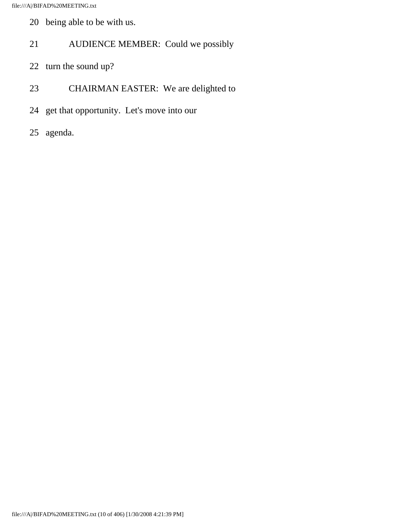- 20 being able to be with us.
- 21 AUDIENCE MEMBER: Could we possibly
- 22 turn the sound up?
- 23 CHAIRMAN EASTER: We are delighted to
- 24 get that opportunity. Let's move into our
- 25 agenda.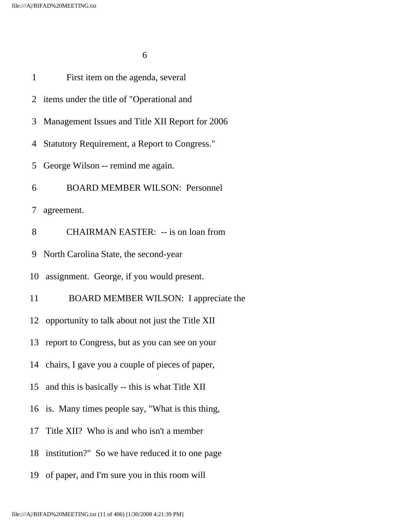$\sim$  6

| $\mathbf{1}$ | First item on the agenda, several                   |
|--------------|-----------------------------------------------------|
|              | 2 items under the title of "Operational and         |
| 3            | Management Issues and Title XII Report for 2006     |
|              | 4 Statutory Requirement, a Report to Congress."     |
| 5            | George Wilson -- remind me again.                   |
| 6            | <b>BOARD MEMBER WILSON: Personnel</b>               |
|              | 7 agreement.                                        |
| 8            | <b>CHAIRMAN EASTER: -- is on loan from</b>          |
| 9            | North Carolina State, the second-year               |
|              | 10 assignment. George, if you would present.        |
| 11           | BOARD MEMBER WILSON: I appreciate the               |
|              | 12 opportunity to talk about not just the Title XII |
|              | 13 report to Congress, but as you can see on your   |
|              | 14 chairs, I gave you a couple of pieces of paper,  |
| 15           | and this is basically -- this is what Title XII     |
|              | 16 is. Many times people say, "What is this thing,  |
| 17           | Title XII? Who is and who isn't a member            |
|              | 18 institution?" So we have reduced it to one page  |
|              | 19 of paper, and I'm sure you in this room will     |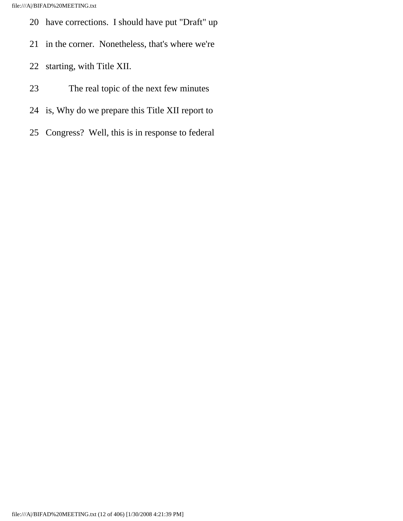- 20 have corrections. I should have put "Draft" up
- 21 in the corner. Nonetheless, that's where we're
- 22 starting, with Title XII.
- 23 The real topic of the next few minutes
- 24 is, Why do we prepare this Title XII report to
- 25 Congress? Well, this is in response to federal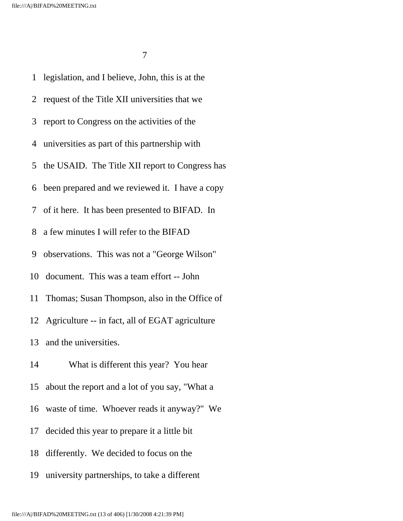1 legislation, and I believe, John, this is at the 2 request of the Title XII universities that we 3 report to Congress on the activities of the 4 universities as part of this partnership with 5 the USAID. The Title XII report to Congress has 6 been prepared and we reviewed it. I have a copy 7 of it here. It has been presented to BIFAD. In 8 a few minutes I will refer to the BIFAD 9 observations. This was not a "George Wilson" 10 document. This was a team effort -- John 11 Thomas; Susan Thompson, also in the Office of 12 Agriculture -- in fact, all of EGAT agriculture 13 and the universities. 14 What is different this year? You hear 15 about the report and a lot of you say, "What a 16 waste of time. Whoever reads it anyway?" We 17 decided this year to prepare it a little bit 18 differently. We decided to focus on the 19 university partnerships, to take a different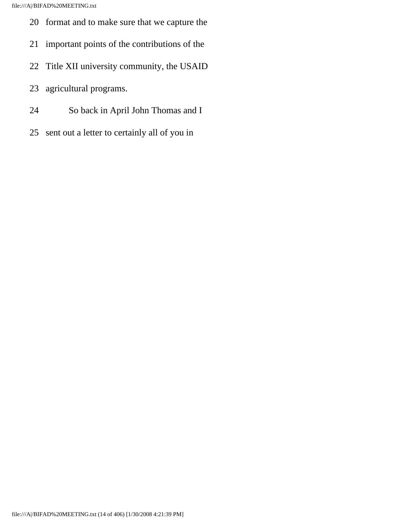- 20 format and to make sure that we capture the
- 21 important points of the contributions of the
- 22 Title XII university community, the USAID
- 23 agricultural programs.
- 24 So back in April John Thomas and I
- 25 sent out a letter to certainly all of you in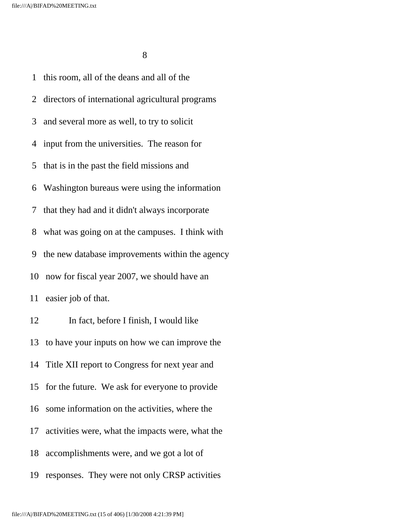1 this room, all of the deans and all of the 2 directors of international agricultural programs 3 and several more as well, to try to solicit 4 input from the universities. The reason for 5 that is in the past the field missions and 6 Washington bureaus were using the information 7 that they had and it didn't always incorporate 8 what was going on at the campuses. I think with 9 the new database improvements within the agency 10 now for fiscal year 2007, we should have an 11 easier job of that. 12 In fact, before I finish, I would like 13 to have your inputs on how we can improve the 14 Title XII report to Congress for next year and 15 for the future. We ask for everyone to provide 16 some information on the activities, where the 17 activities were, what the impacts were, what the 18 accomplishments were, and we got a lot of 19 responses. They were not only CRSP activities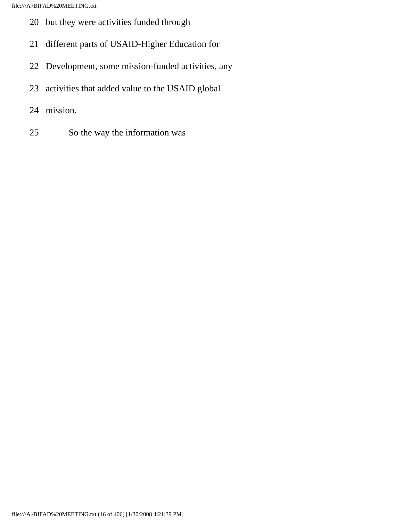- 20 but they were activities funded through
- 21 different parts of USAID-Higher Education for
- 22 Development, some mission-funded activities, any
- 23 activities that added value to the USAID global
- 24 mission.
- 25 So the way the information was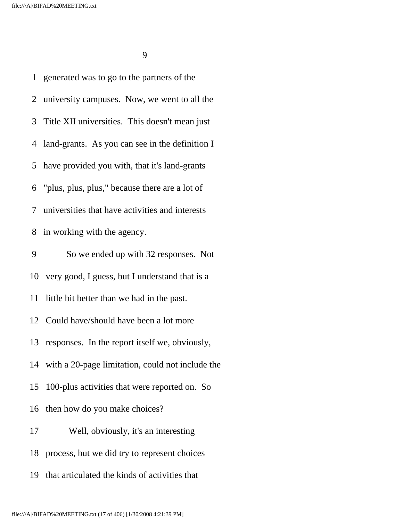1 generated was to go to the partners of the 2 university campuses. Now, we went to all the 3 Title XII universities. This doesn't mean just 4 land-grants. As you can see in the definition I 5 have provided you with, that it's land-grants 6 "plus, plus, plus," because there are a lot of 7 universities that have activities and interests 8 in working with the agency. 9 So we ended up with 32 responses. Not 10 very good, I guess, but I understand that is a 11 little bit better than we had in the past. 12 Could have/should have been a lot more 13 responses. In the report itself we, obviously, 14 with a 20-page limitation, could not include the 15 100-plus activities that were reported on. So 16 then how do you make choices? 17 Well, obviously, it's an interesting 18 process, but we did try to represent choices 19 that articulated the kinds of activities that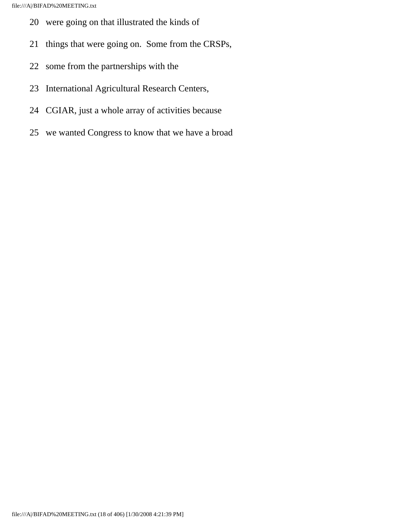- 20 were going on that illustrated the kinds of
- 21 things that were going on. Some from the CRSPs,
- 22 some from the partnerships with the
- 23 International Agricultural Research Centers,
- 24 CGIAR, just a whole array of activities because
- 25 we wanted Congress to know that we have a broad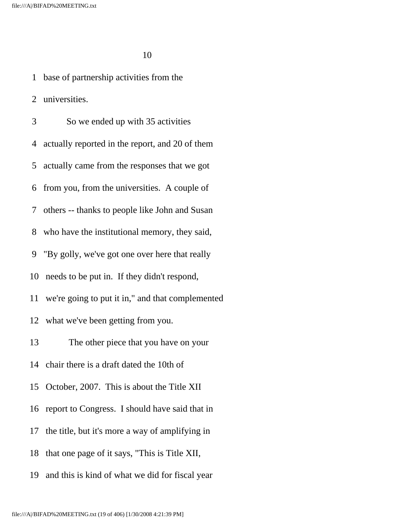1 base of partnership activities from the 2 universities. 3 So we ended up with 35 activities 4 actually reported in the report, and 20 of them 5 actually came from the responses that we got 6 from you, from the universities. A couple of 7 others -- thanks to people like John and Susan 8 who have the institutional memory, they said, 9 "By golly, we've got one over here that really 10 needs to be put in. If they didn't respond, 11 we're going to put it in," and that complemented 12 what we've been getting from you. 13 The other piece that you have on your 14 chair there is a draft dated the 10th of 15 October, 2007. This is about the Title XII 16 report to Congress. I should have said that in 17 the title, but it's more a way of amplifying in 18 that one page of it says, "This is Title XII, 19 and this is kind of what we did for fiscal year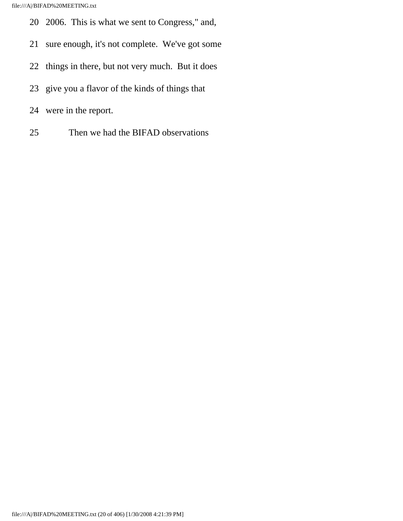- 20 2006. This is what we sent to Congress," and,
- 21 sure enough, it's not complete. We've got some
- 22 things in there, but not very much. But it does
- 23 give you a flavor of the kinds of things that
- 24 were in the report.
- 25 Then we had the BIFAD observations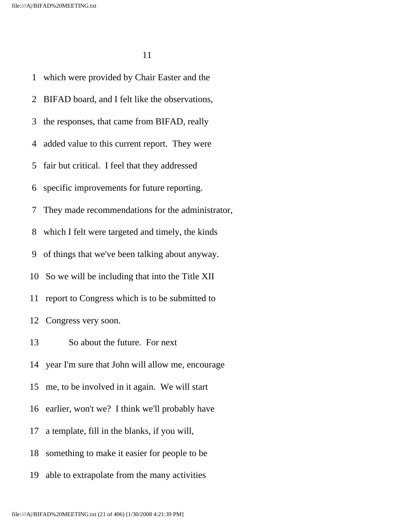1 which were provided by Chair Easter and the 2 BIFAD board, and I felt like the observations, 3 the responses, that came from BIFAD, really 4 added value to this current report. They were 5 fair but critical. I feel that they addressed 6 specific improvements for future reporting. 7 They made recommendations for the administrator, 8 which I felt were targeted and timely, the kinds 9 of things that we've been talking about anyway. 10 So we will be including that into the Title XII 11 report to Congress which is to be submitted to 12 Congress very soon. 13 So about the future. For next 14 year I'm sure that John will allow me, encourage 15 me, to be involved in it again. We will start 16 earlier, won't we? I think we'll probably have 17 a template, fill in the blanks, if you will, 18 something to make it easier for people to be 19 able to extrapolate from the many activities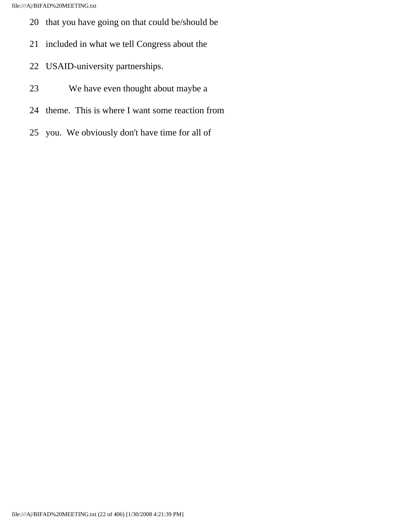- 20 that you have going on that could be/should be
- 21 included in what we tell Congress about the
- 22 USAID-university partnerships.
- 23 We have even thought about maybe a
- 24 theme. This is where I want some reaction from
- 25 you. We obviously don't have time for all of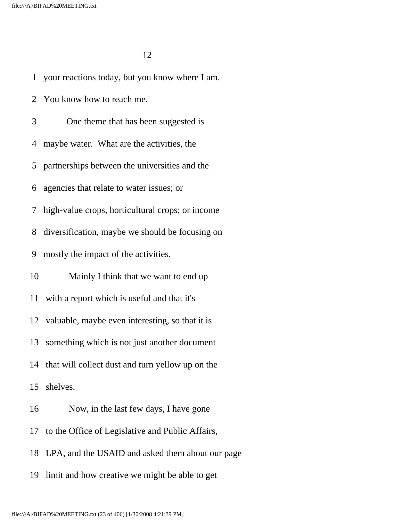1 your reactions today, but you know where I am.

2 You know how to reach me.

 3 One theme that has been suggested is 4 maybe water. What are the activities, the 5 partnerships between the universities and the 6 agencies that relate to water issues; or 7 high-value crops, horticultural crops; or income 8 diversification, maybe we should be focusing on 9 mostly the impact of the activities. 10 Mainly I think that we want to end up 11 with a report which is useful and that it's 12 valuable, maybe even interesting, so that it is 13 something which is not just another document 14 that will collect dust and turn yellow up on the 15 shelves. 16 Now, in the last few days, I have gone 17 to the Office of Legislative and Public Affairs,

18 LPA, and the USAID and asked them about our page

19 limit and how creative we might be able to get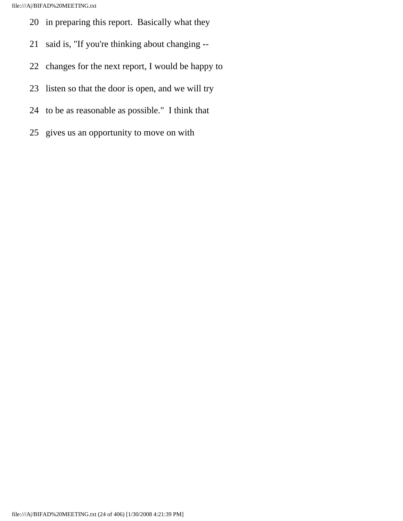- 20 in preparing this report. Basically what they
- 21 said is, "If you're thinking about changing --
- 22 changes for the next report, I would be happy to
- 23 listen so that the door is open, and we will try
- 24 to be as reasonable as possible." I think that
- 25 gives us an opportunity to move on with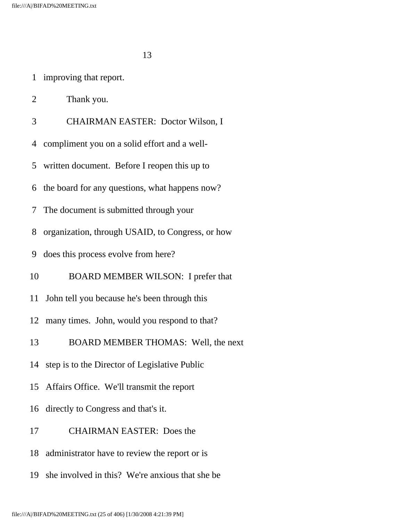- 1 improving that report.
- 2 Thank you.
- 3 CHAIRMAN EASTER: Doctor Wilson, I
- 4 compliment you on a solid effort and a well-
- 5 written document. Before I reopen this up to
- 6 the board for any questions, what happens now?
- 7 The document is submitted through your
- 8 organization, through USAID, to Congress, or how
- 9 does this process evolve from here?
- 10 BOARD MEMBER WILSON: I prefer that
- 11 John tell you because he's been through this
- 12 many times. John, would you respond to that?
- 13 BOARD MEMBER THOMAS: Well, the next
- 14 step is to the Director of Legislative Public
- 15 Affairs Office. We'll transmit the report
- 16 directly to Congress and that's it.
- 17 CHAIRMAN EASTER: Does the
- 18 administrator have to review the report or is
- 19 she involved in this? We're anxious that she be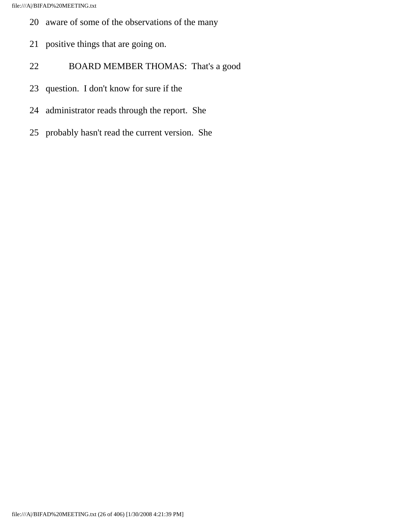- 20 aware of some of the observations of the many
- 21 positive things that are going on.
- 22 BOARD MEMBER THOMAS: That's a good
- 23 question. I don't know for sure if the
- 24 administrator reads through the report. She
- 25 probably hasn't read the current version. She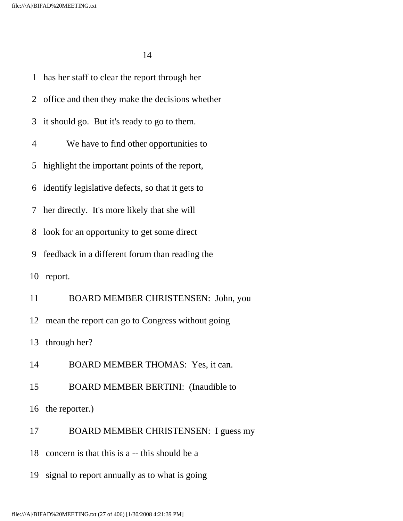1 has her staff to clear the report through her 2 office and then they make the decisions whether 3 it should go. But it's ready to go to them. 4 We have to find other opportunities to 5 highlight the important points of the report, 6 identify legislative defects, so that it gets to 7 her directly. It's more likely that she will 8 look for an opportunity to get some direct 9 feedback in a different forum than reading the 10 report. 11 BOARD MEMBER CHRISTENSEN: John, you 12 mean the report can go to Congress without going 13 through her? 14 BOARD MEMBER THOMAS: Yes, it can. 15 BOARD MEMBER BERTINI: (Inaudible to 16 the reporter.) 17 BOARD MEMBER CHRISTENSEN: I guess my 18 concern is that this is a -- this should be a 19 signal to report annually as to what is going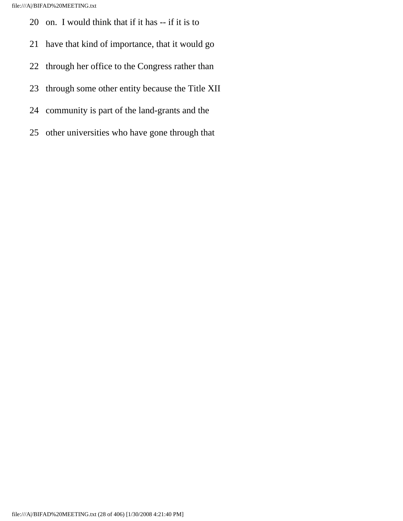- 20 on. I would think that if it has -- if it is to
- 21 have that kind of importance, that it would go
- 22 through her office to the Congress rather than
- 23 through some other entity because the Title XII
- 24 community is part of the land-grants and the
- 25 other universities who have gone through that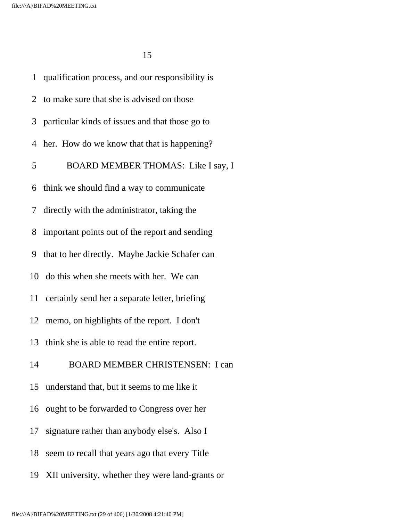|                | 1 qualification process, and our responsibility is  |
|----------------|-----------------------------------------------------|
|                | 2 to make sure that she is advised on those         |
|                | 3 particular kinds of issues and that those go to   |
|                | 4 her. How do we know that that is happening?       |
| 5 <sup>5</sup> | BOARD MEMBER THOMAS: Like I say, I                  |
|                | 6 think we should find a way to communicate         |
|                | 7 directly with the administrator, taking the       |
|                | 8 important points out of the report and sending    |
|                | 9 that to her directly. Maybe Jackie Schafer can    |
|                | 10 do this when she meets with her. We can          |
|                | 11 certainly send her a separate letter, briefing   |
| 12             | memo, on highlights of the report. I don't          |
|                | 13 think she is able to read the entire report.     |
| 14             | <b>BOARD MEMBER CHRISTENSEN: I can</b>              |
| 15             | understand that, but it seems to me like it         |
| 16             | ought to be forwarded to Congress over her          |
| 17             | signature rather than anybody else's. Also I        |
| 18             | seem to recall that years ago that every Title      |
|                | 19 XII university, whether they were land-grants or |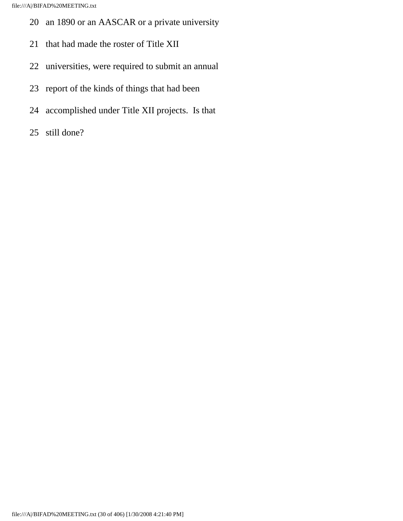- 20 an 1890 or an AASCAR or a private university
- 21 that had made the roster of Title XII
- 22 universities, were required to submit an annual
- 23 report of the kinds of things that had been
- 24 accomplished under Title XII projects. Is that
- 25 still done?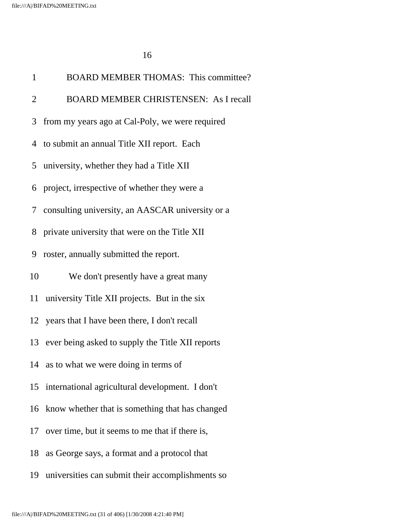| $\mathbf{1}$   | <b>BOARD MEMBER THOMAS: This committee?</b>         |
|----------------|-----------------------------------------------------|
| $\overline{2}$ | <b>BOARD MEMBER CHRISTENSEN: As I recall</b>        |
| 3              | from my years ago at Cal-Poly, we were required     |
|                | 4 to submit an annual Title XII report. Each        |
|                | 5 university, whether they had a Title XII          |
| 6              | project, irrespective of whether they were a        |
|                | 7 consulting university, an AASCAR university or a  |
| 8              | private university that were on the Title XII       |
| 9              | roster, annually submitted the report.              |
| 10             | We don't presently have a great many                |
| 11             | university Title XII projects. But in the six       |
|                | 12 years that I have been there, I don't recall     |
|                | 13 ever being asked to supply the Title XII reports |
|                | 14 as to what we were doing in terms of             |
|                | 15 international agricultural development. I don't  |
| 16             | know whether that is something that has changed     |
|                | 17 over time, but it seems to me that if there is,  |
| 18             | as George says, a format and a protocol that        |
| 19             | universities can submit their accomplishments so    |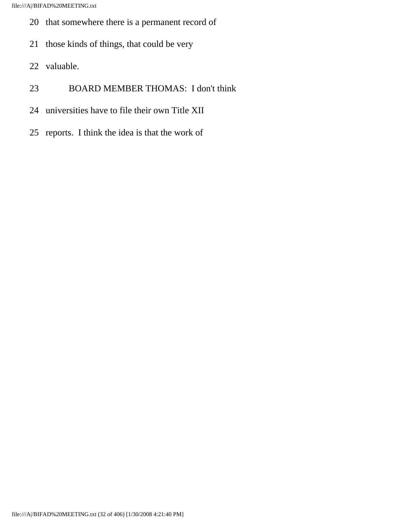- 20 that somewhere there is a permanent record of
- 21 those kinds of things, that could be very
- 22 valuable.
- 23 BOARD MEMBER THOMAS: I don't think
- 24 universities have to file their own Title XII
- 25 reports. I think the idea is that the work of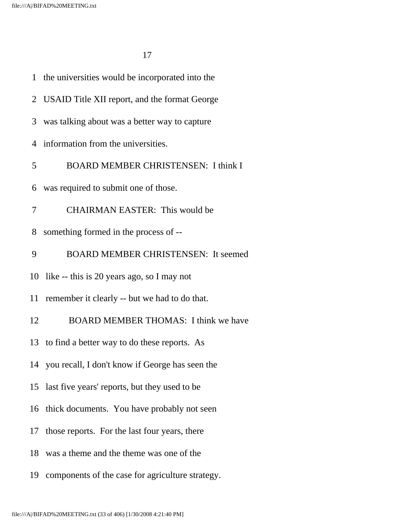|    | 1 the universities would be incorporated into the  |
|----|----------------------------------------------------|
|    | 2 USAID Title XII report, and the format George    |
| 3  | was talking about was a better way to capture      |
|    | 4 information from the universities.               |
| 5  | <b>BOARD MEMBER CHRISTENSEN: I think I</b>         |
| 6  | was required to submit one of those.               |
| 7  | <b>CHAIRMAN EASTER: This would be</b>              |
| 8  | something formed in the process of --              |
| 9  | <b>BOARD MEMBER CHRISTENSEN: It seemed</b>         |
|    | 10 like -- this is 20 years ago, so I may not      |
| 11 | remember it clearly -- but we had to do that.      |
| 12 | <b>BOARD MEMBER THOMAS: I think we have</b>        |
|    | 13 to find a better way to do these reports. As    |
|    | 14 you recall, I don't know if George has seen the |
|    | 15 last five years' reports, but they used to be   |
| 16 | thick documents. You have probably not seen        |
| 17 | those reports. For the last four years, there      |
| 18 | was a theme and the theme was one of the           |
| 19 | components of the case for agriculture strategy.   |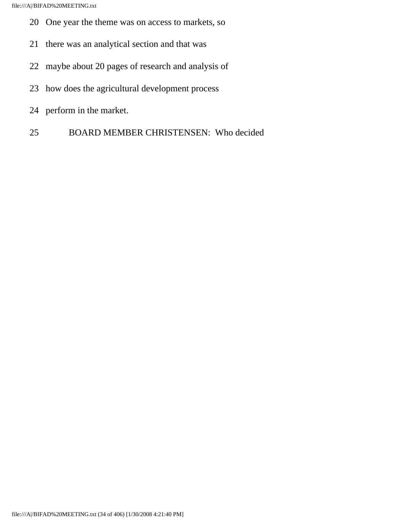- 20 One year the theme was on access to markets, so
- 21 there was an analytical section and that was
- 22 maybe about 20 pages of research and analysis of
- 23 how does the agricultural development process
- 24 perform in the market.
- 25 BOARD MEMBER CHRISTENSEN: Who decided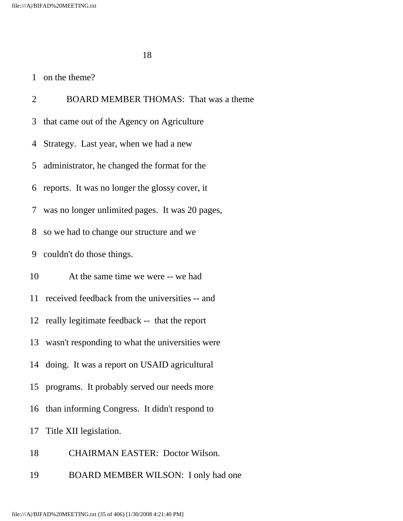## 1 on the theme?

 2 BOARD MEMBER THOMAS: That was a theme 3 that came out of the Agency on Agriculture 4 Strategy. Last year, when we had a new 5 administrator, he changed the format for the 6 reports. It was no longer the glossy cover, it 7 was no longer unlimited pages. It was 20 pages, 8 so we had to change our structure and we 9 couldn't do those things. 10 At the same time we were -- we had 11 received feedback from the universities -- and 12 really legitimate feedback -- that the report 13 wasn't responding to what the universities were 14 doing. It was a report on USAID agricultural 15 programs. It probably served our needs more 16 than informing Congress. It didn't respond to 17 Title XII legislation. 18 CHAIRMAN EASTER: Doctor Wilson.

19 BOARD MEMBER WILSON: I only had one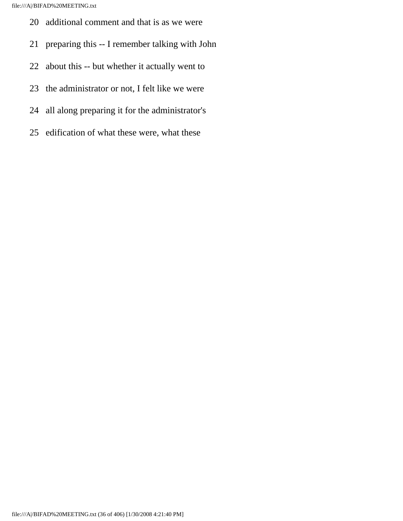- 20 additional comment and that is as we were
- 21 preparing this -- I remember talking with John
- 22 about this -- but whether it actually went to
- 23 the administrator or not, I felt like we were
- 24 all along preparing it for the administrator's
- 25 edification of what these were, what these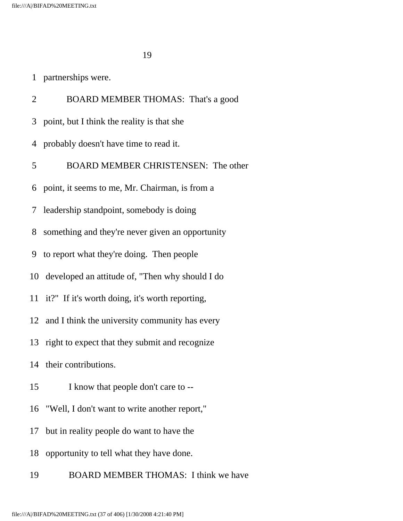|  | partnerships were. |
|--|--------------------|
|--|--------------------|

 2 BOARD MEMBER THOMAS: That's a good 3 point, but I think the reality is that she 4 probably doesn't have time to read it. 5 BOARD MEMBER CHRISTENSEN: The other 6 point, it seems to me, Mr. Chairman, is from a 7 leadership standpoint, somebody is doing 8 something and they're never given an opportunity 9 to report what they're doing. Then people 10 developed an attitude of, "Then why should I do 11 it?" If it's worth doing, it's worth reporting, 12 and I think the university community has every 13 right to expect that they submit and recognize 14 their contributions. 15 I know that people don't care to -- 16 "Well, I don't want to write another report," 17 but in reality people do want to have the 18 opportunity to tell what they have done. 19 BOARD MEMBER THOMAS: I think we have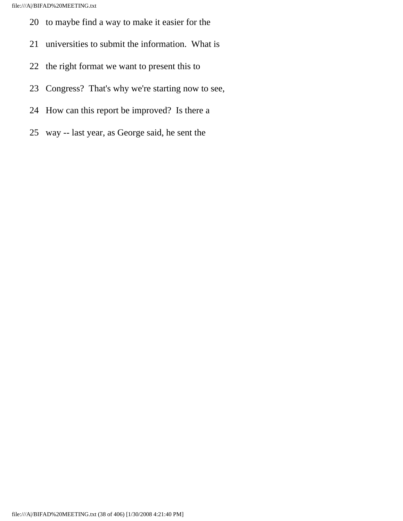- 20 to maybe find a way to make it easier for the
- 21 universities to submit the information. What is
- 22 the right format we want to present this to
- 23 Congress? That's why we're starting now to see,
- 24 How can this report be improved? Is there a
- 25 way -- last year, as George said, he sent the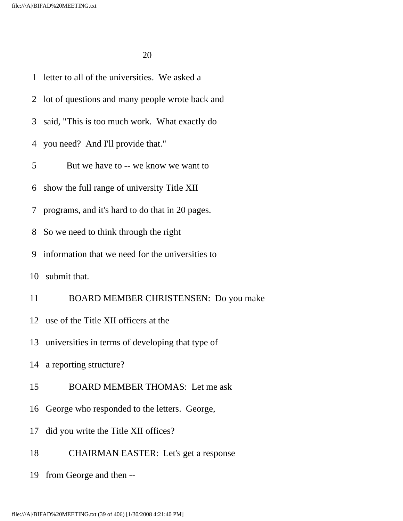1 letter to all of the universities. We asked a

2 lot of questions and many people wrote back and

3 said, "This is too much work. What exactly do

4 you need? And I'll provide that."

5 But we have to -- we know we want to

6 show the full range of university Title XII

7 programs, and it's hard to do that in 20 pages.

8 So we need to think through the right

9 information that we need for the universities to

10 submit that.

11 BOARD MEMBER CHRISTENSEN: Do you make

12 use of the Title XII officers at the

13 universities in terms of developing that type of

14 a reporting structure?

15 BOARD MEMBER THOMAS: Let me ask

16 George who responded to the letters. George,

17 did you write the Title XII offices?

18 CHAIRMAN EASTER: Let's get a response

19 from George and then --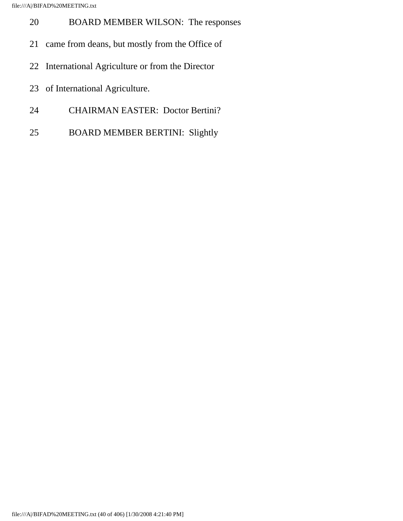- 20 BOARD MEMBER WILSON: The responses
- 21 came from deans, but mostly from the Office of
- 22 International Agriculture or from the Director
- 23 of International Agriculture.
- 24 CHAIRMAN EASTER: Doctor Bertini?
- 25 BOARD MEMBER BERTINI: Slightly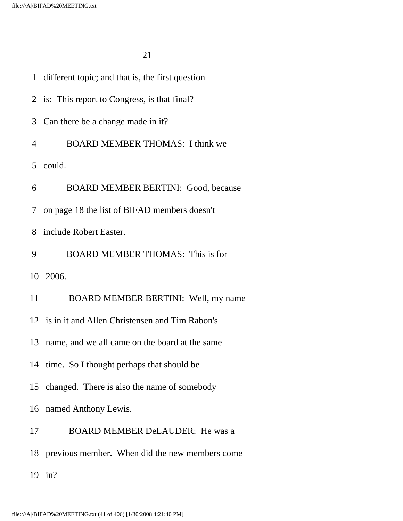|    | 1 different topic; and that is, the first question |
|----|----------------------------------------------------|
|    | 2 is: This report to Congress, is that final?      |
| 3  | Can there be a change made in it?                  |
| 4  | <b>BOARD MEMBER THOMAS: I think we</b>             |
|    | 5 could.                                           |
| 6  | <b>BOARD MEMBER BERTINI: Good, because</b>         |
|    | 7 on page 18 the list of BIFAD members doesn't     |
| 8  | include Robert Easter.                             |
| 9  | <b>BOARD MEMBER THOMAS: This is for</b>            |
|    | 10 2006.                                           |
| 11 | BOARD MEMBER BERTINI: Well, my name                |
|    | 12 is in it and Allen Christensen and Tim Rabon's  |
| 13 | name, and we all came on the board at the same     |
|    | 14 time. So I thought perhaps that should be       |
|    | 15 changed. There is also the name of somebody     |
|    | 16 named Anthony Lewis.                            |
| 17 | <b>BOARD MEMBER DeLAUDER:</b> He was a             |
|    | 18 previous member. When did the new members come  |
|    | 19 in?                                             |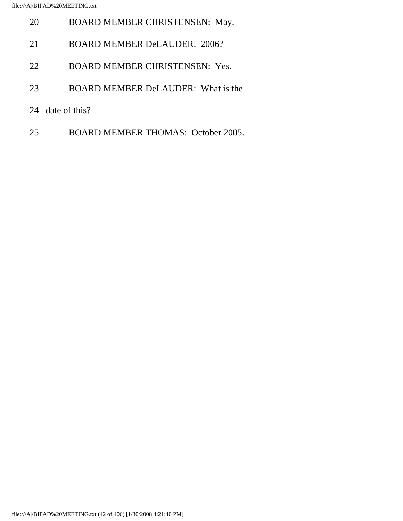- 20 BOARD MEMBER CHRISTENSEN: May. 21 BOARD MEMBER DeLAUDER: 2006? 22 BOARD MEMBER CHRISTENSEN: Yes.
- 23 BOARD MEMBER DeLAUDER: What is the
- 24 date of this?
- 25 BOARD MEMBER THOMAS: October 2005.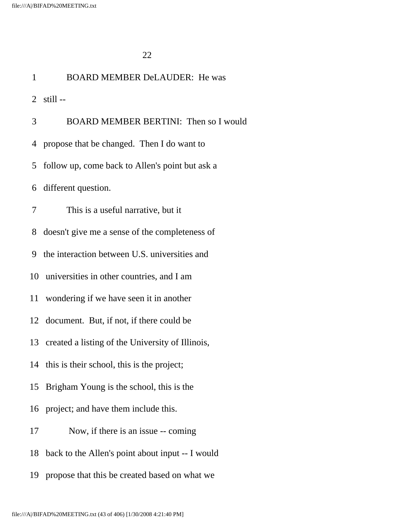| $\mathbf{1}$ | <b>BOARD MEMBER DeLAUDER: He was</b>                |
|--------------|-----------------------------------------------------|
|              | $2$ still $-$                                       |
| 3            | BOARD MEMBER BERTINI: Then so I would               |
| 4            | propose that be changed. Then I do want to          |
| 5            | follow up, come back to Allen's point but ask a     |
| 6            | different question.                                 |
| 7            | This is a useful narrative, but it                  |
| 8            | doesn't give me a sense of the completeness of      |
| 9            | the interaction between U.S. universities and       |
|              | 10 universities in other countries, and I am        |
|              | 11 wondering if we have seen it in another          |
|              | 12 document. But, if not, if there could be         |
|              | 13 created a listing of the University of Illinois, |
|              | 14 this is their school, this is the project;       |
| 15           | Brigham Young is the school, this is the            |
|              | 16 project; and have them include this.             |
| 17           | Now, if there is an issue -- coming                 |
| 18           | back to the Allen's point about input -- I would    |
| 19           | propose that this be created based on what we       |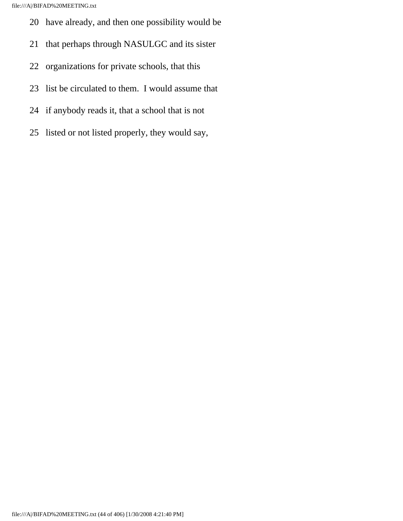- 20 have already, and then one possibility would be
- 21 that perhaps through NASULGC and its sister
- 22 organizations for private schools, that this
- 23 list be circulated to them. I would assume that
- 24 if anybody reads it, that a school that is not
- 25 listed or not listed properly, they would say,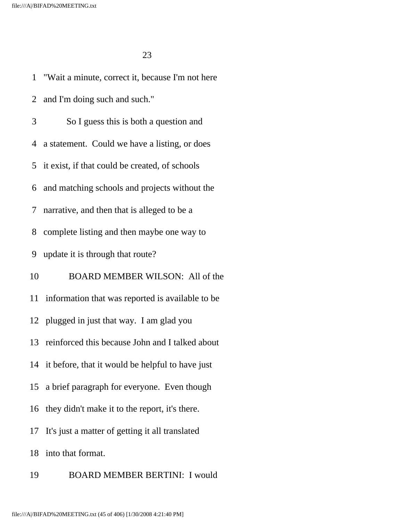1 "Wait a minute, correct it, because I'm not here 2 and I'm doing such and such." 3 So I guess this is both a question and 4 a statement. Could we have a listing, or does 5 it exist, if that could be created, of schools 6 and matching schools and projects without the 7 narrative, and then that is alleged to be a 8 complete listing and then maybe one way to 9 update it is through that route? 10 BOARD MEMBER WILSON: All of the 11 information that was reported is available to be 12 plugged in just that way. I am glad you 13 reinforced this because John and I talked about 14 it before, that it would be helpful to have just 15 a brief paragraph for everyone. Even though 16 they didn't make it to the report, it's there. 17 It's just a matter of getting it all translated 18 into that format.

19 BOARD MEMBER BERTINI: I would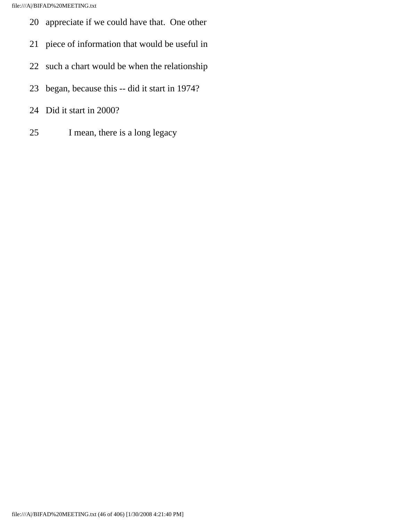- 20 appreciate if we could have that. One other
- 21 piece of information that would be useful in
- 22 such a chart would be when the relationship
- 23 began, because this -- did it start in 1974?
- 24 Did it start in 2000?
- 25 I mean, there is a long legacy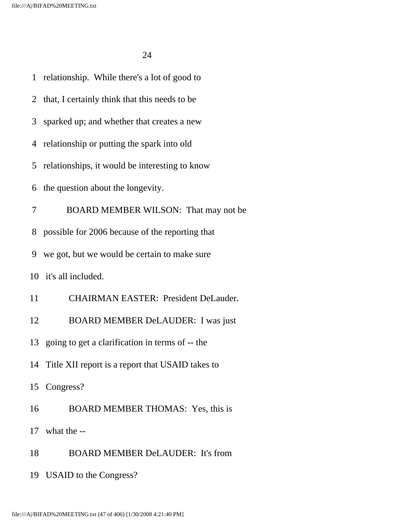| $\mathbf{1}$   | relationship. While there's a lot of good to        |
|----------------|-----------------------------------------------------|
| $\overline{2}$ | that, I certainly think that this needs to be       |
| 3              | sparked up; and whether that creates a new          |
| 4              | relationship or putting the spark into old          |
| 5              | relationships, it would be interesting to know      |
| 6              | the question about the longevity.                   |
| 7              | BOARD MEMBER WILSON: That may not be                |
| 8              | possible for 2006 because of the reporting that     |
| 9              | we got, but we would be certain to make sure        |
|                | 10 it's all included.                               |
| 11             | <b>CHAIRMAN EASTER: President DeLauder.</b>         |
| 12             | <b>BOARD MEMBER DeLAUDER: I was just</b>            |
|                | 13 going to get a clarification in terms of -- the  |
|                | 14 Title XII report is a report that USAID takes to |
|                | 15 Congress?                                        |
| 16             | BOARD MEMBER THOMAS: Yes, this is                   |
|                | 17 what the --                                      |
| 18             | <b>BOARD MEMBER DeLAUDER: It's from</b>             |
|                | 19 USAID to the Congress?                           |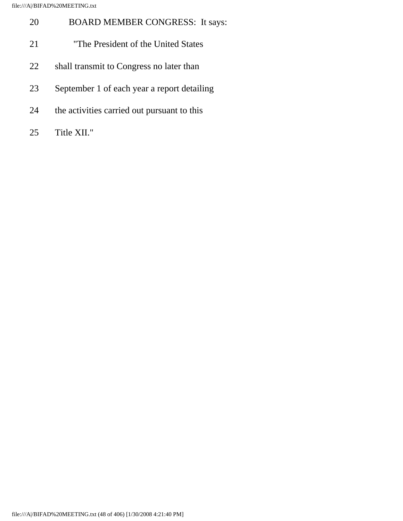| 20 | <b>BOARD MEMBER CONGRESS:</b> It says:      |
|----|---------------------------------------------|
| 21 | "The President of the United States"        |
| 22 | shall transmit to Congress no later than    |
| 23 | September 1 of each year a report detailing |
| 24 | the activities carried out pursuant to this |
| 25 | Title XII."                                 |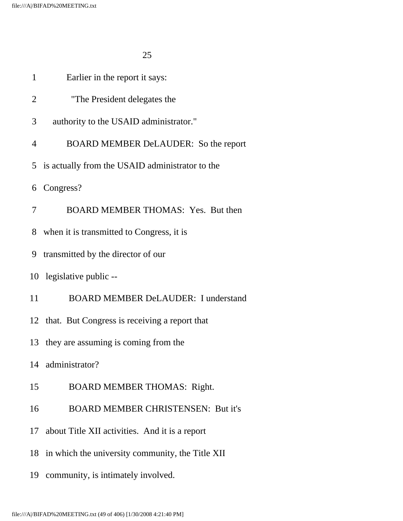| $\mathbf{1}$   | Earlier in the report it says:                    |
|----------------|---------------------------------------------------|
| $\overline{2}$ | "The President delegates the                      |
| 3              | authority to the USAID administrator."            |
| $\overline{4}$ | BOARD MEMBER DeLAUDER: So the report              |
|                | 5 is actually from the USAID administrator to the |
| 6              | Congress?                                         |
| 7              | BOARD MEMBER THOMAS: Yes. But then                |
| 8              | when it is transmitted to Congress, it is         |
| 9              | transmitted by the director of our                |
|                | 10 legislative public --                          |
| 11             | <b>BOARD MEMBER DeLAUDER: I understand</b>        |
|                | 12 that. But Congress is receiving a report that  |
|                | 13 they are assuming is coming from the           |
|                | 14 administrator?                                 |
| 15             | <b>BOARD MEMBER THOMAS: Right.</b>                |
| 16             | <b>BOARD MEMBER CHRISTENSEN: But it's</b>         |
| 17             | about Title XII activities. And it is a report    |
| 18             | in which the university community, the Title XII  |
| 19             | community, is intimately involved.                |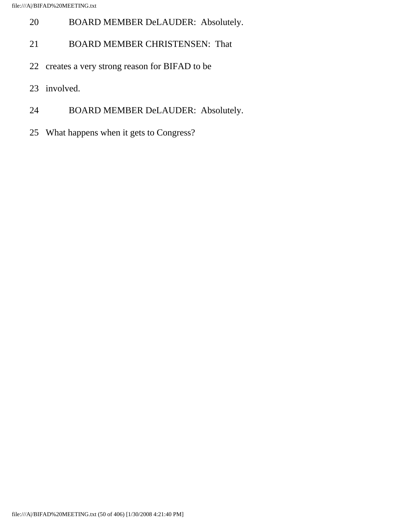- 20 BOARD MEMBER DeLAUDER: Absolutely.
- 21 BOARD MEMBER CHRISTENSEN: That
- 22 creates a very strong reason for BIFAD to be
- 23 involved.
- 24 BOARD MEMBER DeLAUDER: Absolutely.
- 25 What happens when it gets to Congress?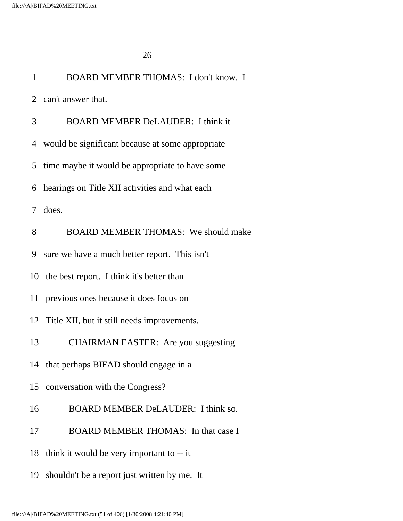| $\mathbf{1}$    | BOARD MEMBER THOMAS: I don't know. I               |
|-----------------|----------------------------------------------------|
|                 | 2 can't answer that.                               |
| 3               | <b>BOARD MEMBER DeLAUDER: I think it</b>           |
|                 | 4 would be significant because at some appropriate |
| 5               | time maybe it would be appropriate to have some    |
| 6               | hearings on Title XII activities and what each     |
| $7\overline{ }$ | does.                                              |
| 8               | <b>BOARD MEMBER THOMAS: We should make</b>         |
| 9               | sure we have a much better report. This isn't      |
|                 | 10 the best report. I think it's better than       |
|                 | 11 previous ones because it does focus on          |
|                 | 12 Title XII, but it still needs improvements.     |
| 13              | <b>CHAIRMAN EASTER:</b> Are you suggesting         |
|                 | 14 that perhaps BIFAD should engage in a           |
| 15              | conversation with the Congress?                    |
| 16              | BOARD MEMBER DeLAUDER: I think so.                 |
| 17              | <b>BOARD MEMBER THOMAS:</b> In that case I         |
| 18              | think it would be very important to -- it          |
| 19              | shouldn't be a report just written by me. It       |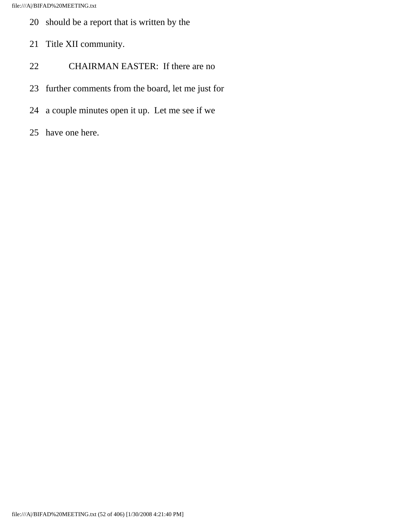- 20 should be a report that is written by the
- 21 Title XII community.
- 22 CHAIRMAN EASTER: If there are no
- 23 further comments from the board, let me just for
- 24 a couple minutes open it up. Let me see if we
- 25 have one here.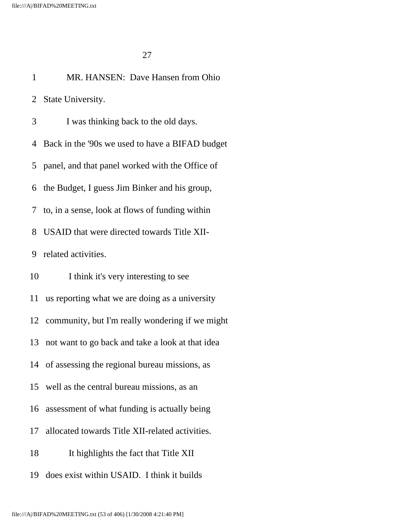1 MR. HANSEN: Dave Hansen from Ohio

 2 State University. 3 I was thinking back to the old days. 4 Back in the '90s we used to have a BIFAD budget 5 panel, and that panel worked with the Office of 6 the Budget, I guess Jim Binker and his group, 7 to, in a sense, look at flows of funding within 8 USAID that were directed towards Title XII- 9 related activities. 10 I think it's very interesting to see 11 us reporting what we are doing as a university 12 community, but I'm really wondering if we might 13 not want to go back and take a look at that idea 14 of assessing the regional bureau missions, as 15 well as the central bureau missions, as an 16 assessment of what funding is actually being 17 allocated towards Title XII-related activities. 18 It highlights the fact that Title XII 19 does exist within USAID. I think it builds

file:///A|/BIFAD%20MEETING.txt (53 of 406) [1/30/2008 4:21:40 PM]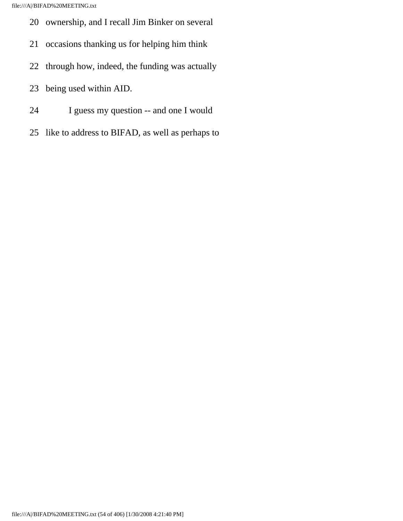- 20 ownership, and I recall Jim Binker on several
- 21 occasions thanking us for helping him think
- 22 through how, indeed, the funding was actually
- 23 being used within AID.
- 24 I guess my question -- and one I would
- 25 like to address to BIFAD, as well as perhaps to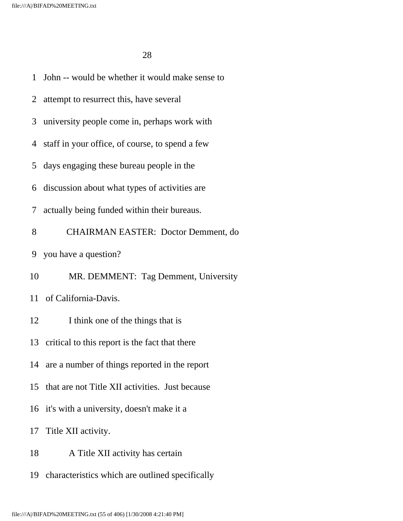1 John -- would be whether it would make sense to 2 attempt to resurrect this, have several 3 university people come in, perhaps work with 4 staff in your office, of course, to spend a few 5 days engaging these bureau people in the 6 discussion about what types of activities are 7 actually being funded within their bureaus. 8 CHAIRMAN EASTER: Doctor Demment, do 9 you have a question? 10 MR. DEMMENT: Tag Demment, University 11 of California-Davis. 12 I think one of the things that is 13 critical to this report is the fact that there 14 are a number of things reported in the report 15 that are not Title XII activities. Just because 16 it's with a university, doesn't make it a 17 Title XII activity. 18 A Title XII activity has certain 19 characteristics which are outlined specifically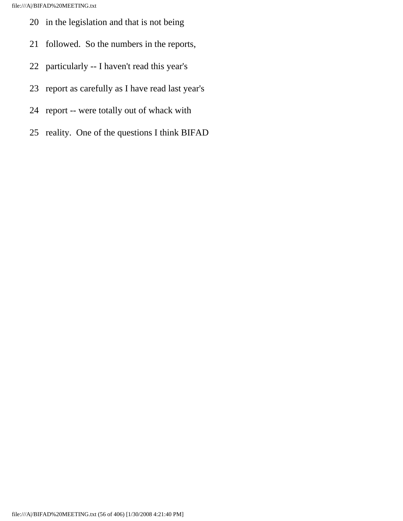- 20 in the legislation and that is not being
- 21 followed. So the numbers in the reports,
- 22 particularly -- I haven't read this year's
- 23 report as carefully as I have read last year's
- 24 report -- were totally out of whack with
- 25 reality. One of the questions I think BIFAD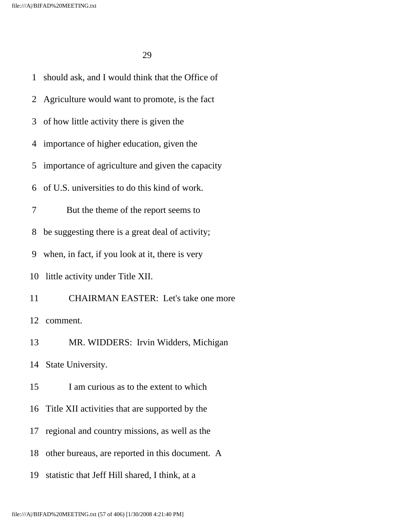1 should ask, and I would think that the Office of 2 Agriculture would want to promote, is the fact 3 of how little activity there is given the 4 importance of higher education, given the 5 importance of agriculture and given the capacity 6 of U.S. universities to do this kind of work. 7 But the theme of the report seems to 8 be suggesting there is a great deal of activity; 9 when, in fact, if you look at it, there is very 10 little activity under Title XII. 11 CHAIRMAN EASTER: Let's take one more 12 comment. 13 MR. WIDDERS: Irvin Widders, Michigan 14 State University. 15 I am curious as to the extent to which 16 Title XII activities that are supported by the 17 regional and country missions, as well as the 18 other bureaus, are reported in this document. A 19 statistic that Jeff Hill shared, I think, at a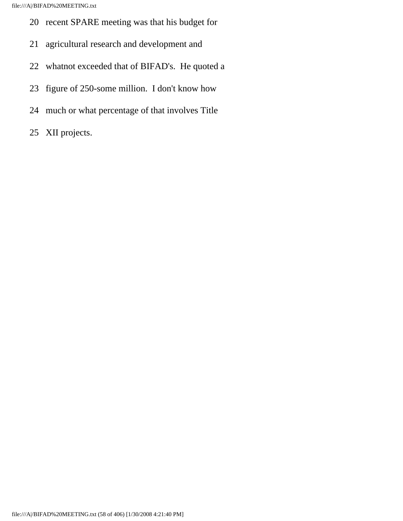- 20 recent SPARE meeting was that his budget for
- 21 agricultural research and development and
- 22 whatnot exceeded that of BIFAD's. He quoted a
- 23 figure of 250-some million. I don't know how
- 24 much or what percentage of that involves Title
- 25 XII projects.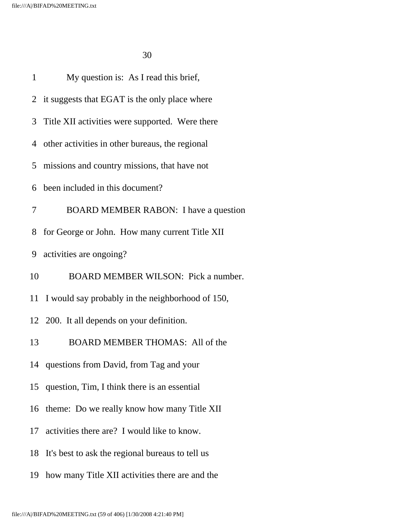| <b>BOARD MEMBER RABON:</b> I have a question |
|----------------------------------------------|
|                                              |
|                                              |
| BOARD MEMBER WILSON: Pick a number.          |
|                                              |
|                                              |
|                                              |
|                                              |
|                                              |
|                                              |
|                                              |
|                                              |
|                                              |
|                                              |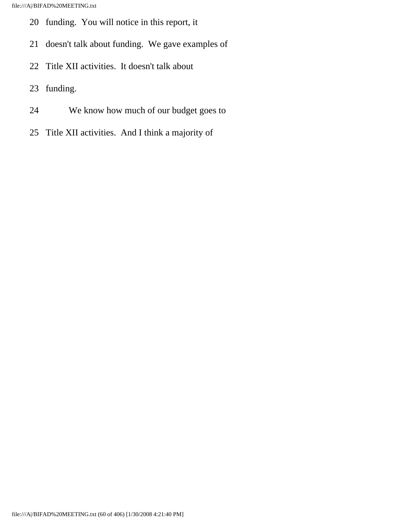- 20 funding. You will notice in this report, it
- 21 doesn't talk about funding. We gave examples of
- 22 Title XII activities. It doesn't talk about
- 23 funding.
- 24 We know how much of our budget goes to
- 25 Title XII activities. And I think a majority of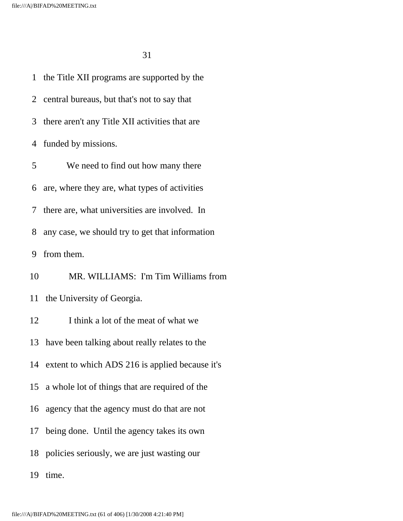1 the Title XII programs are supported by the 2 central bureaus, but that's not to say that 3 there aren't any Title XII activities that are 4 funded by missions. 5 We need to find out how many there 6 are, where they are, what types of activities 7 there are, what universities are involved. In 8 any case, we should try to get that information 9 from them. 10 MR. WILLIAMS: I'm Tim Williams from 11 the University of Georgia. 12 I think a lot of the meat of what we 13 have been talking about really relates to the 14 extent to which ADS 216 is applied because it's 15 a whole lot of things that are required of the 16 agency that the agency must do that are not 17 being done. Until the agency takes its own 18 policies seriously, we are just wasting our 19 time.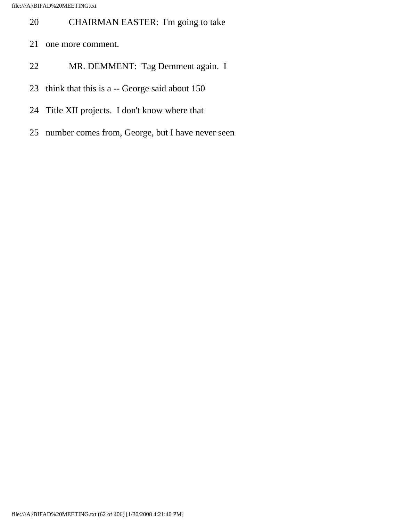- 20 CHAIRMAN EASTER: I'm going to take
- 21 one more comment.
- 22 MR. DEMMENT: Tag Demment again. I
- 23 think that this is a -- George said about 150
- 24 Title XII projects. I don't know where that
- 25 number comes from, George, but I have never seen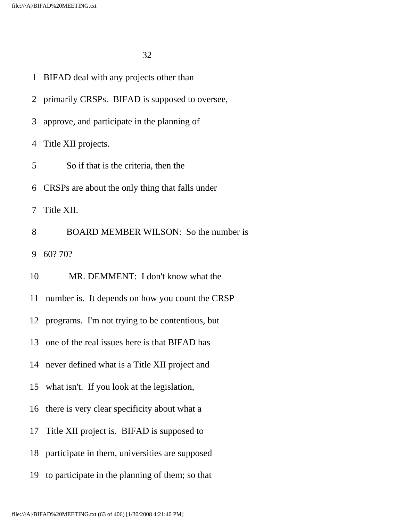- 1 BIFAD deal with any projects other than
- 2 primarily CRSPs. BIFAD is supposed to oversee,
- 3 approve, and participate in the planning of

4 Title XII projects.

- 5 So if that is the criteria, then the
- 6 CRSPs are about the only thing that falls under

7 Title XII.

 8 BOARD MEMBER WILSON: So the number is 9 60? 70?

10 MR. DEMMENT: I don't know what the

11 number is. It depends on how you count the CRSP

12 programs. I'm not trying to be contentious, but

13 one of the real issues here is that BIFAD has

14 never defined what is a Title XII project and

15 what isn't. If you look at the legislation,

16 there is very clear specificity about what a

- 17 Title XII project is. BIFAD is supposed to
- 18 participate in them, universities are supposed
- 19 to participate in the planning of them; so that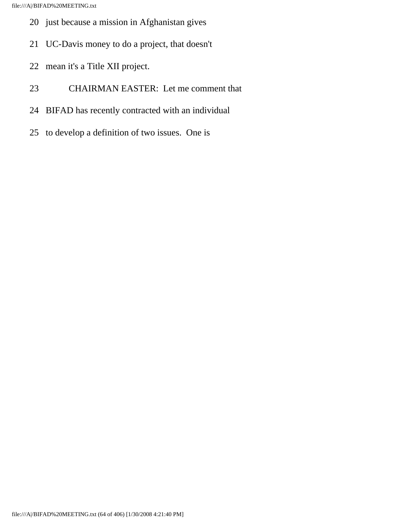- 20 just because a mission in Afghanistan gives
- 21 UC-Davis money to do a project, that doesn't
- 22 mean it's a Title XII project.
- 23 CHAIRMAN EASTER: Let me comment that
- 24 BIFAD has recently contracted with an individual
- 25 to develop a definition of two issues. One is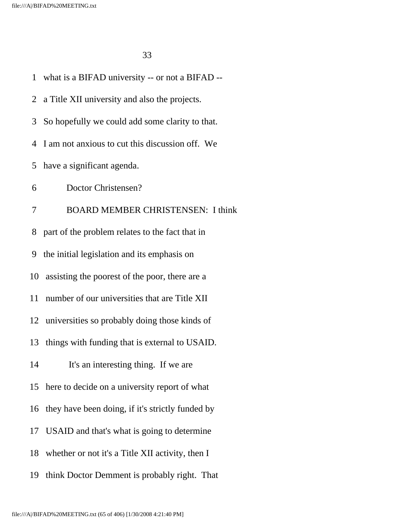1 what is a BIFAD university -- or not a BIFAD -- 2 a Title XII university and also the projects. 3 So hopefully we could add some clarity to that. 4 I am not anxious to cut this discussion off. We 5 have a significant agenda. 6 Doctor Christensen? 7 BOARD MEMBER CHRISTENSEN: I think 8 part of the problem relates to the fact that in 9 the initial legislation and its emphasis on 10 assisting the poorest of the poor, there are a 11 number of our universities that are Title XII 12 universities so probably doing those kinds of 13 things with funding that is external to USAID. 14 It's an interesting thing. If we are 15 here to decide on a university report of what 16 they have been doing, if it's strictly funded by 17 USAID and that's what is going to determine 18 whether or not it's a Title XII activity, then I 19 think Doctor Demment is probably right. That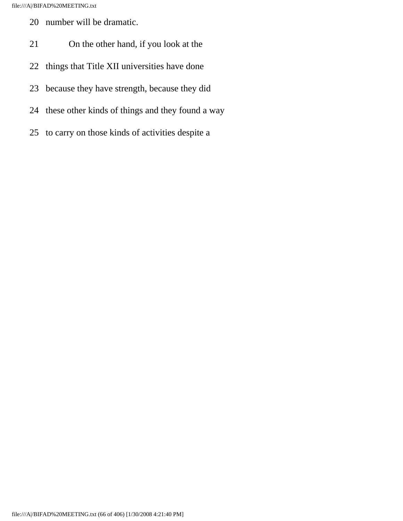- 20 number will be dramatic.
- 21 On the other hand, if you look at the
- 22 things that Title XII universities have done
- 23 because they have strength, because they did
- 24 these other kinds of things and they found a way
- 25 to carry on those kinds of activities despite a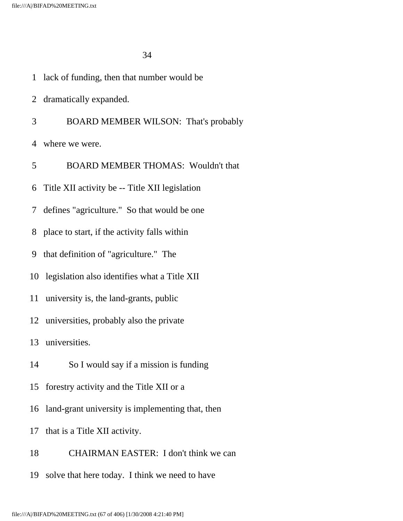- 1 lack of funding, then that number would be
- 2 dramatically expanded.
- 3 BOARD MEMBER WILSON: That's probably

4 where we were.

5 BOARD MEMBER THOMAS: Wouldn't that

6 Title XII activity be -- Title XII legislation

7 defines "agriculture." So that would be one

8 place to start, if the activity falls within

9 that definition of "agriculture." The

10 legislation also identifies what a Title XII

11 university is, the land-grants, public

12 universities, probably also the private

13 universities.

14 So I would say if a mission is funding

15 forestry activity and the Title XII or a

16 land-grant university is implementing that, then

17 that is a Title XII activity.

18 CHAIRMAN EASTER: I don't think we can

19 solve that here today. I think we need to have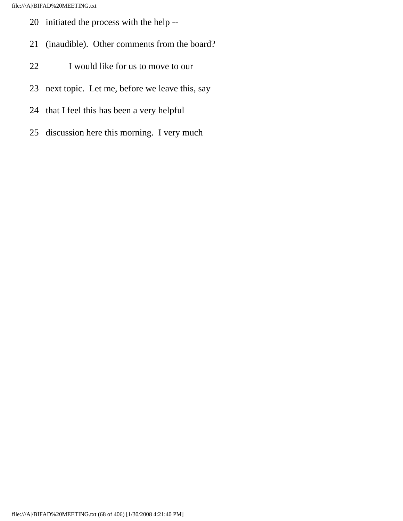- 20 initiated the process with the help --
- 21 (inaudible). Other comments from the board?
- 22 I would like for us to move to our
- 23 next topic. Let me, before we leave this, say
- 24 that I feel this has been a very helpful
- 25 discussion here this morning. I very much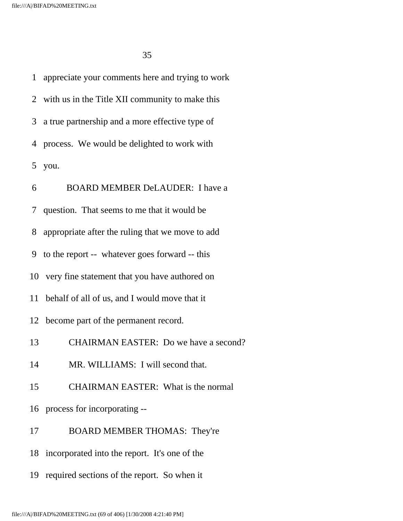1 appreciate your comments here and trying to work 2 with us in the Title XII community to make this 3 a true partnership and a more effective type of 4 process. We would be delighted to work with 5 you. 6 BOARD MEMBER DeLAUDER: I have a 7 question. That seems to me that it would be 8 appropriate after the ruling that we move to add 9 to the report -- whatever goes forward -- this 10 very fine statement that you have authored on 11 behalf of all of us, and I would move that it 12 become part of the permanent record. 13 CHAIRMAN EASTER: Do we have a second? 14 MR. WILLIAMS: I will second that. 15 CHAIRMAN EASTER: What is the normal 16 process for incorporating -- 17 BOARD MEMBER THOMAS: They're 18 incorporated into the report. It's one of the

19 required sections of the report. So when it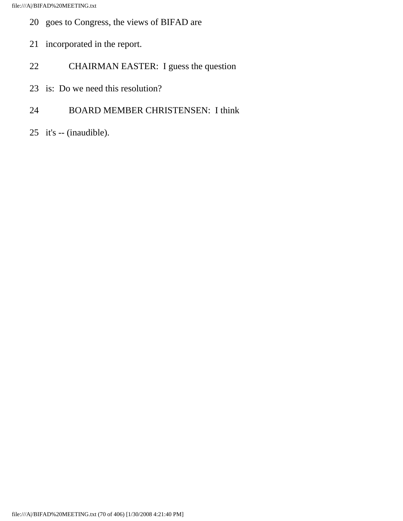- 20 goes to Congress, the views of BIFAD are
- 21 incorporated in the report.
- 22 CHAIRMAN EASTER: I guess the question
- 23 is: Do we need this resolution?
- 24 BOARD MEMBER CHRISTENSEN: I think
- 25 it's -- (inaudible).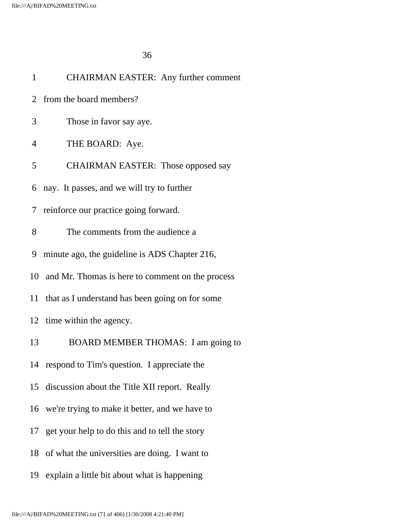| $\mathbf{1}$   | <b>CHAIRMAN EASTER: Any further comment</b>         |
|----------------|-----------------------------------------------------|
| 2              | from the board members?                             |
| 3              | Those in favor say aye.                             |
| 4              | THE BOARD: Aye.                                     |
| 5              | <b>CHAIRMAN EASTER:</b> Those opposed say           |
| 6              | nay. It passes, and we will try to further          |
| 7 <sup>1</sup> | reinforce our practice going forward.               |
| 8              | The comments from the audience a                    |
| 9              | minute ago, the guideline is ADS Chapter 216,       |
|                | 10 and Mr. Thomas is here to comment on the process |
|                | 11 that as I understand has been going on for some  |
|                | 12 time within the agency.                          |
| 13             | BOARD MEMBER THOMAS: I am going to                  |
|                | 14 respond to Tim's question. I appreciate the      |
| 15             | discussion about the Title XII report. Really       |
|                | 16 we're trying to make it better, and we have to   |
|                | 17 get your help to do this and to tell the story   |
|                | 18 of what the universities are doing. I want to    |
| 19             | explain a little bit about what is happening        |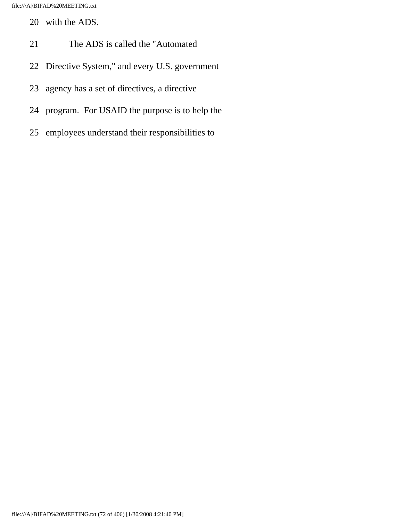- 20 with the ADS.
- 21 The ADS is called the "Automated
- 22 Directive System," and every U.S. government
- 23 agency has a set of directives, a directive
- 24 program. For USAID the purpose is to help the
- 25 employees understand their responsibilities to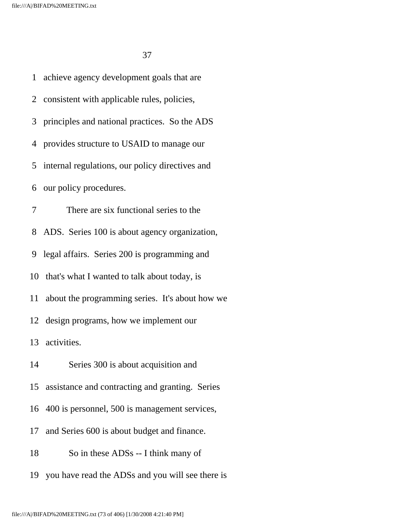1 achieve agency development goals that are 2 consistent with applicable rules, policies, 3 principles and national practices. So the ADS 4 provides structure to USAID to manage our 5 internal regulations, our policy directives and 6 our policy procedures. 7 There are six functional series to the 8 ADS. Series 100 is about agency organization, 9 legal affairs. Series 200 is programming and 10 that's what I wanted to talk about today, is 11 about the programming series. It's about how we 12 design programs, how we implement our 13 activities. 14 Series 300 is about acquisition and 15 assistance and contracting and granting. Series 16 400 is personnel, 500 is management services, 17 and Series 600 is about budget and finance. 18 So in these ADSs -- I think many of 19 you have read the ADSs and you will see there is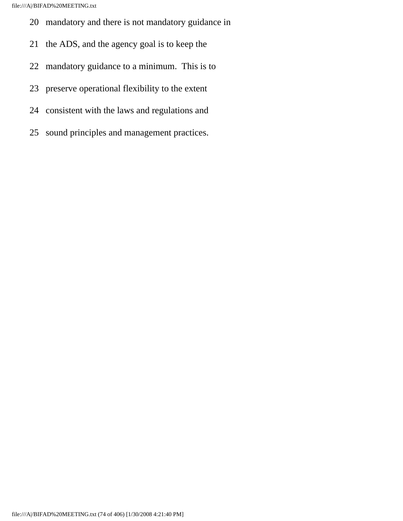- 20 mandatory and there is not mandatory guidance in
- 21 the ADS, and the agency goal is to keep the
- 22 mandatory guidance to a minimum. This is to
- 23 preserve operational flexibility to the extent
- 24 consistent with the laws and regulations and
- 25 sound principles and management practices.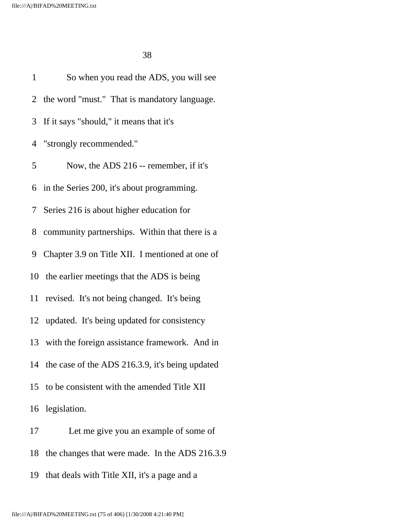| $\mathbf{1}$ | So when you read the ADS, you will see             |
|--------------|----------------------------------------------------|
|              | 2 the word "must." That is mandatory language.     |
|              | 3 If it says "should," it means that it's          |
|              | 4 "strongly recommended."                          |
| 5            | Now, the ADS 216 -- remember, if it's              |
|              | 6 in the Series 200, it's about programming.       |
|              | 7 Series 216 is about higher education for         |
|              | 8 community partnerships. Within that there is a   |
| 9            | Chapter 3.9 on Title XII. I mentioned at one of    |
|              | 10 the earlier meetings that the ADS is being      |
|              | 11 revised. It's not being changed. It's being     |
|              | 12 updated. It's being updated for consistency     |
|              | 13 with the foreign assistance framework. And in   |
|              | 14 the case of the ADS 216.3.9, it's being updated |
|              | 15 to be consistent with the amended Title XII     |
|              | 16 legislation.                                    |
| 17           | Let me give you an example of some of              |
| 18           | the changes that were made. In the ADS 216.3.9     |

19 that deals with Title XII, it's a page and a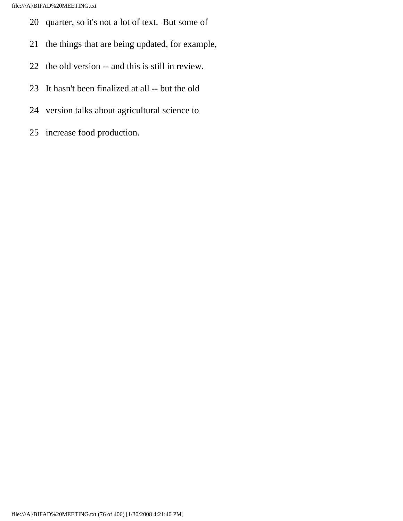- 20 quarter, so it's not a lot of text. But some of
- 21 the things that are being updated, for example,
- 22 the old version -- and this is still in review.
- 23 It hasn't been finalized at all -- but the old
- 24 version talks about agricultural science to
- 25 increase food production.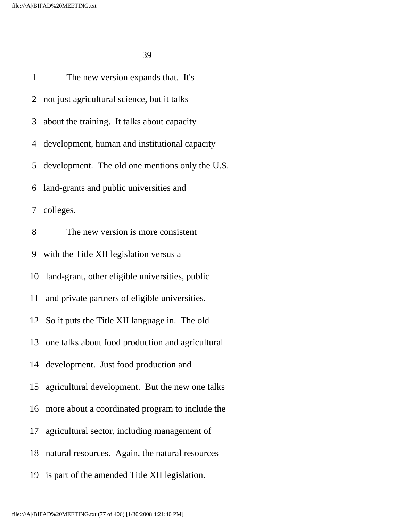1 The new version expands that. It's 2 not just agricultural science, but it talks 3 about the training. It talks about capacity 4 development, human and institutional capacity 5 development. The old one mentions only the U.S. 6 land-grants and public universities and 7 colleges. 8 The new version is more consistent 9 with the Title XII legislation versus a 10 land-grant, other eligible universities, public 11 and private partners of eligible universities. 12 So it puts the Title XII language in. The old 13 one talks about food production and agricultural 14 development. Just food production and 15 agricultural development. But the new one talks 16 more about a coordinated program to include the 17 agricultural sector, including management of 18 natural resources. Again, the natural resources 19 is part of the amended Title XII legislation.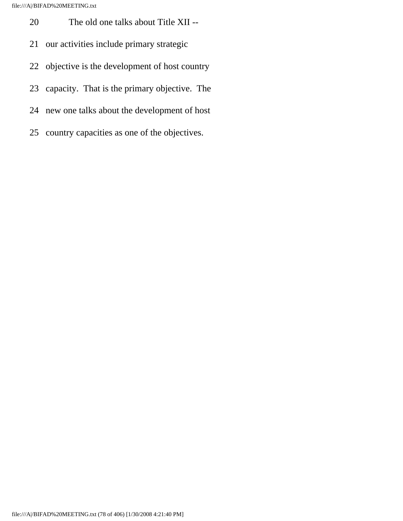- 20 The old one talks about Title XII --
- 21 our activities include primary strategic
- 22 objective is the development of host country
- 23 capacity. That is the primary objective. The
- 24 new one talks about the development of host
- 25 country capacities as one of the objectives.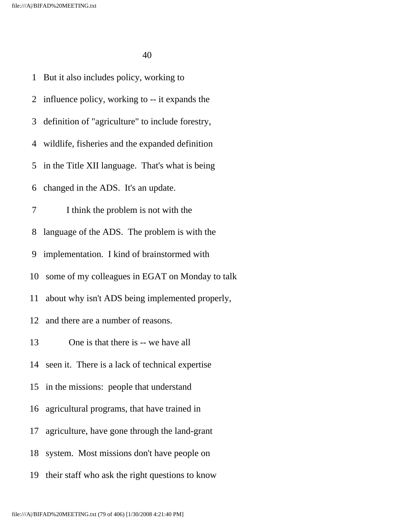1 But it also includes policy, working to 2 influence policy, working to -- it expands the 3 definition of "agriculture" to include forestry, 4 wildlife, fisheries and the expanded definition 5 in the Title XII language. That's what is being 6 changed in the ADS. It's an update. 7 I think the problem is not with the 8 language of the ADS. The problem is with the 9 implementation. I kind of brainstormed with 10 some of my colleagues in EGAT on Monday to talk 11 about why isn't ADS being implemented properly, 12 and there are a number of reasons. 13 One is that there is -- we have all 14 seen it. There is a lack of technical expertise 15 in the missions: people that understand 16 agricultural programs, that have trained in 17 agriculture, have gone through the land-grant 18 system. Most missions don't have people on 19 their staff who ask the right questions to know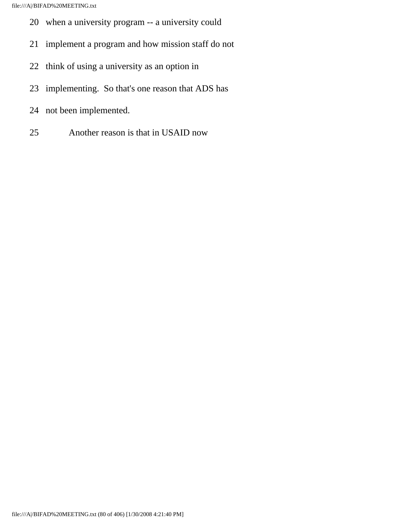- 20 when a university program -- a university could
- 21 implement a program and how mission staff do not
- 22 think of using a university as an option in
- 23 implementing. So that's one reason that ADS has
- 24 not been implemented.
- 25 Another reason is that in USAID now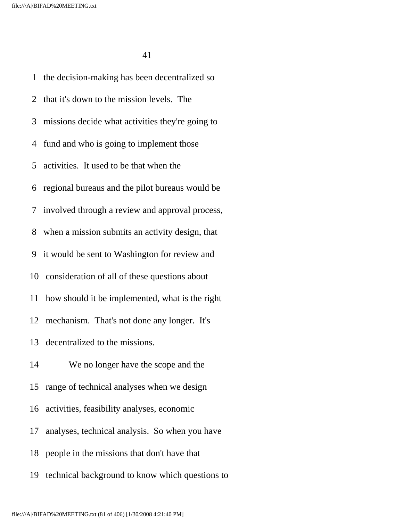1 the decision-making has been decentralized so 2 that it's down to the mission levels. The 3 missions decide what activities they're going to 4 fund and who is going to implement those 5 activities. It used to be that when the 6 regional bureaus and the pilot bureaus would be 7 involved through a review and approval process, 8 when a mission submits an activity design, that 9 it would be sent to Washington for review and 10 consideration of all of these questions about 11 how should it be implemented, what is the right 12 mechanism. That's not done any longer. It's 13 decentralized to the missions. 14 We no longer have the scope and the 15 range of technical analyses when we design 16 activities, feasibility analyses, economic 17 analyses, technical analysis. So when you have 18 people in the missions that don't have that 19 technical background to know which questions to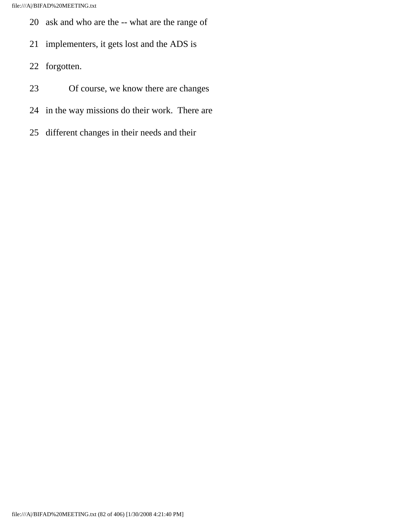- 20 ask and who are the -- what are the range of
- 21 implementers, it gets lost and the ADS is
- 22 forgotten.
- 23 Of course, we know there are changes
- 24 in the way missions do their work. There are
- 25 different changes in their needs and their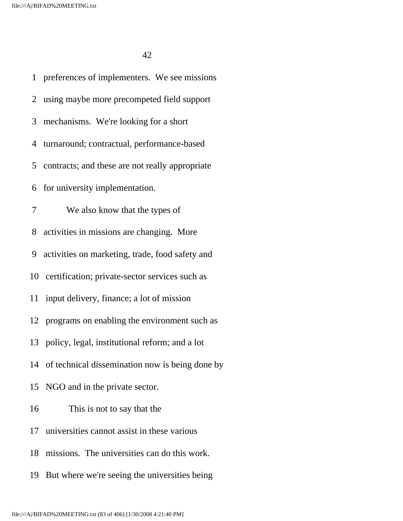1 preferences of implementers. We see missions 2 using maybe more precompeted field support 3 mechanisms. We're looking for a short 4 turnaround; contractual, performance-based 5 contracts; and these are not really appropriate 6 for university implementation. 7 We also know that the types of 8 activities in missions are changing. More 9 activities on marketing, trade, food safety and 10 certification; private-sector services such as 11 input delivery, finance; a lot of mission 12 programs on enabling the environment such as 13 policy, legal, institutional reform; and a lot 14 of technical dissemination now is being done by 15 NGO and in the private sector. 16 This is not to say that the 17 universities cannot assist in these various 18 missions. The universities can do this work. 19 But where we're seeing the universities being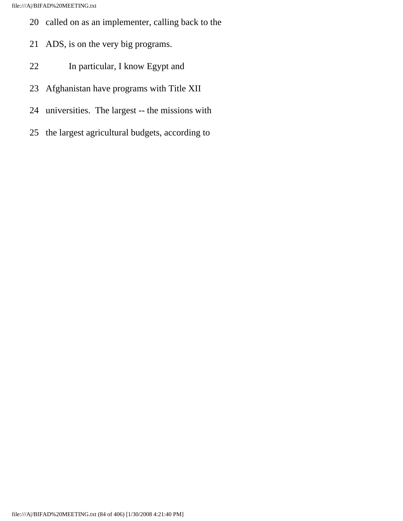- 20 called on as an implementer, calling back to the
- 21 ADS, is on the very big programs.
- 22 In particular, I know Egypt and
- 23 Afghanistan have programs with Title XII
- 24 universities. The largest -- the missions with
- 25 the largest agricultural budgets, according to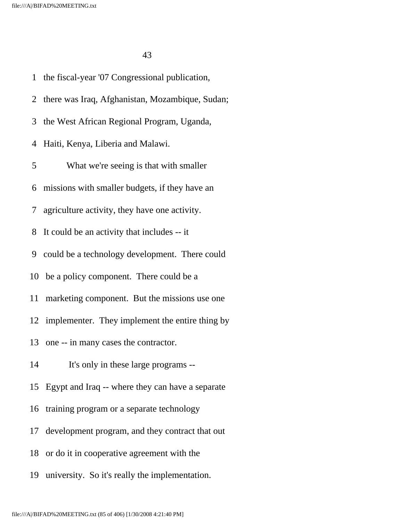1 the fiscal-year '07 Congressional publication, 2 there was Iraq, Afghanistan, Mozambique, Sudan; 3 the West African Regional Program, Uganda, 4 Haiti, Kenya, Liberia and Malawi. 5 What we're seeing is that with smaller 6 missions with smaller budgets, if they have an 7 agriculture activity, they have one activity. 8 It could be an activity that includes -- it 9 could be a technology development. There could 10 be a policy component. There could be a 11 marketing component. But the missions use one 12 implementer. They implement the entire thing by 13 one -- in many cases the contractor. 14 It's only in these large programs -- 15 Egypt and Iraq -- where they can have a separate 16 training program or a separate technology 17 development program, and they contract that out 18 or do it in cooperative agreement with the 19 university. So it's really the implementation.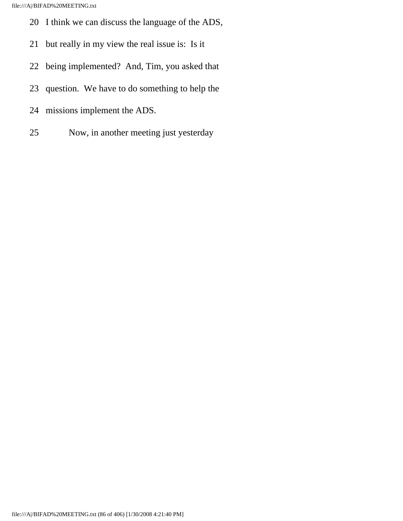- 20 I think we can discuss the language of the ADS,
- 21 but really in my view the real issue is: Is it
- 22 being implemented? And, Tim, you asked that
- 23 question. We have to do something to help the
- 24 missions implement the ADS.
- 25 Now, in another meeting just yesterday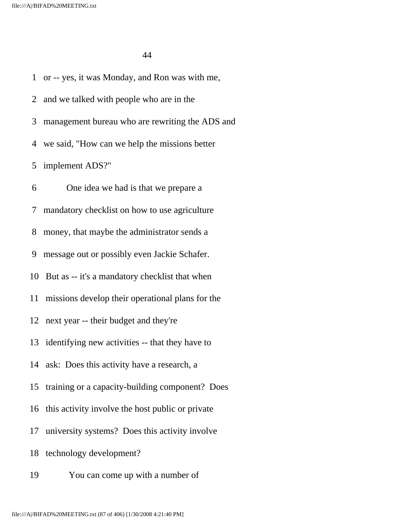1 or -- yes, it was Monday, and Ron was with me, 2 and we talked with people who are in the 3 management bureau who are rewriting the ADS and 4 we said, "How can we help the missions better 5 implement ADS?" 6 One idea we had is that we prepare a 7 mandatory checklist on how to use agriculture 8 money, that maybe the administrator sends a 9 message out or possibly even Jackie Schafer. 10 But as -- it's a mandatory checklist that when 11 missions develop their operational plans for the 12 next year -- their budget and they're 13 identifying new activities -- that they have to 14 ask: Does this activity have a research, a 15 training or a capacity-building component? Does 16 this activity involve the host public or private 17 university systems? Does this activity involve 18 technology development? 19 You can come up with a number of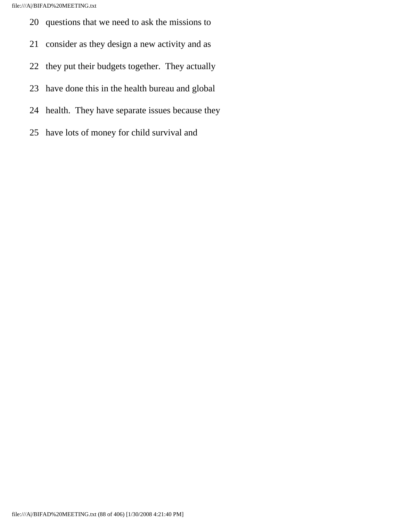- 20 questions that we need to ask the missions to
- 21 consider as they design a new activity and as
- 22 they put their budgets together. They actually
- 23 have done this in the health bureau and global
- 24 health. They have separate issues because they
- 25 have lots of money for child survival and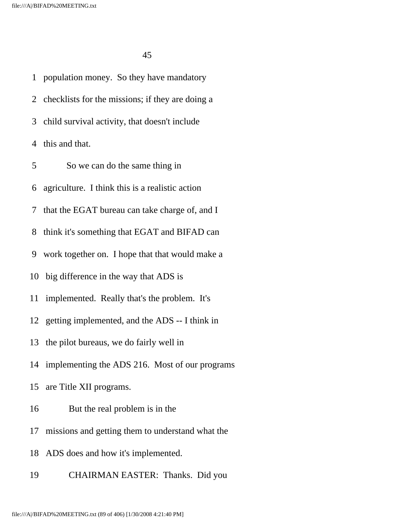1 population money. So they have mandatory 2 checklists for the missions; if they are doing a 3 child survival activity, that doesn't include 4 this and that. 5 So we can do the same thing in 6 agriculture. I think this is a realistic action 7 that the EGAT bureau can take charge of, and I 8 think it's something that EGAT and BIFAD can 9 work together on. I hope that that would make a 10 big difference in the way that ADS is 11 implemented. Really that's the problem. It's 12 getting implemented, and the ADS -- I think in 13 the pilot bureaus, we do fairly well in 14 implementing the ADS 216. Most of our programs 15 are Title XII programs. 16 But the real problem is in the 17 missions and getting them to understand what the 18 ADS does and how it's implemented.

19 CHAIRMAN EASTER: Thanks. Did you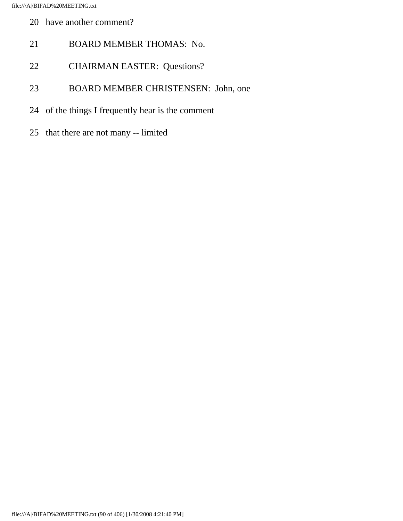- 20 have another comment?
- 21 BOARD MEMBER THOMAS: No.
- 22 CHAIRMAN EASTER: Questions?
- 23 BOARD MEMBER CHRISTENSEN: John, one
- 24 of the things I frequently hear is the comment
- 25 that there are not many -- limited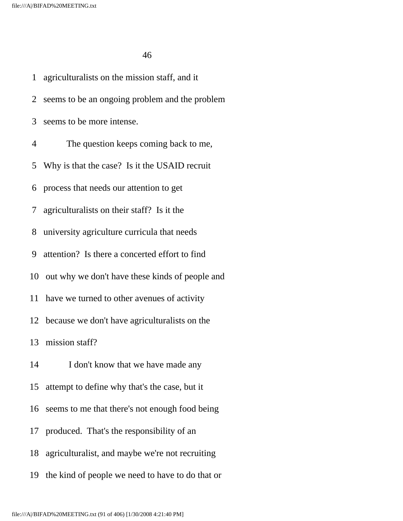1 agriculturalists on the mission staff, and it 2 seems to be an ongoing problem and the problem 3 seems to be more intense. 4 The question keeps coming back to me, 5 Why is that the case? Is it the USAID recruit 6 process that needs our attention to get 7 agriculturalists on their staff? Is it the 8 university agriculture curricula that needs 9 attention? Is there a concerted effort to find 10 out why we don't have these kinds of people and 11 have we turned to other avenues of activity 12 because we don't have agriculturalists on the 13 mission staff? 14 I don't know that we have made any 15 attempt to define why that's the case, but it 16 seems to me that there's not enough food being 17 produced. That's the responsibility of an 18 agriculturalist, and maybe we're not recruiting 19 the kind of people we need to have to do that or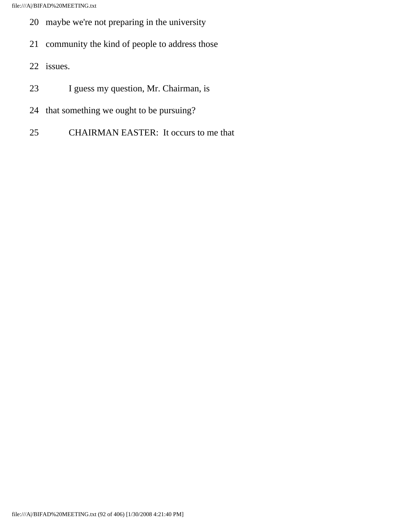- 20 maybe we're not preparing in the university
- 21 community the kind of people to address those
- 22 issues.
- 23 I guess my question, Mr. Chairman, is
- 24 that something we ought to be pursuing?
- 25 CHAIRMAN EASTER: It occurs to me that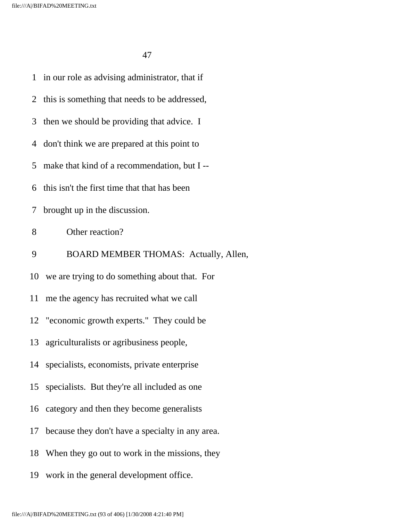|    | 1 in our role as advising administrator, that if |
|----|--------------------------------------------------|
|    | 2 this is something that needs to be addressed,  |
| 3  | then we should be providing that advice. I       |
| 4  | don't think we are prepared at this point to     |
| 5  | make that kind of a recommendation, but I --     |
| 6  | this isn't the first time that that has been     |
| 7  | brought up in the discussion.                    |
| 8  | Other reaction?                                  |
| 9  | BOARD MEMBER THOMAS: Actually, Allen,            |
|    | 10 we are trying to do something about that. For |
|    | 11 me the agency has recruited what we call      |
|    | 12 "economic growth experts." They could be      |
|    | 13 agriculturalists or agribusiness people,      |
|    | 14 specialists, economists, private enterprise   |
| 15 | specialists. But they're all included as one     |
|    | 16 category and then they become generalists     |
| 17 | because they don't have a specialty in any area. |
| 18 | When they go out to work in the missions, they   |
| 19 | work in the general development office.          |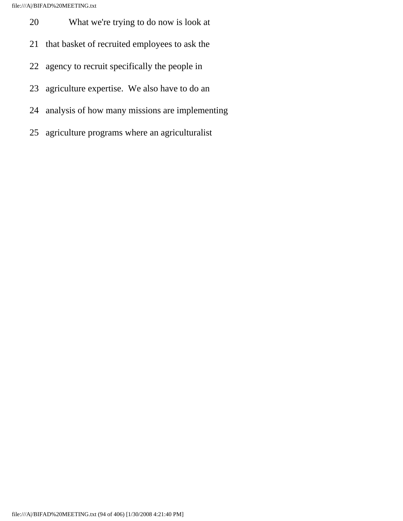- 20 What we're trying to do now is look at
- 21 that basket of recruited employees to ask the
- 22 agency to recruit specifically the people in
- 23 agriculture expertise. We also have to do an
- 24 analysis of how many missions are implementing
- 25 agriculture programs where an agriculturalist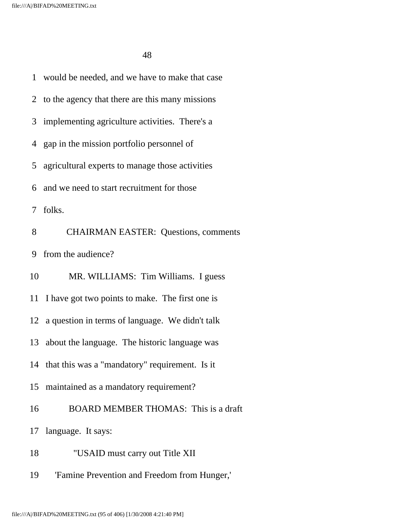1 would be needed, and we have to make that case 2 to the agency that there are this many missions 3 implementing agriculture activities. There's a 4 gap in the mission portfolio personnel of 5 agricultural experts to manage those activities 6 and we need to start recruitment for those 7 folks. 8 CHAIRMAN EASTER: Questions, comments 9 from the audience? 10 MR. WILLIAMS: Tim Williams. I guess 11 I have got two points to make. The first one is 12 a question in terms of language. We didn't talk 13 about the language. The historic language was 14 that this was a "mandatory" requirement. Is it 15 maintained as a mandatory requirement? 16 BOARD MEMBER THOMAS: This is a draft 17 language. It says: 18 "USAID must carry out Title XII 19 'Famine Prevention and Freedom from Hunger,'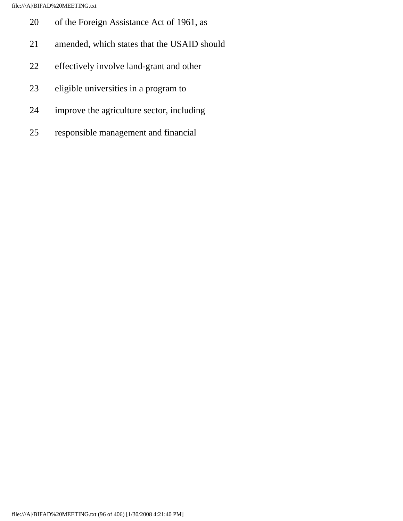- 20 of the Foreign Assistance Act of 1961, as
- 21 amended, which states that the USAID should
- 22 effectively involve land-grant and other
- 23 eligible universities in a program to
- 24 improve the agriculture sector, including
- 25 responsible management and financial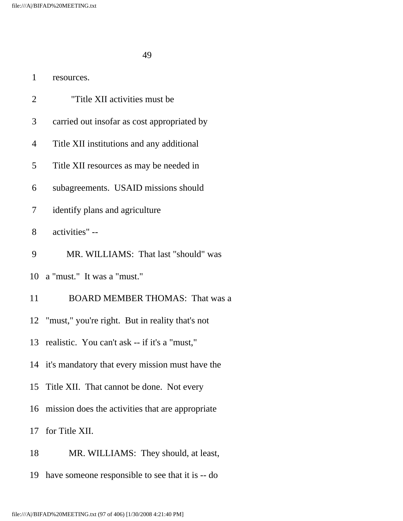1 resources.

| $\overline{2}$ | "Title XII activities must be                      |
|----------------|----------------------------------------------------|
| 3              | carried out insofar as cost appropriated by        |
| 4              | Title XII institutions and any additional          |
| 5              | Title XII resources as may be needed in            |
| 6              | subagreements. USAID missions should               |
| 7              | identify plans and agriculture                     |
| 8              | activities" --                                     |
| 9              | MR. WILLIAMS: That last "should" was               |
|                | 10 a "must." It was a "must."                      |
| 11             | <b>BOARD MEMBER THOMAS: That was a</b>             |
|                | 12 "must," you're right. But in reality that's not |
|                | 13 realistic. You can't ask -- if it's a "must,"   |
|                | 14 it's mandatory that every mission must have the |
|                | 15 Title XII. That cannot be done. Not every       |
| 16             | mission does the activities that are appropriate   |
|                | 17 for Title XII.                                  |
| 18             | MR. WILLIAMS: They should, at least,               |
| 19             | have someone responsible to see that it is -- do   |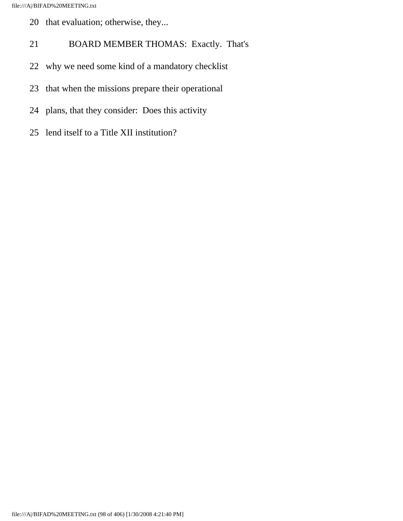- 20 that evaluation; otherwise, they...
- 21 BOARD MEMBER THOMAS: Exactly. That's
- 22 why we need some kind of a mandatory checklist
- 23 that when the missions prepare their operational
- 24 plans, that they consider: Does this activity
- 25 lend itself to a Title XII institution?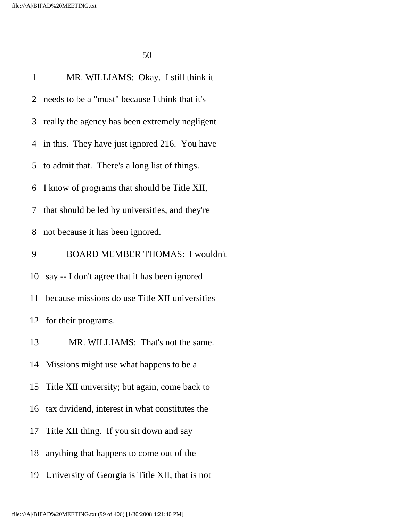| $\mathbf{1}$ | MR. WILLIAMS: Okay. I still think it              |
|--------------|---------------------------------------------------|
|              | 2 needs to be a "must" because I think that it's  |
|              | 3 really the agency has been extremely negligent  |
|              | 4 in this. They have just ignored 216. You have   |
|              | 5 to admit that. There's a long list of things.   |
|              | 6 I know of programs that should be Title XII,    |
|              | 7 that should be led by universities, and they're |
| 8            | not because it has been ignored.                  |
| 9            | <b>BOARD MEMBER THOMAS: I wouldn't</b>            |
|              | 10 say -- I don't agree that it has been ignored  |
| 11           | because missions do use Title XII universities    |
|              | 12 for their programs.                            |
| 13           | MR. WILLIAMS: That's not the same.                |
|              | 14 Missions might use what happens to be a        |
| 15           | Title XII university; but again, come back to     |
| 16           | tax dividend, interest in what constitutes the    |
| 17           | Title XII thing. If you sit down and say          |
| 18           | anything that happens to come out of the          |
| 19           | University of Georgia is Title XII, that is not   |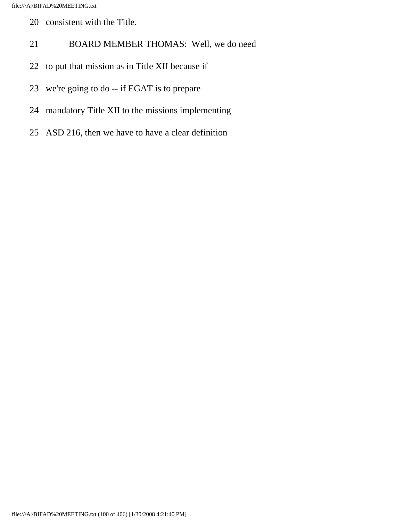- 20 consistent with the Title.
- 21 BOARD MEMBER THOMAS: Well, we do need
- 22 to put that mission as in Title XII because if
- 23 we're going to do -- if EGAT is to prepare
- 24 mandatory Title XII to the missions implementing
- 25 ASD 216, then we have to have a clear definition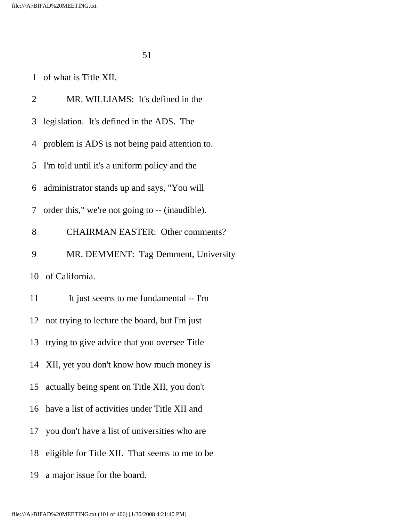1 of what is Title XII.

| 2  | MR. WILLIAMS: It's defined in the                |
|----|--------------------------------------------------|
| 3  | legislation. It's defined in the ADS. The        |
|    | 4 problem is ADS is not being paid attention to. |
|    | 5 I'm told until it's a uniform policy and the   |
|    | 6 administrator stands up and says, "You will    |
| 7  | order this," we're not going to -- (inaudible).  |
| 8  | <b>CHAIRMAN EASTER: Other comments?</b>          |
| 9  | MR. DEMMENT: Tag Demment, University             |
|    | 10 of California.                                |
| 11 | It just seems to me fundamental -- I'm           |
|    | 12 not trying to lecture the board, but I'm just |
| 13 | trying to give advice that you oversee Title     |
|    | 14 XII, yet you don't know how much money is     |
|    | 15 actually being spent on Title XII, you don't  |
| 16 | have a list of activities under Title XII and    |
| 17 | you don't have a list of universities who are    |
| 18 | eligible for Title XII. That seems to me to be   |
| 19 | a major issue for the board.                     |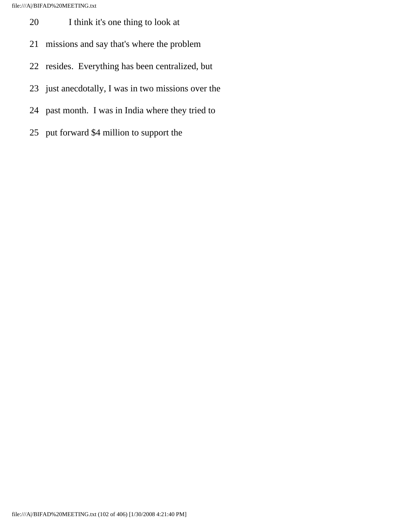- 20 I think it's one thing to look at
- 21 missions and say that's where the problem
- 22 resides. Everything has been centralized, but
- 23 just anecdotally, I was in two missions over the
- 24 past month. I was in India where they tried to
- 25 put forward \$4 million to support the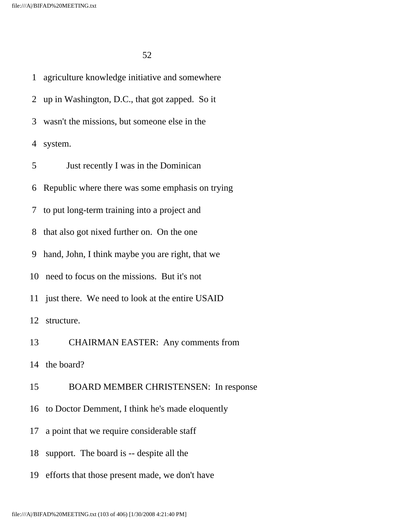1 agriculture knowledge initiative and somewhere 2 up in Washington, D.C., that got zapped. So it 3 wasn't the missions, but someone else in the 4 system. 5 Just recently I was in the Dominican 6 Republic where there was some emphasis on trying 7 to put long-term training into a project and 8 that also got nixed further on. On the one 9 hand, John, I think maybe you are right, that we 10 need to focus on the missions. But it's not 11 just there. We need to look at the entire USAID 12 structure. 13 CHAIRMAN EASTER: Any comments from 14 the board? 15 BOARD MEMBER CHRISTENSEN: In response 16 to Doctor Demment, I think he's made eloquently 17 a point that we require considerable staff 18 support. The board is -- despite all the

19 efforts that those present made, we don't have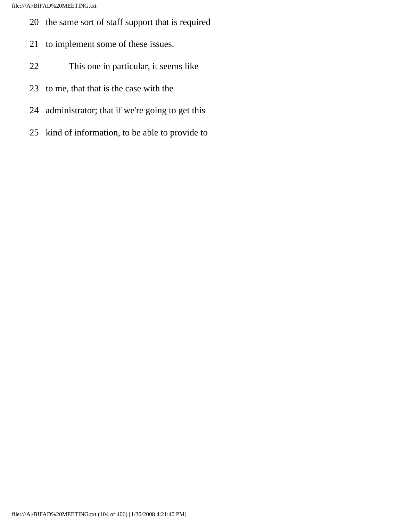- 20 the same sort of staff support that is required
- 21 to implement some of these issues.
- 22 This one in particular, it seems like
- 23 to me, that that is the case with the
- 24 administrator; that if we're going to get this
- 25 kind of information, to be able to provide to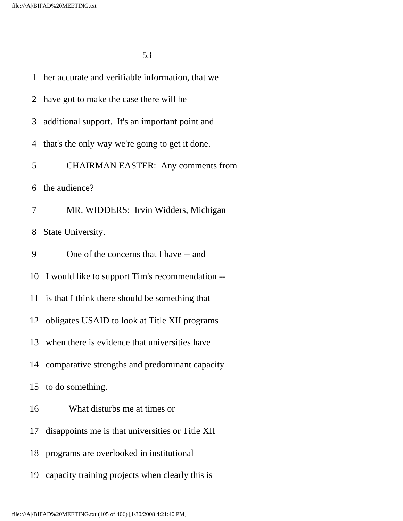1 her accurate and verifiable information, that we 2 have got to make the case there will be 3 additional support. It's an important point and 4 that's the only way we're going to get it done. 5 CHAIRMAN EASTER: Any comments from 6 the audience? 7 MR. WIDDERS: Irvin Widders, Michigan 8 State University. 9 One of the concerns that I have -- and 10 I would like to support Tim's recommendation -- 11 is that I think there should be something that 12 obligates USAID to look at Title XII programs 13 when there is evidence that universities have 14 comparative strengths and predominant capacity 15 to do something. 16 What disturbs me at times or 17 disappoints me is that universities or Title XII 18 programs are overlooked in institutional 19 capacity training projects when clearly this is

file:///A|/BIFAD%20MEETING.txt (105 of 406) [1/30/2008 4:21:40 PM]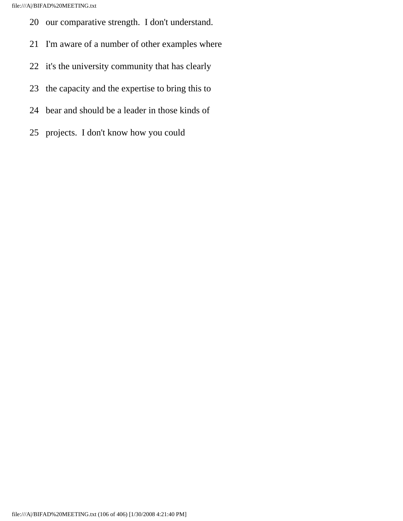- 20 our comparative strength. I don't understand.
- 21 I'm aware of a number of other examples where
- 22 it's the university community that has clearly
- 23 the capacity and the expertise to bring this to
- 24 bear and should be a leader in those kinds of
- 25 projects. I don't know how you could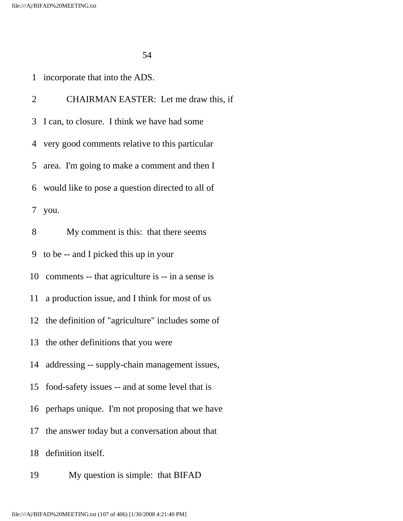1 incorporate that into the ADS.

 2 CHAIRMAN EASTER: Let me draw this, if 3 I can, to closure. I think we have had some 4 very good comments relative to this particular 5 area. I'm going to make a comment and then I 6 would like to pose a question directed to all of 7 you. 8 My comment is this: that there seems 9 to be -- and I picked this up in your 10 comments -- that agriculture is -- in a sense is 11 a production issue, and I think for most of us 12 the definition of "agriculture" includes some of 13 the other definitions that you were 14 addressing -- supply-chain management issues, 15 food-safety issues -- and at some level that is 16 perhaps unique. I'm not proposing that we have 17 the answer today but a conversation about that 18 definition itself.

19 My question is simple: that BIFAD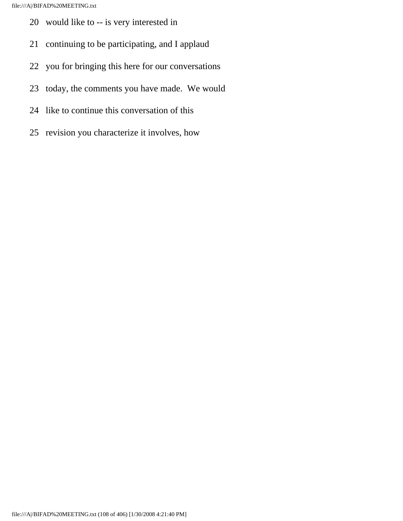- 20 would like to -- is very interested in
- 21 continuing to be participating, and I applaud
- 22 you for bringing this here for our conversations
- 23 today, the comments you have made. We would
- 24 like to continue this conversation of this
- 25 revision you characterize it involves, how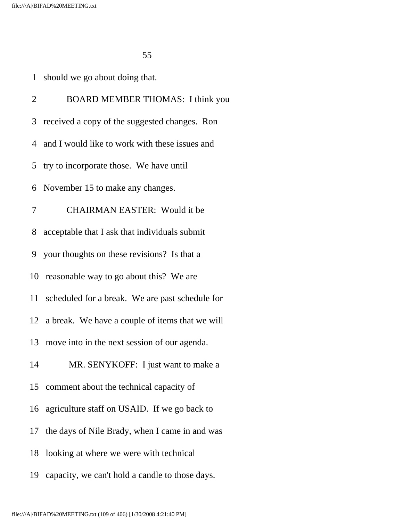1 should we go about doing that.

 2 BOARD MEMBER THOMAS: I think you 3 received a copy of the suggested changes. Ron 4 and I would like to work with these issues and 5 try to incorporate those. We have until 6 November 15 to make any changes. 7 CHAIRMAN EASTER: Would it be 8 acceptable that I ask that individuals submit 9 your thoughts on these revisions? Is that a 10 reasonable way to go about this? We are 11 scheduled for a break. We are past schedule for 12 a break. We have a couple of items that we will 13 move into in the next session of our agenda. 14 MR. SENYKOFF: I just want to make a 15 comment about the technical capacity of 16 agriculture staff on USAID. If we go back to 17 the days of Nile Brady, when I came in and was 18 looking at where we were with technical

19 capacity, we can't hold a candle to those days.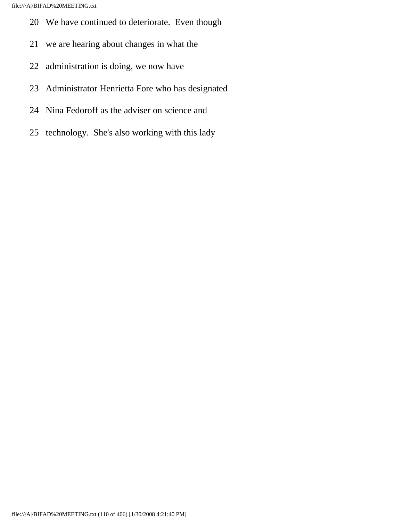- 20 We have continued to deteriorate. Even though
- 21 we are hearing about changes in what the
- 22 administration is doing, we now have
- 23 Administrator Henrietta Fore who has designated
- 24 Nina Fedoroff as the adviser on science and
- 25 technology. She's also working with this lady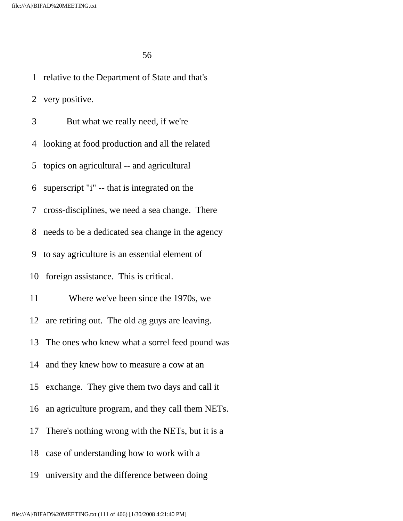1 relative to the Department of State and that's 2 very positive. 3 But what we really need, if we're 4 looking at food production and all the related 5 topics on agricultural -- and agricultural 6 superscript "i" -- that is integrated on the 7 cross-disciplines, we need a sea change. There 8 needs to be a dedicated sea change in the agency 9 to say agriculture is an essential element of 10 foreign assistance. This is critical. 11 Where we've been since the 1970s, we 12 are retiring out. The old ag guys are leaving. 13 The ones who knew what a sorrel feed pound was 14 and they knew how to measure a cow at an 15 exchange. They give them two days and call it 16 an agriculture program, and they call them NETs. 17 There's nothing wrong with the NETs, but it is a 18 case of understanding how to work with a

19 university and the difference between doing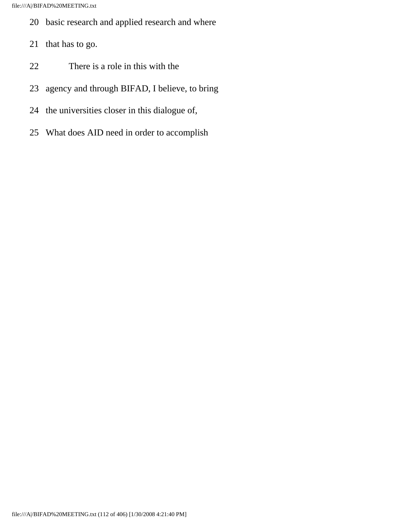- 20 basic research and applied research and where
- 21 that has to go.
- 22 There is a role in this with the
- 23 agency and through BIFAD, I believe, to bring
- 24 the universities closer in this dialogue of,
- 25 What does AID need in order to accomplish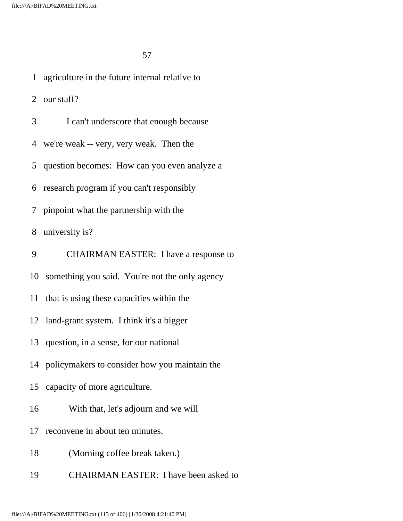1 agriculture in the future internal relative to

2 our staff?

- 3 I can't underscore that enough because
- 4 we're weak -- very, very weak. Then the
- 5 question becomes: How can you even analyze a
- 6 research program if you can't responsibly
- 7 pinpoint what the partnership with the

8 university is?

- 9 CHAIRMAN EASTER: I have a response to
- 10 something you said. You're not the only agency
- 11 that is using these capacities within the
- 12 land-grant system. I think it's a bigger
- 13 question, in a sense, for our national
- 14 policymakers to consider how you maintain the
- 15 capacity of more agriculture.
- 16 With that, let's adjourn and we will
- 17 reconvene in about ten minutes.
- 18 (Morning coffee break taken.)
- 19 CHAIRMAN EASTER: I have been asked to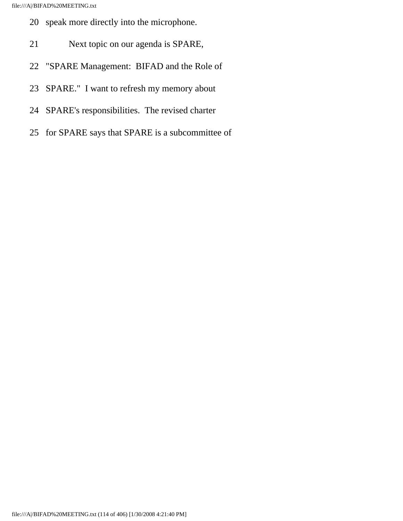- 20 speak more directly into the microphone.
- 21 Next topic on our agenda is SPARE,
- 22 "SPARE Management: BIFAD and the Role of
- 23 SPARE." I want to refresh my memory about
- 24 SPARE's responsibilities. The revised charter
- 25 for SPARE says that SPARE is a subcommittee of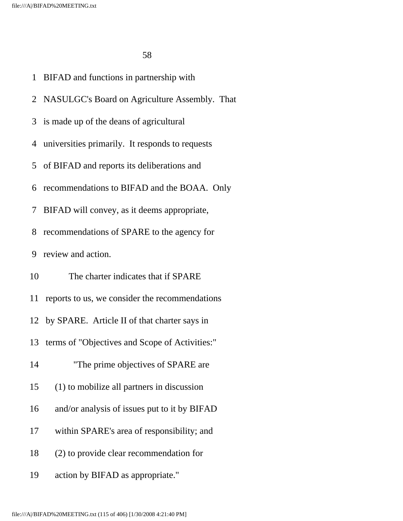- 1 BIFAD and functions in partnership with
- 2 NASULGC's Board on Agriculture Assembly. That
- 3 is made up of the deans of agricultural
- 4 universities primarily. It responds to requests
- 5 of BIFAD and reports its deliberations and
- 6 recommendations to BIFAD and the BOAA. Only
- 7 BIFAD will convey, as it deems appropriate,
- 8 recommendations of SPARE to the agency for
- 9 review and action.
- 10 The charter indicates that if SPARE
- 11 reports to us, we consider the recommendations
- 12 by SPARE. Article II of that charter says in
- 13 terms of "Objectives and Scope of Activities:"
- 14 The prime objectives of SPARE are
- 15 (1) to mobilize all partners in discussion
- 16 and/or analysis of issues put to it by BIFAD
- 17 within SPARE's area of responsibility; and
- 18 (2) to provide clear recommendation for
- 19 action by BIFAD as appropriate."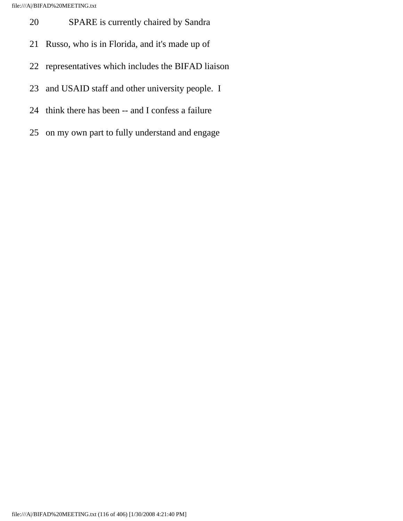file:///A|/BIFAD%20MEETING.txt

- 20 SPARE is currently chaired by Sandra
- 21 Russo, who is in Florida, and it's made up of
- 22 representatives which includes the BIFAD liaison
- 23 and USAID staff and other university people. I
- 24 think there has been -- and I confess a failure
- 25 on my own part to fully understand and engage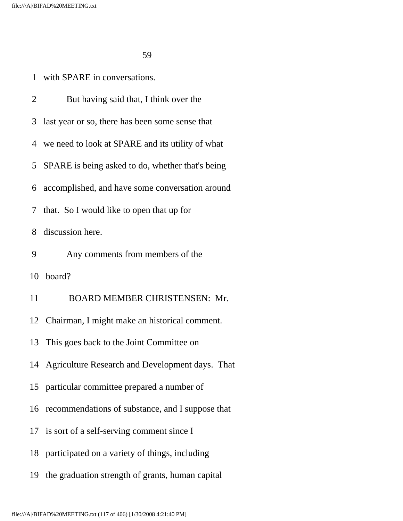1 with SPARE in conversations.

 2 But having said that, I think over the 3 last year or so, there has been some sense that 4 we need to look at SPARE and its utility of what 5 SPARE is being asked to do, whether that's being 6 accomplished, and have some conversation around 7 that. So I would like to open that up for 8 discussion here. 9 Any comments from members of the 10 board? 11 BOARD MEMBER CHRISTENSEN: Mr. 12 Chairman, I might make an historical comment. 13 This goes back to the Joint Committee on 14 Agriculture Research and Development days. That 15 particular committee prepared a number of 16 recommendations of substance, and I suppose that 17 is sort of a self-serving comment since I 18 participated on a variety of things, including 19 the graduation strength of grants, human capital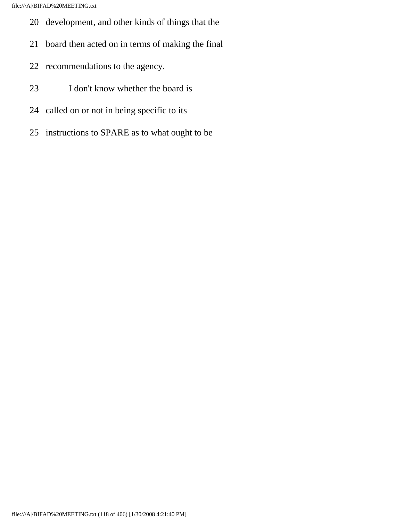file:///A|/BIFAD%20MEETING.txt

- 20 development, and other kinds of things that the
- 21 board then acted on in terms of making the final
- 22 recommendations to the agency.
- 23 I don't know whether the board is
- 24 called on or not in being specific to its
- 25 instructions to SPARE as to what ought to be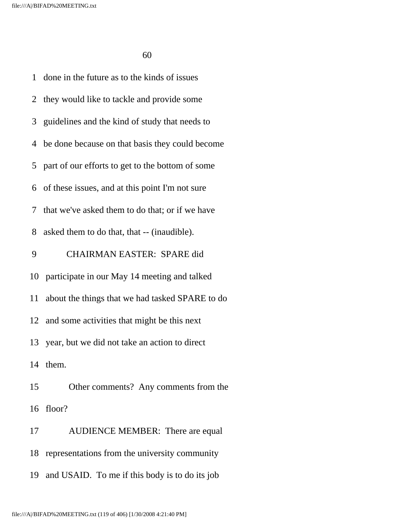1 done in the future as to the kinds of issues 2 they would like to tackle and provide some 3 guidelines and the kind of study that needs to 4 be done because on that basis they could become 5 part of our efforts to get to the bottom of some 6 of these issues, and at this point I'm not sure 7 that we've asked them to do that; or if we have 8 asked them to do that, that -- (inaudible). 9 CHAIRMAN EASTER: SPARE did 10 participate in our May 14 meeting and talked 11 about the things that we had tasked SPARE to do 12 and some activities that might be this next 13 year, but we did not take an action to direct 14 them. 15 Other comments? Any comments from the 16 floor? 17 AUDIENCE MEMBER: There are equal 18 representations from the university community 19 and USAID. To me if this body is to do its job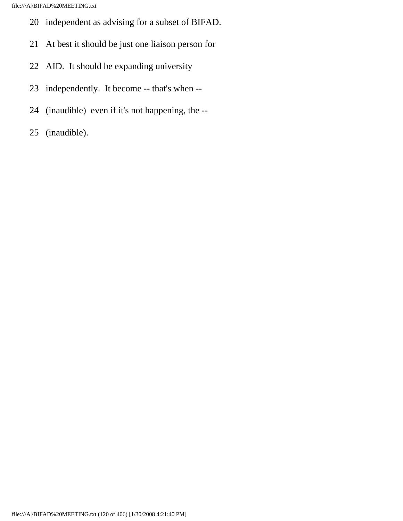file:///A|/BIFAD%20MEETING.txt

- 20 independent as advising for a subset of BIFAD.
- 21 At best it should be just one liaison person for
- 22 AID. It should be expanding university
- 23 independently. It become -- that's when --
- 24 (inaudible) even if it's not happening, the --
- 25 (inaudible).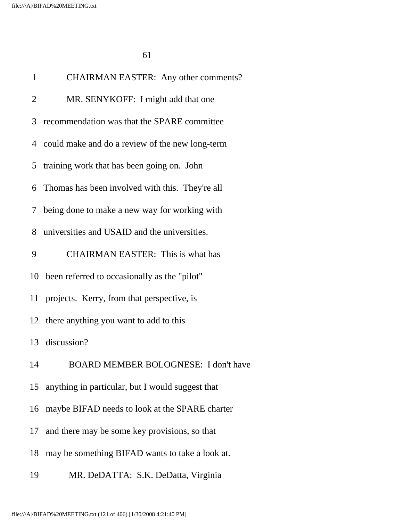| $\mathbf{1}$ | <b>CHAIRMAN EASTER:</b> Any other comments?         |
|--------------|-----------------------------------------------------|
| 2            | MR. SENYKOFF: I might add that one                  |
| 3            | recommendation was that the SPARE committee         |
|              | 4 could make and do a review of the new long-term   |
| 5            | training work that has been going on. John          |
| 6            | Thomas has been involved with this. They're all     |
| 7            | being done to make a new way for working with       |
| 8            | universities and USAID and the universities.        |
| 9            | <b>CHAIRMAN EASTER:</b> This is what has            |
|              | 10 been referred to occasionally as the "pilot"     |
|              | 11 projects. Kerry, from that perspective, is       |
|              | 12 there anything you want to add to this           |
|              | 13 discussion?                                      |
| 14           | <b>BOARD MEMBER BOLOGNESE:</b> I don't have         |
|              | 15 anything in particular, but I would suggest that |
| 16           | maybe BIFAD needs to look at the SPARE charter      |
| 17           | and there may be some key provisions, so that       |
| 18           | may be something BIFAD wants to take a look at.     |
| 19           | MR. DeDATTA: S.K. DeDatta, Virginia                 |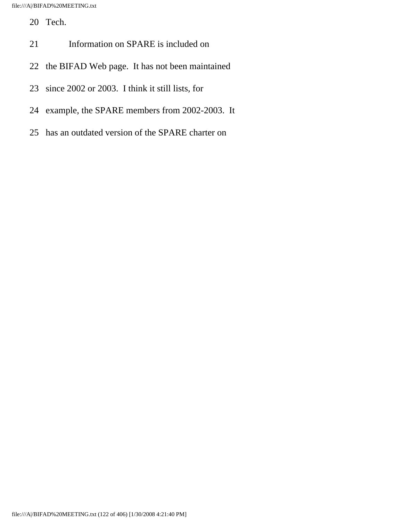20 Tech.

- 21 Information on SPARE is included on
- 22 the BIFAD Web page. It has not been maintained
- 23 since 2002 or 2003. I think it still lists, for
- 24 example, the SPARE members from 2002-2003. It
- 25 has an outdated version of the SPARE charter on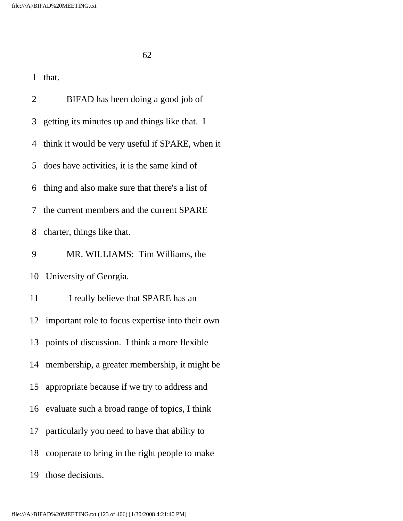| $\overline{2}$ | BIFAD has been doing a good job of                  |
|----------------|-----------------------------------------------------|
| 3              | getting its minutes up and things like that. I      |
|                | 4 think it would be very useful if SPARE, when it   |
|                | 5 does have activities, it is the same kind of      |
|                | 6 thing and also make sure that there's a list of   |
| 7              | the current members and the current SPARE           |
| 8              | charter, things like that.                          |
| 9              | MR. WILLIAMS: Tim Williams, the                     |
|                | 10 University of Georgia.                           |
| 11             | I really believe that SPARE has an                  |
|                | 12 important role to focus expertise into their own |
|                | 13 points of discussion. I think a more flexible    |
|                | 14 membership, a greater membership, it might be    |
|                | 15 appropriate because if we try to address and     |
| 16             | evaluate such a broad range of topics, I think      |
|                | 17 particularly you need to have that ability to    |
| 18             | cooperate to bring in the right people to make      |
| 19             | those decisions.                                    |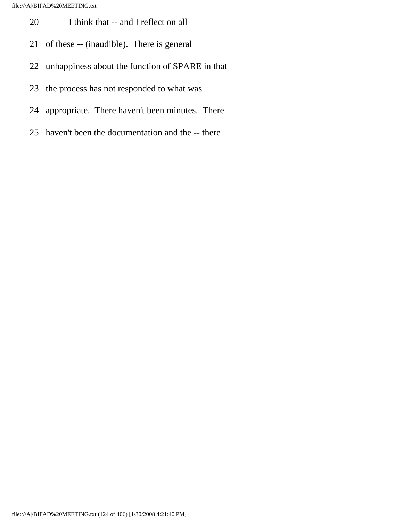- 20 I think that -- and I reflect on all
- 21 of these -- (inaudible). There is general
- 22 unhappiness about the function of SPARE in that
- 23 the process has not responded to what was
- 24 appropriate. There haven't been minutes. There
- 25 haven't been the documentation and the -- there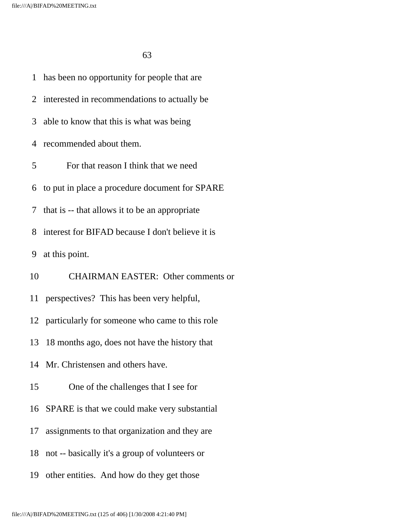1 has been no opportunity for people that are 2 interested in recommendations to actually be 3 able to know that this is what was being 4 recommended about them. 5 For that reason I think that we need 6 to put in place a procedure document for SPARE 7 that is -- that allows it to be an appropriate 8 interest for BIFAD because I don't believe it is 9 at this point. 10 CHAIRMAN EASTER: Other comments or 11 perspectives? This has been very helpful, 12 particularly for someone who came to this role 13 18 months ago, does not have the history that 14 Mr. Christensen and others have. 15 One of the challenges that I see for 16 SPARE is that we could make very substantial 17 assignments to that organization and they are 18 not -- basically it's a group of volunteers or 19 other entities. And how do they get those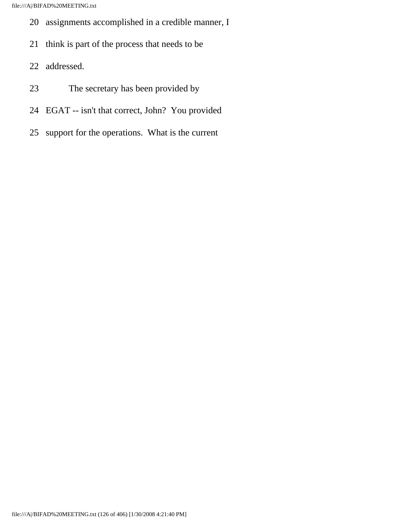- 20 assignments accomplished in a credible manner, I
- 21 think is part of the process that needs to be
- 22 addressed.
- 23 The secretary has been provided by
- 24 EGAT -- isn't that correct, John? You provided
- 25 support for the operations. What is the current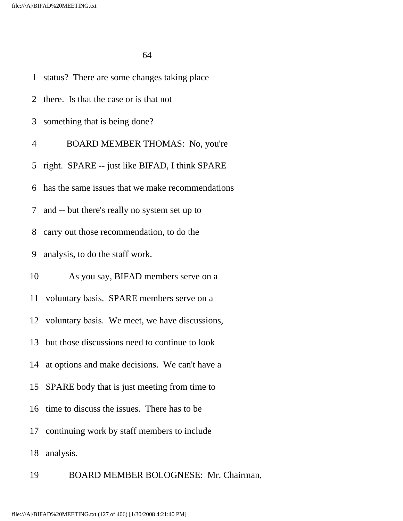|                | 1 status? There are some changes taking place      |
|----------------|----------------------------------------------------|
|                | 2 there. Is that the case or is that not           |
| 3              | something that is being done?                      |
| $\overline{4}$ | BOARD MEMBER THOMAS: No, you're                    |
|                | 5 right. SPARE -- just like BIFAD, I think SPARE   |
|                | 6 has the same issues that we make recommendations |
| 7 <sup>7</sup> | and -- but there's really no system set up to      |
| 8              | carry out those recommendation, to do the          |
| 9              | analysis, to do the staff work.                    |
| 10             | As you say, BIFAD members serve on a               |
| 11             | voluntary basis. SPARE members serve on a          |
|                | 12 voluntary basis. We meet, we have discussions,  |
| 13             | but those discussions need to continue to look     |
|                | 14 at options and make decisions. We can't have a  |
| 15             | SPARE body that is just meeting from time to       |
| 16             | time to discuss the issues. There has to be        |
|                | 17 continuing work by staff members to include     |
| 18             | analysis.                                          |
| 19             | BOARD MEMBER BOLOGNESE: Mr. Chairman,              |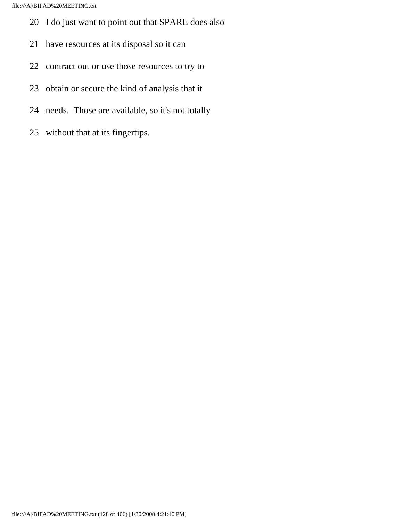- 20 I do just want to point out that SPARE does also
- 21 have resources at its disposal so it can
- 22 contract out or use those resources to try to
- 23 obtain or secure the kind of analysis that it
- 24 needs. Those are available, so it's not totally
- 25 without that at its fingertips.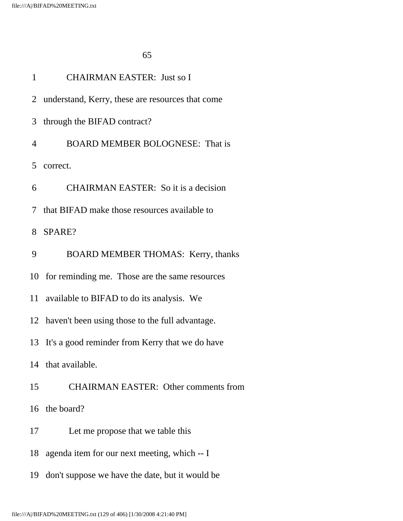| $\mathbf{1}$ | <b>CHAIRMAN EASTER: Just so I</b>                  |
|--------------|----------------------------------------------------|
| 2            | understand, Kerry, these are resources that come   |
| 3            | through the BIFAD contract?                        |
| 4            | <b>BOARD MEMBER BOLOGNESE:</b> That is             |
| 5            | correct.                                           |
| 6            | <b>CHAIRMAN EASTER:</b> So it is a decision        |
| 7            | that BIFAD make those resources available to       |
| 8            | SPARE?                                             |
| 9            | <b>BOARD MEMBER THOMAS: Kerry, thanks</b>          |
|              | 10 for reminding me. Those are the same resources  |
| 11           | available to BIFAD to do its analysis. We          |
|              | 12 haven't been using those to the full advantage. |
|              | 13 It's a good reminder from Kerry that we do have |
|              | 14 that available.                                 |
| 15           | <b>CHAIRMAN EASTER: Other comments from</b>        |
|              | 16 the board?                                      |
| 17           | Let me propose that we table this                  |
| 18           | agenda item for our next meeting, which -- I       |
| 19           | don't suppose we have the date, but it would be    |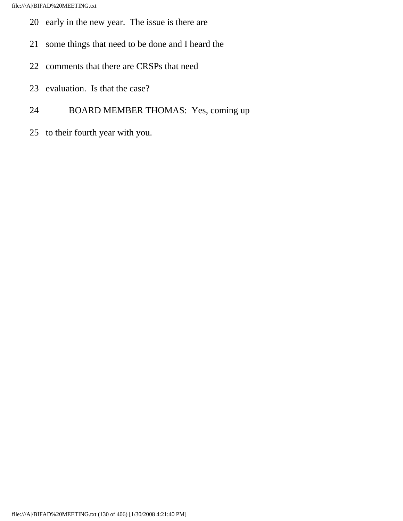- 20 early in the new year. The issue is there are
- 21 some things that need to be done and I heard the
- 22 comments that there are CRSPs that need
- 23 evaluation. Is that the case?
- 24 BOARD MEMBER THOMAS: Yes, coming up
- 25 to their fourth year with you.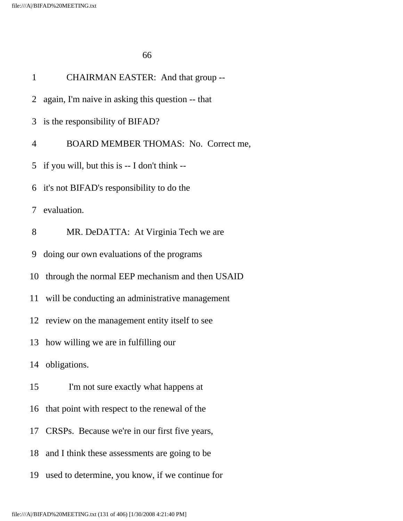| $\mathbf{1}$   | CHAIRMAN EASTER: And that group --                 |
|----------------|----------------------------------------------------|
|                | 2 again, I'm naive in asking this question -- that |
|                | 3 is the responsibility of BIFAD?                  |
| $\overline{4}$ | BOARD MEMBER THOMAS: No. Correct me,               |
|                | 5 if you will, but this is $- I$ don't think $- I$ |
|                | 6 it's not BIFAD's responsibility to do the        |
|                | 7 evaluation.                                      |
| 8              | MR. DeDATTA: At Virginia Tech we are               |
|                | 9 doing our own evaluations of the programs        |
|                | 10 through the normal EEP mechanism and then USAID |
|                | 11 will be conducting an administrative management |
|                | 12 review on the management entity itself to see   |
| 13             | how willing we are in fulfilling our               |
|                | 14 obligations.                                    |
| 15             | I'm not sure exactly what happens at               |
|                | 16 that point with respect to the renewal of the   |
|                | 17 CRSPs. Because we're in our first five years,   |
| 18             | and I think these assessments are going to be      |
| 19             | used to determine, you know, if we continue for    |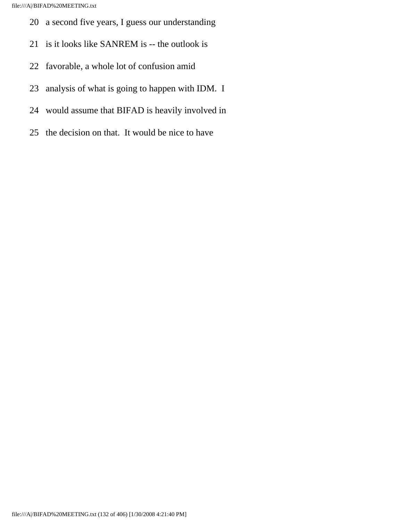- 20 a second five years, I guess our understanding
- 21 is it looks like SANREM is -- the outlook is
- 22 favorable, a whole lot of confusion amid
- 23 analysis of what is going to happen with IDM. I
- 24 would assume that BIFAD is heavily involved in
- 25 the decision on that. It would be nice to have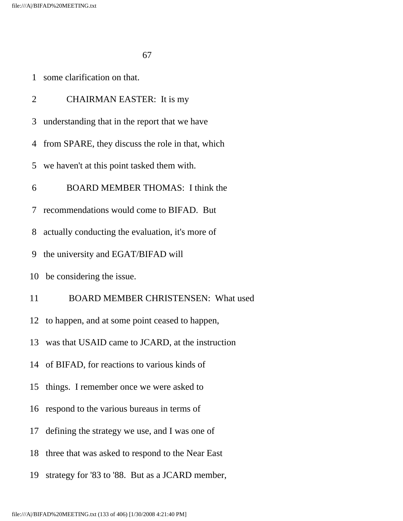|  |  | some clarification on that. |  |  |
|--|--|-----------------------------|--|--|
|--|--|-----------------------------|--|--|

| $\overline{2}$ | <b>CHAIRMAN EASTER:</b> It is my                  |
|----------------|---------------------------------------------------|
| 3              | understanding that in the report that we have     |
| 4              | from SPARE, they discuss the role in that, which  |
| 5              | we haven't at this point tasked them with.        |
| 6              | <b>BOARD MEMBER THOMAS: I think the</b>           |
| 7              | recommendations would come to BIFAD. But          |
| 8              | actually conducting the evaluation, it's more of  |
| 9              | the university and EGAT/BIFAD will                |
|                | 10 be considering the issue.                      |
| 11             | BOARD MEMBER CHRISTENSEN: What used               |
|                | 12 to happen, and at some point ceased to happen, |
| 13             | was that USAID came to JCARD, at the instruction  |
|                | 14 of BIFAD, for reactions to various kinds of    |
|                | 15 things. I remember once we were asked to       |
|                | 16 respond to the various bureaus in terms of     |
|                | 17 defining the strategy we use, and I was one of |
| 18             | three that was asked to respond to the Near East  |
| 19             | strategy for '83 to '88. But as a JCARD member,   |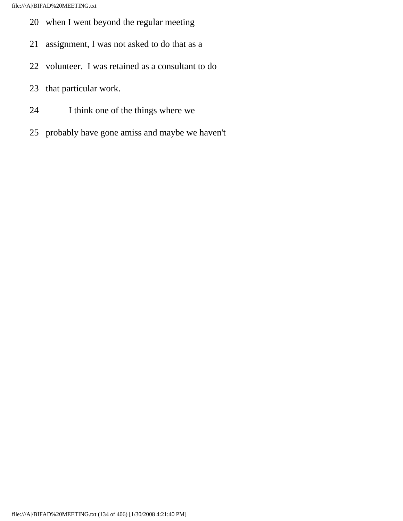- 20 when I went beyond the regular meeting
- 21 assignment, I was not asked to do that as a
- 22 volunteer. I was retained as a consultant to do
- 23 that particular work.
- 24 I think one of the things where we
- 25 probably have gone amiss and maybe we haven't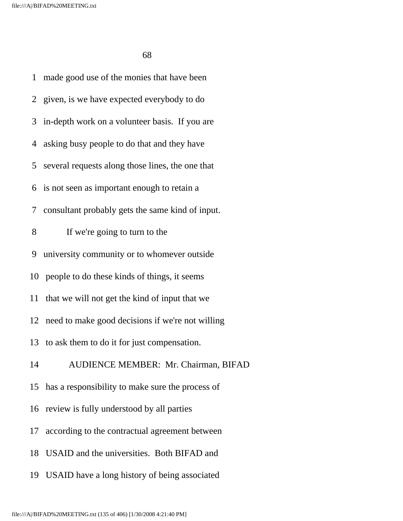1 made good use of the monies that have been 2 given, is we have expected everybody to do 3 in-depth work on a volunteer basis. If you are 4 asking busy people to do that and they have 5 several requests along those lines, the one that 6 is not seen as important enough to retain a 7 consultant probably gets the same kind of input. 8 If we're going to turn to the 9 university community or to whomever outside 10 people to do these kinds of things, it seems 11 that we will not get the kind of input that we 12 need to make good decisions if we're not willing 13 to ask them to do it for just compensation. 14 AUDIENCE MEMBER: Mr. Chairman, BIFAD 15 has a responsibility to make sure the process of 16 review is fully understood by all parties 17 according to the contractual agreement between 18 USAID and the universities. Both BIFAD and 19 USAID have a long history of being associated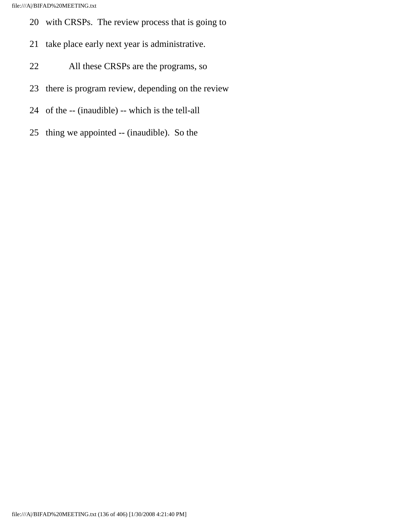- 20 with CRSPs. The review process that is going to
- 21 take place early next year is administrative.
- 22 All these CRSPs are the programs, so
- 23 there is program review, depending on the review
- 24 of the -- (inaudible) -- which is the tell-all
- 25 thing we appointed -- (inaudible). So the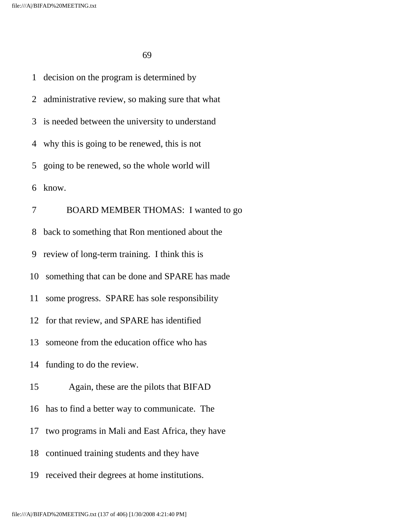1 decision on the program is determined by 2 administrative review, so making sure that what 3 is needed between the university to understand 4 why this is going to be renewed, this is not 5 going to be renewed, so the whole world will 6 know. 7 BOARD MEMBER THOMAS: I wanted to go 8 back to something that Ron mentioned about the 9 review of long-term training. I think this is 10 something that can be done and SPARE has made 11 some progress. SPARE has sole responsibility 12 for that review, and SPARE has identified 13 someone from the education office who has 14 funding to do the review. 15 Again, these are the pilots that BIFAD 16 has to find a better way to communicate. The 17 two programs in Mali and East Africa, they have 18 continued training students and they have 19 received their degrees at home institutions.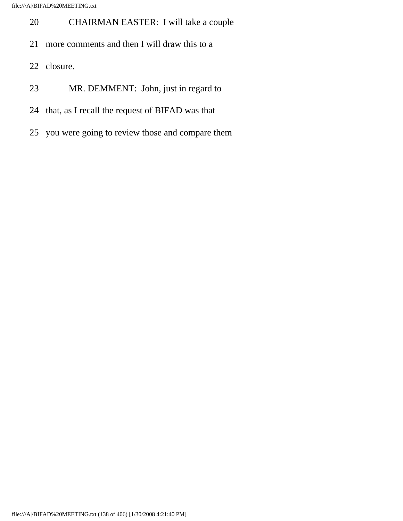file:///A|/BIFAD%20MEETING.txt

- 20 CHAIRMAN EASTER: I will take a couple
- 21 more comments and then I will draw this to a
- 22 closure.
- 23 MR. DEMMENT: John, just in regard to
- 24 that, as I recall the request of BIFAD was that
- 25 you were going to review those and compare them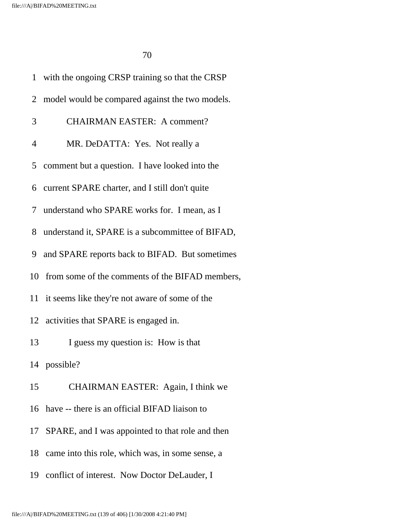|                | 1 with the ongoing CRSP training so that the CRSP  |
|----------------|----------------------------------------------------|
| 2              | model would be compared against the two models.    |
| 3              | <b>CHAIRMAN EASTER: A comment?</b>                 |
| $\overline{4}$ | MR. DeDATTA: Yes. Not really a                     |
|                | 5 comment but a question. I have looked into the   |
| 6              | current SPARE charter, and I still don't quite     |
|                | 7 understand who SPARE works for. I mean, as I     |
| 8              | understand it, SPARE is a subcommittee of BIFAD,   |
| 9              | and SPARE reports back to BIFAD. But sometimes     |
|                | 10 from some of the comments of the BIFAD members, |
| 11             | it seems like they're not aware of some of the     |
|                | 12 activities that SPARE is engaged in.            |
| 13             | I guess my question is: How is that                |
|                | 14 possible?                                       |
| 15             | CHAIRMAN EASTER: Again, I think we                 |
| 16             | have -- there is an official BIFAD liaison to      |
| 17             | SPARE, and I was appointed to that role and then   |
| 18             | came into this role, which was, in some sense, a   |
| 19             | conflict of interest. Now Doctor DeLauder, I       |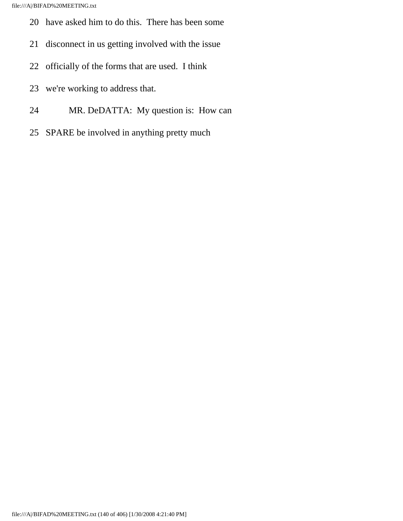- 20 have asked him to do this. There has been some
- 21 disconnect in us getting involved with the issue
- 22 officially of the forms that are used. I think
- 23 we're working to address that.
- 24 MR. DeDATTA: My question is: How can
- 25 SPARE be involved in anything pretty much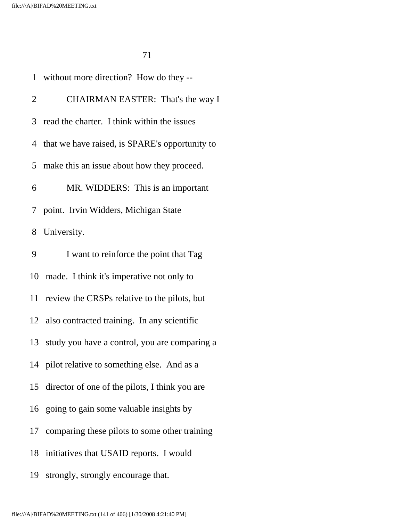|                | 1 without more direction? How do they --         |
|----------------|--------------------------------------------------|
| 2              | CHAIRMAN EASTER: That's the way I                |
|                | 3 read the charter. I think within the issues    |
|                | 4 that we have raised, is SPARE's opportunity to |
| 5 <sup>1</sup> | make this an issue about how they proceed.       |
| 6              | MR. WIDDERS: This is an important                |
| 7 <sup>1</sup> | point. Irvin Widders, Michigan State             |
| 8              | University.                                      |
| 9              | I want to reinforce the point that Tag           |
| 10             | made. I think it's imperative not only to        |
| 11             | review the CRSPs relative to the pilots, but     |
|                | 12 also contracted training. In any scientific   |
| 13             | study you have a control, you are comparing a    |
|                | 14 pilot relative to something else. And as a    |
| 15             | director of one of the pilots, I think you are   |
|                | 16 going to gain some valuable insights by       |
| 17             | comparing these pilots to some other training    |
| 18             | initiatives that USAID reports. I would          |
| 19             | strongly, strongly encourage that.               |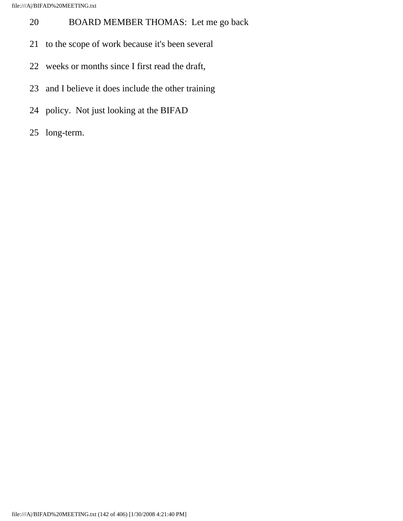- 20 BOARD MEMBER THOMAS: Let me go back
- 21 to the scope of work because it's been several
- 22 weeks or months since I first read the draft,
- 23 and I believe it does include the other training
- 24 policy. Not just looking at the BIFAD
- 25 long-term.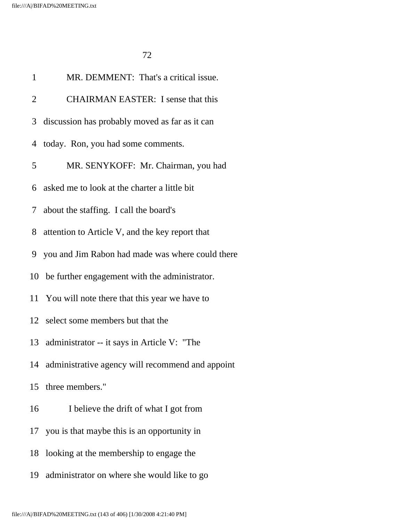| $\mathbf{1}$   | MR. DEMMENT: That's a critical issue.               |
|----------------|-----------------------------------------------------|
| $\overline{2}$ | <b>CHAIRMAN EASTER:</b> I sense that this           |
| 3              | discussion has probably moved as far as it can      |
| 4              | today. Ron, you had some comments.                  |
| 5              | MR. SENYKOFF: Mr. Chairman, you had                 |
| 6              | asked me to look at the charter a little bit        |
| 7 <sup>1</sup> | about the staffing. I call the board's              |
| 8              | attention to Article V, and the key report that     |
| 9              | you and Jim Rabon had made was where could there    |
|                | 10 be further engagement with the administrator.    |
|                | 11 You will note there that this year we have to    |
|                | 12 select some members but that the                 |
|                | 13 administrator -- it says in Article V: "The      |
|                | 14 administrative agency will recommend and appoint |
|                | 15 three members."                                  |
| 16             | I believe the drift of what I got from              |
|                | 17 you is that maybe this is an opportunity in      |
| 18             | looking at the membership to engage the             |
|                | 19 administrator on where she would like to go      |
|                |                                                     |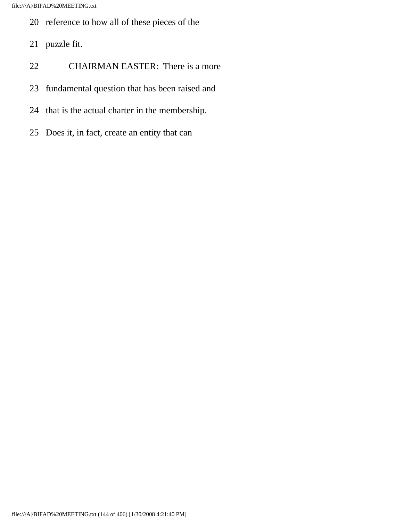- 20 reference to how all of these pieces of the
- 21 puzzle fit.
- 22 CHAIRMAN EASTER: There is a more
- 23 fundamental question that has been raised and
- 24 that is the actual charter in the membership.
- 25 Does it, in fact, create an entity that can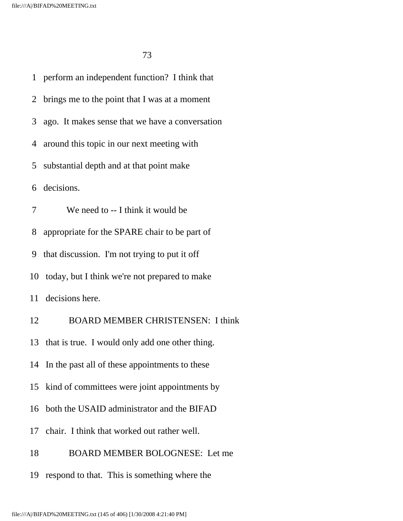1 perform an independent function? I think that 2 brings me to the point that I was at a moment 3 ago. It makes sense that we have a conversation 4 around this topic in our next meeting with 5 substantial depth and at that point make 6 decisions. 7 We need to -- I think it would be 8 appropriate for the SPARE chair to be part of 9 that discussion. I'm not trying to put it off 10 today, but I think we're not prepared to make 11 decisions here. 12 BOARD MEMBER CHRISTENSEN: I think 13 that is true. I would only add one other thing. 14 In the past all of these appointments to these 15 kind of committees were joint appointments by 16 both the USAID administrator and the BIFAD 17 chair. I think that worked out rather well. 18 BOARD MEMBER BOLOGNESE: Let me 19 respond to that. This is something where the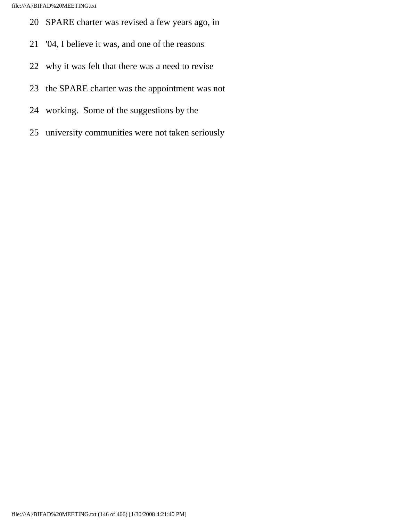- 20 SPARE charter was revised a few years ago, in
- 21 '04, I believe it was, and one of the reasons
- 22 why it was felt that there was a need to revise
- 23 the SPARE charter was the appointment was not
- 24 working. Some of the suggestions by the
- 25 university communities were not taken seriously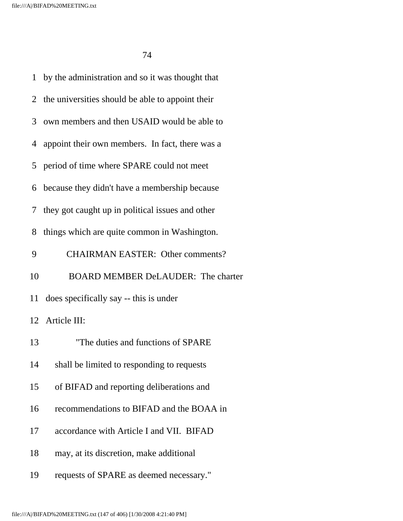| 1  | by the administration and so it was thought that   |
|----|----------------------------------------------------|
|    | 2 the universities should be able to appoint their |
|    | 3 own members and then USAID would be able to      |
| 4  | appoint their own members. In fact, there was a    |
| 5  | period of time where SPARE could not meet          |
| 6  | because they didn't have a membership because      |
| 7  | they got caught up in political issues and other   |
| 8  | things which are quite common in Washington.       |
| 9  | <b>CHAIRMAN EASTER: Other comments?</b>            |
| 10 | <b>BOARD MEMBER DeLAUDER: The charter</b>          |
|    | 11 does specifically say -- this is under          |
|    | 12 Article III:                                    |
| 13 | "The duties and functions of SPARE                 |
| 14 | shall be limited to responding to requests         |
| 15 | of BIFAD and reporting deliberations and           |
| 16 | recommendations to BIFAD and the BOAA in           |
| 17 | accordance with Article I and VII. BIFAD           |
| 18 | may, at its discretion, make additional            |
| 19 | requests of SPARE as deemed necessary."            |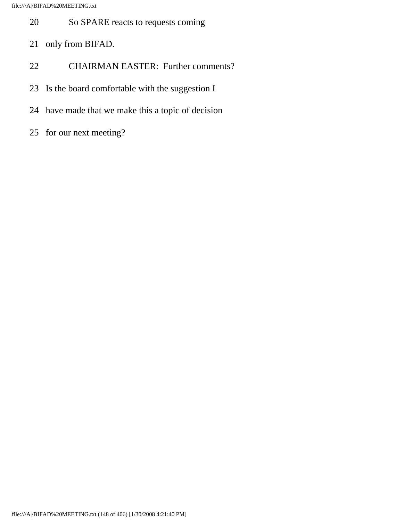- 20 So SPARE reacts to requests coming
- 21 only from BIFAD.
- 22 CHAIRMAN EASTER: Further comments?
- 23 Is the board comfortable with the suggestion I
- 24 have made that we make this a topic of decision
- 25 for our next meeting?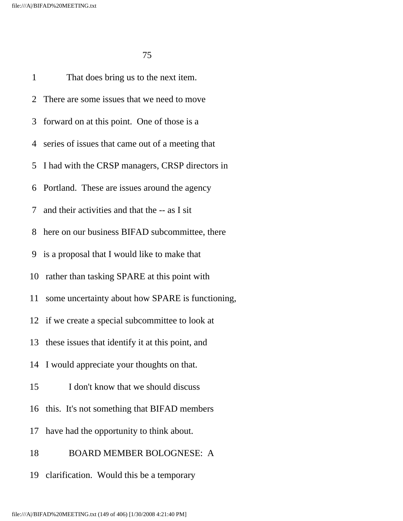1 That does bring us to the next item. 2 There are some issues that we need to move 3 forward on at this point. One of those is a 4 series of issues that came out of a meeting that 5 I had with the CRSP managers, CRSP directors in 6 Portland. These are issues around the agency 7 and their activities and that the -- as I sit 8 here on our business BIFAD subcommittee, there 9 is a proposal that I would like to make that 10 rather than tasking SPARE at this point with 11 some uncertainty about how SPARE is functioning, 12 if we create a special subcommittee to look at 13 these issues that identify it at this point, and 14 I would appreciate your thoughts on that. 15 I don't know that we should discuss 16 this. It's not something that BIFAD members 17 have had the opportunity to think about. 18 BOARD MEMBER BOLOGNESE: A

19 clarification. Would this be a temporary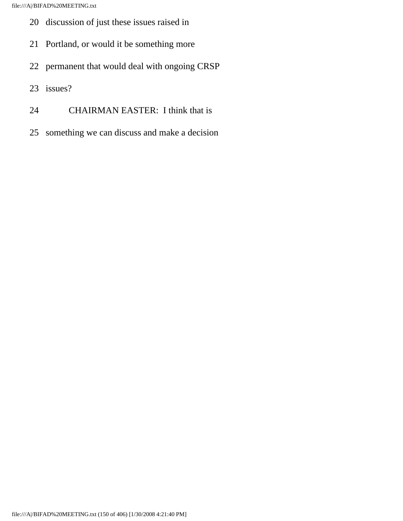- 20 discussion of just these issues raised in
- 21 Portland, or would it be something more
- 22 permanent that would deal with ongoing CRSP
- 23 issues?
- 24 CHAIRMAN EASTER: I think that is
- 25 something we can discuss and make a decision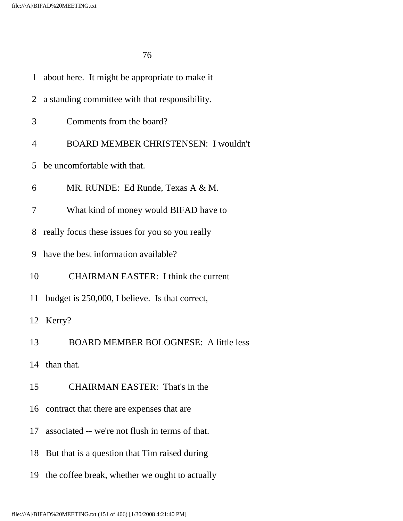| $\mathbf{1}$   | about here. It might be appropriate to make it  |
|----------------|-------------------------------------------------|
| 2              | a standing committee with that responsibility.  |
| 3              | Comments from the board?                        |
| $\overline{4}$ | <b>BOARD MEMBER CHRISTENSEN: I wouldn't</b>     |
| 5              | be uncomfortable with that.                     |
| 6              | MR. RUNDE: Ed Runde, Texas A & M.               |
| 7              | What kind of money would BIFAD have to          |
| 8              | really focus these issues for you so you really |
| 9              | have the best information available?            |
| 10             | <b>CHAIRMAN EASTER: I think the current</b>     |
| 11             | budget is 250,000, I believe. Is that correct,  |
|                | 12 Kerry?                                       |
| 13             | <b>BOARD MEMBER BOLOGNESE:</b> A little less    |
|                | 14 than that.                                   |
| 15             | <b>CHAIRMAN EASTER: That's in the</b>           |
|                | 16 contract that there are expenses that are    |
| 17             | associated -- we're not flush in terms of that. |
| 18             | But that is a question that Tim raised during   |
| 19             | the coffee break, whether we ought to actually  |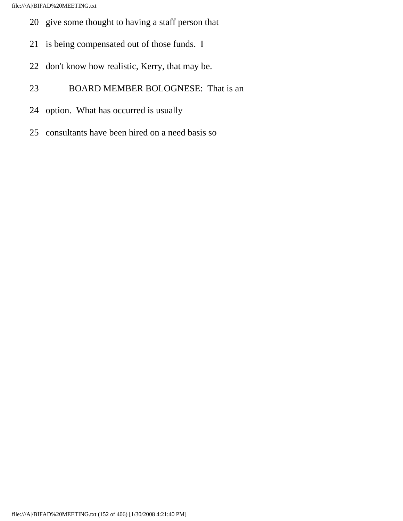- 20 give some thought to having a staff person that
- 21 is being compensated out of those funds. I
- 22 don't know how realistic, Kerry, that may be.
- 23 BOARD MEMBER BOLOGNESE: That is an
- 24 option. What has occurred is usually
- 25 consultants have been hired on a need basis so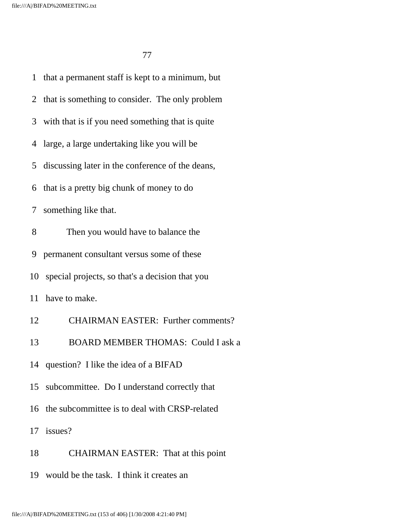<u>77 до село во п</u>редостава во село во 177

 1 that a permanent staff is kept to a minimum, but 2 that is something to consider. The only problem 3 with that is if you need something that is quite 4 large, a large undertaking like you will be 5 discussing later in the conference of the deans, 6 that is a pretty big chunk of money to do 7 something like that. 8 Then you would have to balance the 9 permanent consultant versus some of these 10 special projects, so that's a decision that you 11 have to make. 12 CHAIRMAN EASTER: Further comments? 13 BOARD MEMBER THOMAS: Could I ask a 14 question? I like the idea of a BIFAD 15 subcommittee. Do I understand correctly that 16 the subcommittee is to deal with CRSP-related 17 issues? 18 CHAIRMAN EASTER: That at this point 19 would be the task. I think it creates an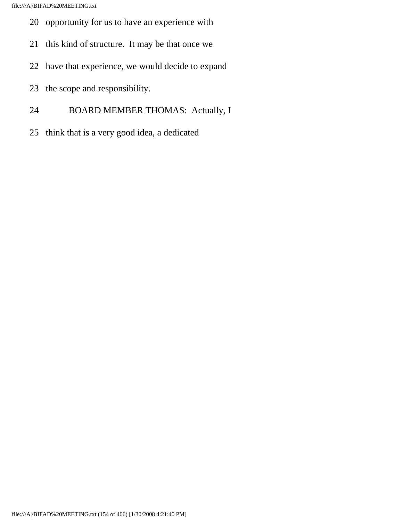- 20 opportunity for us to have an experience with
- 21 this kind of structure. It may be that once we
- 22 have that experience, we would decide to expand
- 23 the scope and responsibility.
- 24 BOARD MEMBER THOMAS: Actually, I
- 25 think that is a very good idea, a dedicated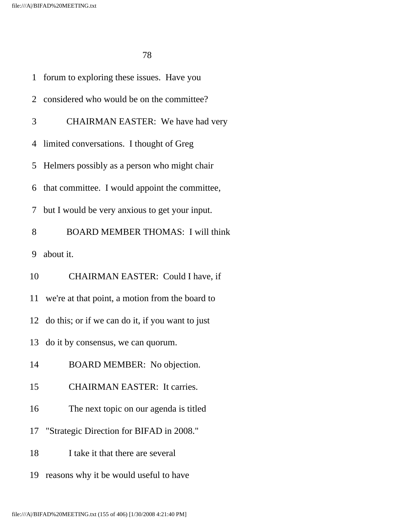|    | 1 forum to exploring these issues. Have you         |
|----|-----------------------------------------------------|
|    | 2 considered who would be on the committee?         |
| 3  | CHAIRMAN EASTER: We have had very                   |
|    | 4 limited conversations. I thought of Greg          |
|    | 5 Helmers possibly as a person who might chair      |
|    | 6 that committee. I would appoint the committee,    |
| 7  | but I would be very anxious to get your input.      |
| 8  | <b>BOARD MEMBER THOMAS: I will think</b>            |
| 9  | about it.                                           |
| 10 | CHAIRMAN EASTER: Could I have, if                   |
|    | 11 we're at that point, a motion from the board to  |
|    | 12 do this; or if we can do it, if you want to just |
| 13 | do it by consensus, we can quorum.                  |
| 14 | BOARD MEMBER: No objection.                         |
| 15 | <b>CHAIRMAN EASTER: It carries.</b>                 |
| 16 | The next topic on our agenda is titled              |
| 17 | "Strategic Direction for BIFAD in 2008."            |
| 18 | I take it that there are several                    |
| 19 | reasons why it be would useful to have              |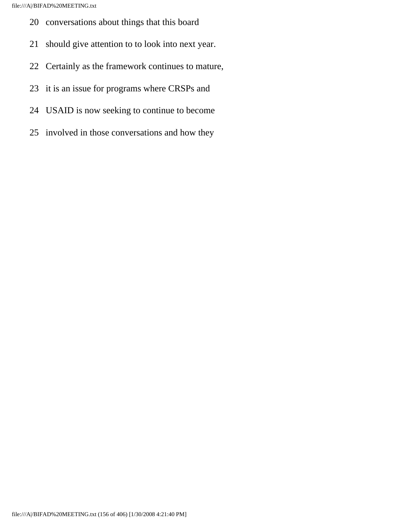- 20 conversations about things that this board
- 21 should give attention to to look into next year.
- 22 Certainly as the framework continues to mature,
- 23 it is an issue for programs where CRSPs and
- 24 USAID is now seeking to continue to become
- 25 involved in those conversations and how they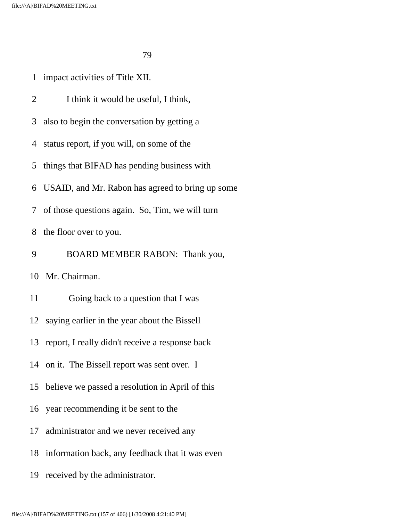1 impact activities of Title XII.

2 I think it would be useful, I think,

3 also to begin the conversation by getting a

4 status report, if you will, on some of the

5 things that BIFAD has pending business with

6 USAID, and Mr. Rabon has agreed to bring up some

7 of those questions again. So, Tim, we will turn

8 the floor over to you.

9 BOARD MEMBER RABON: Thank you,

10 Mr. Chairman.

11 Going back to a question that I was

12 saying earlier in the year about the Bissell

13 report, I really didn't receive a response back

14 on it. The Bissell report was sent over. I

15 believe we passed a resolution in April of this

16 year recommending it be sent to the

17 administrator and we never received any

18 information back, any feedback that it was even

19 received by the administrator.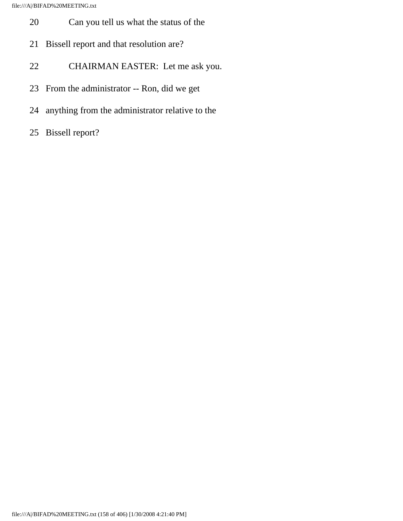- 20 Can you tell us what the status of the
- 21 Bissell report and that resolution are?
- 22 CHAIRMAN EASTER: Let me ask you.
- 23 From the administrator -- Ron, did we get
- 24 anything from the administrator relative to the
- 25 Bissell report?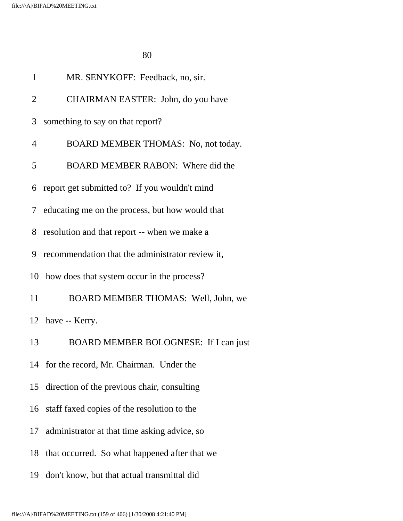| $\mathbf{1}$ | MR. SENYKOFF: Feedback, no, sir.                  |
|--------------|---------------------------------------------------|
| 2            | CHAIRMAN EASTER: John, do you have                |
| 3            | something to say on that report?                  |
| 4            | BOARD MEMBER THOMAS: No, not today.               |
| 5            | BOARD MEMBER RABON: Where did the                 |
| 6            | report get submitted to? If you wouldn't mind     |
|              | 7 educating me on the process, but how would that |
| 8            | resolution and that report -- when we make a      |
| 9            | recommendation that the administrator review it,  |
|              | 10 how does that system occur in the process?     |
| 11           | BOARD MEMBER THOMAS: Well, John, we               |
|              | 12 have -- Kerry.                                 |
| 13           | BOARD MEMBER BOLOGNESE: If I can just             |
|              | 14 for the record, Mr. Chairman. Under the        |
|              | 15 direction of the previous chair, consulting    |
|              | 16 staff faxed copies of the resolution to the    |
| 17           | administrator at that time asking advice, so      |
|              | 18 that occurred. So what happened after that we  |
| 19           | don't know, but that actual transmittal did       |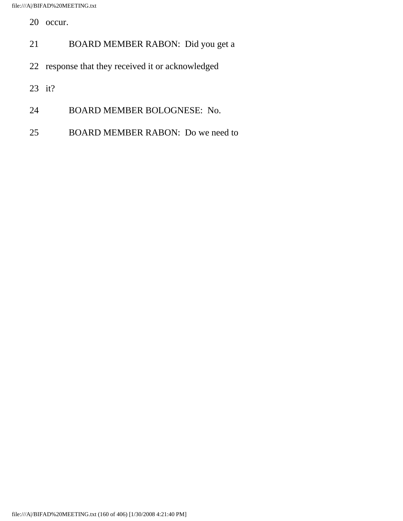20 occur.

- 21 BOARD MEMBER RABON: Did you get a
- 22 response that they received it or acknowledged
- 23 it?
- 24 BOARD MEMBER BOLOGNESE: No.
- 25 BOARD MEMBER RABON: Do we need to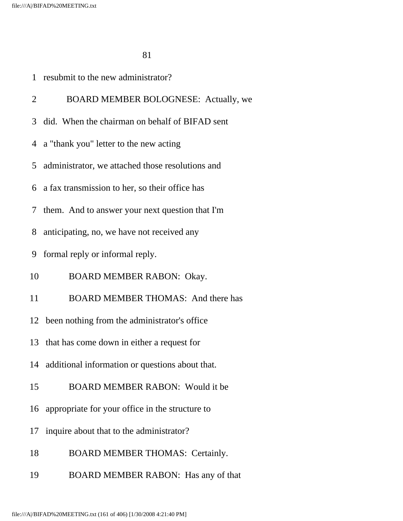|                | 1 resubmit to the new administrator?               |
|----------------|----------------------------------------------------|
| $\overline{2}$ | BOARD MEMBER BOLOGNESE: Actually, we               |
| 3              | did. When the chairman on behalf of BIFAD sent     |
|                | 4 a "thank you" letter to the new acting           |
| 5              | administrator, we attached those resolutions and   |
|                | 6 a fax transmission to her, so their office has   |
|                | 7 them. And to answer your next question that I'm  |
| 8              | anticipating, no, we have not received any         |
| 9              | formal reply or informal reply.                    |
| 10             | BOARD MEMBER RABON: Okay.                          |
| 11             | <b>BOARD MEMBER THOMAS:</b> And there has          |
|                | 12 been nothing from the administrator's office    |
|                | 13 that has come down in either a request for      |
| 14             | additional information or questions about that.    |
| 15             | BOARD MEMBER RABON: Would it be                    |
|                | 16 appropriate for your office in the structure to |
| 17             | inquire about that to the administrator?           |
| 18             | <b>BOARD MEMBER THOMAS: Certainly.</b>             |
| 19             | BOARD MEMBER RABON: Has any of that                |
|                |                                                    |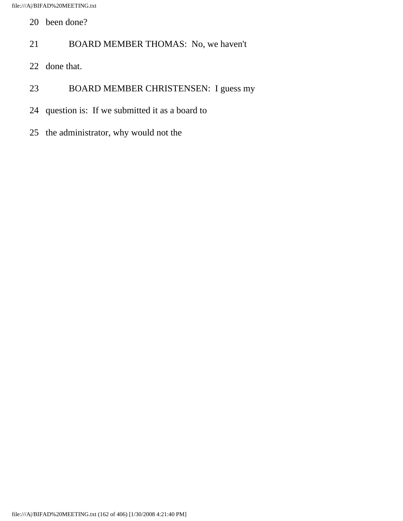- 20 been done?
- 21 BOARD MEMBER THOMAS: No, we haven't
- 22 done that.
- 23 BOARD MEMBER CHRISTENSEN: I guess my
- 24 question is: If we submitted it as a board to
- 25 the administrator, why would not the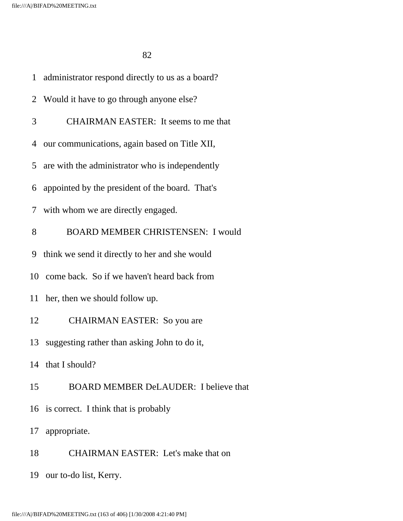| $\mathbf{1}$ | administrator respond directly to us as a board? |
|--------------|--------------------------------------------------|
|              | 2 Would it have to go through anyone else?       |
| 3            | <b>CHAIRMAN EASTER:</b> It seems to me that      |
| 4            | our communications, again based on Title XII,    |
| 5            | are with the administrator who is independently  |
| 6            | appointed by the president of the board. That's  |
| 7            | with whom we are directly engaged.               |
| 8            | <b>BOARD MEMBER CHRISTENSEN: I would</b>         |
| 9            | think we send it directly to her and she would   |
|              | 10 come back. So if we haven't heard back from   |
| 11           | her, then we should follow up.                   |
| 12           | <b>CHAIRMAN EASTER:</b> So you are               |
| 13           | suggesting rather than asking John to do it,     |
|              | 14 that I should?                                |
| 15           | BOARD MEMBER DeLAUDER: I believe that            |
|              | 16 is correct. I think that is probably          |
|              | 17 appropriate.                                  |
| 18           | <b>CHAIRMAN EASTER:</b> Let's make that on       |
|              | 19 our to-do list, Kerry.                        |
|              |                                                  |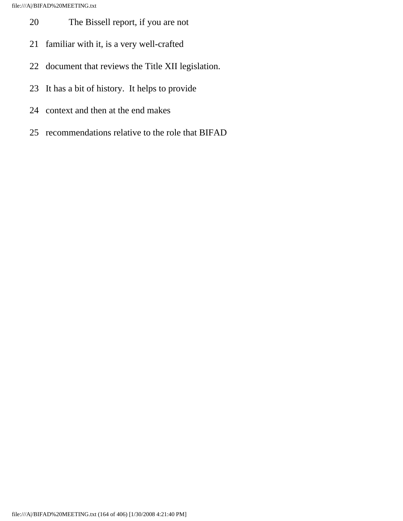- 20 The Bissell report, if you are not
- 21 familiar with it, is a very well-crafted
- 22 document that reviews the Title XII legislation.
- 23 It has a bit of history. It helps to provide
- 24 context and then at the end makes
- 25 recommendations relative to the role that BIFAD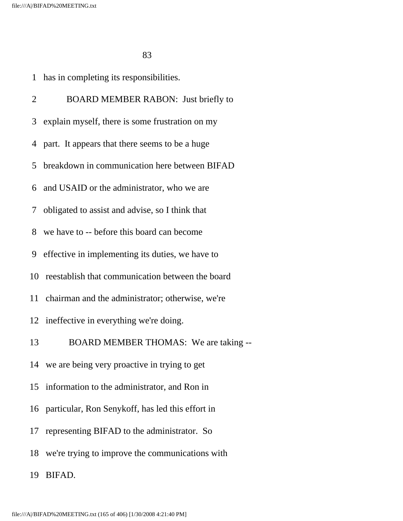<u>83</u>

1 has in completing its responsibilities.

2 BOARD MEMBER RABON: Just briefly to 3 explain myself, there is some frustration on my 4 part. It appears that there seems to be a huge 5 breakdown in communication here between BIFAD 6 and USAID or the administrator, who we are 7 obligated to assist and advise, so I think that 8 we have to -- before this board can become 9 effective in implementing its duties, we have to 10 reestablish that communication between the board 11 chairman and the administrator; otherwise, we're 12 ineffective in everything we're doing. 13 BOARD MEMBER THOMAS: We are taking -- 14 we are being very proactive in trying to get 15 information to the administrator, and Ron in 16 particular, Ron Senykoff, has led this effort in 17 representing BIFAD to the administrator. So 18 we're trying to improve the communications with 19 BIFAD.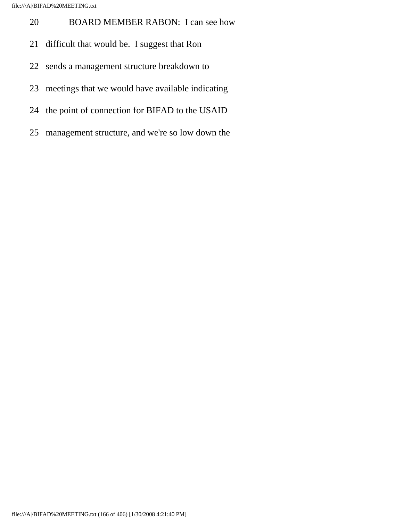- 20 BOARD MEMBER RABON: I can see how
- 21 difficult that would be. I suggest that Ron
- 22 sends a management structure breakdown to
- 23 meetings that we would have available indicating
- 24 the point of connection for BIFAD to the USAID
- 25 management structure, and we're so low down the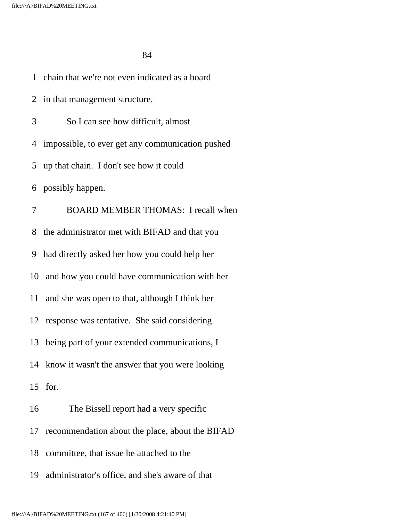<u>84</u>

1 chain that we're not even indicated as a board

 2 in that management structure. 3 So I can see how difficult, almost 4 impossible, to ever get any communication pushed 5 up that chain. I don't see how it could 6 possibly happen. 7 BOARD MEMBER THOMAS: I recall when 8 the administrator met with BIFAD and that you 9 had directly asked her how you could help her 10 and how you could have communication with her 11 and she was open to that, although I think her 12 response was tentative. She said considering 13 being part of your extended communications, I 14 know it wasn't the answer that you were looking 15 for. 16 The Bissell report had a very specific 17 recommendation about the place, about the BIFAD 18 committee, that issue be attached to the 19 administrator's office, and she's aware of that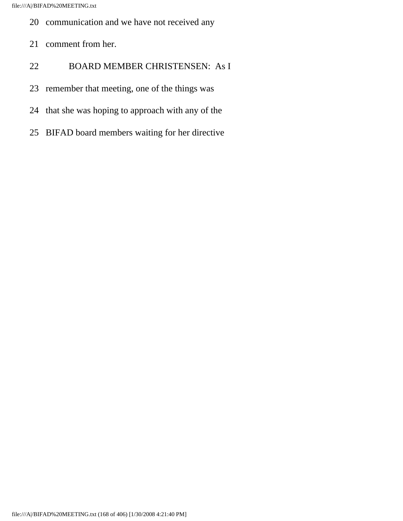- 20 communication and we have not received any
- 21 comment from her.
- 22 BOARD MEMBER CHRISTENSEN: As I
- 23 remember that meeting, one of the things was
- 24 that she was hoping to approach with any of the
- 25 BIFAD board members waiting for her directive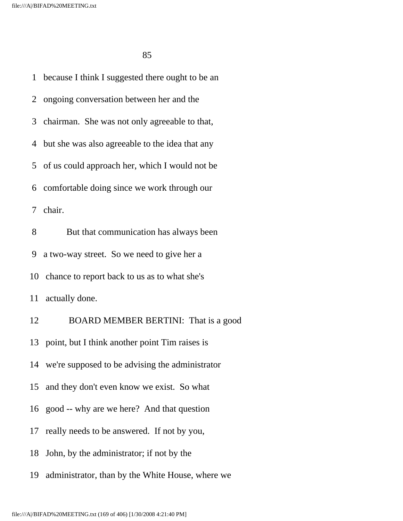<u>85</u>

 1 because I think I suggested there ought to be an 2 ongoing conversation between her and the 3 chairman. She was not only agreeable to that, 4 but she was also agreeable to the idea that any 5 of us could approach her, which I would not be 6 comfortable doing since we work through our 7 chair. 8 But that communication has always been 9 a two-way street. So we need to give her a 10 chance to report back to us as to what she's 11 actually done. 12 BOARD MEMBER BERTINI: That is a good 13 point, but I think another point Tim raises is 14 we're supposed to be advising the administrator 15 and they don't even know we exist. So what 16 good -- why are we here? And that question 17 really needs to be answered. If not by you, 18 John, by the administrator; if not by the 19 administrator, than by the White House, where we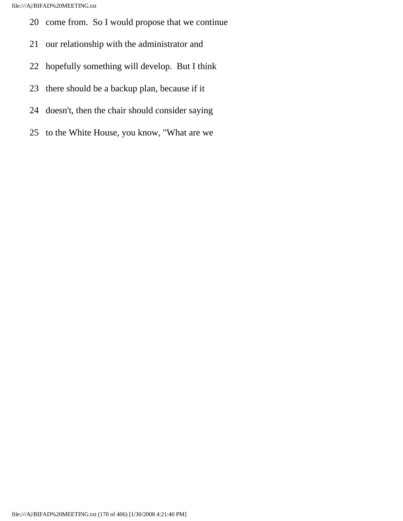- 20 come from. So I would propose that we continue
- 21 our relationship with the administrator and
- 22 hopefully something will develop. But I think
- 23 there should be a backup plan, because if it
- 24 doesn't, then the chair should consider saying
- 25 to the White House, you know, "What are we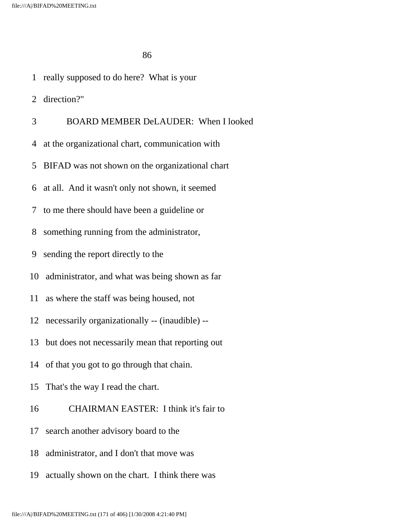<u>86 and 2012</u>

1 really supposed to do here? What is your

2 direction?"

3 BOARD MEMBER DeLAUDER: When I looked

- 4 at the organizational chart, communication with
- 5 BIFAD was not shown on the organizational chart
- 6 at all. And it wasn't only not shown, it seemed
- 7 to me there should have been a guideline or
- 8 something running from the administrator,
- 9 sending the report directly to the
- 10 administrator, and what was being shown as far
- 11 as where the staff was being housed, not
- 12 necessarily organizationally -- (inaudible) --
- 13 but does not necessarily mean that reporting out
- 14 of that you got to go through that chain.
- 15 That's the way I read the chart.
- 16 CHAIRMAN EASTER: I think it's fair to
- 17 search another advisory board to the
- 18 administrator, and I don't that move was
- 19 actually shown on the chart. I think there was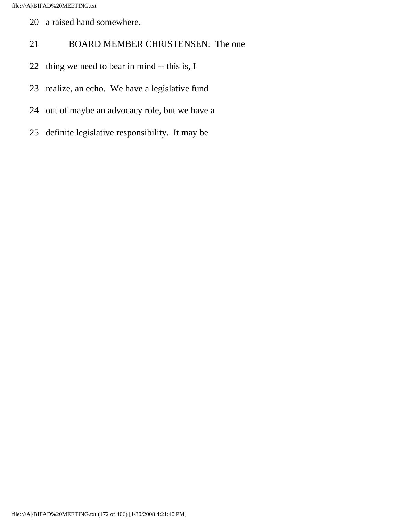- 20 a raised hand somewhere.
- 21 BOARD MEMBER CHRISTENSEN: The one
- 22 thing we need to bear in mind -- this is, I
- 23 realize, an echo. We have a legislative fund
- 24 out of maybe an advocacy role, but we have a
- 25 definite legislative responsibility. It may be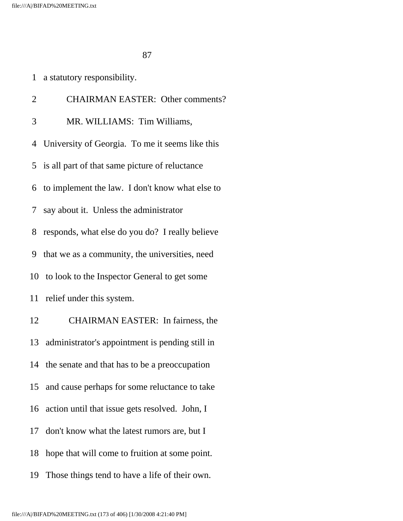|  |  | a statutory responsibility. |  |
|--|--|-----------------------------|--|
|--|--|-----------------------------|--|

| $\overline{2}$ | <b>CHAIRMAN EASTER: Other comments?</b>            |
|----------------|----------------------------------------------------|
| 3              | MR. WILLIAMS: Tim Williams,                        |
|                | 4 University of Georgia. To me it seems like this  |
|                | 5 is all part of that same picture of reluctance   |
|                | 6 to implement the law. I don't know what else to  |
|                | 7 say about it. Unless the administrator           |
| 8              | responds, what else do you do? I really believe    |
| 9              | that we as a community, the universities, need     |
|                | 10 to look to the Inspector General to get some    |
| 11             | relief under this system.                          |
| 12             | CHAIRMAN EASTER: In fairness, the                  |
|                | 13 administrator's appointment is pending still in |
| 14             | the senate and that has to be a preoccupation      |
|                | 15 and cause perhaps for some reluctance to take   |
| 16             | action until that issue gets resolved. John, I     |
| 17             | don't know what the latest rumors are, but I       |
| 18             | hope that will come to fruition at some point.     |
| 19             | Those things tend to have a life of their own.     |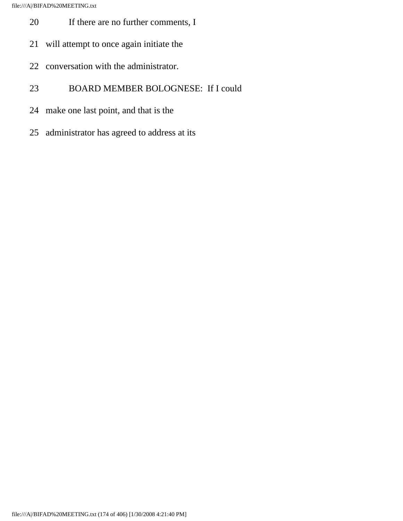- 20 If there are no further comments, I
- 21 will attempt to once again initiate the
- 22 conversation with the administrator.
- 23 BOARD MEMBER BOLOGNESE: If I could
- 24 make one last point, and that is the
- 25 administrator has agreed to address at its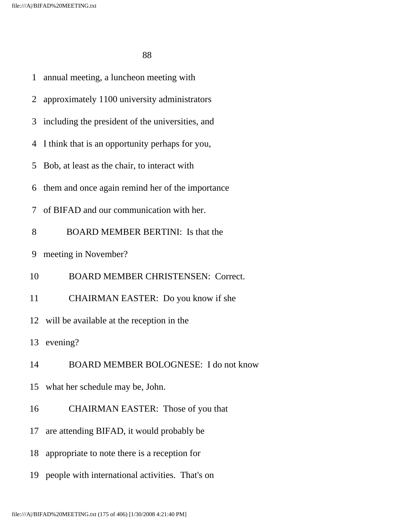<u>88 and 2001 and 2002 and 2003 and 2004 and 2004 and 2005 and 2006 and 2006 and 2006 and 2006 and 2006 and 200</u>

| 1              | annual meeting, a luncheon meeting with            |
|----------------|----------------------------------------------------|
| 2              | approximately 1100 university administrators       |
|                | 3 including the president of the universities, and |
|                | 4 I think that is an opportunity perhaps for you,  |
| 5              | Bob, at least as the chair, to interact with       |
| 6              | them and once again remind her of the importance   |
| 7 <sup>7</sup> | of BIFAD and our communication with her.           |
| 8              | <b>BOARD MEMBER BERTINI:</b> Is that the           |
| 9              | meeting in November?                               |
| 10             | <b>BOARD MEMBER CHRISTENSEN: Correct.</b>          |
| 11             | CHAIRMAN EASTER: Do you know if she                |
|                | 12 will be available at the reception in the       |
|                | 13 evening?                                        |
|                | BOARD MEMBER BOLOGNESE: I do not know<br>14        |
| 15             | what her schedule may be, John.                    |
| 16             | <b>CHAIRMAN EASTER:</b> Those of you that          |
| 17             | are attending BIFAD, it would probably be          |
| 18             | appropriate to note there is a reception for       |
|                | 19 people with international activities. That's on |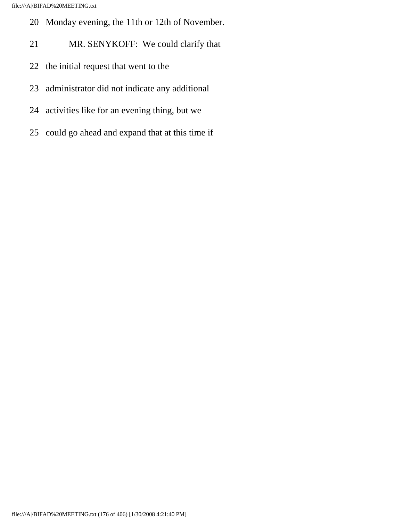- 20 Monday evening, the 11th or 12th of November.
- 21 MR. SENYKOFF: We could clarify that
- 22 the initial request that went to the
- 23 administrator did not indicate any additional
- 24 activities like for an evening thing, but we
- 25 could go ahead and expand that at this time if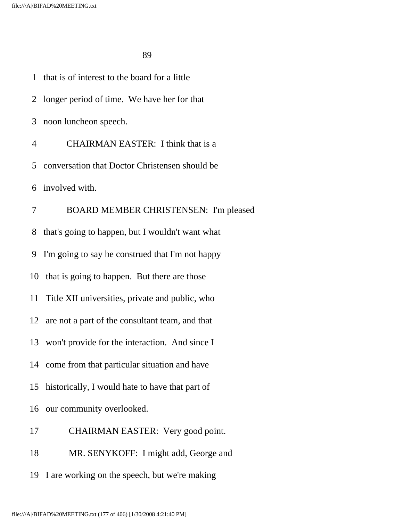<u>89 and 2011 and 2012 and 2012 and 2012 and 2012 and 2012 and 2012 and 2012 and 2012 and 2012 and 2012 and 201</u>

 1 that is of interest to the board for a little 2 longer period of time. We have her for that 3 noon luncheon speech. 4 CHAIRMAN EASTER: I think that is a 5 conversation that Doctor Christensen should be 6 involved with. 7 BOARD MEMBER CHRISTENSEN: I'm pleased 8 that's going to happen, but I wouldn't want what 9 I'm going to say be construed that I'm not happy 10 that is going to happen. But there are those 11 Title XII universities, private and public, who 12 are not a part of the consultant team, and that 13 won't provide for the interaction. And since I 14 come from that particular situation and have 15 historically, I would hate to have that part of 16 our community overlooked. 17 CHAIRMAN EASTER: Very good point. 18 MR. SENYKOFF: I might add, George and 19 I are working on the speech, but we're making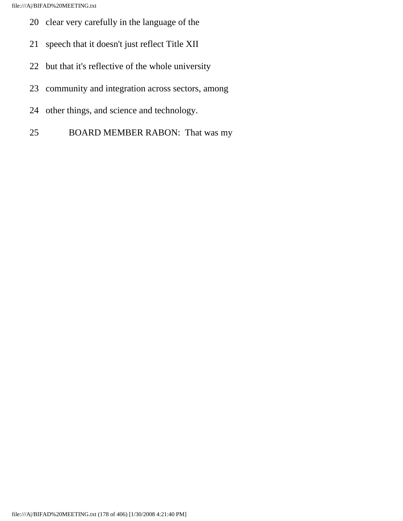- 20 clear very carefully in the language of the
- 21 speech that it doesn't just reflect Title XII
- 22 but that it's reflective of the whole university
- 23 community and integration across sectors, among
- 24 other things, and science and technology.
- 25 BOARD MEMBER RABON: That was my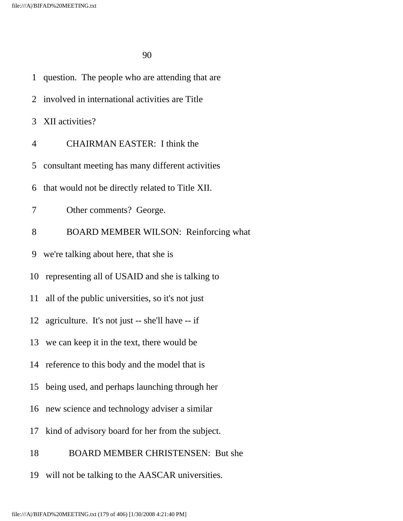|    | 1 question. The people who are attending that are  |
|----|----------------------------------------------------|
|    | 2 involved in international activities are Title   |
|    | 3 XII activities?                                  |
| 4  | <b>CHAIRMAN EASTER: I think the</b>                |
| 5  | consultant meeting has many different activities   |
| 6  | that would not be directly related to Title XII.   |
| 7  | Other comments? George.                            |
| 8  | <b>BOARD MEMBER WILSON: Reinforcing what</b>       |
| 9  | we're talking about here, that she is              |
|    | 10 representing all of USAID and she is talking to |
| 11 | all of the public universities, so it's not just   |
|    | 12 agriculture. It's not just -- she'll have -- if |
|    | 13 we can keep it in the text, there would be      |
|    | 14 reference to this body and the model that is    |
| 15 | being used, and perhaps launching through her      |
| 16 | new science and technology adviser a similar       |
| 17 | kind of advisory board for her from the subject.   |
| 18 | <b>BOARD MEMBER CHRISTENSEN: But she</b>           |
| 19 | will not be talking to the AASCAR universities.    |
|    |                                                    |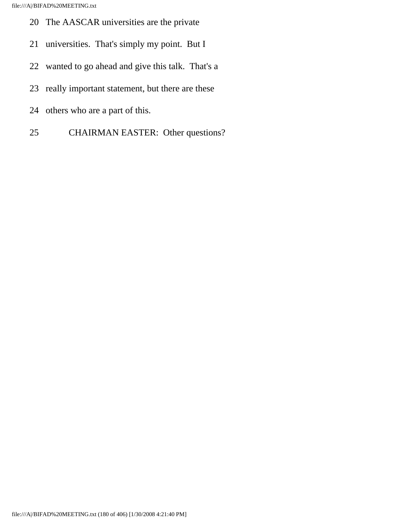- 20 The AASCAR universities are the private
- 21 universities. That's simply my point. But I
- 22 wanted to go ahead and give this talk. That's a
- 23 really important statement, but there are these
- 24 others who are a part of this.
- 25 CHAIRMAN EASTER: Other questions?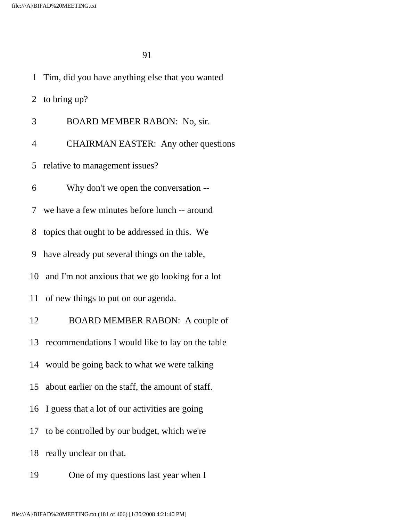2 to bring up?

- 3 BOARD MEMBER RABON: No, sir.
- 4 CHAIRMAN EASTER: Any other questions
- 5 relative to management issues?
- 6 Why don't we open the conversation --
- 7 we have a few minutes before lunch -- around
- 8 topics that ought to be addressed in this. We
- 9 have already put several things on the table,
- 10 and I'm not anxious that we go looking for a lot
- 11 of new things to put on our agenda.

 12 BOARD MEMBER RABON: A couple of 13 recommendations I would like to lay on the table 14 would be going back to what we were talking 15 about earlier on the staff, the amount of staff. 16 I guess that a lot of our activities are going 17 to be controlled by our budget, which we're 18 really unclear on that.

19 One of my questions last year when I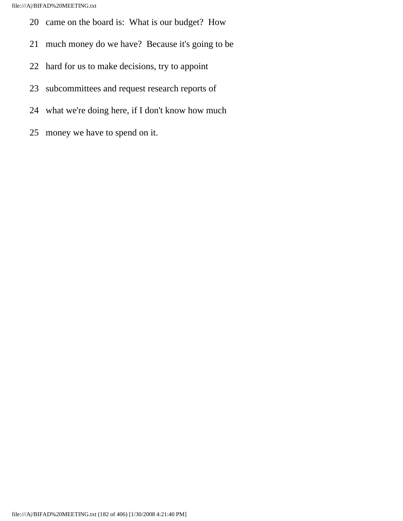- 20 came on the board is: What is our budget? How
- 21 much money do we have? Because it's going to be
- 22 hard for us to make decisions, try to appoint
- 23 subcommittees and request research reports of
- 24 what we're doing here, if I don't know how much
- 25 money we have to spend on it.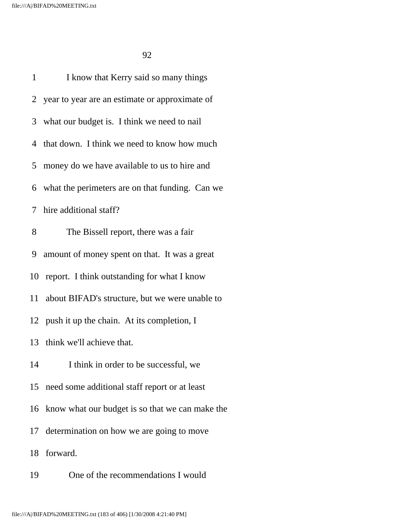| 1  | I know that Kerry said so many things             |
|----|---------------------------------------------------|
|    | 2 year to year are an estimate or approximate of  |
|    | 3 what our budget is. I think we need to nail     |
|    | 4 that down. I think we need to know how much     |
|    | 5 money do we have available to us to hire and    |
|    | 6 what the perimeters are on that funding. Can we |
|    | 7 hire additional staff?                          |
| 8  | The Bissell report, there was a fair              |
|    | 9 amount of money spent on that. It was a great   |
|    | 10 report. I think outstanding for what I know    |
| 11 | about BIFAD's structure, but we were unable to    |
|    | 12 push it up the chain. At its completion, I     |
|    | 13 think we'll achieve that.                      |
|    | 14 I think in order to be successful, we          |
| 15 | need some additional staff report or at least     |
| 16 | know what our budget is so that we can make the   |
| 17 | determination on how we are going to move         |
| 18 | forward.                                          |
| 19 | One of the recommendations I would                |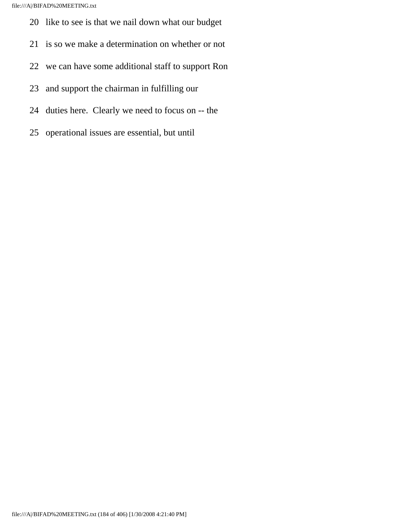file:///A|/BIFAD%20MEETING.txt

- 20 like to see is that we nail down what our budget
- 21 is so we make a determination on whether or not
- 22 we can have some additional staff to support Ron
- 23 and support the chairman in fulfilling our
- 24 duties here. Clearly we need to focus on -- the
- 25 operational issues are essential, but until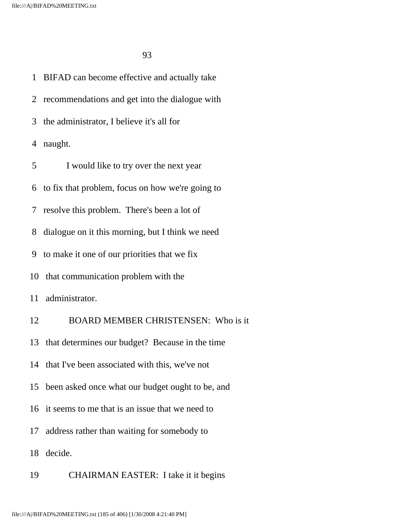1 BIFAD can become effective and actually take 2 recommendations and get into the dialogue with 3 the administrator, I believe it's all for 4 naught. 5 I would like to try over the next year 6 to fix that problem, focus on how we're going to 7 resolve this problem. There's been a lot of 8 dialogue on it this morning, but I think we need 9 to make it one of our priorities that we fix 10 that communication problem with the 11 administrator. 12 BOARD MEMBER CHRISTENSEN: Who is it 13 that determines our budget? Because in the time 14 that I've been associated with this, we've not 15 been asked once what our budget ought to be, and 16 it seems to me that is an issue that we need to 17 address rather than waiting for somebody to 18 decide.

19 CHAIRMAN EASTER: I take it it begins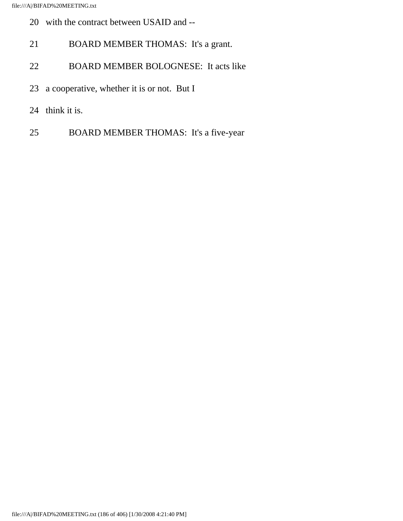- 20 with the contract between USAID and --
- 21 BOARD MEMBER THOMAS: It's a grant.
- 22 BOARD MEMBER BOLOGNESE: It acts like
- 23 a cooperative, whether it is or not. But I
- 24 think it is.
- 25 BOARD MEMBER THOMAS: It's a five-year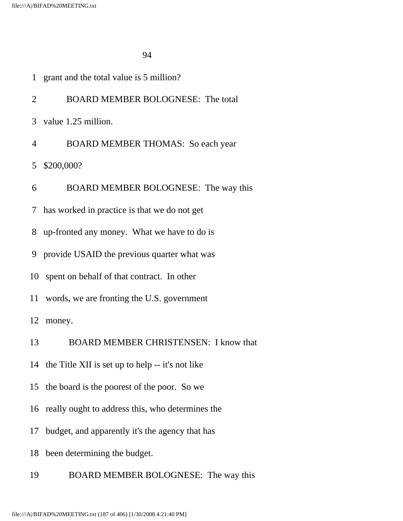| 1               | grant and the total value is 5 million?             |
|-----------------|-----------------------------------------------------|
| 2               | <b>BOARD MEMBER BOLOGNESE: The total</b>            |
|                 | 3 value 1.25 million.                               |
| $\overline{4}$  | <b>BOARD MEMBER THOMAS:</b> So each year            |
| $5\overline{)}$ | \$200,000?                                          |
| 6               | BOARD MEMBER BOLOGNESE: The way this                |
| 7               | has worked in practice is that we do not get        |
| 8               | up-fronted any money. What we have to do is         |
|                 | 9 provide USAID the previous quarter what was       |
| 10              | spent on behalf of that contract. In other          |
|                 | 11 words, we are fronting the U.S. government       |
|                 | 12 money.                                           |
| 13              | <b>BOARD MEMBER CHRISTENSEN: I know that</b>        |
|                 | 14 the Title XII is set up to help -- it's not like |
| 15              | the board is the poorest of the poor. So we         |
|                 | 16 really ought to address this, who determines the |
| 17              | budget, and apparently it's the agency that has     |
| 18              | been determining the budget.                        |
| 19              | BOARD MEMBER BOLOGNESE: The way this                |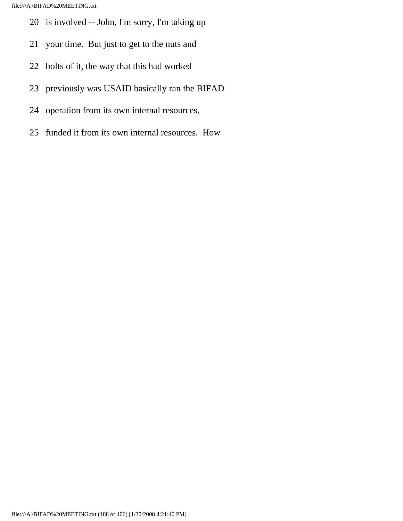- 20 is involved -- John, I'm sorry, I'm taking up
- 21 your time. But just to get to the nuts and
- 22 bolts of it, the way that this had worked
- 23 previously was USAID basically ran the BIFAD
- 24 operation from its own internal resources,
- 25 funded it from its own internal resources. How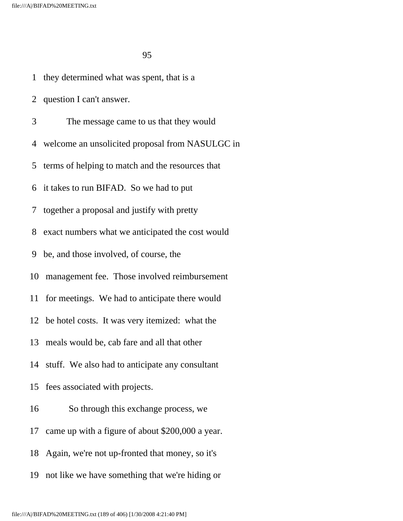1 they determined what was spent, that is a

2 question I can't answer.

3 The message came to us that they would

4 welcome an unsolicited proposal from NASULGC in

5 terms of helping to match and the resources that

6 it takes to run BIFAD. So we had to put

7 together a proposal and justify with pretty

8 exact numbers what we anticipated the cost would

9 be, and those involved, of course, the

10 management fee. Those involved reimbursement

11 for meetings. We had to anticipate there would

12 be hotel costs. It was very itemized: what the

13 meals would be, cab fare and all that other

14 stuff. We also had to anticipate any consultant

15 fees associated with projects.

16 So through this exchange process, we

17 came up with a figure of about \$200,000 a year.

18 Again, we're not up-fronted that money, so it's

19 not like we have something that we're hiding or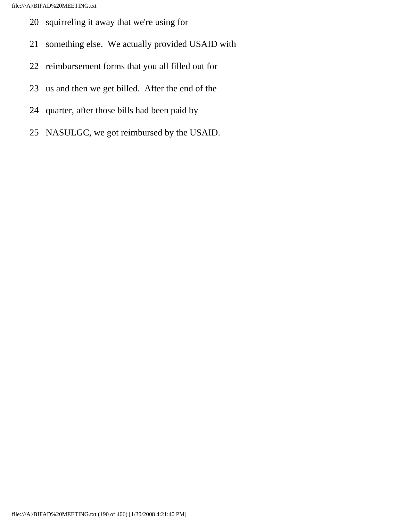- 20 squirreling it away that we're using for
- 21 something else. We actually provided USAID with
- 22 reimbursement forms that you all filled out for
- 23 us and then we get billed. After the end of the
- 24 quarter, after those bills had been paid by
- 25 NASULGC, we got reimbursed by the USAID.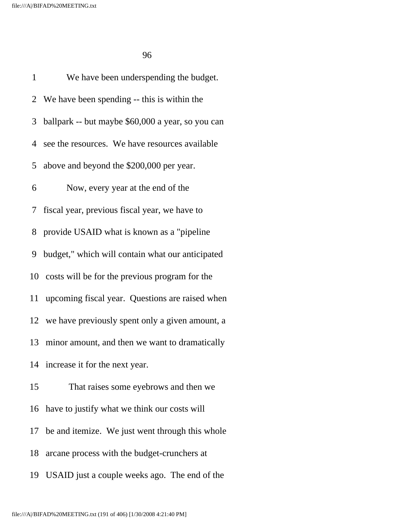<u>96 and 2012</u>

 1 We have been underspending the budget. 2 We have been spending -- this is within the 3 ballpark -- but maybe \$60,000 a year, so you can 4 see the resources. We have resources available 5 above and beyond the \$200,000 per year. 6 Now, every year at the end of the 7 fiscal year, previous fiscal year, we have to 8 provide USAID what is known as a "pipeline 9 budget," which will contain what our anticipated 10 costs will be for the previous program for the 11 upcoming fiscal year. Questions are raised when 12 we have previously spent only a given amount, a 13 minor amount, and then we want to dramatically 14 increase it for the next year. 15 That raises some eyebrows and then we 16 have to justify what we think our costs will 17 be and itemize. We just went through this whole 18 arcane process with the budget-crunchers at 19 USAID just a couple weeks ago. The end of the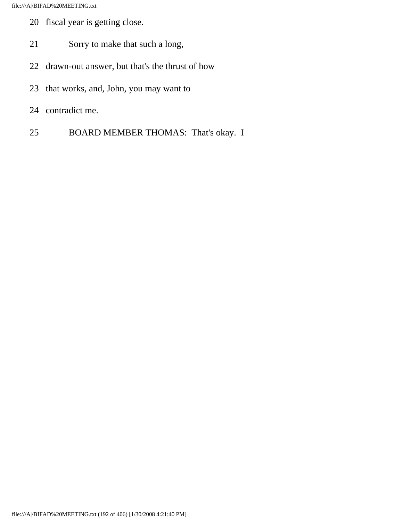- 20 fiscal year is getting close.
- 21 Sorry to make that such a long,
- 22 drawn-out answer, but that's the thrust of how
- 23 that works, and, John, you may want to
- 24 contradict me.
- 25 BOARD MEMBER THOMAS: That's okay. I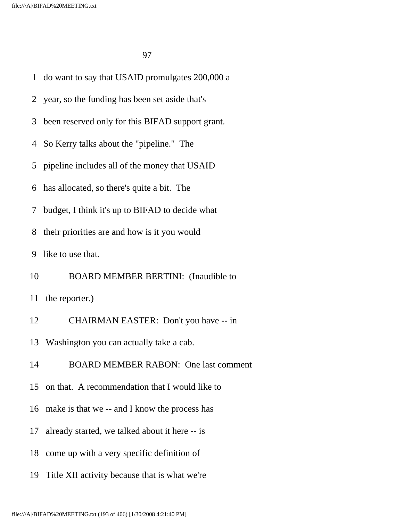|                | 1 do want to say that USAID promulgates 200,000 a |
|----------------|---------------------------------------------------|
| $\overline{2}$ | year, so the funding has been set aside that's    |
| 3              | been reserved only for this BIFAD support grant.  |
| 4              | So Kerry talks about the "pipeline." The          |
|                | 5 pipeline includes all of the money that USAID   |
| 6              | has allocated, so there's quite a bit. The        |
| 7              | budget, I think it's up to BIFAD to decide what   |
| 8              | their priorities are and how is it you would      |
| 9              | like to use that.                                 |
| 10             | <b>BOARD MEMBER BERTINI:</b> (Inaudible to        |
| 11             | the reporter.)                                    |
| 12             | CHAIRMAN EASTER: Don't you have -- in             |
|                | 13 Washington you can actually take a cab.        |
| 14             | <b>BOARD MEMBER RABON: One last comment</b>       |
| 15             | on that. A recommendation that I would like to    |
|                | 16 make is that we -- and I know the process has  |
| 17             | already started, we talked about it here -- is    |
| 18             | come up with a very specific definition of        |
| 19             | Title XII activity because that is what we're     |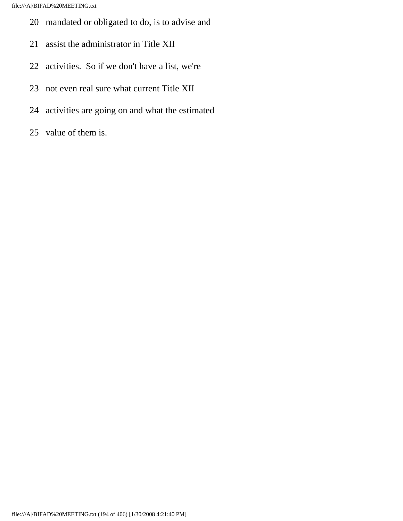- 20 mandated or obligated to do, is to advise and
- 21 assist the administrator in Title XII
- 22 activities. So if we don't have a list, we're
- 23 not even real sure what current Title XII
- 24 activities are going on and what the estimated
- 25 value of them is.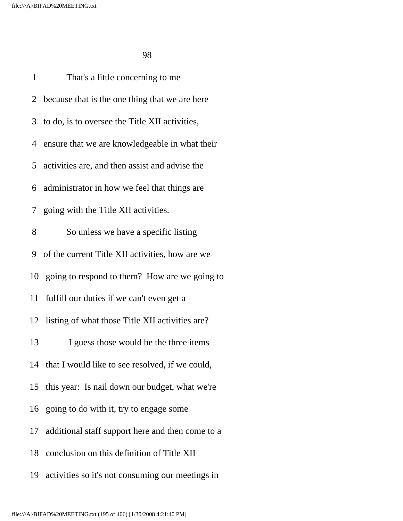1 That's a little concerning to me 2 because that is the one thing that we are here 3 to do, is to oversee the Title XII activities, 4 ensure that we are knowledgeable in what their 5 activities are, and then assist and advise the 6 administrator in how we feel that things are 7 going with the Title XII activities. 8 So unless we have a specific listing 9 of the current Title XII activities, how are we 10 going to respond to them? How are we going to 11 fulfill our duties if we can't even get a 12 listing of what those Title XII activities are? 13 I guess those would be the three items 14 that I would like to see resolved, if we could, 15 this year: Is nail down our budget, what we're 16 going to do with it, try to engage some 17 additional staff support here and then come to a 18 conclusion on this definition of Title XII 19 activities so it's not consuming our meetings in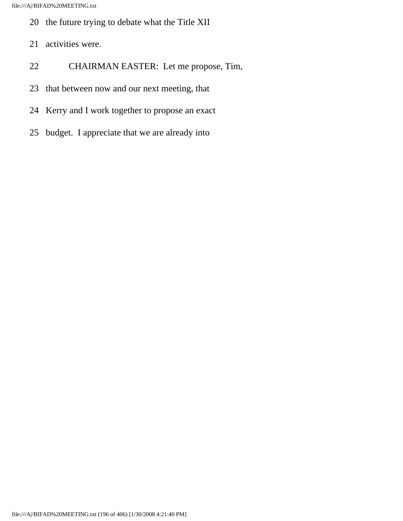- 20 the future trying to debate what the Title XII
- 21 activities were.
- 22 CHAIRMAN EASTER: Let me propose, Tim,
- 23 that between now and our next meeting, that
- 24 Kerry and I work together to propose an exact
- 25 budget. I appreciate that we are already into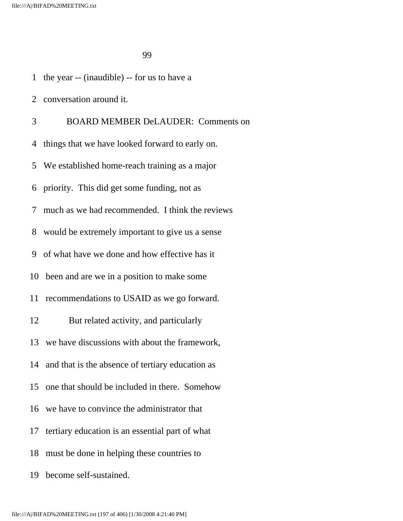1 the year -- (inaudible) -- for us to have a

2 conversation around it.

 3 BOARD MEMBER DeLAUDER: Comments on 4 things that we have looked forward to early on. 5 We established home-reach training as a major 6 priority. This did get some funding, not as 7 much as we had recommended. I think the reviews 8 would be extremely important to give us a sense 9 of what have we done and how effective has it 10 been and are we in a position to make some 11 recommendations to USAID as we go forward. 12 But related activity, and particularly 13 we have discussions with about the framework, 14 and that is the absence of tertiary education as 15 one that should be included in there. Somehow 16 we have to convince the administrator that 17 tertiary education is an essential part of what 18 must be done in helping these countries to

19 become self-sustained.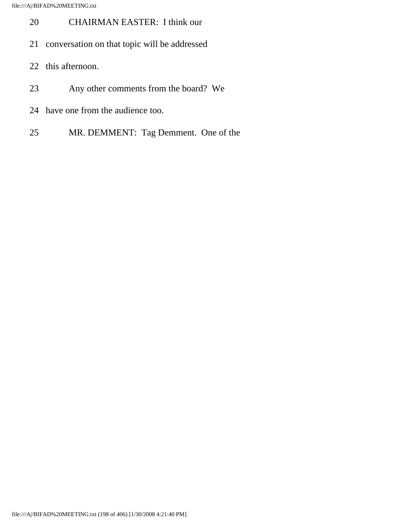- 20 CHAIRMAN EASTER: I think our
- 21 conversation on that topic will be addressed
- 22 this afternoon.
- 23 Any other comments from the board? We
- 24 have one from the audience too.
- 25 MR. DEMMENT: Tag Demment. One of the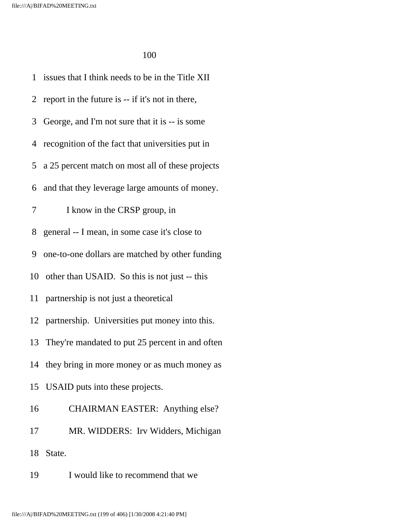1 issues that I think needs to be in the Title XII 2 report in the future is -- if it's not in there, 3 George, and I'm not sure that it is -- is some 4 recognition of the fact that universities put in 5 a 25 percent match on most all of these projects 6 and that they leverage large amounts of money. 7 I know in the CRSP group, in 8 general -- I mean, in some case it's close to 9 one-to-one dollars are matched by other funding 10 other than USAID. So this is not just -- this 11 partnership is not just a theoretical 12 partnership. Universities put money into this. 13 They're mandated to put 25 percent in and often 14 they bring in more money or as much money as 15 USAID puts into these projects. 16 CHAIRMAN EASTER: Anything else? 17 MR. WIDDERS: Irv Widders, Michigan 18 State.

19 I would like to recommend that we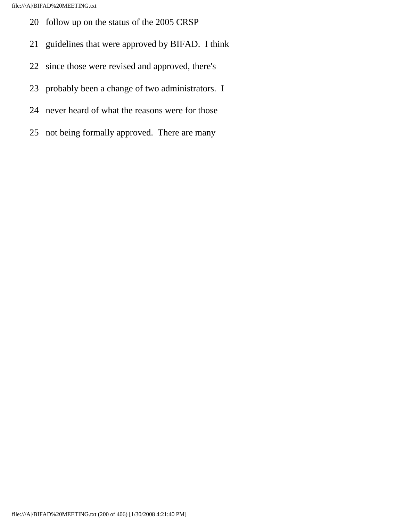- 20 follow up on the status of the 2005 CRSP
- 21 guidelines that were approved by BIFAD. I think
- 22 since those were revised and approved, there's
- 23 probably been a change of two administrators. I
- 24 never heard of what the reasons were for those
- 25 not being formally approved. There are many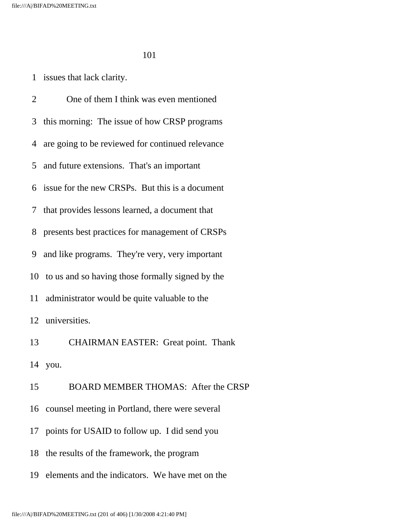1 issues that lack clarity.

 2 One of them I think was even mentioned 3 this morning: The issue of how CRSP programs 4 are going to be reviewed for continued relevance 5 and future extensions. That's an important 6 issue for the new CRSPs. But this is a document 7 that provides lessons learned, a document that 8 presents best practices for management of CRSPs 9 and like programs. They're very, very important 10 to us and so having those formally signed by the 11 administrator would be quite valuable to the 12 universities. 13 CHAIRMAN EASTER: Great point. Thank 14 you. 15 BOARD MEMBER THOMAS: After the CRSP 16 counsel meeting in Portland, there were several 17 points for USAID to follow up. I did send you 18 the results of the framework, the program

19 elements and the indicators. We have met on the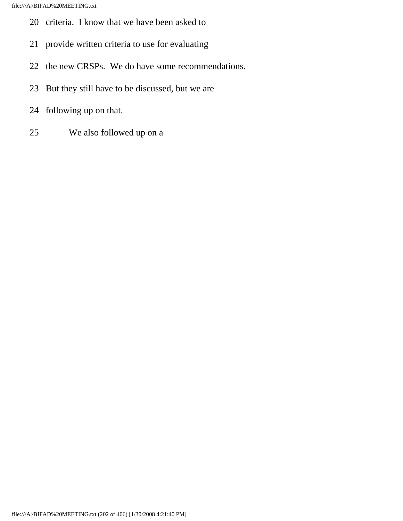- 20 criteria. I know that we have been asked to
- 21 provide written criteria to use for evaluating
- 22 the new CRSPs. We do have some recommendations.
- 23 But they still have to be discussed, but we are
- 24 following up on that.
- 25 We also followed up on a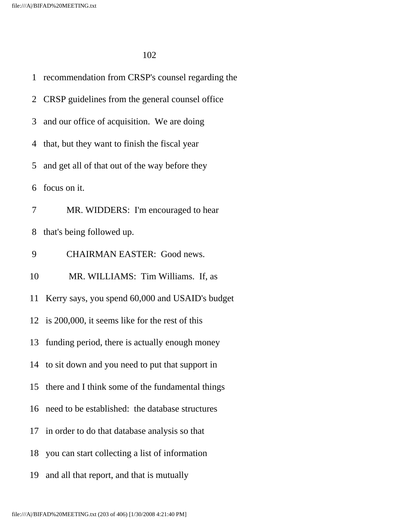1 recommendation from CRSP's counsel regarding the 2 CRSP guidelines from the general counsel office 3 and our office of acquisition. We are doing 4 that, but they want to finish the fiscal year 5 and get all of that out of the way before they 6 focus on it. 7 MR. WIDDERS: I'm encouraged to hear 8 that's being followed up. 9 CHAIRMAN EASTER: Good news. 10 MR. WILLIAMS: Tim Williams. If, as 11 Kerry says, you spend 60,000 and USAID's budget 12 is 200,000, it seems like for the rest of this 13 funding period, there is actually enough money 14 to sit down and you need to put that support in 15 there and I think some of the fundamental things 16 need to be established: the database structures 17 in order to do that database analysis so that 18 you can start collecting a list of information 19 and all that report, and that is mutually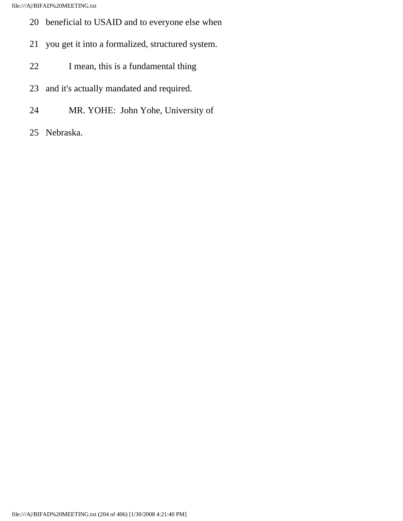file:///A|/BIFAD%20MEETING.txt

- 20 beneficial to USAID and to everyone else when
- 21 you get it into a formalized, structured system.
- 22 I mean, this is a fundamental thing
- 23 and it's actually mandated and required.
- 24 MR. YOHE: John Yohe, University of
- 25 Nebraska.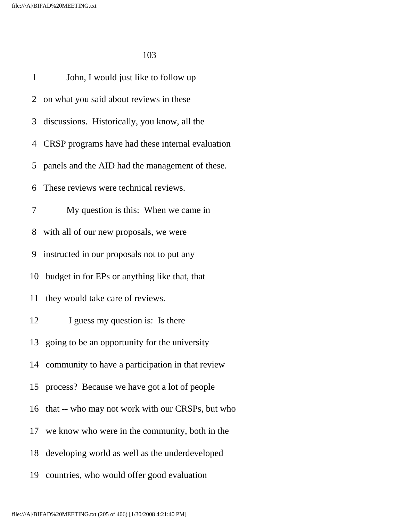| $\mathbf{1}$   | John, I would just like to follow up                |
|----------------|-----------------------------------------------------|
|                | 2 on what you said about reviews in these           |
| 3 <sup>7</sup> | discussions. Historically, you know, all the        |
|                | 4 CRSP programs have had these internal evaluation  |
|                | 5 panels and the AID had the management of these.   |
| 6              | These reviews were technical reviews.               |
| 7              | My question is this: When we came in                |
|                | 8 with all of our new proposals, we were            |
|                | 9 instructed in our proposals not to put any        |
|                | 10 budget in for EPs or anything like that, that    |
|                | 11 they would take care of reviews.                 |
| 12             | I guess my question is: Is there                    |
|                | 13 going to be an opportunity for the university    |
|                | 14 community to have a participation in that review |
|                | 15 process? Because we have got a lot of people     |
|                | 16 that -- who may not work with our CRSPs, but who |
| 17             | we know who were in the community, both in the      |
| 18             | developing world as well as the underdeveloped      |
| 19             | countries, who would offer good evaluation          |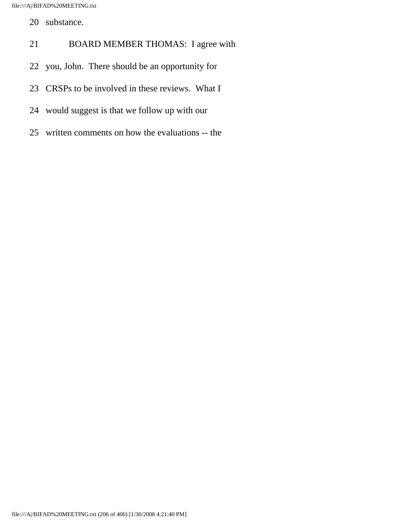file:///A|/BIFAD%20MEETING.txt

- 20 substance.
- 21 BOARD MEMBER THOMAS: I agree with
- 22 you, John. There should be an opportunity for
- 23 CRSPs to be involved in these reviews. What I
- 24 would suggest is that we follow up with our
- 25 written comments on how the evaluations -- the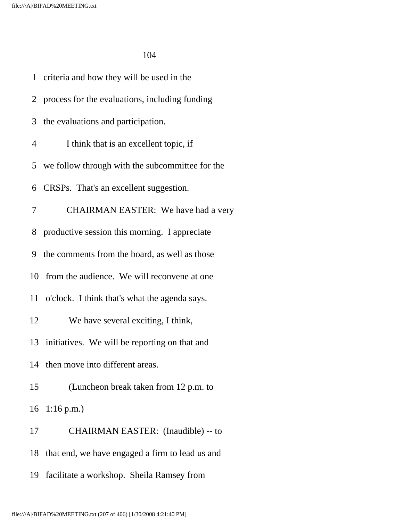|                | 1 criteria and how they will be used in the       |
|----------------|---------------------------------------------------|
|                | 2 process for the evaluations, including funding  |
| 3              | the evaluations and participation.                |
| $\overline{4}$ | I think that is an excellent topic, if            |
|                | 5 we follow through with the subcommittee for the |
|                | 6 CRSPs. That's an excellent suggestion.          |
| 7              | CHAIRMAN EASTER: We have had a very               |
|                | 8 productive session this morning. I appreciate   |
|                | 9 the comments from the board, as well as those   |
|                | 10 from the audience. We will reconvene at one    |
|                | 11 o'clock. I think that's what the agenda says.  |
| 12             | We have several exciting, I think,                |
|                | 13 initiatives. We will be reporting on that and  |
|                | 14 then move into different areas.                |
| 15             | (Luncheon break taken from 12 p.m. to             |
| 16             | $1:16$ p.m.)                                      |
| 17             | CHAIRMAN EASTER: (Inaudible) -- to                |
| 18             | that end, we have engaged a firm to lead us and   |
|                | facilitate a workshop. Sheila Ramsey from         |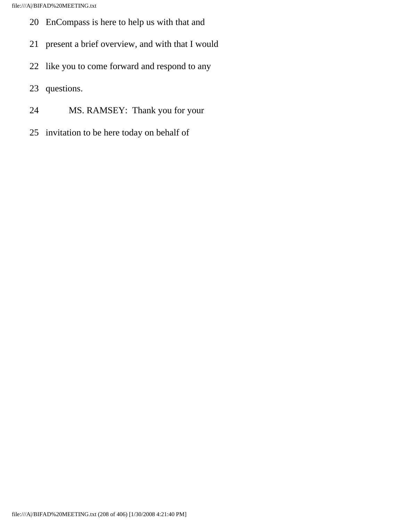- 20 EnCompass is here to help us with that and
- 21 present a brief overview, and with that I would
- 22 like you to come forward and respond to any
- 23 questions.
- 24 MS. RAMSEY: Thank you for your
- 25 invitation to be here today on behalf of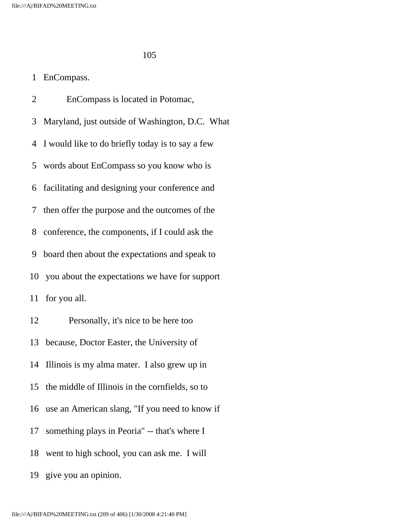## 1 EnCompass.

 2 EnCompass is located in Potomac, 3 Maryland, just outside of Washington, D.C. What 4 I would like to do briefly today is to say a few 5 words about EnCompass so you know who is 6 facilitating and designing your conference and 7 then offer the purpose and the outcomes of the 8 conference, the components, if I could ask the 9 board then about the expectations and speak to 10 you about the expectations we have for support 11 for you all. 12 Personally, it's nice to be here too 13 because, Doctor Easter, the University of 14 Illinois is my alma mater. I also grew up in 15 the middle of Illinois in the cornfields, so to 16 use an American slang, "If you need to know if 17 something plays in Peoria" -- that's where I 18 went to high school, you can ask me. I will

19 give you an opinion.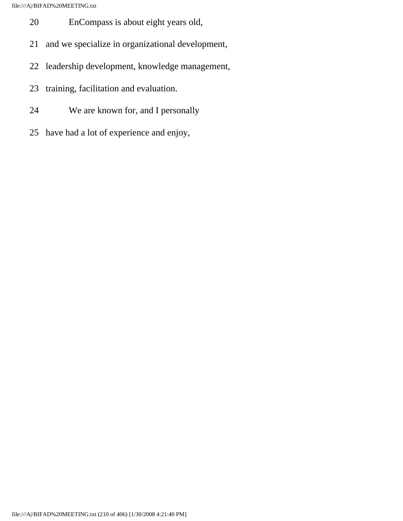file:///A|/BIFAD%20MEETING.txt

- 20 EnCompass is about eight years old,
- 21 and we specialize in organizational development,
- 22 leadership development, knowledge management,
- 23 training, facilitation and evaluation.
- 24 We are known for, and I personally
- 25 have had a lot of experience and enjoy,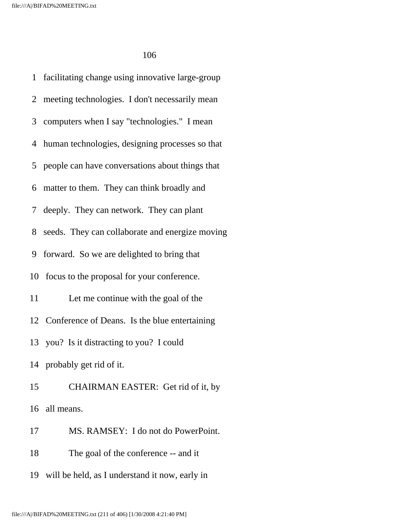1 facilitating change using innovative large-group 2 meeting technologies. I don't necessarily mean 3 computers when I say "technologies." I mean 4 human technologies, designing processes so that 5 people can have conversations about things that 6 matter to them. They can think broadly and 7 deeply. They can network. They can plant 8 seeds. They can collaborate and energize moving 9 forward. So we are delighted to bring that 10 focus to the proposal for your conference. 11 Let me continue with the goal of the 12 Conference of Deans. Is the blue entertaining 13 you? Is it distracting to you? I could 14 probably get rid of it. 15 CHAIRMAN EASTER: Get rid of it, by 16 all means. 17 MS. RAMSEY: I do not do PowerPoint. 18 The goal of the conference -- and it

19 will be held, as I understand it now, early in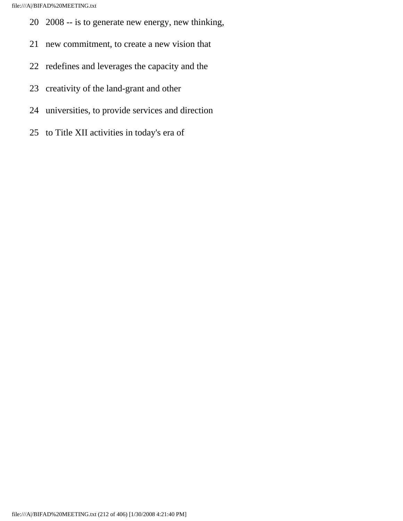- 20 2008 -- is to generate new energy, new thinking,
- 21 new commitment, to create a new vision that
- 22 redefines and leverages the capacity and the
- 23 creativity of the land-grant and other
- 24 universities, to provide services and direction
- 25 to Title XII activities in today's era of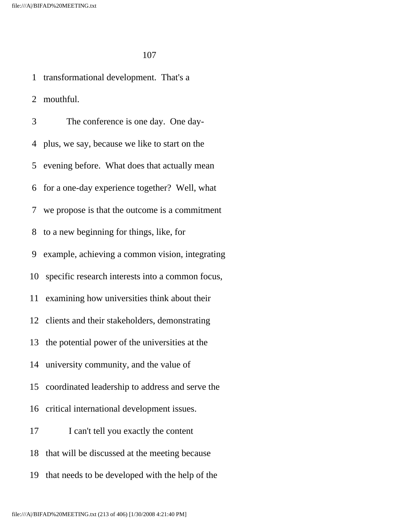1 transformational development. That's a 2 mouthful. 3 The conference is one day. One day- 4 plus, we say, because we like to start on the 5 evening before. What does that actually mean 6 for a one-day experience together? Well, what 7 we propose is that the outcome is a commitment 8 to a new beginning for things, like, for 9 example, achieving a common vision, integrating 10 specific research interests into a common focus, 11 examining how universities think about their 12 clients and their stakeholders, demonstrating 13 the potential power of the universities at the 14 university community, and the value of 15 coordinated leadership to address and serve the 16 critical international development issues. 17 I can't tell you exactly the content 18 that will be discussed at the meeting because 19 that needs to be developed with the help of the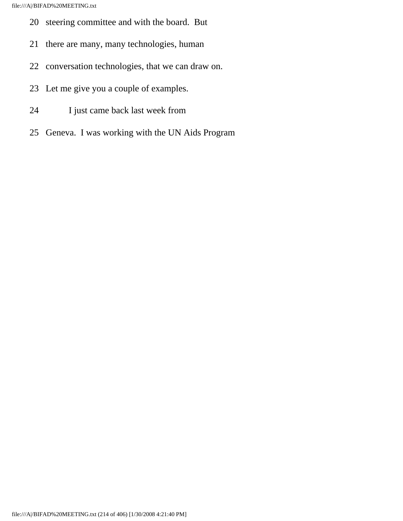- 20 steering committee and with the board. But
- 21 there are many, many technologies, human
- 22 conversation technologies, that we can draw on.
- 23 Let me give you a couple of examples.
- 24 I just came back last week from
- 25 Geneva. I was working with the UN Aids Program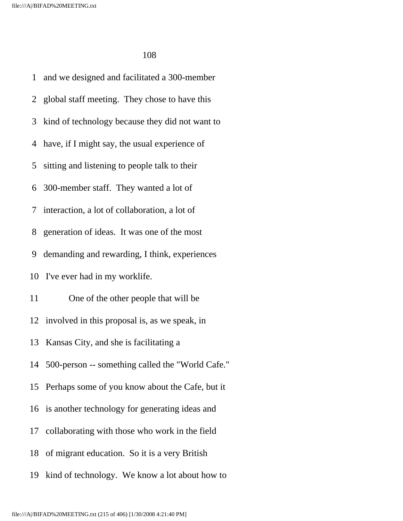1 and we designed and facilitated a 300-member 2 global staff meeting. They chose to have this 3 kind of technology because they did not want to 4 have, if I might say, the usual experience of 5 sitting and listening to people talk to their 6 300-member staff. They wanted a lot of 7 interaction, a lot of collaboration, a lot of 8 generation of ideas. It was one of the most 9 demanding and rewarding, I think, experiences 10 I've ever had in my worklife. 11 One of the other people that will be 12 involved in this proposal is, as we speak, in 13 Kansas City, and she is facilitating a 14 500-person -- something called the "World Cafe." 15 Perhaps some of you know about the Cafe, but it 16 is another technology for generating ideas and 17 collaborating with those who work in the field 18 of migrant education. So it is a very British 19 kind of technology. We know a lot about how to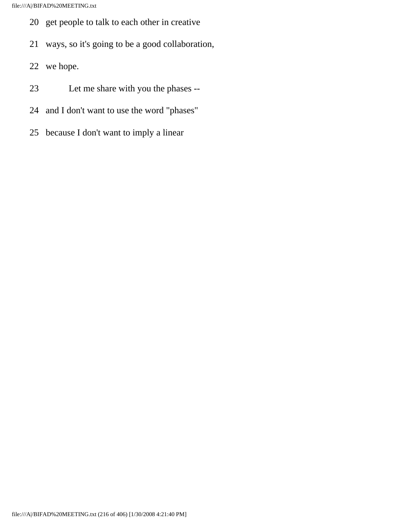- 20 get people to talk to each other in creative
- 21 ways, so it's going to be a good collaboration,
- 22 we hope.
- 23 Let me share with you the phases --
- 24 and I don't want to use the word "phases"
- 25 because I don't want to imply a linear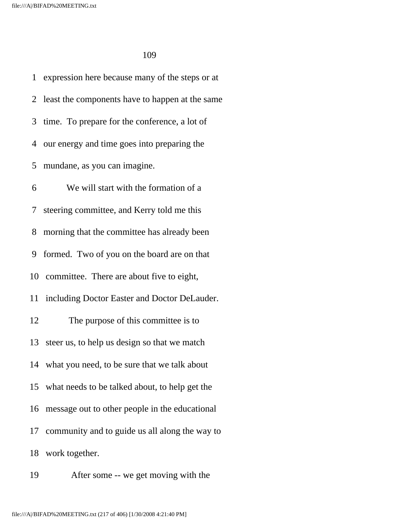1 expression here because many of the steps or at 2 least the components have to happen at the same 3 time. To prepare for the conference, a lot of 4 our energy and time goes into preparing the 5 mundane, as you can imagine. 6 We will start with the formation of a 7 steering committee, and Kerry told me this 8 morning that the committee has already been 9 formed. Two of you on the board are on that 10 committee. There are about five to eight, 11 including Doctor Easter and Doctor DeLauder. 12 The purpose of this committee is to 13 steer us, to help us design so that we match 14 what you need, to be sure that we talk about 15 what needs to be talked about, to help get the 16 message out to other people in the educational 17 community and to guide us all along the way to 18 work together.

19 After some -- we get moving with the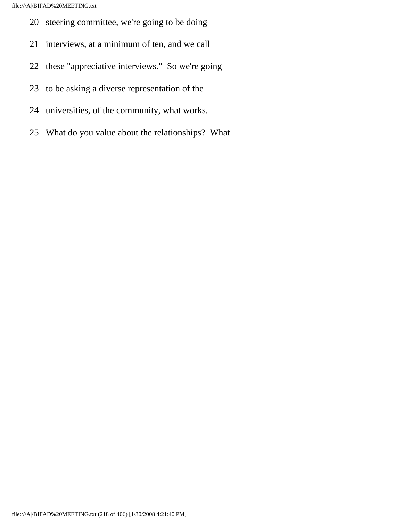- 20 steering committee, we're going to be doing
- 21 interviews, at a minimum of ten, and we call
- 22 these "appreciative interviews." So we're going
- 23 to be asking a diverse representation of the
- 24 universities, of the community, what works.
- 25 What do you value about the relationships? What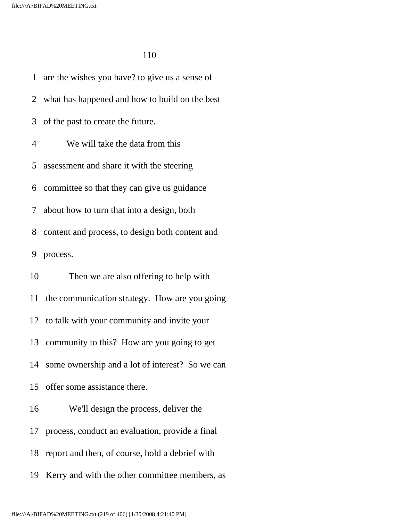1 are the wishes you have? to give us a sense of 2 what has happened and how to build on the best 3 of the past to create the future. 4 We will take the data from this 5 assessment and share it with the steering 6 committee so that they can give us guidance 7 about how to turn that into a design, both 8 content and process, to design both content and 9 process. 10 Then we are also offering to help with 11 the communication strategy. How are you going 12 to talk with your community and invite your 13 community to this? How are you going to get 14 some ownership and a lot of interest? So we can 15 offer some assistance there. 16 We'll design the process, deliver the 17 process, conduct an evaluation, provide a final 18 report and then, of course, hold a debrief with 19 Kerry and with the other committee members, as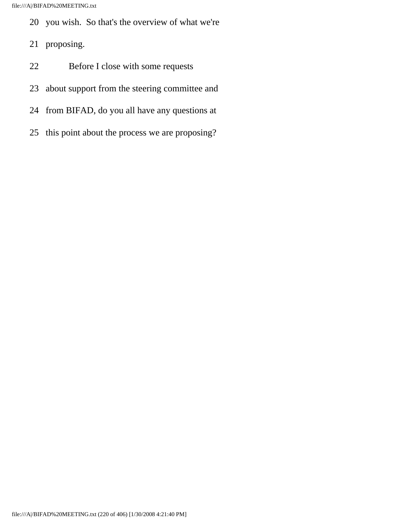- 20 you wish. So that's the overview of what we're
- 21 proposing.
- 22 Before I close with some requests
- 23 about support from the steering committee and
- 24 from BIFAD, do you all have any questions at
- 25 this point about the process we are proposing?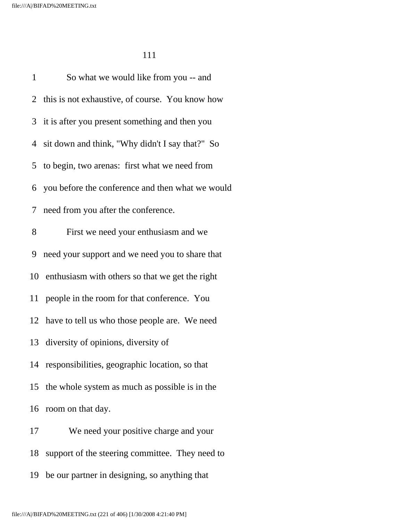1 So what we would like from you -- and 2 this is not exhaustive, of course. You know how 3 it is after you present something and then you 4 sit down and think, "Why didn't I say that?" So 5 to begin, two arenas: first what we need from 6 you before the conference and then what we would 7 need from you after the conference. 8 First we need your enthusiasm and we 9 need your support and we need you to share that 10 enthusiasm with others so that we get the right 11 people in the room for that conference. You 12 have to tell us who those people are. We need 13 diversity of opinions, diversity of 14 responsibilities, geographic location, so that 15 the whole system as much as possible is in the 16 room on that day. 17 We need your positive charge and your 18 support of the steering committee. They need to

19 be our partner in designing, so anything that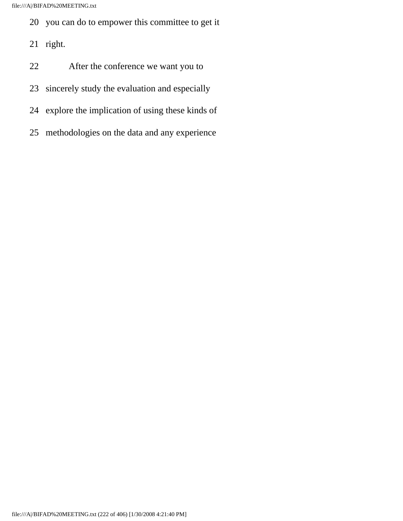- 20 you can do to empower this committee to get it
- 21 right.
- 22 After the conference we want you to
- 23 sincerely study the evaluation and especially
- 24 explore the implication of using these kinds of
- 25 methodologies on the data and any experience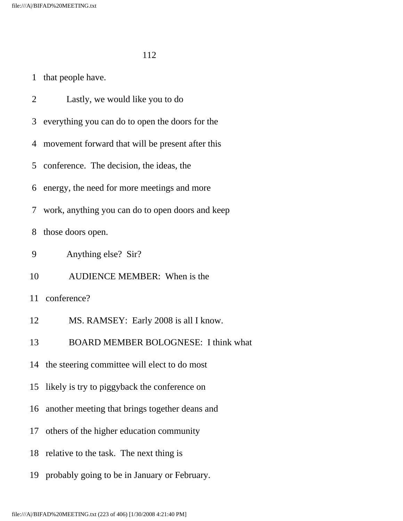1 that people have.

2 Lastly, we would like you to do

3 everything you can do to open the doors for the

4 movement forward that will be present after this

5 conference. The decision, the ideas, the

6 energy, the need for more meetings and more

7 work, anything you can do to open doors and keep

8 those doors open.

9 Anything else? Sir?

10 AUDIENCE MEMBER: When is the

11 conference?

12 MS. RAMSEY: Early 2008 is all I know.

13 BOARD MEMBER BOLOGNESE: I think what

14 the steering committee will elect to do most

15 likely is try to piggyback the conference on

16 another meeting that brings together deans and

17 others of the higher education community

18 relative to the task. The next thing is

19 probably going to be in January or February.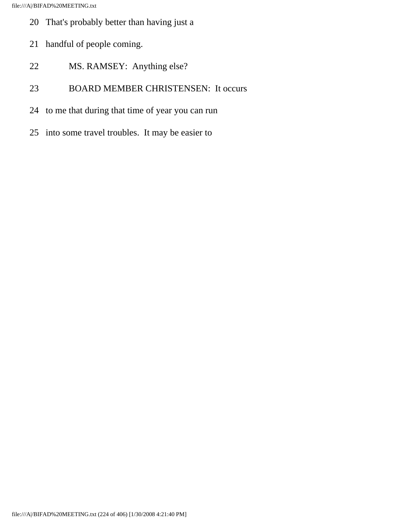- 20 That's probably better than having just a
- 21 handful of people coming.
- 22 MS. RAMSEY: Anything else?
- 23 BOARD MEMBER CHRISTENSEN: It occurs
- 24 to me that during that time of year you can run
- 25 into some travel troubles. It may be easier to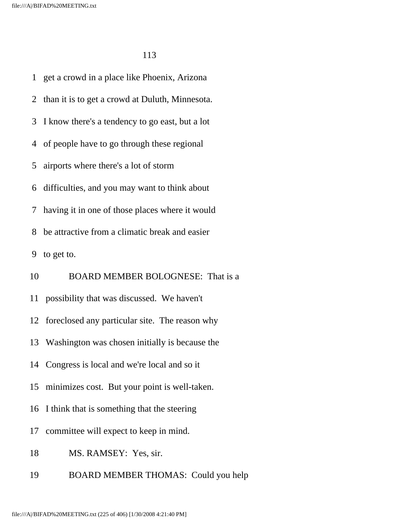1 get a crowd in a place like Phoenix, Arizona 2 than it is to get a crowd at Duluth, Minnesota. 3 I know there's a tendency to go east, but a lot 4 of people have to go through these regional 5 airports where there's a lot of storm 6 difficulties, and you may want to think about 7 having it in one of those places where it would 8 be attractive from a climatic break and easier 9 to get to. 10 BOARD MEMBER BOLOGNESE: That is a 11 possibility that was discussed. We haven't 12 foreclosed any particular site. The reason why 13 Washington was chosen initially is because the 14 Congress is local and we're local and so it 15 minimizes cost. But your point is well-taken. 16 I think that is something that the steering 17 committee will expect to keep in mind. 18 MS. RAMSEY: Yes, sir.

19 BOARD MEMBER THOMAS: Could you help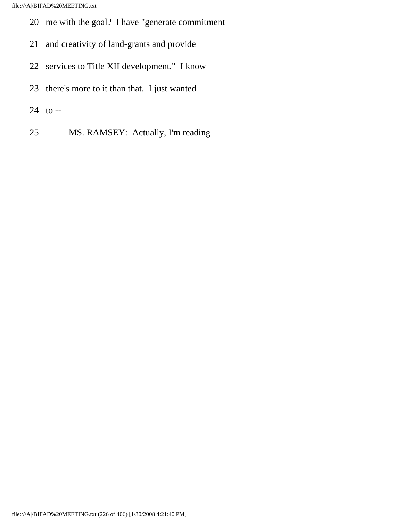- 20 me with the goal? I have "generate commitment
- 21 and creativity of land-grants and provide
- 22 services to Title XII development." I know
- 23 there's more to it than that. I just wanted
- 24 to --
- 25 MS. RAMSEY: Actually, I'm reading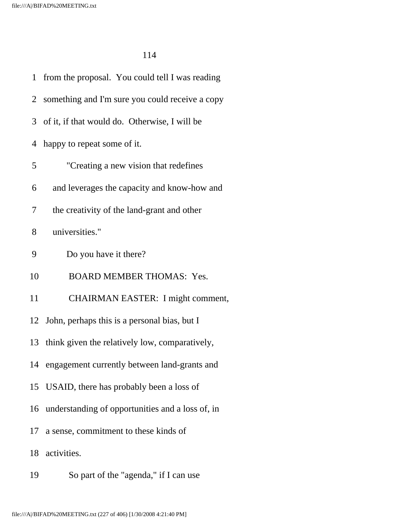| 1  | from the proposal. You could tell I was reading   |
|----|---------------------------------------------------|
|    | 2 something and I'm sure you could receive a copy |
|    | 3 of it, if that would do. Otherwise, I will be   |
| 4  | happy to repeat some of it.                       |
| 5  | "Creating a new vision that redefines             |
| 6  | and leverages the capacity and know-how and       |
| 7  | the creativity of the land-grant and other        |
| 8  | universities."                                    |
| 9  | Do you have it there?                             |
| 10 | <b>BOARD MEMBER THOMAS: Yes.</b>                  |
| 11 | CHAIRMAN EASTER: I might comment,                 |
|    | 12 John, perhaps this is a personal bias, but I   |
| 13 | think given the relatively low, comparatively,    |
| 14 | engagement currently between land-grants and      |
|    | 15 USAID, there has probably been a loss of       |
| 16 | understanding of opportunities and a loss of, in  |
| 17 | a sense, commitment to these kinds of             |
| 18 | activities.                                       |
| 19 | So part of the "agenda," if I can use             |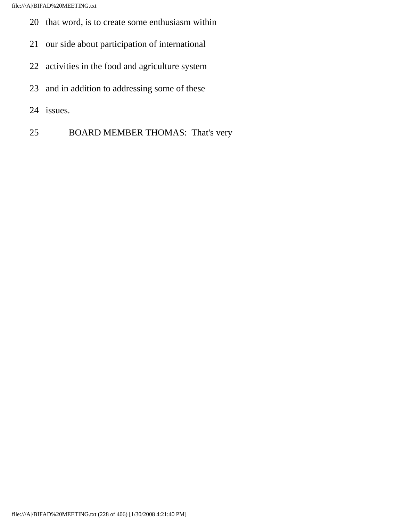- 20 that word, is to create some enthusiasm within
- 21 our side about participation of international
- 22 activities in the food and agriculture system
- 23 and in addition to addressing some of these
- 24 issues.
- 25 BOARD MEMBER THOMAS: That's very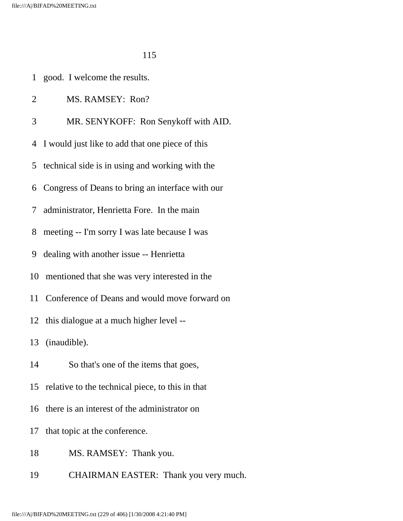- 1 good. I welcome the results.
- 2 MS. RAMSEY: Ron?
- 3 MR. SENYKOFF: Ron Senykoff with AID.
- 4 I would just like to add that one piece of this
- 5 technical side is in using and working with the
- 6 Congress of Deans to bring an interface with our
- 7 administrator, Henrietta Fore. In the main
- 8 meeting -- I'm sorry I was late because I was
- 9 dealing with another issue -- Henrietta
- 10 mentioned that she was very interested in the
- 11 Conference of Deans and would move forward on
- 12 this dialogue at a much higher level --

13 (inaudible).

- 14 So that's one of the items that goes,
- 15 relative to the technical piece, to this in that
- 16 there is an interest of the administrator on
- 17 that topic at the conference.
- 18 MS. RAMSEY: Thank you.
- 19 CHAIRMAN EASTER: Thank you very much.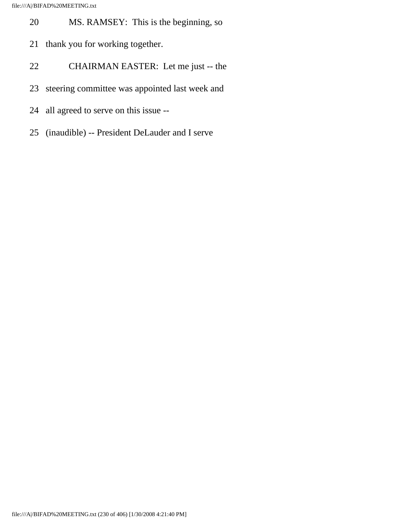- 20 MS. RAMSEY: This is the beginning, so
- 21 thank you for working together.
- 22 CHAIRMAN EASTER: Let me just -- the
- 23 steering committee was appointed last week and
- 24 all agreed to serve on this issue --
- 25 (inaudible) -- President DeLauder and I serve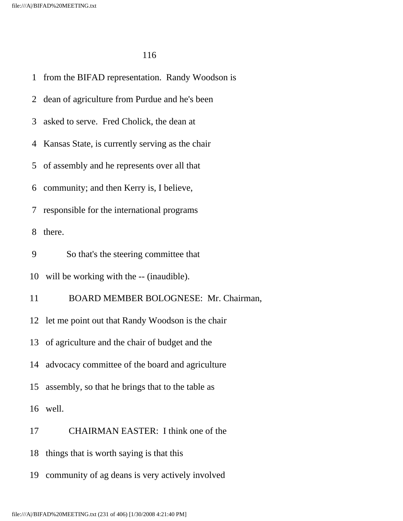1 from the BIFAD representation. Randy Woodson is 2 dean of agriculture from Purdue and he's been 3 asked to serve. Fred Cholick, the dean at 4 Kansas State, is currently serving as the chair 5 of assembly and he represents over all that 6 community; and then Kerry is, I believe, 7 responsible for the international programs 8 there. 9 So that's the steering committee that 10 will be working with the -- (inaudible). 11 BOARD MEMBER BOLOGNESE: Mr. Chairman, 12 let me point out that Randy Woodson is the chair 13 of agriculture and the chair of budget and the 14 advocacy committee of the board and agriculture 15 assembly, so that he brings that to the table as 16 well. 17 CHAIRMAN EASTER: I think one of the 18 things that is worth saying is that this 19 community of ag deans is very actively involved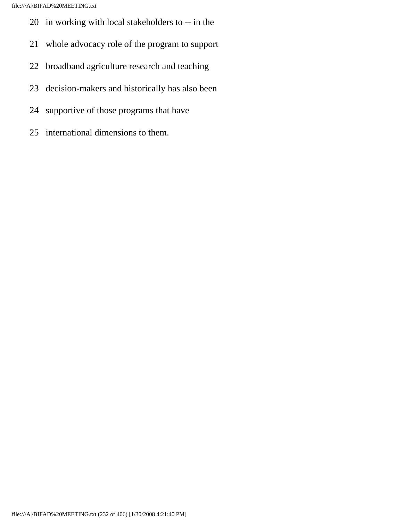- 20 in working with local stakeholders to -- in the
- 21 whole advocacy role of the program to support
- 22 broadband agriculture research and teaching
- 23 decision-makers and historically has also been
- 24 supportive of those programs that have
- 25 international dimensions to them.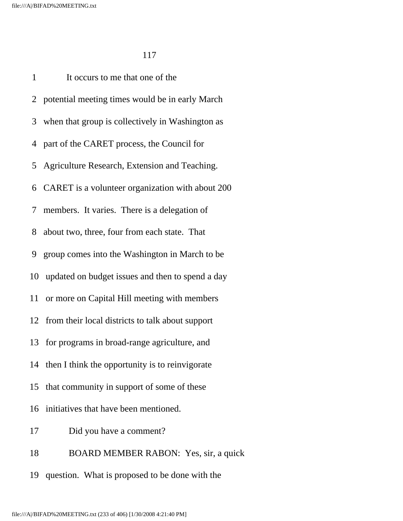1 It occurs to me that one of the 2 potential meeting times would be in early March 3 when that group is collectively in Washington as 4 part of the CARET process, the Council for 5 Agriculture Research, Extension and Teaching. 6 CARET is a volunteer organization with about 200 7 members. It varies. There is a delegation of 8 about two, three, four from each state. That 9 group comes into the Washington in March to be 10 updated on budget issues and then to spend a day 11 or more on Capital Hill meeting with members 12 from their local districts to talk about support 13 for programs in broad-range agriculture, and 14 then I think the opportunity is to reinvigorate 15 that community in support of some of these 16 initiatives that have been mentioned. 17 Did you have a comment? 18 BOARD MEMBER RABON: Yes, sir, a quick 19 question. What is proposed to be done with the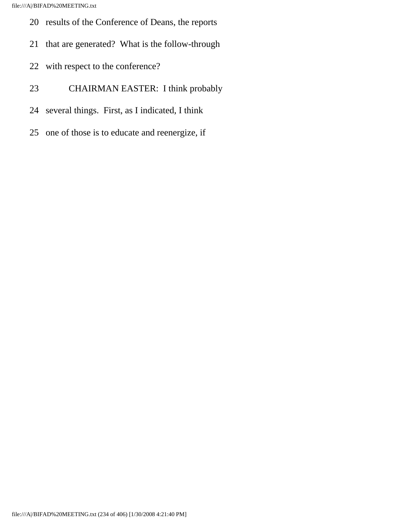- 20 results of the Conference of Deans, the reports
- 21 that are generated? What is the follow-through
- 22 with respect to the conference?
- 23 CHAIRMAN EASTER: I think probably
- 24 several things. First, as I indicated, I think
- 25 one of those is to educate and reenergize, if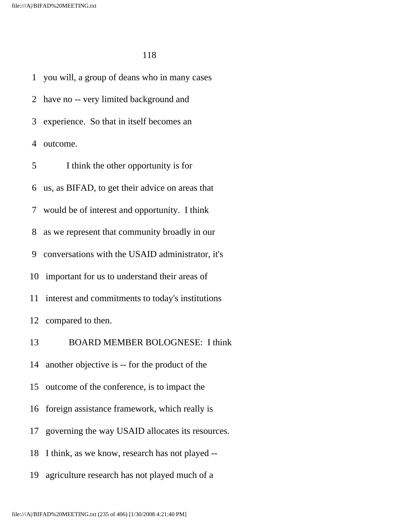1 you will, a group of deans who in many cases 2 have no -- very limited background and 3 experience. So that in itself becomes an 4 outcome. 5 I think the other opportunity is for 6 us, as BIFAD, to get their advice on areas that 7 would be of interest and opportunity. I think 8 as we represent that community broadly in our 9 conversations with the USAID administrator, it's 10 important for us to understand their areas of 11 interest and commitments to today's institutions 12 compared to then. 13 BOARD MEMBER BOLOGNESE: I think 14 another objective is -- for the product of the 15 outcome of the conference, is to impact the 16 foreign assistance framework, which really is 17 governing the way USAID allocates its resources. 18 I think, as we know, research has not played -- 19 agriculture research has not played much of a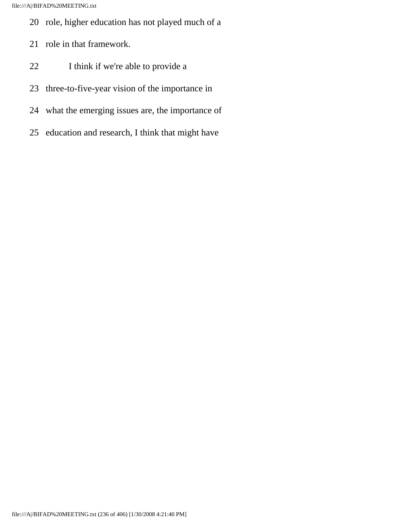- 20 role, higher education has not played much of a
- 21 role in that framework.
- 22 I think if we're able to provide a
- 23 three-to-five-year vision of the importance in
- 24 what the emerging issues are, the importance of
- 25 education and research, I think that might have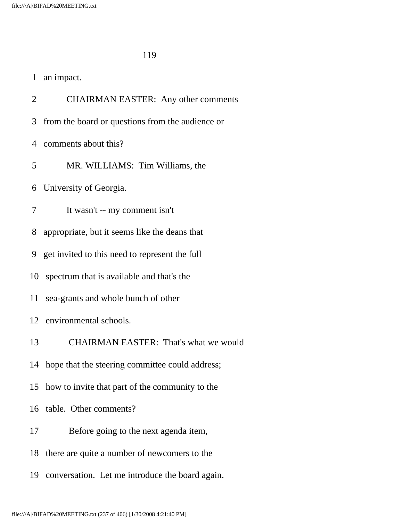| an impact. |
|------------|
|------------|

2 CHAIRMAN EASTER: Any other comments

3 from the board or questions from the audience or

4 comments about this?

5 MR. WILLIAMS: Tim Williams, the

6 University of Georgia.

7 It wasn't -- my comment isn't

8 appropriate, but it seems like the deans that

9 get invited to this need to represent the full

10 spectrum that is available and that's the

11 sea-grants and whole bunch of other

12 environmental schools.

13 CHAIRMAN EASTER: That's what we would

14 hope that the steering committee could address;

15 how to invite that part of the community to the

16 table. Other comments?

17 Before going to the next agenda item,

18 there are quite a number of newcomers to the

19 conversation. Let me introduce the board again.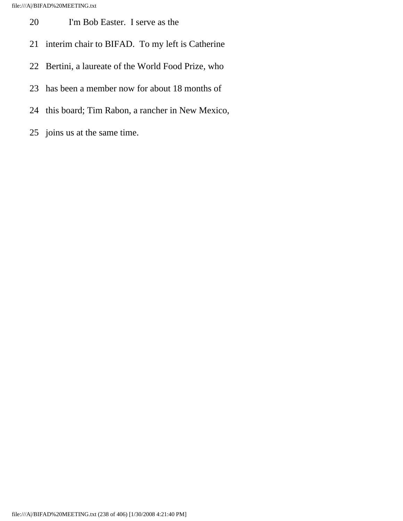- 20 I'm Bob Easter. I serve as the
- 21 interim chair to BIFAD. To my left is Catherine
- 22 Bertini, a laureate of the World Food Prize, who
- 23 has been a member now for about 18 months of
- 24 this board; Tim Rabon, a rancher in New Mexico,
- 25 joins us at the same time.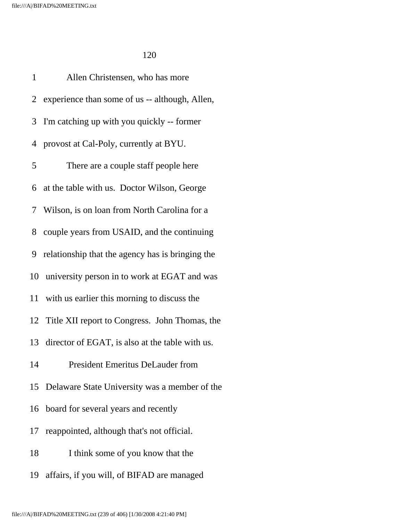1 Allen Christensen, who has more 2 experience than some of us -- although, Allen, 3 I'm catching up with you quickly -- former 4 provost at Cal-Poly, currently at BYU. 5 There are a couple staff people here 6 at the table with us. Doctor Wilson, George 7 Wilson, is on loan from North Carolina for a 8 couple years from USAID, and the continuing 9 relationship that the agency has is bringing the 10 university person in to work at EGAT and was 11 with us earlier this morning to discuss the 12 Title XII report to Congress. John Thomas, the 13 director of EGAT, is also at the table with us. 14 President Emeritus DeLauder from 15 Delaware State University was a member of the 16 board for several years and recently 17 reappointed, although that's not official. 18 I think some of you know that the 19 affairs, if you will, of BIFAD are managed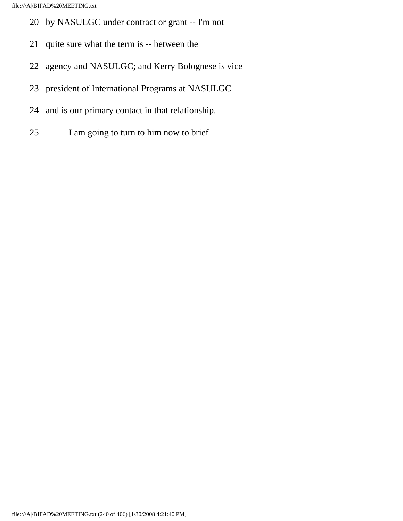- 20 by NASULGC under contract or grant -- I'm not
- 21 quite sure what the term is -- between the
- 22 agency and NASULGC; and Kerry Bolognese is vice
- 23 president of International Programs at NASULGC
- 24 and is our primary contact in that relationship.
- 25 I am going to turn to him now to brief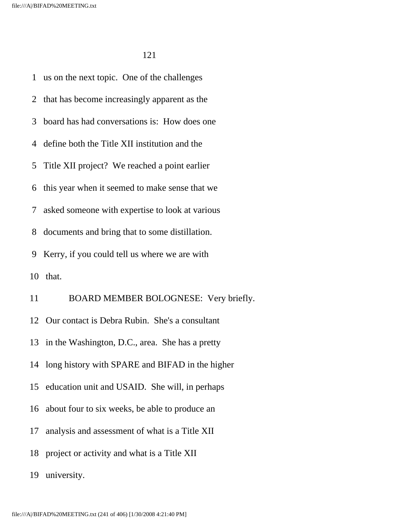1 us on the next topic. One of the challenges 2 that has become increasingly apparent as the 3 board has had conversations is: How does one 4 define both the Title XII institution and the 5 Title XII project? We reached a point earlier 6 this year when it seemed to make sense that we 7 asked someone with expertise to look at various 8 documents and bring that to some distillation. 9 Kerry, if you could tell us where we are with 10 that. 11 BOARD MEMBER BOLOGNESE: Very briefly. 12 Our contact is Debra Rubin. She's a consultant 13 in the Washington, D.C., area. She has a pretty 14 long history with SPARE and BIFAD in the higher 15 education unit and USAID. She will, in perhaps 16 about four to six weeks, be able to produce an 17 analysis and assessment of what is a Title XII 18 project or activity and what is a Title XII

19 university.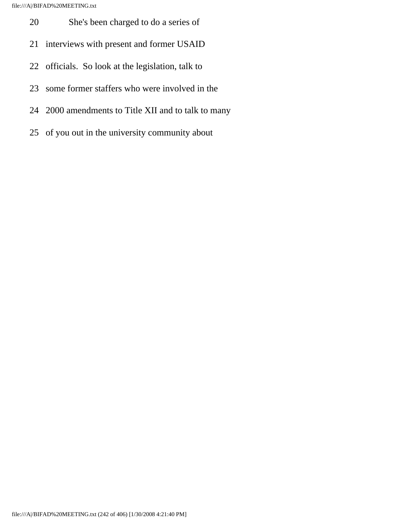- 20 She's been charged to do a series of
- 21 interviews with present and former USAID
- 22 officials. So look at the legislation, talk to
- 23 some former staffers who were involved in the
- 24 2000 amendments to Title XII and to talk to many
- 25 of you out in the university community about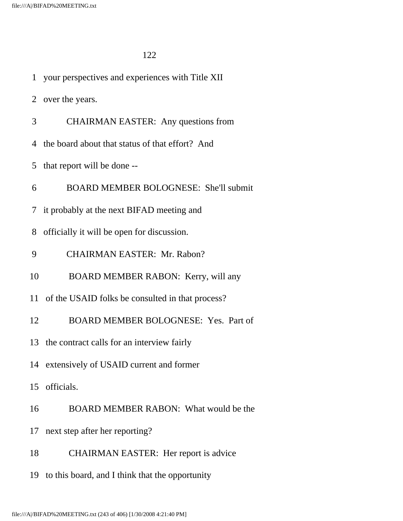| 1              | your perspectives and experiences with Title XII    |
|----------------|-----------------------------------------------------|
|                | 2 over the years.                                   |
| 3              | <b>CHAIRMAN EASTER:</b> Any questions from          |
| $\overline{4}$ | the board about that status of that effort? And     |
| 5              | that report will be done --                         |
| 6              | BOARD MEMBER BOLOGNESE: She'll submit               |
|                | 7 it probably at the next BIFAD meeting and         |
| 8              | officially it will be open for discussion.          |
| 9              | <b>CHAIRMAN EASTER: Mr. Rabon?</b>                  |
| 10             | BOARD MEMBER RABON: Kerry, will any                 |
|                | 11 of the USAID folks be consulted in that process? |
| 12             | BOARD MEMBER BOLOGNESE: Yes. Part of                |
|                | 13 the contract calls for an interview fairly       |
|                | 14 extensively of USAID current and former          |
|                | 15 officials.                                       |
| 16             | BOARD MEMBER RABON: What would be the               |
| 17             | next step after her reporting?                      |
| 18             | <b>CHAIRMAN EASTER:</b> Her report is advice        |

19 to this board, and I think that the opportunity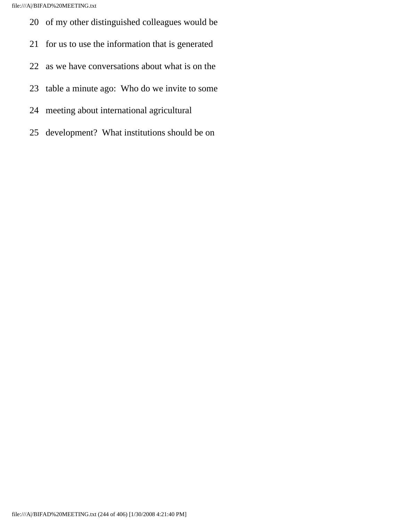- 20 of my other distinguished colleagues would be
- 21 for us to use the information that is generated
- 22 as we have conversations about what is on the
- 23 table a minute ago: Who do we invite to some
- 24 meeting about international agricultural
- 25 development? What institutions should be on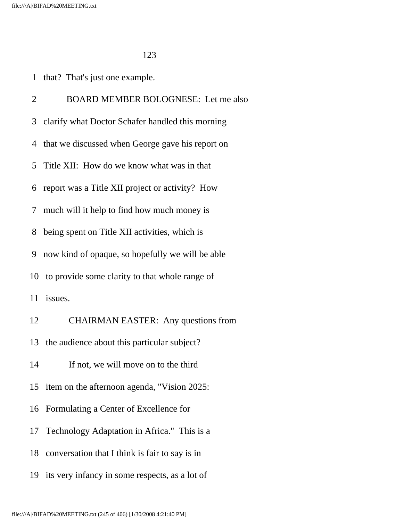1 that? That's just one example.

 2 BOARD MEMBER BOLOGNESE: Let me also 3 clarify what Doctor Schafer handled this morning 4 that we discussed when George gave his report on 5 Title XII: How do we know what was in that 6 report was a Title XII project or activity? How 7 much will it help to find how much money is 8 being spent on Title XII activities, which is 9 now kind of opaque, so hopefully we will be able 10 to provide some clarity to that whole range of 11 issues. 12 CHAIRMAN EASTER: Any questions from 13 the audience about this particular subject? 14 If not, we will move on to the third 15 item on the afternoon agenda, "Vision 2025: 16 Formulating a Center of Excellence for 17 Technology Adaptation in Africa." This is a 18 conversation that I think is fair to say is in 19 its very infancy in some respects, as a lot of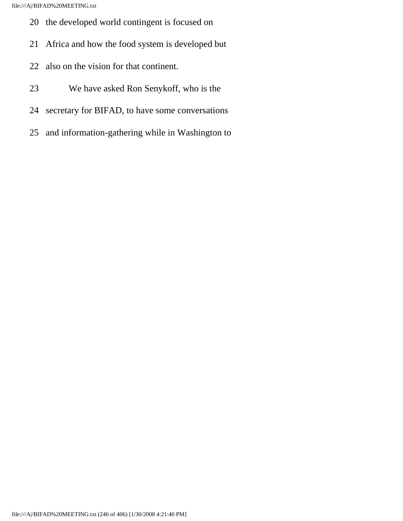- 20 the developed world contingent is focused on
- 21 Africa and how the food system is developed but
- 22 also on the vision for that continent.
- 23 We have asked Ron Senykoff, who is the
- 24 secretary for BIFAD, to have some conversations
- 25 and information-gathering while in Washington to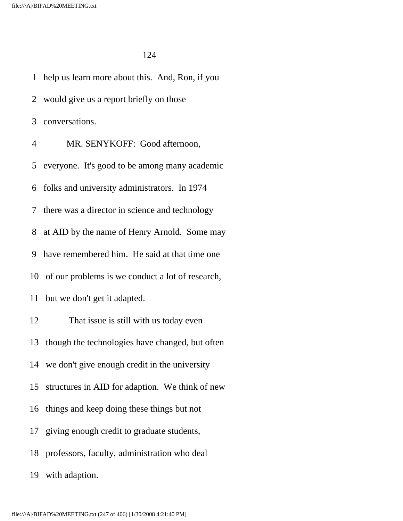1 help us learn more about this. And, Ron, if you 2 would give us a report briefly on those 3 conversations. 4 MR. SENYKOFF: Good afternoon, 5 everyone. It's good to be among many academic 6 folks and university administrators. In 1974 7 there was a director in science and technology 8 at AID by the name of Henry Arnold. Some may 9 have remembered him. He said at that time one 10 of our problems is we conduct a lot of research, 11 but we don't get it adapted. 12 That issue is still with us today even 13 though the technologies have changed, but often 14 we don't give enough credit in the university 15 structures in AID for adaption. We think of new 16 things and keep doing these things but not 17 giving enough credit to graduate students, 18 professors, faculty, administration who deal 19 with adaption.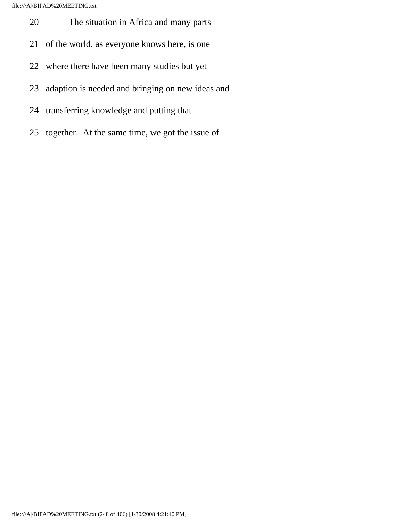- 20 The situation in Africa and many parts
- 21 of the world, as everyone knows here, is one
- 22 where there have been many studies but yet
- 23 adaption is needed and bringing on new ideas and
- 24 transferring knowledge and putting that
- 25 together. At the same time, we got the issue of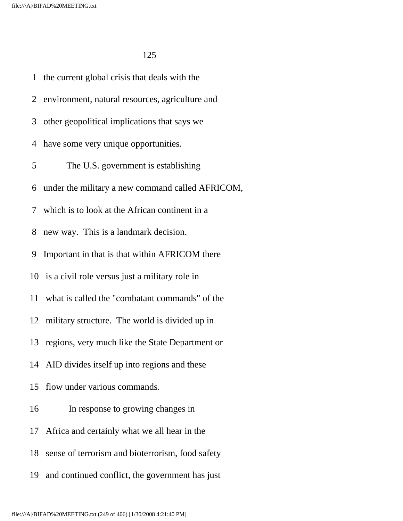1 the current global crisis that deals with the 2 environment, natural resources, agriculture and 3 other geopolitical implications that says we 4 have some very unique opportunities. 5 The U.S. government is establishing 6 under the military a new command called AFRICOM, 7 which is to look at the African continent in a 8 new way. This is a landmark decision. 9 Important in that is that within AFRICOM there 10 is a civil role versus just a military role in 11 what is called the "combatant commands" of the 12 military structure. The world is divided up in 13 regions, very much like the State Department or 14 AID divides itself up into regions and these 15 flow under various commands. 16 In response to growing changes in 17 Africa and certainly what we all hear in the 18 sense of terrorism and bioterrorism, food safety 19 and continued conflict, the government has just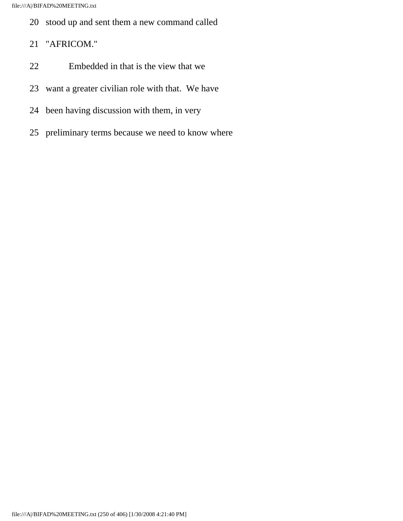- 20 stood up and sent them a new command called
- 21 "AFRICOM."
- 22 Embedded in that is the view that we
- 23 want a greater civilian role with that. We have
- 24 been having discussion with them, in very
- 25 preliminary terms because we need to know where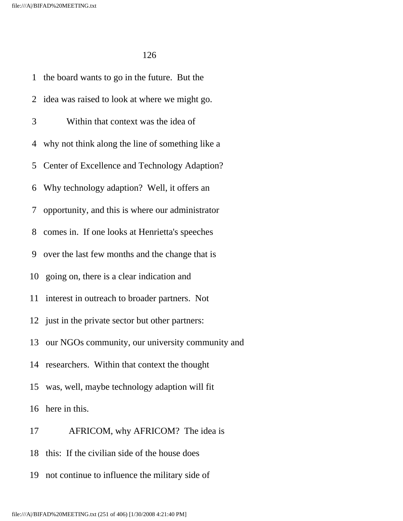1 the board wants to go in the future. But the 2 idea was raised to look at where we might go. 3 Within that context was the idea of 4 why not think along the line of something like a 5 Center of Excellence and Technology Adaption? 6 Why technology adaption? Well, it offers an 7 opportunity, and this is where our administrator 8 comes in. If one looks at Henrietta's speeches 9 over the last few months and the change that is 10 going on, there is a clear indication and 11 interest in outreach to broader partners. Not 12 just in the private sector but other partners: 13 our NGOs community, our university community and 14 researchers. Within that context the thought 15 was, well, maybe technology adaption will fit 16 here in this.

- 17 AFRICOM, why AFRICOM? The idea is
- 18 this: If the civilian side of the house does
- 19 not continue to influence the military side of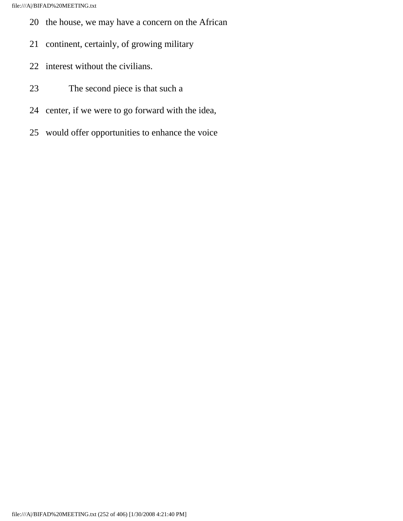- 20 the house, we may have a concern on the African
- 21 continent, certainly, of growing military
- 22 interest without the civilians.
- 23 The second piece is that such a
- 24 center, if we were to go forward with the idea,
- 25 would offer opportunities to enhance the voice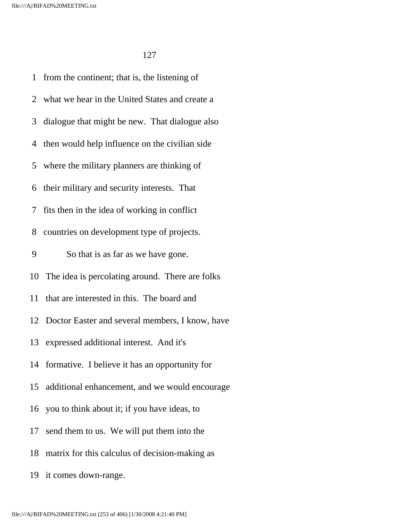1 from the continent; that is, the listening of 2 what we hear in the United States and create a 3 dialogue that might be new. That dialogue also 4 then would help influence on the civilian side 5 where the military planners are thinking of 6 their military and security interests. That 7 fits then in the idea of working in conflict 8 countries on development type of projects. 9 So that is as far as we have gone. 10 The idea is percolating around. There are folks 11 that are interested in this. The board and 12 Doctor Easter and several members, I know, have 13 expressed additional interest. And it's 14 formative. I believe it has an opportunity for 15 additional enhancement, and we would encourage 16 you to think about it; if you have ideas, to 17 send them to us. We will put them into the 18 matrix for this calculus of decision-making as

19 it comes down-range.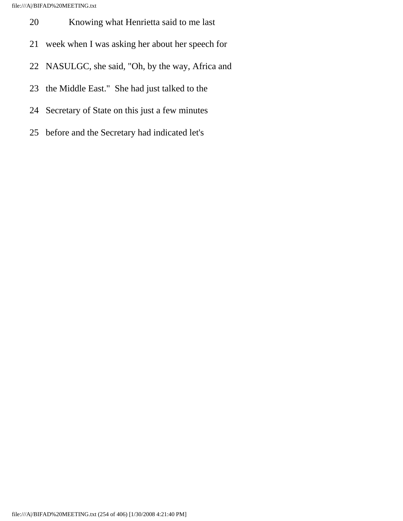- 20 Knowing what Henrietta said to me last
- 21 week when I was asking her about her speech for
- 22 NASULGC, she said, "Oh, by the way, Africa and
- 23 the Middle East." She had just talked to the
- 24 Secretary of State on this just a few minutes
- 25 before and the Secretary had indicated let's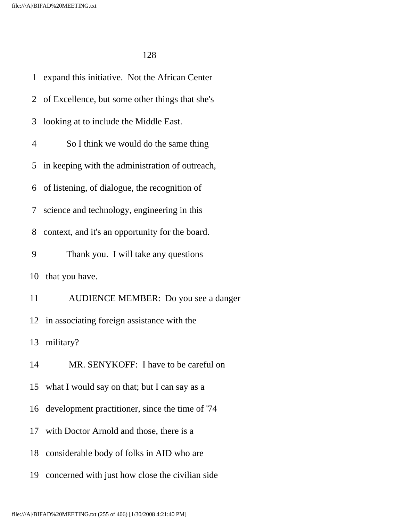1 expand this initiative. Not the African Center 2 of Excellence, but some other things that she's 3 looking at to include the Middle East. 4 So I think we would do the same thing 5 in keeping with the administration of outreach, 6 of listening, of dialogue, the recognition of 7 science and technology, engineering in this 8 context, and it's an opportunity for the board. 9 Thank you. I will take any questions 10 that you have. 11 AUDIENCE MEMBER: Do you see a danger 12 in associating foreign assistance with the 13 military? 14 MR. SENYKOFF: I have to be careful on 15 what I would say on that; but I can say as a 16 development practitioner, since the time of '74 17 with Doctor Arnold and those, there is a 18 considerable body of folks in AID who are 19 concerned with just how close the civilian side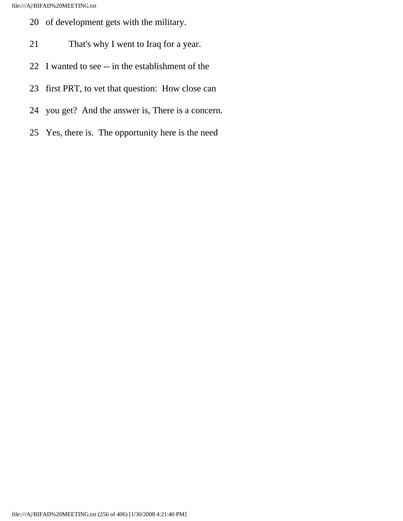- 20 of development gets with the military.
- 21 That's why I went to Iraq for a year.
- 22 I wanted to see -- in the establishment of the
- 23 first PRT, to vet that question: How close can
- 24 you get? And the answer is, There is a concern.
- 25 Yes, there is. The opportunity here is the need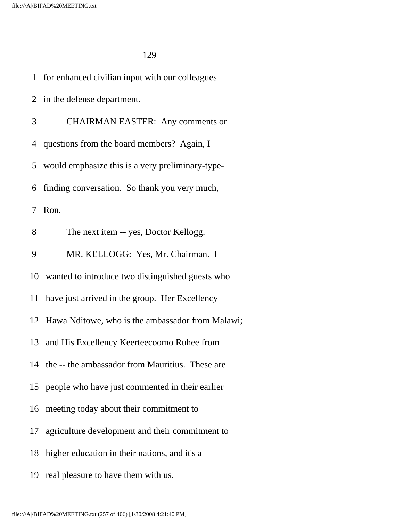| 1  | for enhanced civilian input with our colleagues     |
|----|-----------------------------------------------------|
|    | 2 in the defense department.                        |
| 3  | <b>CHAIRMAN EASTER:</b> Any comments or             |
|    | 4 questions from the board members? Again, I        |
|    | 5 would emphasize this is a very preliminary-type-  |
| 6  | finding conversation. So thank you very much,       |
| 7  | Ron.                                                |
| 8  | The next item -- yes, Doctor Kellogg.               |
| 9  | MR. KELLOGG: Yes, Mr. Chairman. I                   |
|    | 10 wanted to introduce two distinguished guests who |
|    | 11 have just arrived in the group. Her Excellency   |
|    | 12 Hawa Nditowe, who is the ambassador from Malawi; |
|    | 13 and His Excellency Keerteecoomo Ruhee from       |
|    | 14 the -- the ambassador from Mauritius. These are  |
|    | 15 people who have just commented in their earlier  |
| 16 | meeting today about their commitment to             |
| 17 | agriculture development and their commitment to     |
| 18 | higher education in their nations, and it's a       |
| 19 | real pleasure to have them with us.                 |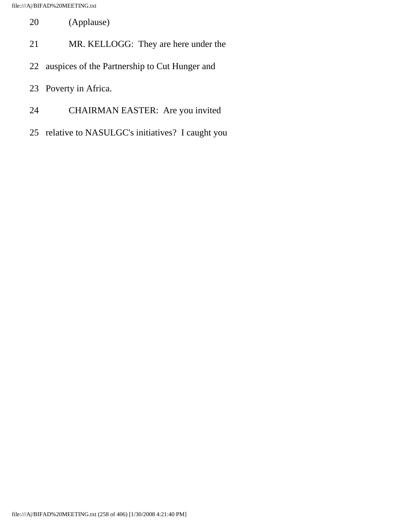- 20 (Applause)
- 21 MR. KELLOGG: They are here under the
- 22 auspices of the Partnership to Cut Hunger and
- 23 Poverty in Africa.
- 24 CHAIRMAN EASTER: Are you invited
- 25 relative to NASULGC's initiatives? I caught you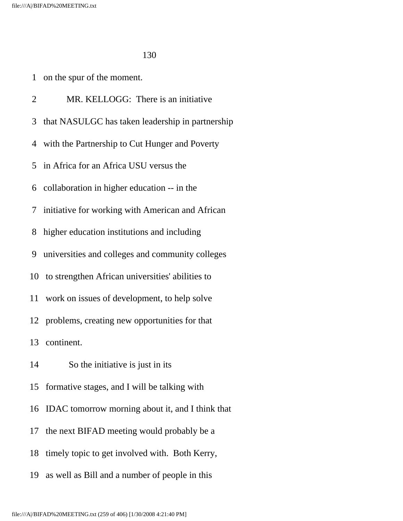- 1 on the spur of the moment.
- 2 MR. KELLOGG: There is an initiative
- 3 that NASULGC has taken leadership in partnership
- 4 with the Partnership to Cut Hunger and Poverty
- 5 in Africa for an Africa USU versus the
- 6 collaboration in higher education -- in the
- 7 initiative for working with American and African
- 8 higher education institutions and including
- 9 universities and colleges and community colleges
- 10 to strengthen African universities' abilities to
- 11 work on issues of development, to help solve
- 12 problems, creating new opportunities for that

13 continent.

- 14 So the initiative is just in its
- 15 formative stages, and I will be talking with
- 16 IDAC tomorrow morning about it, and I think that
- 17 the next BIFAD meeting would probably be a
- 18 timely topic to get involved with. Both Kerry,
- 19 as well as Bill and a number of people in this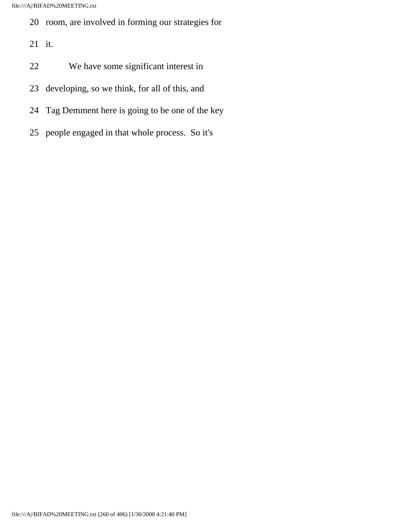- 20 room, are involved in forming our strategies for
- 21 it.
- 22 We have some significant interest in
- 23 developing, so we think, for all of this, and
- 24 Tag Demment here is going to be one of the key
- 25 people engaged in that whole process. So it's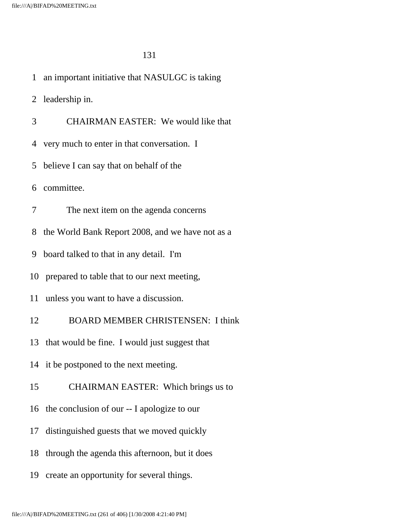1 an important initiative that NASULGC is taking

2 leadership in.

3 CHAIRMAN EASTER: We would like that

4 very much to enter in that conversation. I

5 believe I can say that on behalf of the

6 committee.

7 The next item on the agenda concerns

8 the World Bank Report 2008, and we have not as a

9 board talked to that in any detail. I'm

10 prepared to table that to our next meeting,

11 unless you want to have a discussion.

12 BOARD MEMBER CHRISTENSEN: I think

13 that would be fine. I would just suggest that

14 it be postponed to the next meeting.

15 CHAIRMAN EASTER: Which brings us to

16 the conclusion of our -- I apologize to our

17 distinguished guests that we moved quickly

18 through the agenda this afternoon, but it does

19 create an opportunity for several things.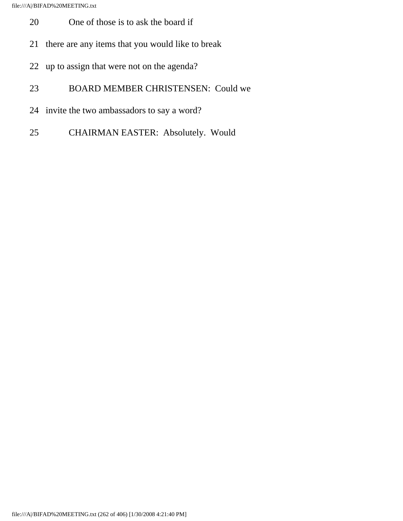- 20 One of those is to ask the board if
- 21 there are any items that you would like to break
- 22 up to assign that were not on the agenda?
- 23 BOARD MEMBER CHRISTENSEN: Could we
- 24 invite the two ambassadors to say a word?
- 25 CHAIRMAN EASTER: Absolutely. Would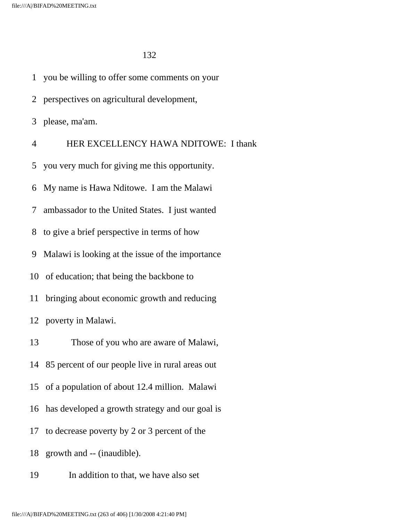1 you be willing to offer some comments on your 2 perspectives on agricultural development, 3 please, ma'am. 4 HER EXCELLENCY HAWA NDITOWE: I thank 5 you very much for giving me this opportunity. 6 My name is Hawa Nditowe. I am the Malawi 7 ambassador to the United States. I just wanted 8 to give a brief perspective in terms of how 9 Malawi is looking at the issue of the importance 10 of education; that being the backbone to 11 bringing about economic growth and reducing 12 poverty in Malawi. 13 Those of you who are aware of Malawi, 14 85 percent of our people live in rural areas out 15 of a population of about 12.4 million. Malawi 16 has developed a growth strategy and our goal is 17 to decrease poverty by 2 or 3 percent of the 18 growth and -- (inaudible). 19 In addition to that, we have also set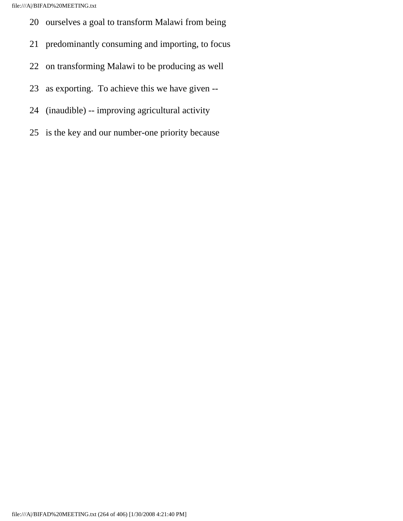- 20 ourselves a goal to transform Malawi from being
- 21 predominantly consuming and importing, to focus
- 22 on transforming Malawi to be producing as well
- 23 as exporting. To achieve this we have given --
- 24 (inaudible) -- improving agricultural activity
- 25 is the key and our number-one priority because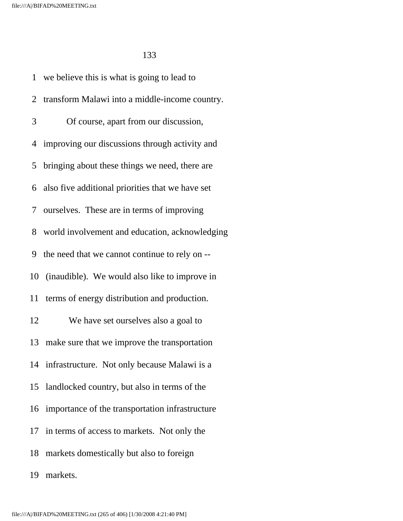1 we believe this is what is going to lead to 2 transform Malawi into a middle-income country. 3 Of course, apart from our discussion, 4 improving our discussions through activity and 5 bringing about these things we need, there are 6 also five additional priorities that we have set 7 ourselves. These are in terms of improving 8 world involvement and education, acknowledging 9 the need that we cannot continue to rely on -- 10 (inaudible). We would also like to improve in 11 terms of energy distribution and production. 12 We have set ourselves also a goal to 13 make sure that we improve the transportation 14 infrastructure. Not only because Malawi is a 15 landlocked country, but also in terms of the 16 importance of the transportation infrastructure 17 in terms of access to markets. Not only the 18 markets domestically but also to foreign 19 markets.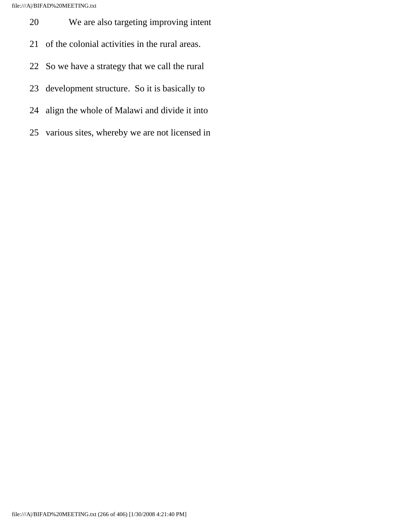- 20 We are also targeting improving intent
- 21 of the colonial activities in the rural areas.
- 22 So we have a strategy that we call the rural
- 23 development structure. So it is basically to
- 24 align the whole of Malawi and divide it into
- 25 various sites, whereby we are not licensed in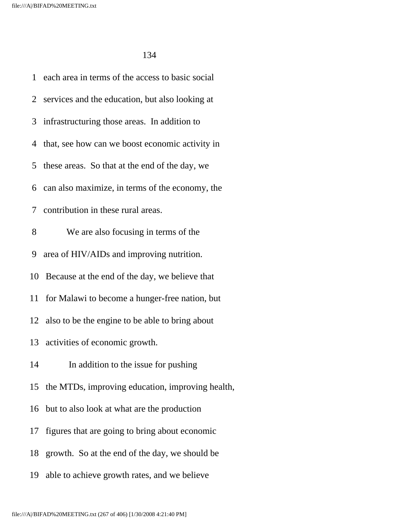|    | 1 each area in terms of the access to basic social |
|----|----------------------------------------------------|
|    | 2 services and the education, but also looking at  |
|    | 3 infrastructuring those areas. In addition to     |
|    | 4 that, see how can we boost economic activity in  |
|    | 5 these areas. So that at the end of the day, we   |
|    | 6 can also maximize, in terms of the economy, the  |
|    | 7 contribution in these rural areas.               |
| 8  | We are also focusing in terms of the               |
|    | 9 area of HIV/AIDs and improving nutrition.        |
|    | 10 Because at the end of the day, we believe that  |
|    | 11 for Malawi to become a hunger-free nation, but  |
|    | 12 also to be the engine to be able to bring about |
|    | 13 activities of economic growth.                  |
| 14 | In addition to the issue for pushing               |
| 15 | the MTDs, improving education, improving health,   |
| 16 | but to also look at what are the production        |
| 17 | figures that are going to bring about economic     |
| 18 | growth. So at the end of the day, we should be     |
| 19 | able to achieve growth rates, and we believe       |
|    |                                                    |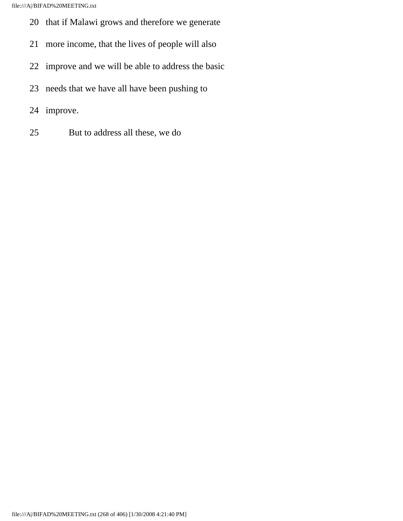- 20 that if Malawi grows and therefore we generate
- 21 more income, that the lives of people will also
- 22 improve and we will be able to address the basic
- 23 needs that we have all have been pushing to
- 24 improve.
- 25 But to address all these, we do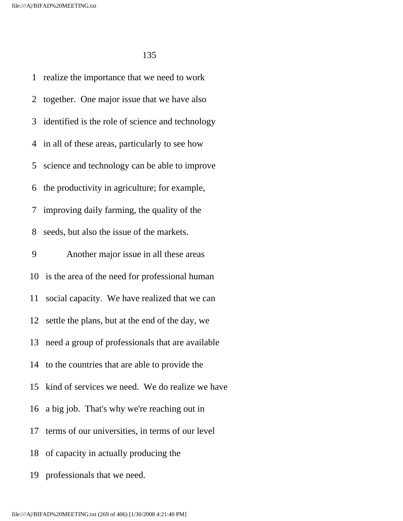1 realize the importance that we need to work 2 together. One major issue that we have also 3 identified is the role of science and technology 4 in all of these areas, particularly to see how 5 science and technology can be able to improve 6 the productivity in agriculture; for example, 7 improving daily farming, the quality of the 8 seeds, but also the issue of the markets. 9 Another major issue in all these areas 10 is the area of the need for professional human 11 social capacity. We have realized that we can 12 settle the plans, but at the end of the day, we 13 need a group of professionals that are available 14 to the countries that are able to provide the 15 kind of services we need. We do realize we have 16 a big job. That's why we're reaching out in 17 terms of our universities, in terms of our level 18 of capacity in actually producing the 19 professionals that we need.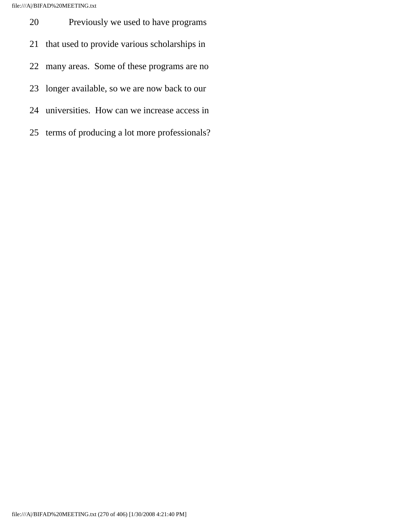20 Previously we used to have programs 21 that used to provide various scholarships in 22 many areas. Some of these programs are no 23 longer available, so we are now back to our 24 universities. How can we increase access in 25 terms of producing a lot more professionals?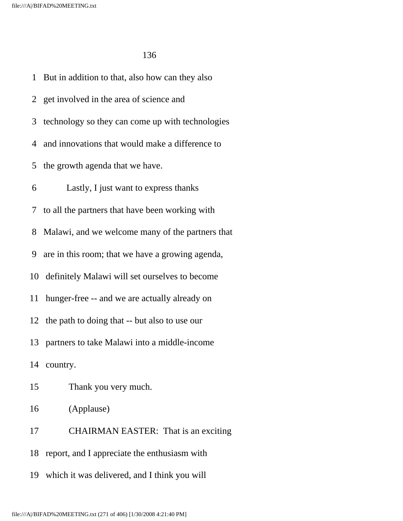1 But in addition to that, also how can they also 2 get involved in the area of science and 3 technology so they can come up with technologies 4 and innovations that would make a difference to 5 the growth agenda that we have. 6 Lastly, I just want to express thanks 7 to all the partners that have been working with 8 Malawi, and we welcome many of the partners that 9 are in this room; that we have a growing agenda, 10 definitely Malawi will set ourselves to become 11 hunger-free -- and we are actually already on 12 the path to doing that -- but also to use our 13 partners to take Malawi into a middle-income 14 country. 15 Thank you very much. 16 (Applause) 17 CHAIRMAN EASTER: That is an exciting 18 report, and I appreciate the enthusiasm with

19 which it was delivered, and I think you will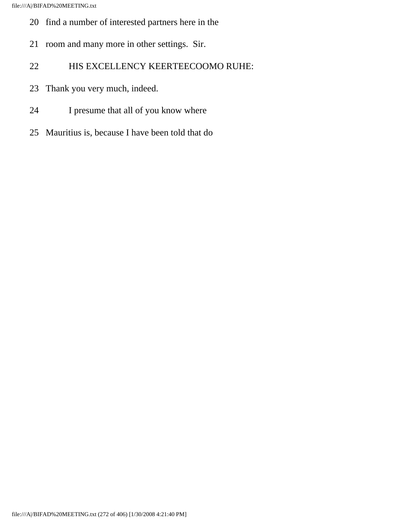- 20 find a number of interested partners here in the
- 21 room and many more in other settings. Sir.
- 22 HIS EXCELLENCY KEERTEECOOMO RUHE:
- 23 Thank you very much, indeed.
- 24 I presume that all of you know where
- 25 Mauritius is, because I have been told that do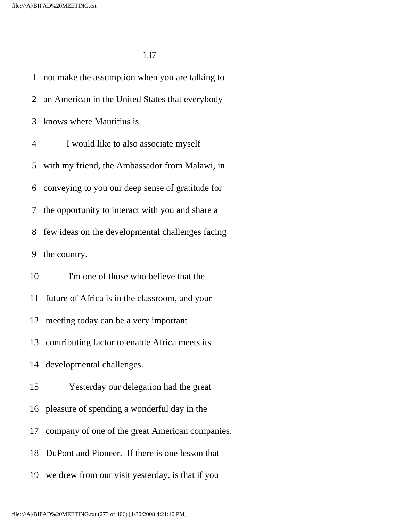1 not make the assumption when you are talking to 2 an American in the United States that everybody 3 knows where Mauritius is. 4 I would like to also associate myself 5 with my friend, the Ambassador from Malawi, in 6 conveying to you our deep sense of gratitude for 7 the opportunity to interact with you and share a 8 few ideas on the developmental challenges facing 9 the country. 10 I'm one of those who believe that the 11 future of Africa is in the classroom, and your 12 meeting today can be a very important 13 contributing factor to enable Africa meets its 14 developmental challenges. 15 Yesterday our delegation had the great 16 pleasure of spending a wonderful day in the 17 company of one of the great American companies, 18 DuPont and Pioneer. If there is one lesson that

19 we drew from our visit yesterday, is that if you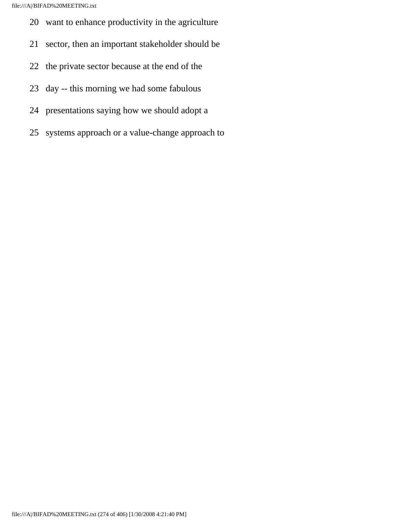- 20 want to enhance productivity in the agriculture
- 21 sector, then an important stakeholder should be
- 22 the private sector because at the end of the
- 23 day -- this morning we had some fabulous
- 24 presentations saying how we should adopt a
- 25 systems approach or a value-change approach to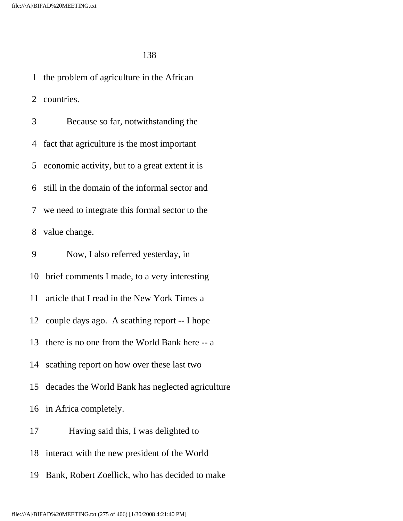1 the problem of agriculture in the African 2 countries. 3 Because so far, notwithstanding the 4 fact that agriculture is the most important 5 economic activity, but to a great extent it is 6 still in the domain of the informal sector and 7 we need to integrate this formal sector to the 8 value change. 9 Now, I also referred yesterday, in

10 brief comments I made, to a very interesting

11 article that I read in the New York Times a

12 couple days ago. A scathing report -- I hope

13 there is no one from the World Bank here -- a

14 scathing report on how over these last two

15 decades the World Bank has neglected agriculture

16 in Africa completely.

17 Having said this, I was delighted to

18 interact with the new president of the World

19 Bank, Robert Zoellick, who has decided to make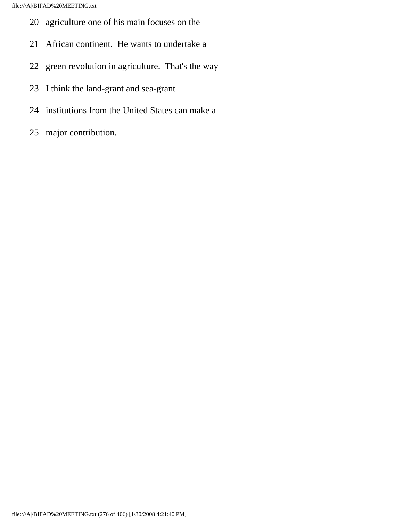- 20 agriculture one of his main focuses on the
- 21 African continent. He wants to undertake a
- 22 green revolution in agriculture. That's the way
- 23 I think the land-grant and sea-grant
- 24 institutions from the United States can make a
- 25 major contribution.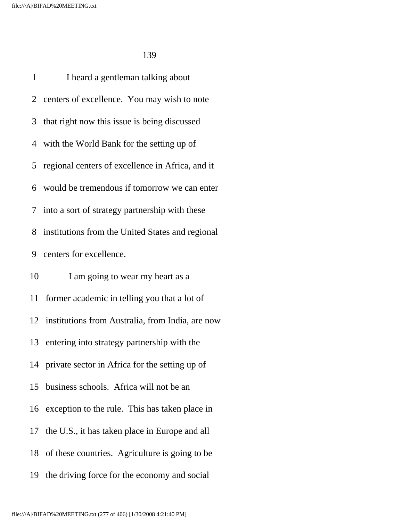1 I heard a gentleman talking about 2 centers of excellence. You may wish to note 3 that right now this issue is being discussed 4 with the World Bank for the setting up of 5 regional centers of excellence in Africa, and it 6 would be tremendous if tomorrow we can enter 7 into a sort of strategy partnership with these 8 institutions from the United States and regional 9 centers for excellence. 10 I am going to wear my heart as a 11 former academic in telling you that a lot of 12 institutions from Australia, from India, are now 13 entering into strategy partnership with the 14 private sector in Africa for the setting up of 15 business schools. Africa will not be an 16 exception to the rule. This has taken place in 17 the U.S., it has taken place in Europe and all 18 of these countries. Agriculture is going to be 19 the driving force for the economy and social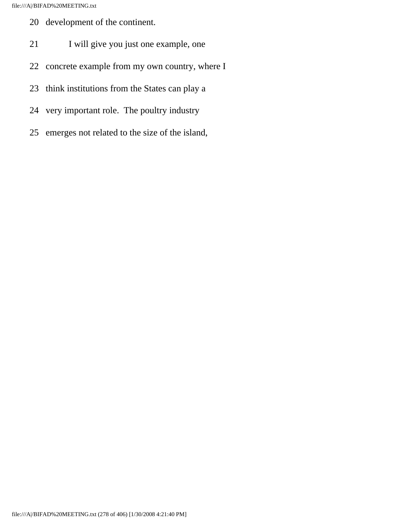- 20 development of the continent.
- 21 I will give you just one example, one
- 22 concrete example from my own country, where I
- 23 think institutions from the States can play a
- 24 very important role. The poultry industry
- 25 emerges not related to the size of the island,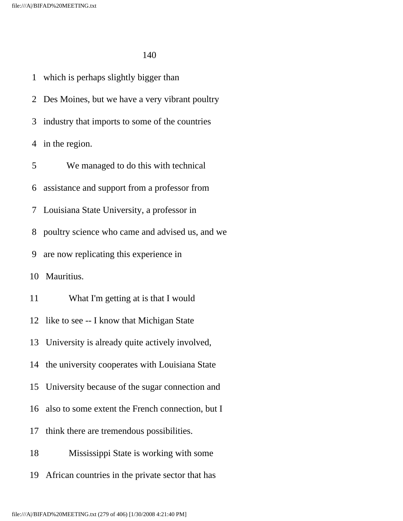1 which is perhaps slightly bigger than 2 Des Moines, but we have a very vibrant poultry 3 industry that imports to some of the countries 4 in the region. 5 We managed to do this with technical 6 assistance and support from a professor from 7 Louisiana State University, a professor in 8 poultry science who came and advised us, and we 9 are now replicating this experience in 10 Mauritius. 11 What I'm getting at is that I would 12 like to see -- I know that Michigan State 13 University is already quite actively involved, 14 the university cooperates with Louisiana State 15 University because of the sugar connection and 16 also to some extent the French connection, but I 17 think there are tremendous possibilities. 18 Mississippi State is working with some 19 African countries in the private sector that has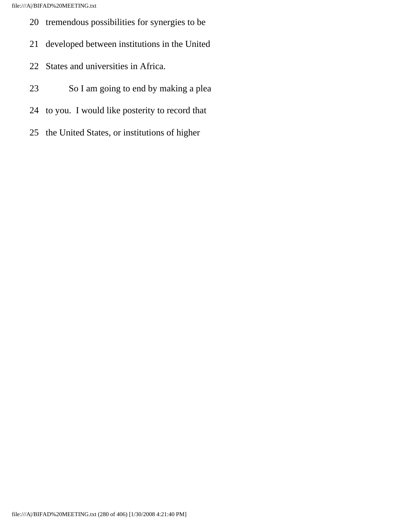- 20 tremendous possibilities for synergies to be
- 21 developed between institutions in the United
- 22 States and universities in Africa.
- 23 So I am going to end by making a plea
- 24 to you. I would like posterity to record that
- 25 the United States, or institutions of higher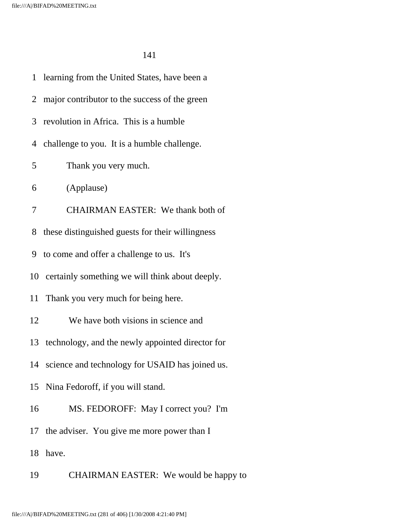|    | 1 learning from the United States, have been a      |
|----|-----------------------------------------------------|
|    | 2 major contributor to the success of the green     |
| 3  | revolution in Africa. This is a humble              |
| 4  | challenge to you. It is a humble challenge.         |
| 5  | Thank you very much.                                |
| 6  | (Applause)                                          |
| 7  | <b>CHAIRMAN EASTER:</b> We thank both of            |
| 8  | these distinguished guests for their willingness    |
| 9  | to come and offer a challenge to us. It's           |
|    | 10 certainly something we will think about deeply.  |
|    | 11 Thank you very much for being here.              |
| 12 | We have both visions in science and                 |
|    | 13 technology, and the newly appointed director for |
|    | 14 science and technology for USAID has joined us.  |
|    | 15 Nina Fedoroff, if you will stand.                |
| 16 | MS. FEDOROFF: May I correct you? I'm                |
|    | 17 the adviser. You give me more power than I       |
| 18 | have.                                               |
| 19 | CHAIRMAN EASTER: We would be happy to               |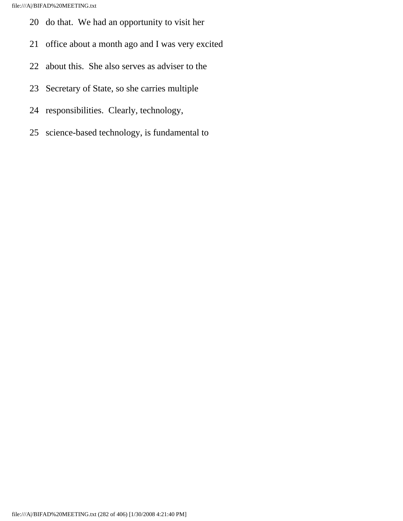- 20 do that. We had an opportunity to visit her
- 21 office about a month ago and I was very excited
- 22 about this. She also serves as adviser to the
- 23 Secretary of State, so she carries multiple
- 24 responsibilities. Clearly, technology,
- 25 science-based technology, is fundamental to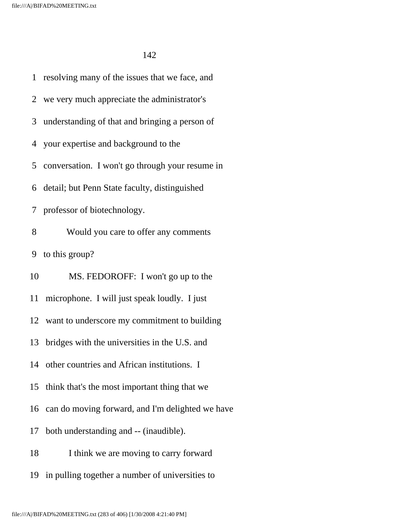1 resolving many of the issues that we face, and 2 we very much appreciate the administrator's 3 understanding of that and bringing a person of 4 your expertise and background to the 5 conversation. I won't go through your resume in 6 detail; but Penn State faculty, distinguished 7 professor of biotechnology. 8 Would you care to offer any comments 9 to this group? 10 MS. FEDOROFF: I won't go up to the 11 microphone. I will just speak loudly. I just 12 want to underscore my commitment to building 13 bridges with the universities in the U.S. and 14 other countries and African institutions. I 15 think that's the most important thing that we 16 can do moving forward, and I'm delighted we have 17 both understanding and -- (inaudible). 18 I think we are moving to carry forward 19 in pulling together a number of universities to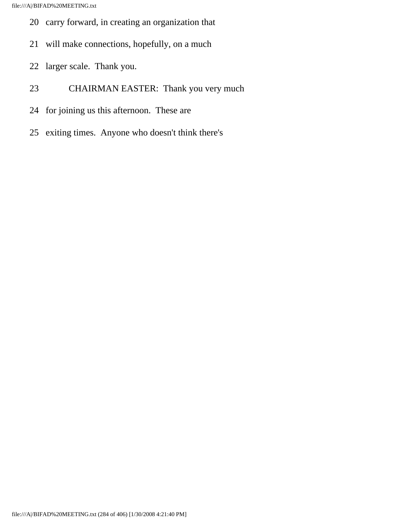- 20 carry forward, in creating an organization that
- 21 will make connections, hopefully, on a much
- 22 larger scale. Thank you.
- 23 CHAIRMAN EASTER: Thank you very much
- 24 for joining us this afternoon. These are
- 25 exiting times. Anyone who doesn't think there's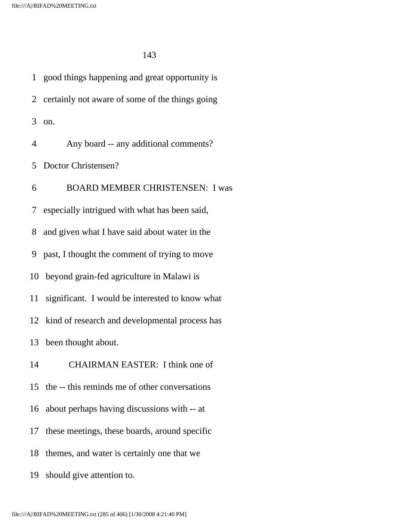1 good things happening and great opportunity is 2 certainly not aware of some of the things going 3 on. 4 Any board -- any additional comments? 5 Doctor Christensen? 6 BOARD MEMBER CHRISTENSEN: I was 7 especially intrigued with what has been said, 8 and given what I have said about water in the 9 past, I thought the comment of trying to move 10 beyond grain-fed agriculture in Malawi is 11 significant. I would be interested to know what 12 kind of research and developmental process has 13 been thought about. 14 CHAIRMAN EASTER: I think one of 15 the -- this reminds me of other conversations 16 about perhaps having discussions with -- at 17 these meetings, these boards, around specific 18 themes, and water is certainly one that we 19 should give attention to.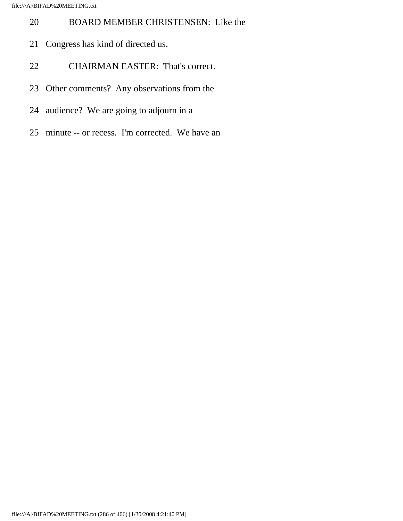## 20 BOARD MEMBER CHRISTENSEN: Like the

- 21 Congress has kind of directed us.
- 22 CHAIRMAN EASTER: That's correct.
- 23 Other comments? Any observations from the
- 24 audience? We are going to adjourn in a
- 25 minute -- or recess. I'm corrected. We have an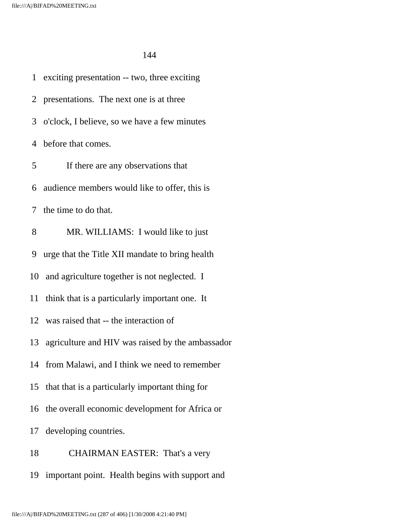1 exciting presentation -- two, three exciting 2 presentations. The next one is at three 3 o'clock, I believe, so we have a few minutes 4 before that comes. 5 If there are any observations that 6 audience members would like to offer, this is 7 the time to do that. 8 MR. WILLIAMS: I would like to just 9 urge that the Title XII mandate to bring health 10 and agriculture together is not neglected. I 11 think that is a particularly important one. It 12 was raised that -- the interaction of 13 agriculture and HIV was raised by the ambassador 14 from Malawi, and I think we need to remember 15 that that is a particularly important thing for 16 the overall economic development for Africa or 17 developing countries. 18 CHAIRMAN EASTER: That's a very 19 important point. Health begins with support and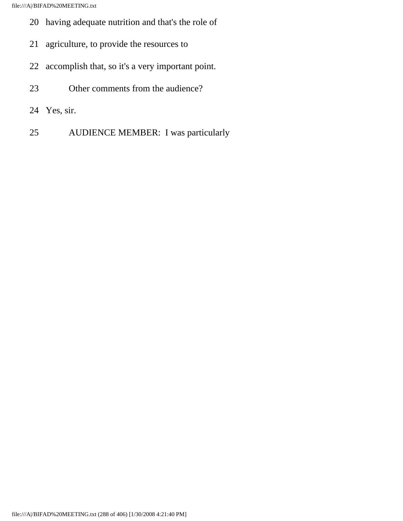- 20 having adequate nutrition and that's the role of
- 21 agriculture, to provide the resources to
- 22 accomplish that, so it's a very important point.
- 23 Other comments from the audience?
- 24 Yes, sir.
- 25 AUDIENCE MEMBER: I was particularly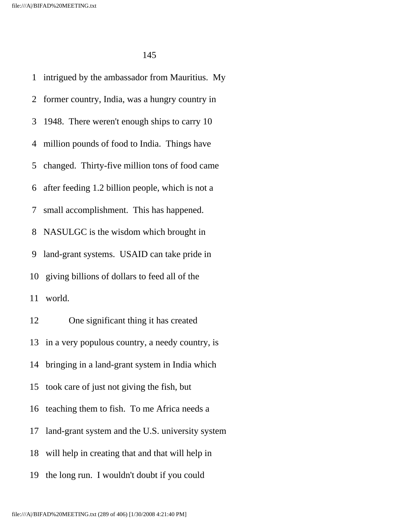1 intrigued by the ambassador from Mauritius. My 2 former country, India, was a hungry country in 3 1948. There weren't enough ships to carry 10 4 million pounds of food to India. Things have 5 changed. Thirty-five million tons of food came 6 after feeding 1.2 billion people, which is not a 7 small accomplishment. This has happened. 8 NASULGC is the wisdom which brought in 9 land-grant systems. USAID can take pride in 10 giving billions of dollars to feed all of the 11 world. 12 One significant thing it has created 13 in a very populous country, a needy country, is 14 bringing in a land-grant system in India which 15 took care of just not giving the fish, but 16 teaching them to fish. To me Africa needs a 17 land-grant system and the U.S. university system 18 will help in creating that and that will help in 19 the long run. I wouldn't doubt if you could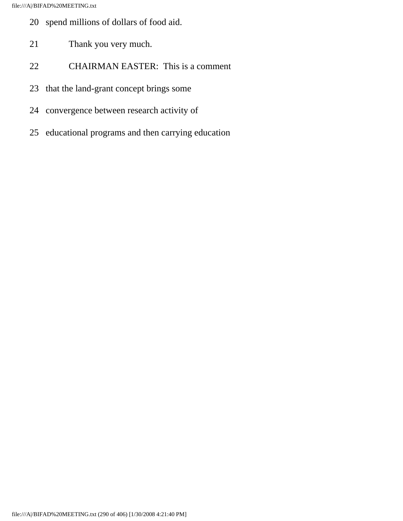- 20 spend millions of dollars of food aid.
- 21 Thank you very much.
- 22 CHAIRMAN EASTER: This is a comment
- 23 that the land-grant concept brings some
- 24 convergence between research activity of
- 25 educational programs and then carrying education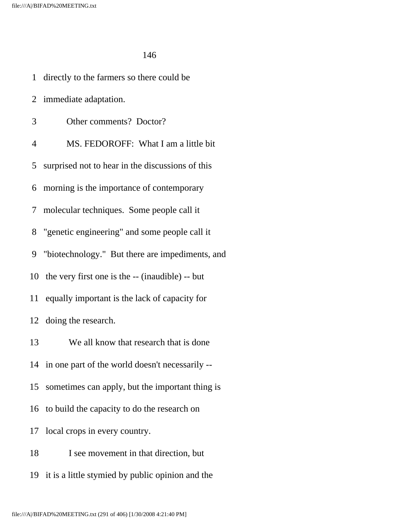1 directly to the farmers so there could be 2 immediate adaptation. 3 Other comments? Doctor? 4 MS. FEDOROFF: What I am a little bit 5 surprised not to hear in the discussions of this 6 morning is the importance of contemporary 7 molecular techniques. Some people call it 8 "genetic engineering" and some people call it 9 "biotechnology." But there are impediments, and 10 the very first one is the -- (inaudible) -- but 11 equally important is the lack of capacity for 12 doing the research. 13 We all know that research that is done 14 in one part of the world doesn't necessarily -- 15 sometimes can apply, but the important thing is 16 to build the capacity to do the research on 17 local crops in every country. 18 I see movement in that direction, but 19 it is a little stymied by public opinion and the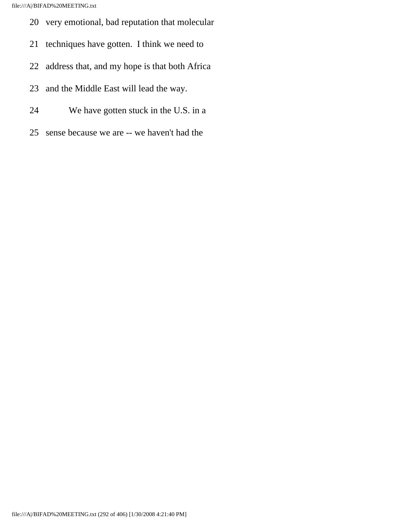- 20 very emotional, bad reputation that molecular
- 21 techniques have gotten. I think we need to
- 22 address that, and my hope is that both Africa
- 23 and the Middle East will lead the way.
- 24 We have gotten stuck in the U.S. in a
- 25 sense because we are -- we haven't had the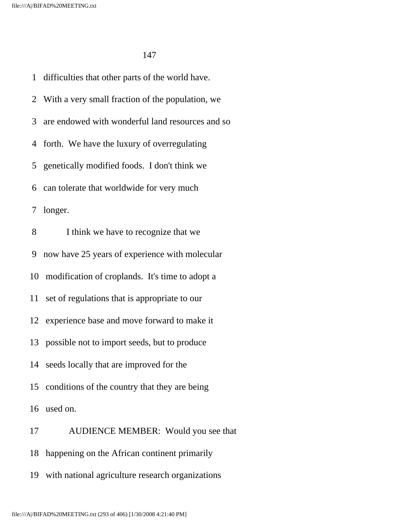1 difficulties that other parts of the world have. 2 With a very small fraction of the population, we 3 are endowed with wonderful land resources and so 4 forth. We have the luxury of overregulating 5 genetically modified foods. I don't think we 6 can tolerate that worldwide for very much 7 longer. 8 I think we have to recognize that we 9 now have 25 years of experience with molecular 10 modification of croplands. It's time to adopt a 11 set of regulations that is appropriate to our 12 experience base and move forward to make it 13 possible not to import seeds, but to produce 14 seeds locally that are improved for the 15 conditions of the country that they are being 16 used on. 17 AUDIENCE MEMBER: Would you see that

18 happening on the African continent primarily

19 with national agriculture research organizations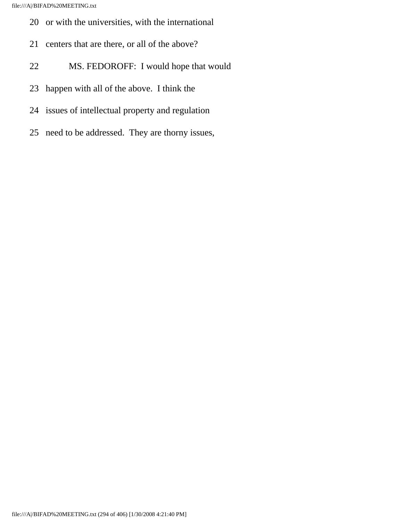- 20 or with the universities, with the international
- 21 centers that are there, or all of the above?
- 22 MS. FEDOROFF: I would hope that would
- 23 happen with all of the above. I think the
- 24 issues of intellectual property and regulation
- 25 need to be addressed. They are thorny issues,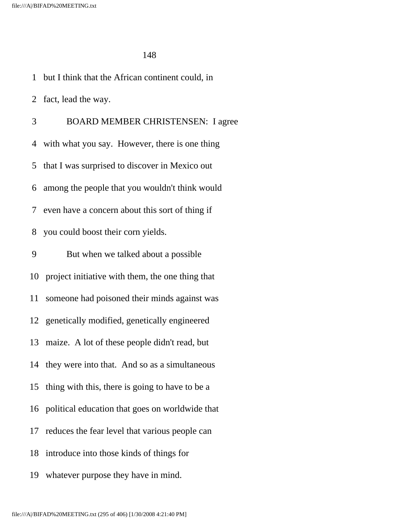1 but I think that the African continent could, in

2 fact, lead the way.

 3 BOARD MEMBER CHRISTENSEN: I agree 4 with what you say. However, there is one thing 5 that I was surprised to discover in Mexico out 6 among the people that you wouldn't think would 7 even have a concern about this sort of thing if 8 you could boost their corn yields. 9 But when we talked about a possible 10 project initiative with them, the one thing that 11 someone had poisoned their minds against was 12 genetically modified, genetically engineered 13 maize. A lot of these people didn't read, but 14 they were into that. And so as a simultaneous 15 thing with this, there is going to have to be a 16 political education that goes on worldwide that 17 reduces the fear level that various people can 18 introduce into those kinds of things for 19 whatever purpose they have in mind.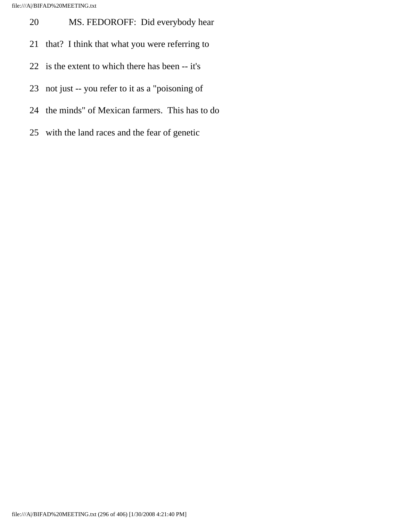- 20 MS. FEDOROFF: Did everybody hear
- 21 that? I think that what you were referring to
- 22 is the extent to which there has been -- it's
- 23 not just -- you refer to it as a "poisoning of
- 24 the minds" of Mexican farmers. This has to do
- 25 with the land races and the fear of genetic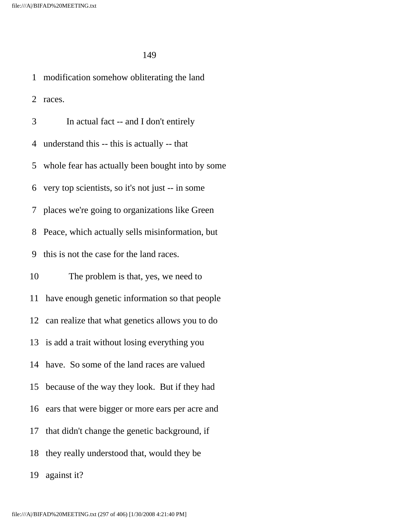1 modification somehow obliterating the land 2 races. 3 In actual fact -- and I don't entirely 4 understand this -- this is actually -- that 5 whole fear has actually been bought into by some 6 very top scientists, so it's not just -- in some 7 places we're going to organizations like Green 8 Peace, which actually sells misinformation, but 9 this is not the case for the land races. 10 The problem is that, yes, we need to 11 have enough genetic information so that people 12 can realize that what genetics allows you to do 13 is add a trait without losing everything you 14 have. So some of the land races are valued 15 because of the way they look. But if they had 16 ears that were bigger or more ears per acre and 17 that didn't change the genetic background, if 18 they really understood that, would they be 19 against it?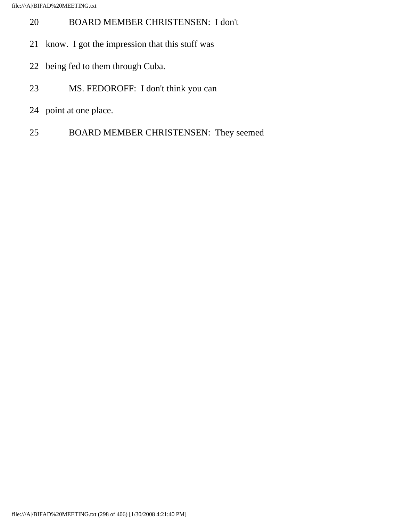- 20 BOARD MEMBER CHRISTENSEN: I don't
- 21 know. I got the impression that this stuff was
- 22 being fed to them through Cuba.
- 23 MS. FEDOROFF: I don't think you can
- 24 point at one place.
- 25 BOARD MEMBER CHRISTENSEN: They seemed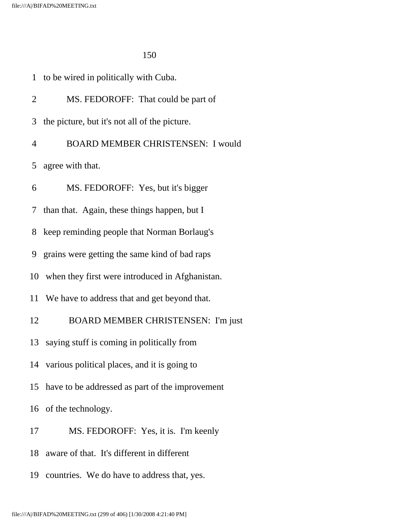| 1              | to be wired in politically with Cuba.              |
|----------------|----------------------------------------------------|
| $\overline{2}$ | MS. FEDOROFF: That could be part of                |
| 3              | the picture, but it's not all of the picture.      |
| 4              | <b>BOARD MEMBER CHRISTENSEN: I would</b>           |
| 5 <sup>1</sup> | agree with that.                                   |
| 6              | MS. FEDOROFF: Yes, but it's bigger                 |
|                | 7 than that. Again, these things happen, but I     |
| 8              | keep reminding people that Norman Borlaug's        |
|                | 9 grains were getting the same kind of bad raps    |
|                | 10 when they first were introduced in Afghanistan. |
|                | 11 We have to address that and get beyond that.    |
| 12             | <b>BOARD MEMBER CHRISTENSEN: I'm just</b>          |
| 13             | saying stuff is coming in politically from         |
|                | 14 various political places, and it is going to    |
| 15             | have to be addressed as part of the improvement    |
|                | 16 of the technology.                              |
| 17             | MS. FEDOROFF: Yes, it is. I'm keenly               |
| 18             | aware of that. It's different in different         |
| 19             | countries. We do have to address that, yes.        |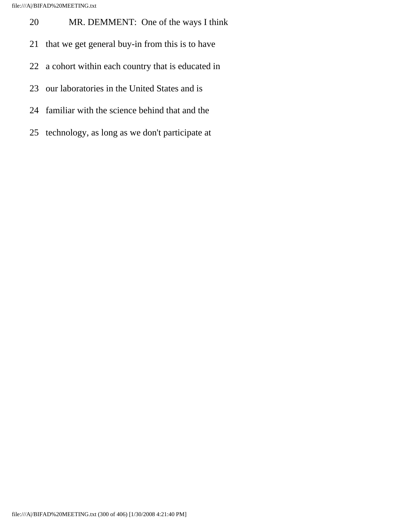- 20 MR. DEMMENT: One of the ways I think
- 21 that we get general buy-in from this is to have
- 22 a cohort within each country that is educated in
- 23 our laboratories in the United States and is
- 24 familiar with the science behind that and the
- 25 technology, as long as we don't participate at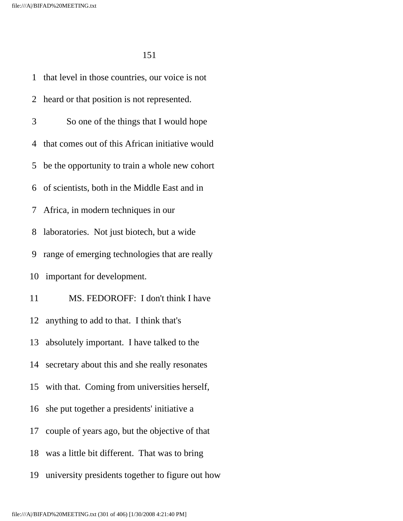1 that level in those countries, our voice is not 2 heard or that position is not represented. 3 So one of the things that I would hope 4 that comes out of this African initiative would 5 be the opportunity to train a whole new cohort 6 of scientists, both in the Middle East and in 7 Africa, in modern techniques in our 8 laboratories. Not just biotech, but a wide 9 range of emerging technologies that are really 10 important for development. 11 MS. FEDOROFF: I don't think I have 12 anything to add to that. I think that's 13 absolutely important. I have talked to the 14 secretary about this and she really resonates 15 with that. Coming from universities herself, 16 she put together a presidents' initiative a 17 couple of years ago, but the objective of that 18 was a little bit different. That was to bring 19 university presidents together to figure out how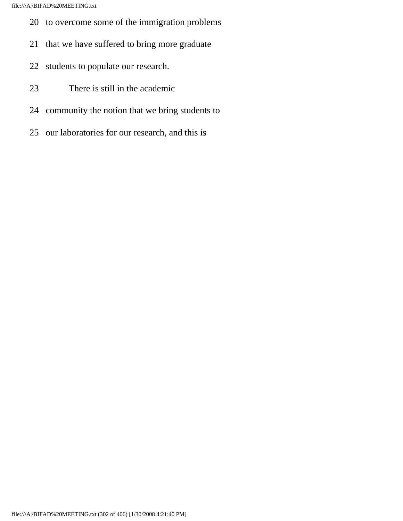- 20 to overcome some of the immigration problems
- 21 that we have suffered to bring more graduate
- 22 students to populate our research.
- 23 There is still in the academic
- 24 community the notion that we bring students to
- 25 our laboratories for our research, and this is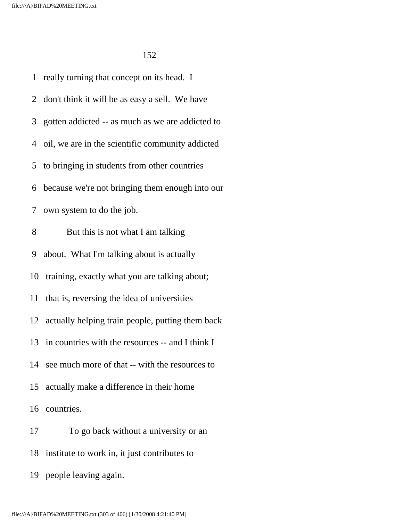1 really turning that concept on its head. I 2 don't think it will be as easy a sell. We have 3 gotten addicted -- as much as we are addicted to 4 oil, we are in the scientific community addicted 5 to bringing in students from other countries 6 because we're not bringing them enough into our 7 own system to do the job. 8 But this is not what I am talking 9 about. What I'm talking about is actually 10 training, exactly what you are talking about; 11 that is, reversing the idea of universities 12 actually helping train people, putting them back 13 in countries with the resources -- and I think I 14 see much more of that -- with the resources to 15 actually make a difference in their home 16 countries. 17 To go back without a university or an 18 institute to work in, it just contributes to

19 people leaving again.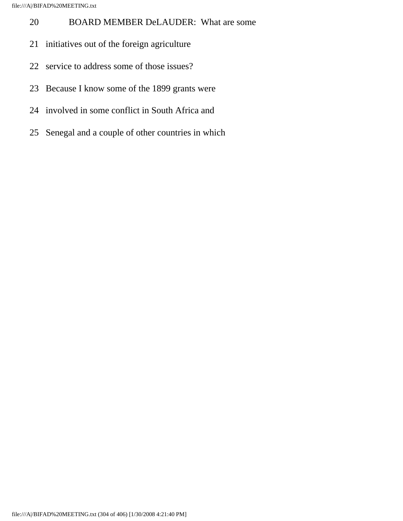- 20 BOARD MEMBER DeLAUDER: What are some
- 21 initiatives out of the foreign agriculture
- 22 service to address some of those issues?
- 23 Because I know some of the 1899 grants were
- 24 involved in some conflict in South Africa and
- 25 Senegal and a couple of other countries in which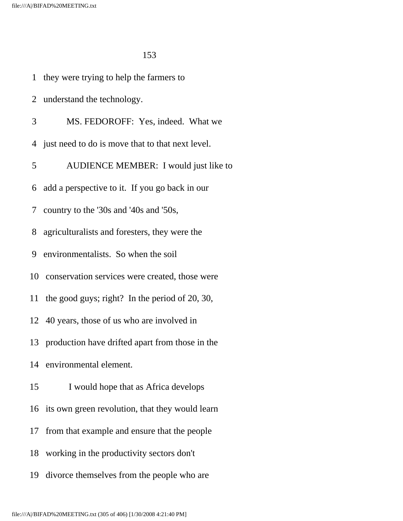1 they were trying to help the farmers to

 2 understand the technology. 3 MS. FEDOROFF: Yes, indeed. What we 4 just need to do is move that to that next level. 5 AUDIENCE MEMBER: I would just like to 6 add a perspective to it. If you go back in our 7 country to the '30s and '40s and '50s, 8 agriculturalists and foresters, they were the 9 environmentalists. So when the soil 10 conservation services were created, those were 11 the good guys; right? In the period of 20, 30, 12 40 years, those of us who are involved in 13 production have drifted apart from those in the 14 environmental element. 15 I would hope that as Africa develops 16 its own green revolution, that they would learn 17 from that example and ensure that the people 18 working in the productivity sectors don't 19 divorce themselves from the people who are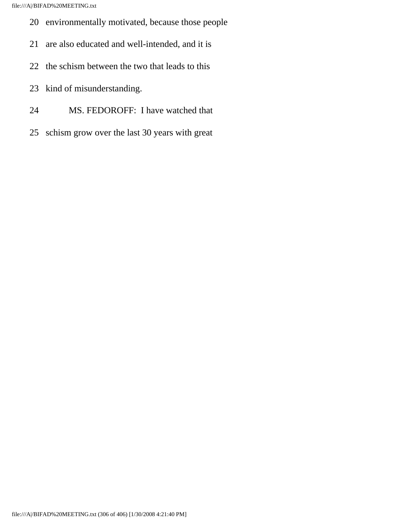- 20 environmentally motivated, because those people
- 21 are also educated and well-intended, and it is
- 22 the schism between the two that leads to this
- 23 kind of misunderstanding.
- 24 MS. FEDOROFF: I have watched that
- 25 schism grow over the last 30 years with great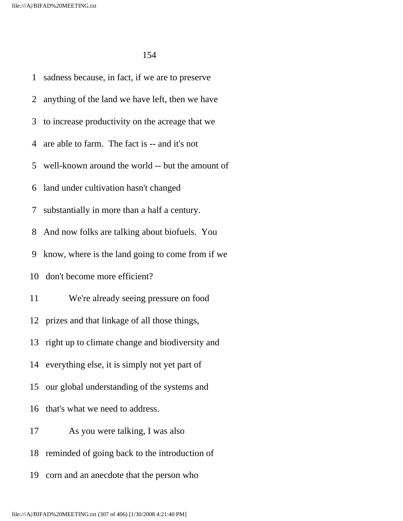1 sadness because, in fact, if we are to preserve 2 anything of the land we have left, then we have 3 to increase productivity on the acreage that we 4 are able to farm. The fact is -- and it's not 5 well-known around the world -- but the amount of 6 land under cultivation hasn't changed 7 substantially in more than a half a century. 8 And now folks are talking about biofuels. You 9 know, where is the land going to come from if we 10 don't become more efficient? 11 We're already seeing pressure on food 12 prizes and that linkage of all those things, 13 right up to climate change and biodiversity and 14 everything else, it is simply not yet part of 15 our global understanding of the systems and 16 that's what we need to address. 17 As you were talking, I was also 18 reminded of going back to the introduction of 19 corn and an anecdote that the person who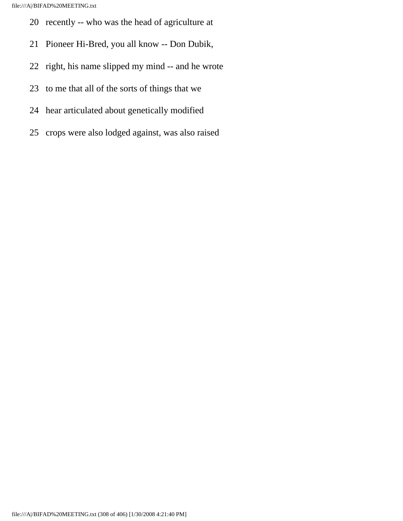- 20 recently -- who was the head of agriculture at
- 21 Pioneer Hi-Bred, you all know -- Don Dubik,
- 22 right, his name slipped my mind -- and he wrote
- 23 to me that all of the sorts of things that we
- 24 hear articulated about genetically modified
- 25 crops were also lodged against, was also raised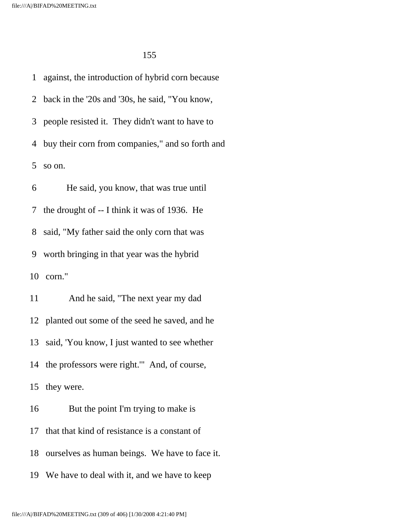1 against, the introduction of hybrid corn because 2 back in the '20s and '30s, he said, "You know, 3 people resisted it. They didn't want to have to 4 buy their corn from companies," and so forth and 5 so on. 6 He said, you know, that was true until 7 the drought of -- I think it was of 1936. He

8 said, "My father said the only corn that was

9 worth bringing in that year was the hybrid

10 corn."

 11 And he said, "The next year my dad 12 planted out some of the seed he saved, and he 13 said, 'You know, I just wanted to see whether 14 the professors were right.'" And, of course, 15 they were. 16 But the point I'm trying to make is 17 that that kind of resistance is a constant of 18 ourselves as human beings. We have to face it.

19 We have to deal with it, and we have to keep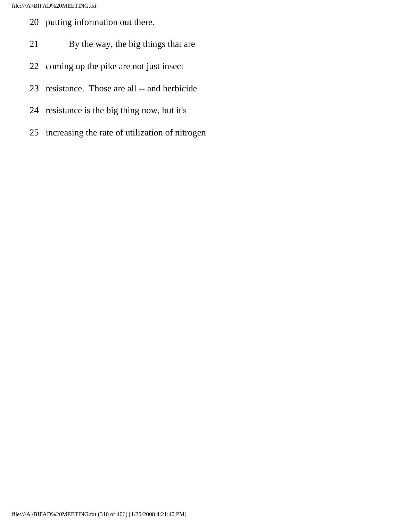- 20 putting information out there.
- 21 By the way, the big things that are
- 22 coming up the pike are not just insect
- 23 resistance. Those are all -- and herbicide
- 24 resistance is the big thing now, but it's
- 25 increasing the rate of utilization of nitrogen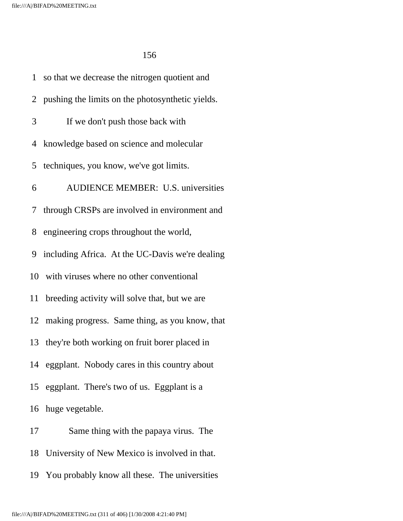1 so that we decrease the nitrogen quotient and 2 pushing the limits on the photosynthetic yields. 3 If we don't push those back with 4 knowledge based on science and molecular 5 techniques, you know, we've got limits. 6 AUDIENCE MEMBER: U.S. universities 7 through CRSPs are involved in environment and 8 engineering crops throughout the world, 9 including Africa. At the UC-Davis we're dealing 10 with viruses where no other conventional 11 breeding activity will solve that, but we are 12 making progress. Same thing, as you know, that 13 they're both working on fruit borer placed in 14 eggplant. Nobody cares in this country about 15 eggplant. There's two of us. Eggplant is a 16 huge vegetable. 17 Same thing with the papaya virus. The 18 University of New Mexico is involved in that.

19 You probably know all these. The universities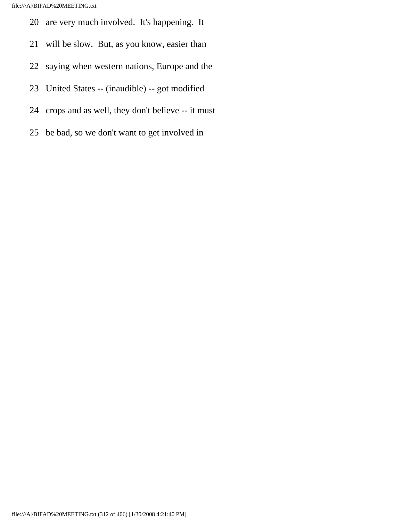- 20 are very much involved. It's happening. It
- 21 will be slow. But, as you know, easier than
- 22 saying when western nations, Europe and the
- 23 United States -- (inaudible) -- got modified
- 24 crops and as well, they don't believe -- it must
- 25 be bad, so we don't want to get involved in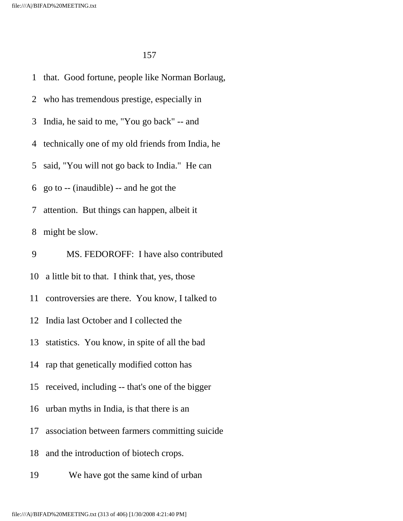1 that. Good fortune, people like Norman Borlaug, 2 who has tremendous prestige, especially in 3 India, he said to me, "You go back" -- and 4 technically one of my old friends from India, he 5 said, "You will not go back to India." He can 6 go to -- (inaudible) -- and he got the 7 attention. But things can happen, albeit it 8 might be slow. 9 MS. FEDOROFF: I have also contributed 10 a little bit to that. I think that, yes, those 11 controversies are there. You know, I talked to 12 India last October and I collected the 13 statistics. You know, in spite of all the bad 14 rap that genetically modified cotton has 15 received, including -- that's one of the bigger 16 urban myths in India, is that there is an 17 association between farmers committing suicide 18 and the introduction of biotech crops. 19 We have got the same kind of urban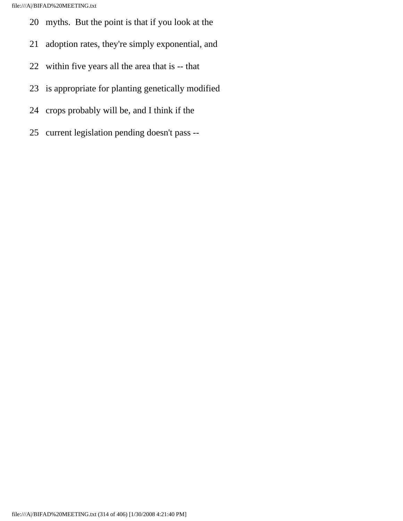- 20 myths. But the point is that if you look at the
- 21 adoption rates, they're simply exponential, and
- 22 within five years all the area that is -- that
- 23 is appropriate for planting genetically modified
- 24 crops probably will be, and I think if the
- 25 current legislation pending doesn't pass --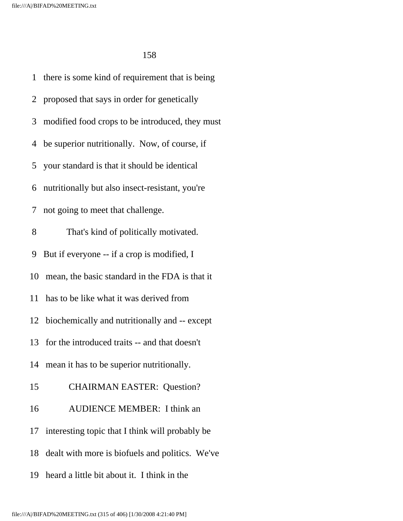1 there is some kind of requirement that is being 2 proposed that says in order for genetically 3 modified food crops to be introduced, they must 4 be superior nutritionally. Now, of course, if 5 your standard is that it should be identical 6 nutritionally but also insect-resistant, you're 7 not going to meet that challenge. 8 That's kind of politically motivated. 9 But if everyone -- if a crop is modified, I 10 mean, the basic standard in the FDA is that it 11 has to be like what it was derived from 12 biochemically and nutritionally and -- except 13 for the introduced traits -- and that doesn't 14 mean it has to be superior nutritionally. 15 CHAIRMAN EASTER: Question? 16 AUDIENCE MEMBER: I think an 17 interesting topic that I think will probably be 18 dealt with more is biofuels and politics. We've 19 heard a little bit about it. I think in the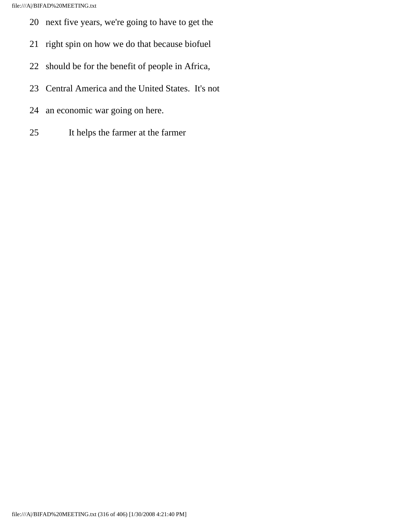- 20 next five years, we're going to have to get the
- 21 right spin on how we do that because biofuel
- 22 should be for the benefit of people in Africa,
- 23 Central America and the United States. It's not
- 24 an economic war going on here.
- 25 It helps the farmer at the farmer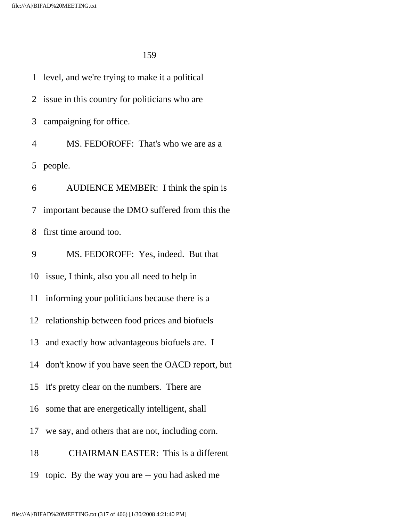1 level, and we're trying to make it a political 2 issue in this country for politicians who are 3 campaigning for office. 4 MS. FEDOROFF: That's who we are as a 5 people. 6 AUDIENCE MEMBER: I think the spin is 7 important because the DMO suffered from this the 8 first time around too. 9 MS. FEDOROFF: Yes, indeed. But that 10 issue, I think, also you all need to help in 11 informing your politicians because there is a 12 relationship between food prices and biofuels 13 and exactly how advantageous biofuels are. I 14 don't know if you have seen the OACD report, but 15 it's pretty clear on the numbers. There are 16 some that are energetically intelligent, shall 17 we say, and others that are not, including corn. 18 CHAIRMAN EASTER: This is a different 19 topic. By the way you are -- you had asked me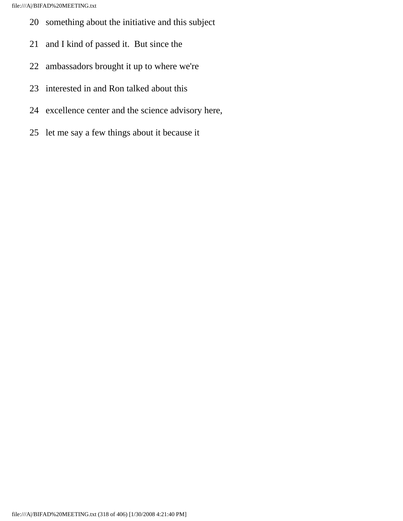- 20 something about the initiative and this subject
- 21 and I kind of passed it. But since the
- 22 ambassadors brought it up to where we're
- 23 interested in and Ron talked about this
- 24 excellence center and the science advisory here,
- 25 let me say a few things about it because it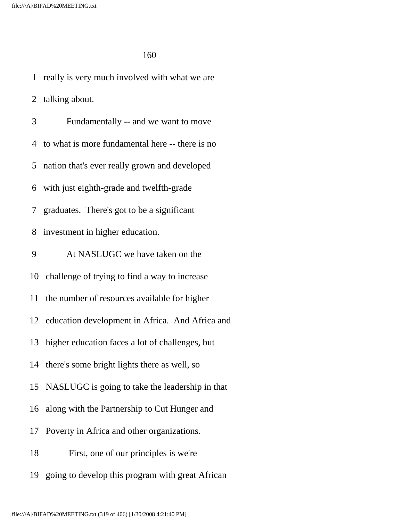1 really is very much involved with what we are 2 talking about. 3 Fundamentally -- and we want to move 4 to what is more fundamental here -- there is no 5 nation that's ever really grown and developed 6 with just eighth-grade and twelfth-grade 7 graduates. There's got to be a significant 8 investment in higher education. 9 At NASLUGC we have taken on the 10 challenge of trying to find a way to increase 11 the number of resources available for higher 12 education development in Africa. And Africa and 13 higher education faces a lot of challenges, but 14 there's some bright lights there as well, so 15 NASLUGC is going to take the leadership in that 16 along with the Partnership to Cut Hunger and 17 Poverty in Africa and other organizations. 18 First, one of our principles is we're 19 going to develop this program with great African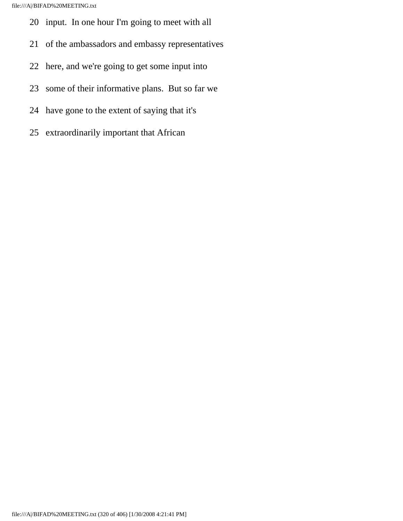- 20 input. In one hour I'm going to meet with all
- 21 of the ambassadors and embassy representatives
- 22 here, and we're going to get some input into
- 23 some of their informative plans. But so far we
- 24 have gone to the extent of saying that it's
- 25 extraordinarily important that African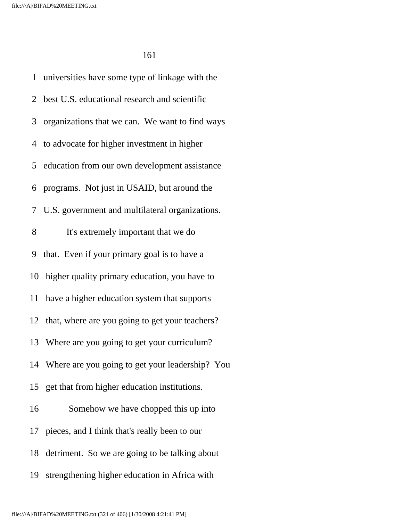1 universities have some type of linkage with the 2 best U.S. educational research and scientific 3 organizations that we can. We want to find ways 4 to advocate for higher investment in higher 5 education from our own development assistance 6 programs. Not just in USAID, but around the 7 U.S. government and multilateral organizations. 8 It's extremely important that we do 9 that. Even if your primary goal is to have a 10 higher quality primary education, you have to 11 have a higher education system that supports 12 that, where are you going to get your teachers? 13 Where are you going to get your curriculum? 14 Where are you going to get your leadership? You 15 get that from higher education institutions. 16 Somehow we have chopped this up into 17 pieces, and I think that's really been to our 18 detriment. So we are going to be talking about 19 strengthening higher education in Africa with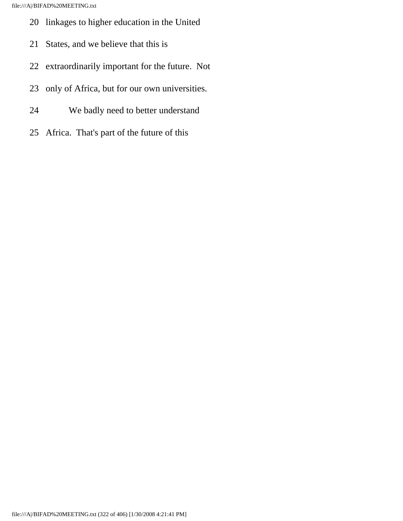- 20 linkages to higher education in the United
- 21 States, and we believe that this is
- 22 extraordinarily important for the future. Not
- 23 only of Africa, but for our own universities.
- 24 We badly need to better understand
- 25 Africa. That's part of the future of this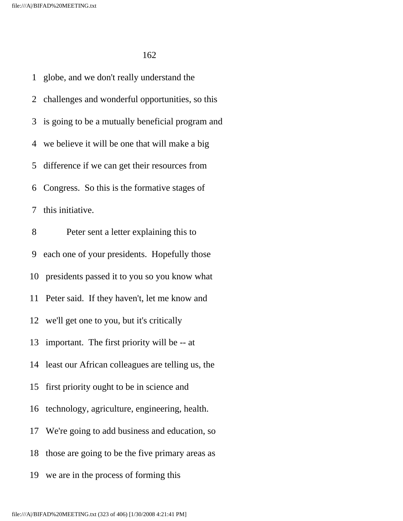1 globe, and we don't really understand the 2 challenges and wonderful opportunities, so this 3 is going to be a mutually beneficial program and 4 we believe it will be one that will make a big 5 difference if we can get their resources from 6 Congress. So this is the formative stages of 7 this initiative. 8 Peter sent a letter explaining this to 9 each one of your presidents. Hopefully those 10 presidents passed it to you so you know what 11 Peter said. If they haven't, let me know and 12 we'll get one to you, but it's critically 13 important. The first priority will be -- at 14 least our African colleagues are telling us, the 15 first priority ought to be in science and 16 technology, agriculture, engineering, health. 17 We're going to add business and education, so 18 those are going to be the five primary areas as 19 we are in the process of forming this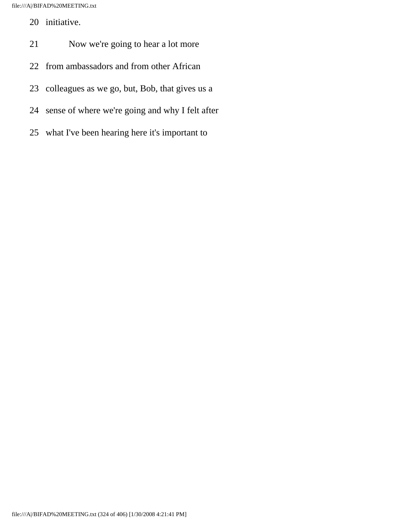- 20 initiative.
- 21 Now we're going to hear a lot more
- 22 from ambassadors and from other African
- 23 colleagues as we go, but, Bob, that gives us a
- 24 sense of where we're going and why I felt after
- 25 what I've been hearing here it's important to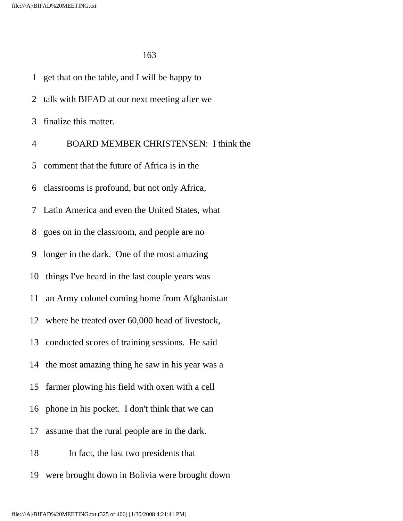|                | 1 get that on the table, and I will be happy to    |
|----------------|----------------------------------------------------|
| 2              | talk with BIFAD at our next meeting after we       |
| 3              | finalize this matter.                              |
| 4              | <b>BOARD MEMBER CHRISTENSEN: I think the</b>       |
| 5 <sup>5</sup> | comment that the future of Africa is in the        |
|                | 6 classrooms is profound, but not only Africa,     |
| 7 <sup>7</sup> | Latin America and even the United States, what     |
| 8              | goes on in the classroom, and people are no        |
| 9              | longer in the dark. One of the most amazing        |
|                | 10 things I've heard in the last couple years was  |
|                | 11 an Army colonel coming home from Afghanistan    |
|                | 12 where he treated over 60,000 head of livestock, |
|                | 13 conducted scores of training sessions. He said  |
|                | 14 the most amazing thing he saw in his year was a |
| 15             | farmer plowing his field with oxen with a cell     |
|                | 16 phone in his pocket. I don't think that we can  |
| 17             | assume that the rural people are in the dark.      |
| 18             | In fact, the last two presidents that              |
| 19             | were brought down in Bolivia were brought down     |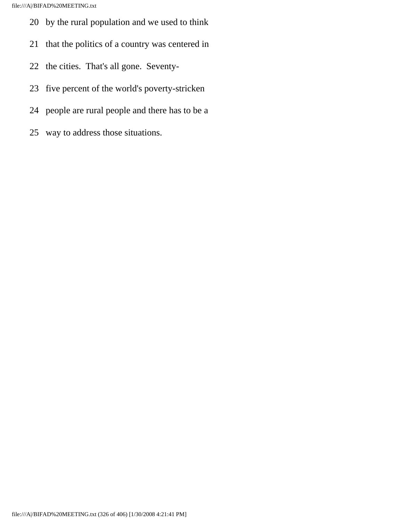- 20 by the rural population and we used to think
- 21 that the politics of a country was centered in
- 22 the cities. That's all gone. Seventy-
- 23 five percent of the world's poverty-stricken
- 24 people are rural people and there has to be a
- 25 way to address those situations.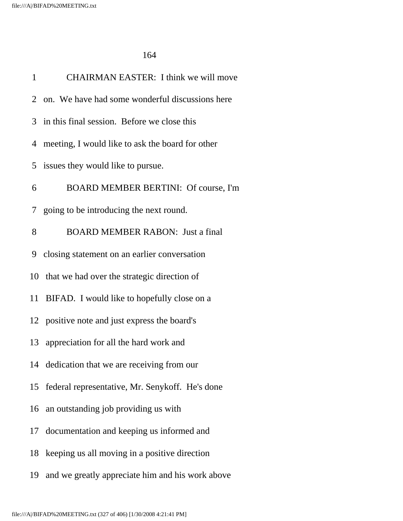| $\mathbf{1}$ | CHAIRMAN EASTER: I think we will move             |
|--------------|---------------------------------------------------|
|              | 2 on. We have had some wonderful discussions here |
|              | 3 in this final session. Before we close this     |
| 4            | meeting, I would like to ask the board for other  |
| 5            | issues they would like to pursue.                 |
| 6            | BOARD MEMBER BERTINI: Of course, I'm              |
|              | 7 going to be introducing the next round.         |
| 8            | <b>BOARD MEMBER RABON: Just a final</b>           |
| 9            | closing statement on an earlier conversation      |
|              | 10 that we had over the strategic direction of    |
| 11           | BIFAD. I would like to hopefully close on a       |
|              | 12 positive note and just express the board's     |
| 13           | appreciation for all the hard work and            |
|              | 14 dedication that we are receiving from our      |
| 15           | federal representative, Mr. Senykoff. He's done   |
|              | 16 an outstanding job providing us with           |
| 17           | documentation and keeping us informed and         |
| 18           | keeping us all moving in a positive direction     |
| 19           | and we greatly appreciate him and his work above  |
|              |                                                   |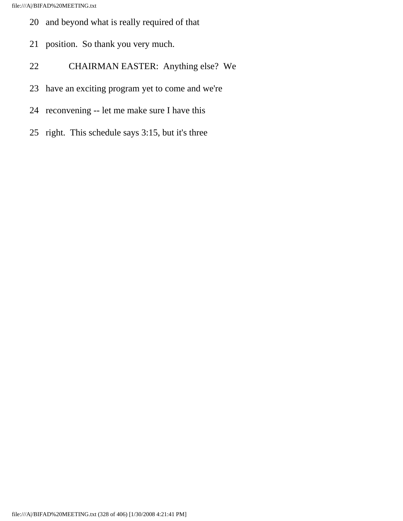- 20 and beyond what is really required of that
- 21 position. So thank you very much.
- 22 CHAIRMAN EASTER: Anything else? We
- 23 have an exciting program yet to come and we're
- 24 reconvening -- let me make sure I have this
- 25 right. This schedule says 3:15, but it's three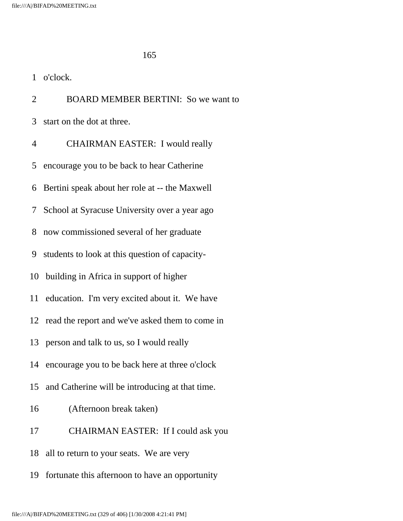2 BOARD MEMBER BERTINI: So we want to 3 start on the dot at three. 4 CHAIRMAN EASTER: I would really 5 encourage you to be back to hear Catherine 6 Bertini speak about her role at -- the Maxwell 7 School at Syracuse University over a year ago 8 now commissioned several of her graduate 9 students to look at this question of capacity- 10 building in Africa in support of higher 11 education. I'm very excited about it. We have 12 read the report and we've asked them to come in 13 person and talk to us, so I would really 14 encourage you to be back here at three o'clock 15 and Catherine will be introducing at that time. 16 (Afternoon break taken) 17 CHAIRMAN EASTER: If I could ask you 18 all to return to your seats. We are very 19 fortunate this afternoon to have an opportunity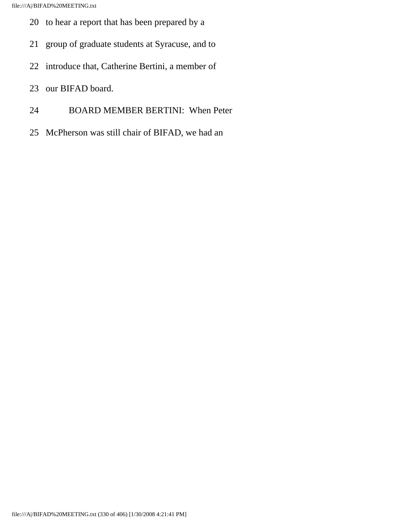- 20 to hear a report that has been prepared by a
- 21 group of graduate students at Syracuse, and to
- 22 introduce that, Catherine Bertini, a member of
- 23 our BIFAD board.
- 24 BOARD MEMBER BERTINI: When Peter
- 25 McPherson was still chair of BIFAD, we had an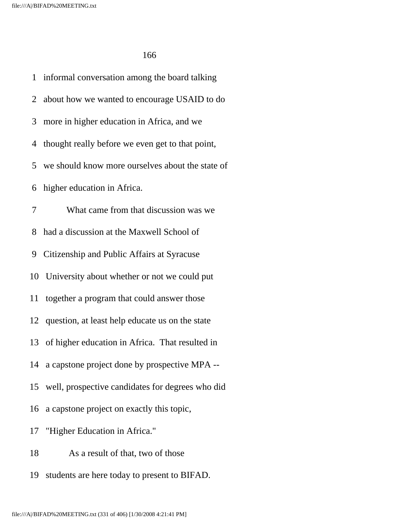1 informal conversation among the board talking 2 about how we wanted to encourage USAID to do 3 more in higher education in Africa, and we 4 thought really before we even get to that point, 5 we should know more ourselves about the state of 6 higher education in Africa. 7 What came from that discussion was we 8 had a discussion at the Maxwell School of 9 Citizenship and Public Affairs at Syracuse 10 University about whether or not we could put 11 together a program that could answer those 12 question, at least help educate us on the state 13 of higher education in Africa. That resulted in 14 a capstone project done by prospective MPA -- 15 well, prospective candidates for degrees who did 16 a capstone project on exactly this topic, 17 "Higher Education in Africa." 18 As a result of that, two of those 19 students are here today to present to BIFAD.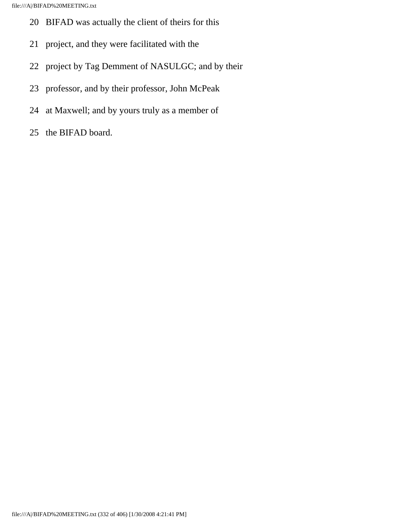- 20 BIFAD was actually the client of theirs for this
- 21 project, and they were facilitated with the
- 22 project by Tag Demment of NASULGC; and by their
- 23 professor, and by their professor, John McPeak
- 24 at Maxwell; and by yours truly as a member of
- 25 the BIFAD board.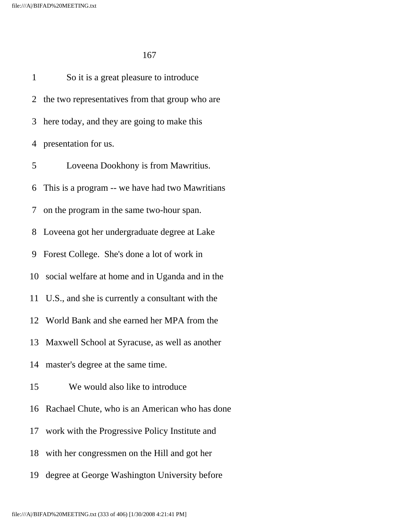1 So it is a great pleasure to introduce 2 the two representatives from that group who are 3 here today, and they are going to make this 4 presentation for us. 5 Loveena Dookhony is from Mawritius. 6 This is a program -- we have had two Mawritians 7 on the program in the same two-hour span. 8 Loveena got her undergraduate degree at Lake 9 Forest College. She's done a lot of work in 10 social welfare at home and in Uganda and in the 11 U.S., and she is currently a consultant with the 12 World Bank and she earned her MPA from the 13 Maxwell School at Syracuse, as well as another 14 master's degree at the same time. 15 We would also like to introduce 16 Rachael Chute, who is an American who has done 17 work with the Progressive Policy Institute and 18 with her congressmen on the Hill and got her 19 degree at George Washington University before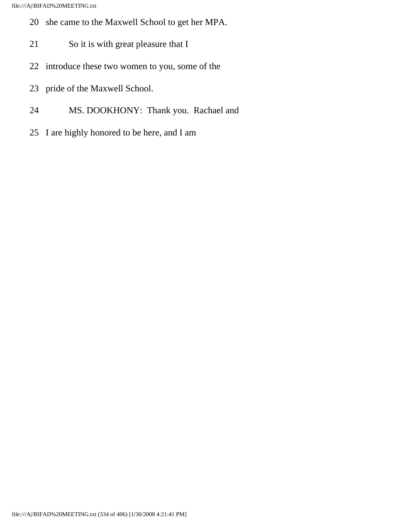- 20 she came to the Maxwell School to get her MPA.
- 21 So it is with great pleasure that I
- 22 introduce these two women to you, some of the
- 23 pride of the Maxwell School.
- 24 MS. DOOKHONY: Thank you. Rachael and
- 25 I are highly honored to be here, and I am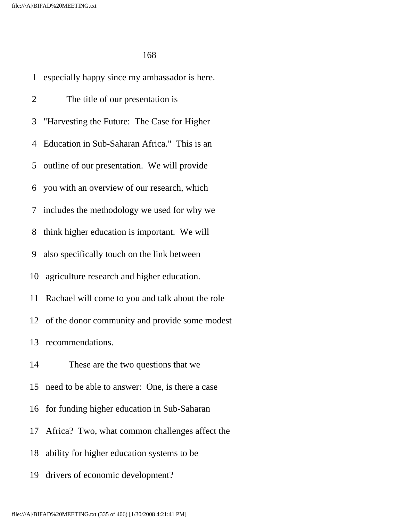1 especially happy since my ambassador is here. 2 The title of our presentation is 3 "Harvesting the Future: The Case for Higher 4 Education in Sub-Saharan Africa." This is an 5 outline of our presentation. We will provide 6 you with an overview of our research, which 7 includes the methodology we used for why we 8 think higher education is important. We will 9 also specifically touch on the link between 10 agriculture research and higher education. 11 Rachael will come to you and talk about the role 12 of the donor community and provide some modest 13 recommendations. 14 These are the two questions that we 15 need to be able to answer: One, is there a case 16 for funding higher education in Sub-Saharan 17 Africa? Two, what common challenges affect the 18 ability for higher education systems to be 19 drivers of economic development?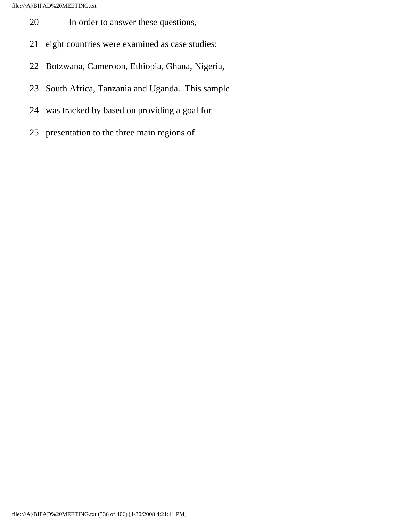- 20 In order to answer these questions,
- 21 eight countries were examined as case studies:
- 22 Botzwana, Cameroon, Ethiopia, Ghana, Nigeria,
- 23 South Africa, Tanzania and Uganda. This sample
- 24 was tracked by based on providing a goal for
- 25 presentation to the three main regions of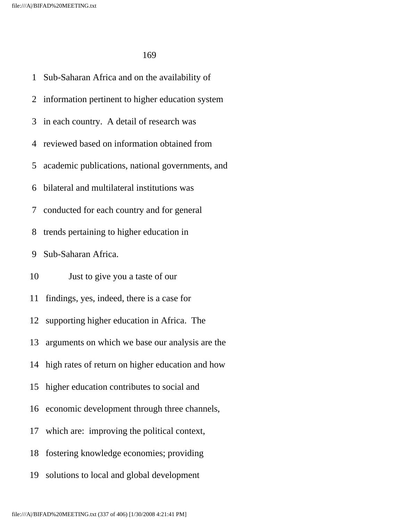1 Sub-Saharan Africa and on the availability of 2 information pertinent to higher education system 3 in each country. A detail of research was 4 reviewed based on information obtained from 5 academic publications, national governments, and 6 bilateral and multilateral institutions was 7 conducted for each country and for general 8 trends pertaining to higher education in 9 Sub-Saharan Africa. 10 Just to give you a taste of our 11 findings, yes, indeed, there is a case for 12 supporting higher education in Africa. The 13 arguments on which we base our analysis are the 14 high rates of return on higher education and how 15 higher education contributes to social and 16 economic development through three channels, 17 which are: improving the political context, 18 fostering knowledge economies; providing 19 solutions to local and global development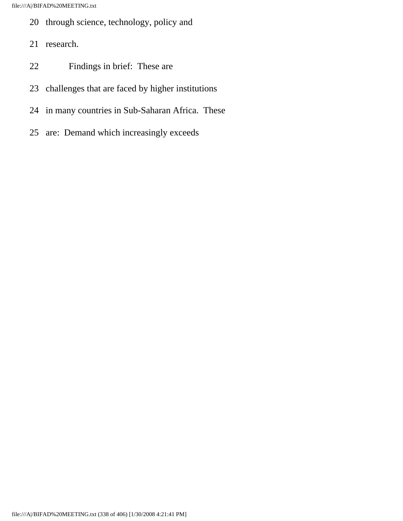- 20 through science, technology, policy and
- 21 research.
- 22 Findings in brief: These are
- 23 challenges that are faced by higher institutions
- 24 in many countries in Sub-Saharan Africa. These
- 25 are: Demand which increasingly exceeds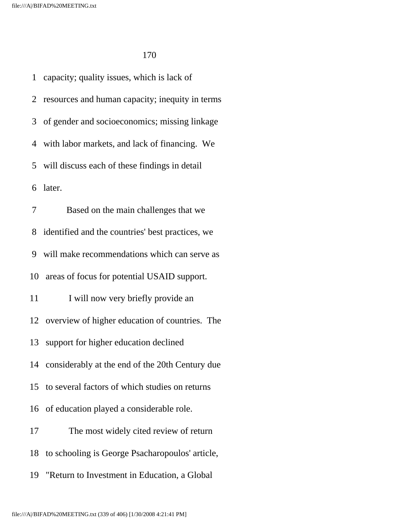1 capacity; quality issues, which is lack of 2 resources and human capacity; inequity in terms 3 of gender and socioeconomics; missing linkage 4 with labor markets, and lack of financing. We 5 will discuss each of these findings in detail 6 later. 7 Based on the main challenges that we 8 identified and the countries' best practices, we 9 will make recommendations which can serve as 10 areas of focus for potential USAID support. 11 I will now very briefly provide an 12 overview of higher education of countries. The 13 support for higher education declined 14 considerably at the end of the 20th Century due 15 to several factors of which studies on returns 16 of education played a considerable role. 17 The most widely cited review of return 18 to schooling is George Psacharopoulos' article, 19 "Return to Investment in Education, a Global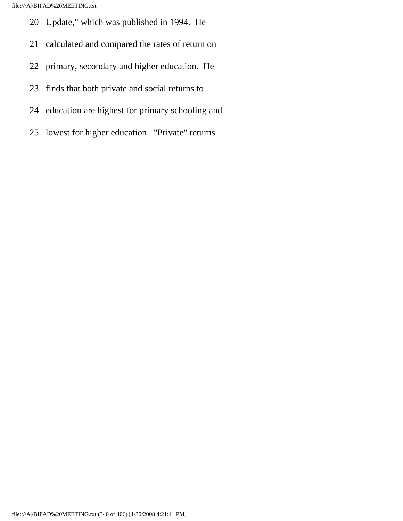file:///A|/BIFAD%20MEETING.txt

- 20 Update," which was published in 1994. He
- 21 calculated and compared the rates of return on
- 22 primary, secondary and higher education. He
- 23 finds that both private and social returns to
- 24 education are highest for primary schooling and
- 25 lowest for higher education. "Private" returns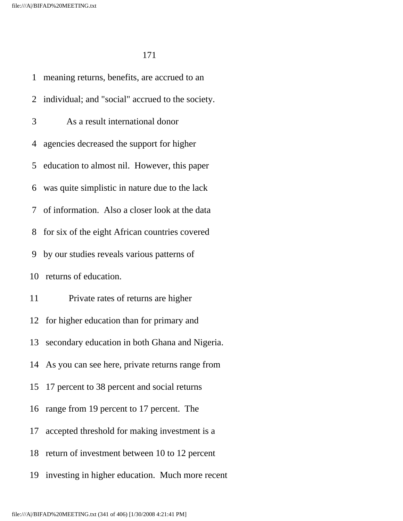1 meaning returns, benefits, are accrued to an 2 individual; and "social" accrued to the society. 3 As a result international donor 4 agencies decreased the support for higher 5 education to almost nil. However, this paper 6 was quite simplistic in nature due to the lack 7 of information. Also a closer look at the data 8 for six of the eight African countries covered 9 by our studies reveals various patterns of 10 returns of education. 11 Private rates of returns are higher 12 for higher education than for primary and 13 secondary education in both Ghana and Nigeria. 14 As you can see here, private returns range from 15 17 percent to 38 percent and social returns 16 range from 19 percent to 17 percent. The 17 accepted threshold for making investment is a 18 return of investment between 10 to 12 percent 19 investing in higher education. Much more recent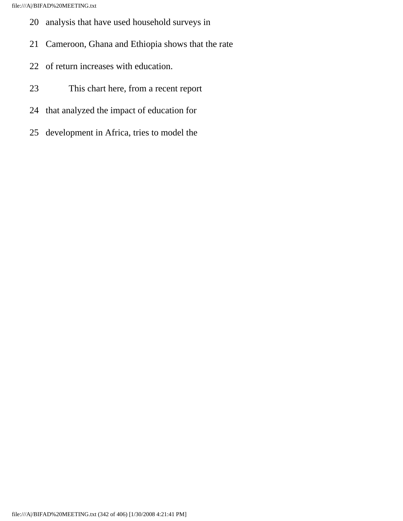- 20 analysis that have used household surveys in
- 21 Cameroon, Ghana and Ethiopia shows that the rate
- 22 of return increases with education.
- 23 This chart here, from a recent report
- 24 that analyzed the impact of education for
- 25 development in Africa, tries to model the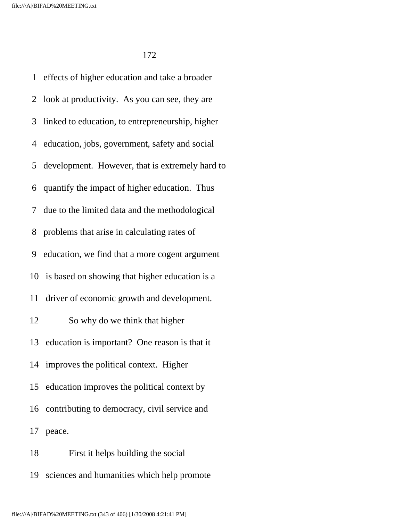file:///A|/BIFAD%20MEETING.txt

172

 1 effects of higher education and take a broader 2 look at productivity. As you can see, they are 3 linked to education, to entrepreneurship, higher 4 education, jobs, government, safety and social 5 development. However, that is extremely hard to 6 quantify the impact of higher education. Thus 7 due to the limited data and the methodological 8 problems that arise in calculating rates of 9 education, we find that a more cogent argument 10 is based on showing that higher education is a 11 driver of economic growth and development. 12 So why do we think that higher 13 education is important? One reason is that it 14 improves the political context. Higher 15 education improves the political context by 16 contributing to democracy, civil service and 17 peace. 18 First it helps building the social

19 sciences and humanities which help promote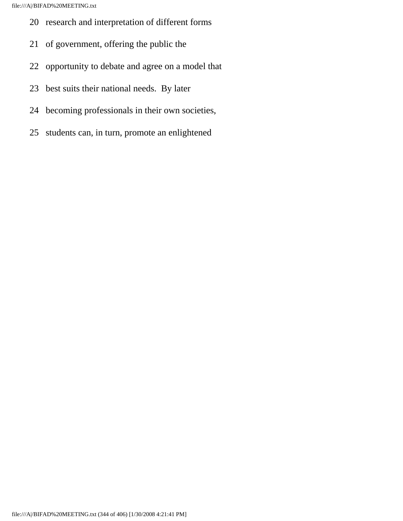- 20 research and interpretation of different forms
- 21 of government, offering the public the
- 22 opportunity to debate and agree on a model that
- 23 best suits their national needs. By later
- 24 becoming professionals in their own societies,
- 25 students can, in turn, promote an enlightened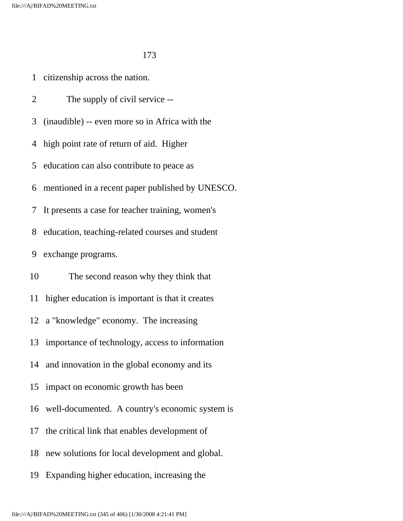1 citizenship across the nation.

2 The supply of civil service --

3 (inaudible) -- even more so in Africa with the

4 high point rate of return of aid. Higher

5 education can also contribute to peace as

6 mentioned in a recent paper published by UNESCO.

7 It presents a case for teacher training, women's

8 education, teaching-related courses and student

9 exchange programs.

10 The second reason why they think that

11 higher education is important is that it creates

12 a "knowledge" economy. The increasing

13 importance of technology, access to information

14 and innovation in the global economy and its

15 impact on economic growth has been

16 well-documented. A country's economic system is

17 the critical link that enables development of

18 new solutions for local development and global.

19 Expanding higher education, increasing the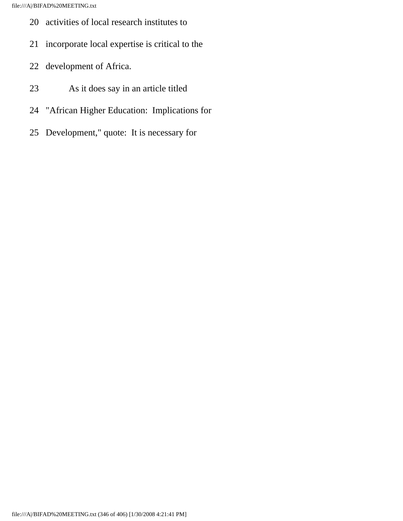- 20 activities of local research institutes to
- 21 incorporate local expertise is critical to the
- 22 development of Africa.
- 23 As it does say in an article titled
- 24 "African Higher Education: Implications for
- 25 Development," quote: It is necessary for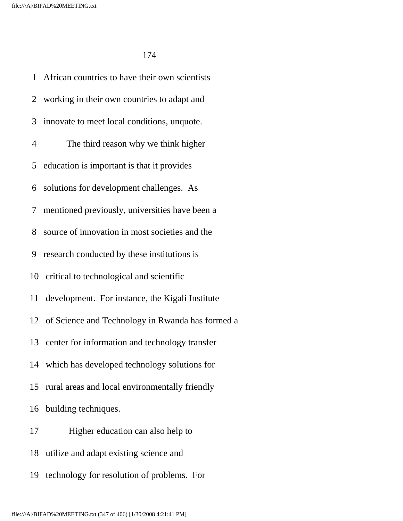1 African countries to have their own scientists 2 working in their own countries to adapt and 3 innovate to meet local conditions, unquote. 4 The third reason why we think higher 5 education is important is that it provides 6 solutions for development challenges. As 7 mentioned previously, universities have been a 8 source of innovation in most societies and the 9 research conducted by these institutions is 10 critical to technological and scientific 11 development. For instance, the Kigali Institute 12 of Science and Technology in Rwanda has formed a 13 center for information and technology transfer 14 which has developed technology solutions for 15 rural areas and local environmentally friendly 16 building techniques. 17 Higher education can also help to 18 utilize and adapt existing science and

19 technology for resolution of problems. For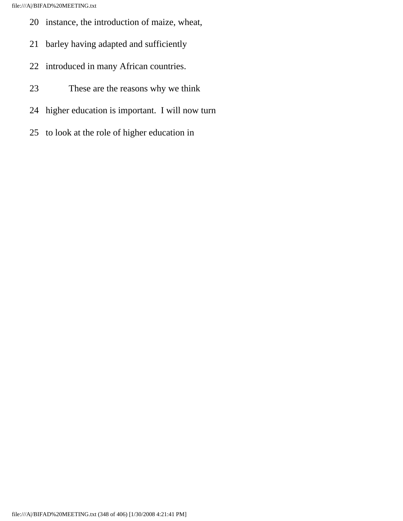- 20 instance, the introduction of maize, wheat,
- 21 barley having adapted and sufficiently
- 22 introduced in many African countries.
- 23 These are the reasons why we think
- 24 higher education is important. I will now turn
- 25 to look at the role of higher education in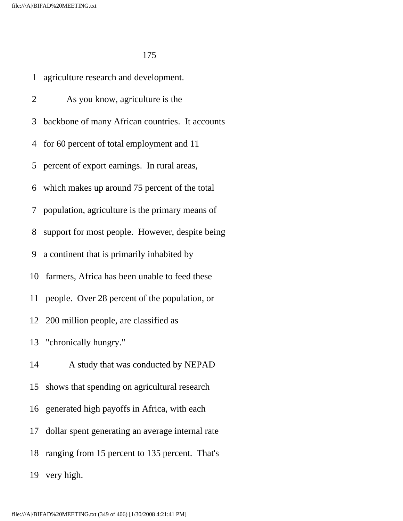1 agriculture research and development. 2 As you know, agriculture is the 3 backbone of many African countries. It accounts 4 for 60 percent of total employment and 11 5 percent of export earnings. In rural areas, 6 which makes up around 75 percent of the total 7 population, agriculture is the primary means of 8 support for most people. However, despite being 9 a continent that is primarily inhabited by 10 farmers, Africa has been unable to feed these 11 people. Over 28 percent of the population, or 12 200 million people, are classified as 13 "chronically hungry." 14 A study that was conducted by NEPAD 15 shows that spending on agricultural research 16 generated high payoffs in Africa, with each 17 dollar spent generating an average internal rate 18 ranging from 15 percent to 135 percent. That's 19 very high.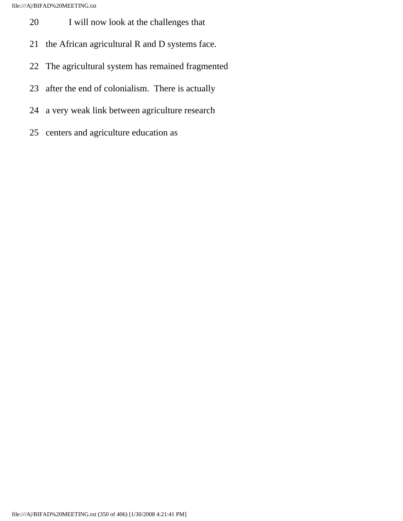file:///A|/BIFAD%20MEETING.txt

- 20 I will now look at the challenges that
- 21 the African agricultural R and D systems face.
- 22 The agricultural system has remained fragmented
- 23 after the end of colonialism. There is actually
- 24 a very weak link between agriculture research
- 25 centers and agriculture education as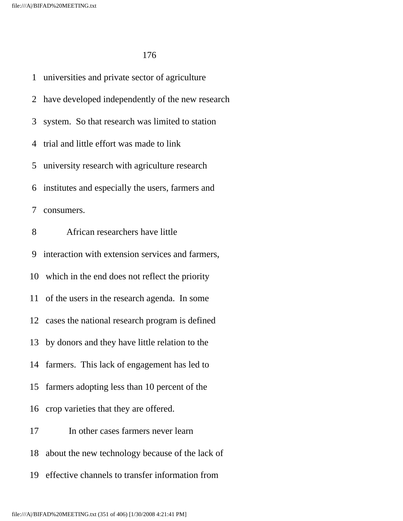1 universities and private sector of agriculture 2 have developed independently of the new research 3 system. So that research was limited to station 4 trial and little effort was made to link 5 university research with agriculture research 6 institutes and especially the users, farmers and 7 consumers. 8 African researchers have little 9 interaction with extension services and farmers, 10 which in the end does not reflect the priority 11 of the users in the research agenda. In some 12 cases the national research program is defined 13 by donors and they have little relation to the 14 farmers. This lack of engagement has led to 15 farmers adopting less than 10 percent of the 16 crop varieties that they are offered. 17 In other cases farmers never learn 18 about the new technology because of the lack of

19 effective channels to transfer information from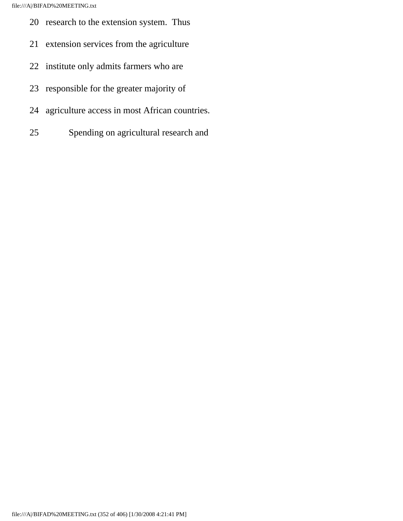- 20 research to the extension system. Thus
- 21 extension services from the agriculture
- 22 institute only admits farmers who are
- 23 responsible for the greater majority of
- 24 agriculture access in most African countries.
- 25 Spending on agricultural research and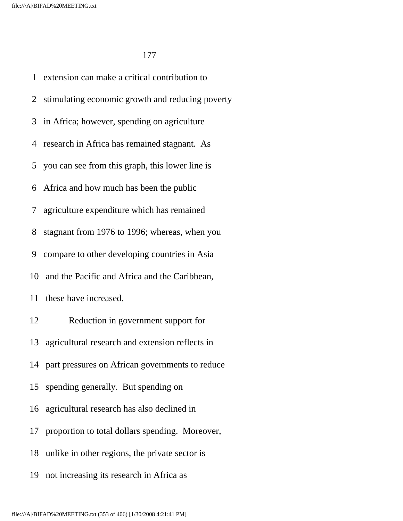1 extension can make a critical contribution to 2 stimulating economic growth and reducing poverty 3 in Africa; however, spending on agriculture 4 research in Africa has remained stagnant. As 5 you can see from this graph, this lower line is 6 Africa and how much has been the public 7 agriculture expenditure which has remained 8 stagnant from 1976 to 1996; whereas, when you 9 compare to other developing countries in Asia 10 and the Pacific and Africa and the Caribbean, 11 these have increased. 12 Reduction in government support for 13 agricultural research and extension reflects in 14 part pressures on African governments to reduce 15 spending generally. But spending on 16 agricultural research has also declined in 17 proportion to total dollars spending. Moreover, 18 unlike in other regions, the private sector is 19 not increasing its research in Africa as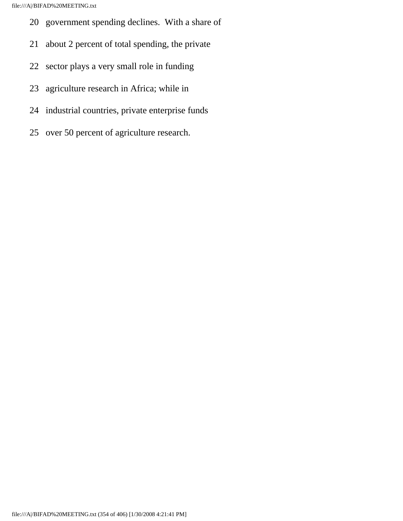- 20 government spending declines. With a share of
- 21 about 2 percent of total spending, the private
- 22 sector plays a very small role in funding
- 23 agriculture research in Africa; while in
- 24 industrial countries, private enterprise funds
- 25 over 50 percent of agriculture research.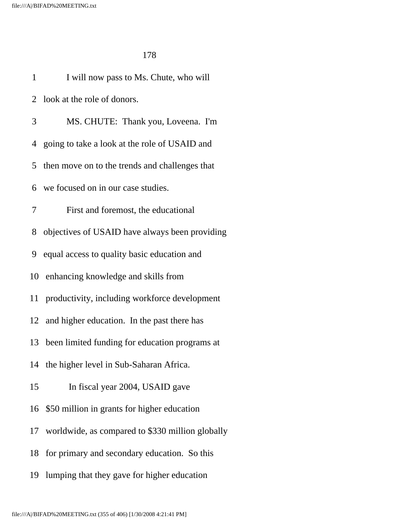| $\mathbf{1}$ | I will now pass to Ms. Chute, who will           |
|--------------|--------------------------------------------------|
|              | 2 look at the role of donors.                    |
| 3            | MS. CHUTE: Thank you, Loveena. I'm               |
|              | 4 going to take a look at the role of USAID and  |
|              | 5 then move on to the trends and challenges that |
|              | 6 we focused on in our case studies.             |
| 7            | First and foremost, the educational              |
| 8            | objectives of USAID have always been providing   |
|              | 9 equal access to quality basic education and    |
|              | 10 enhancing knowledge and skills from           |
|              | 11 productivity, including workforce development |
|              | 12 and higher education. In the past there has   |
| 13           | been limited funding for education programs at   |
|              | 14 the higher level in Sub-Saharan Africa.       |
| 15           | In fiscal year 2004, USAID gave                  |
| 16           | \$50 million in grants for higher education      |
| 17           | worldwide, as compared to \$330 million globally |
| 18           | for primary and secondary education. So this     |
| 19           | lumping that they gave for higher education      |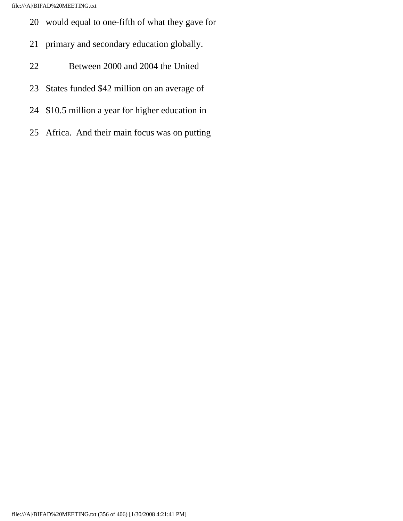file:///A|/BIFAD%20MEETING.txt

- 20 would equal to one-fifth of what they gave for
- 21 primary and secondary education globally.
- 22 Between 2000 and 2004 the United
- 23 States funded \$42 million on an average of
- 24 \$10.5 million a year for higher education in
- 25 Africa. And their main focus was on putting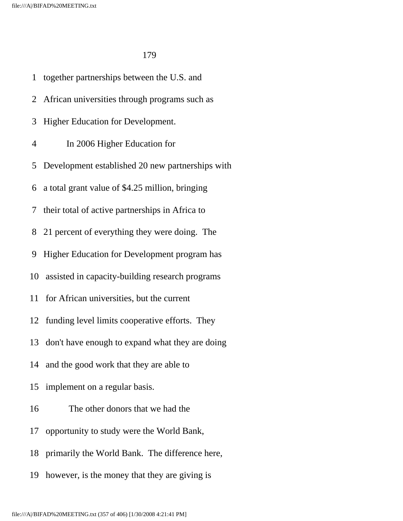1 together partnerships between the U.S. and 2 African universities through programs such as 3 Higher Education for Development. 4 In 2006 Higher Education for 5 Development established 20 new partnerships with 6 a total grant value of \$4.25 million, bringing 7 their total of active partnerships in Africa to 8 21 percent of everything they were doing. The 9 Higher Education for Development program has 10 assisted in capacity-building research programs 11 for African universities, but the current 12 funding level limits cooperative efforts. They 13 don't have enough to expand what they are doing 14 and the good work that they are able to 15 implement on a regular basis. 16 The other donors that we had the 17 opportunity to study were the World Bank, 18 primarily the World Bank. The difference here, 19 however, is the money that they are giving is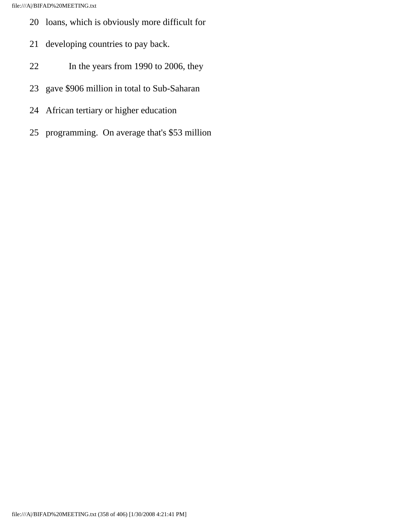- 20 loans, which is obviously more difficult for
- 21 developing countries to pay back.
- 22 In the years from 1990 to 2006, they
- 23 gave \$906 million in total to Sub-Saharan
- 24 African tertiary or higher education
- 25 programming. On average that's \$53 million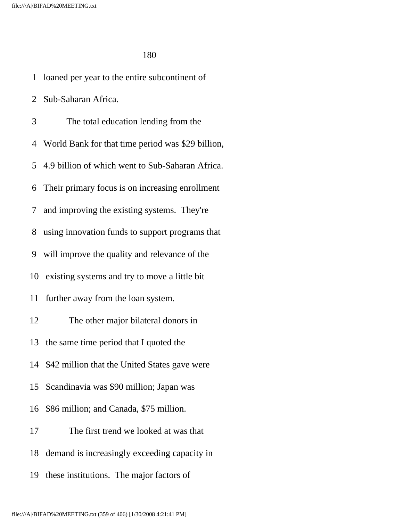1 loaned per year to the entire subcontinent of

2 Sub-Saharan Africa.

 3 The total education lending from the 4 World Bank for that time period was \$29 billion, 5 4.9 billion of which went to Sub-Saharan Africa. 6 Their primary focus is on increasing enrollment 7 and improving the existing systems. They're 8 using innovation funds to support programs that 9 will improve the quality and relevance of the 10 existing systems and try to move a little bit 11 further away from the loan system. 12 The other major bilateral donors in 13 the same time period that I quoted the 14 \$42 million that the United States gave were 15 Scandinavia was \$90 million; Japan was 16 \$86 million; and Canada, \$75 million. 17 The first trend we looked at was that 18 demand is increasingly exceeding capacity in 19 these institutions. The major factors of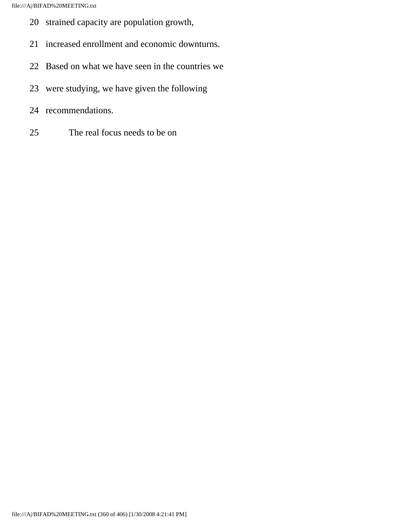- 20 strained capacity are population growth,
- 21 increased enrollment and economic downturns.
- 22 Based on what we have seen in the countries we
- 23 were studying, we have given the following
- 24 recommendations.
- 25 The real focus needs to be on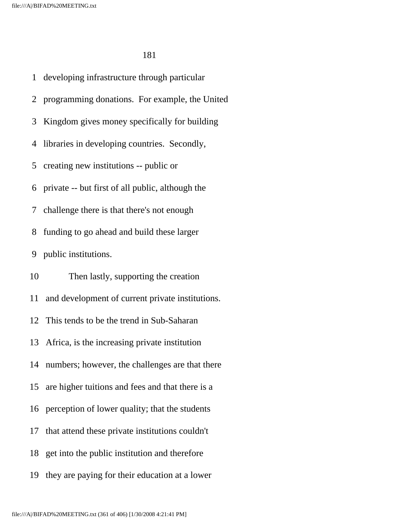1 developing infrastructure through particular 2 programming donations. For example, the United 3 Kingdom gives money specifically for building 4 libraries in developing countries. Secondly, 5 creating new institutions -- public or 6 private -- but first of all public, although the 7 challenge there is that there's not enough 8 funding to go ahead and build these larger 9 public institutions. 10 Then lastly, supporting the creation 11 and development of current private institutions. 12 This tends to be the trend in Sub-Saharan 13 Africa, is the increasing private institution 14 numbers; however, the challenges are that there 15 are higher tuitions and fees and that there is a 16 perception of lower quality; that the students 17 that attend these private institutions couldn't 18 get into the public institution and therefore 19 they are paying for their education at a lower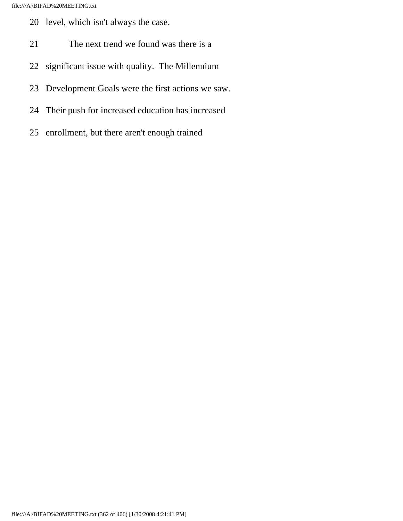- 20 level, which isn't always the case.
- 21 The next trend we found was there is a
- 22 significant issue with quality. The Millennium
- 23 Development Goals were the first actions we saw.
- 24 Their push for increased education has increased
- 25 enrollment, but there aren't enough trained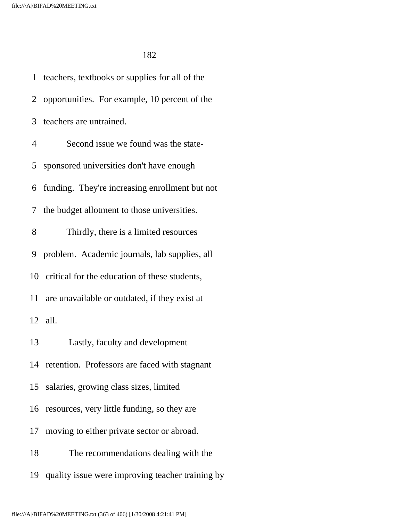1 teachers, textbooks or supplies for all of the 2 opportunities. For example, 10 percent of the 3 teachers are untrained. 4 Second issue we found was the state- 5 sponsored universities don't have enough 6 funding. They're increasing enrollment but not 7 the budget allotment to those universities. 8 Thirdly, there is a limited resources 9 problem. Academic journals, lab supplies, all 10 critical for the education of these students, 11 are unavailable or outdated, if they exist at 12 all. 13 Lastly, faculty and development 14 retention. Professors are faced with stagnant 15 salaries, growing class sizes, limited 16 resources, very little funding, so they are 17 moving to either private sector or abroad. 18 The recommendations dealing with the 19 quality issue were improving teacher training by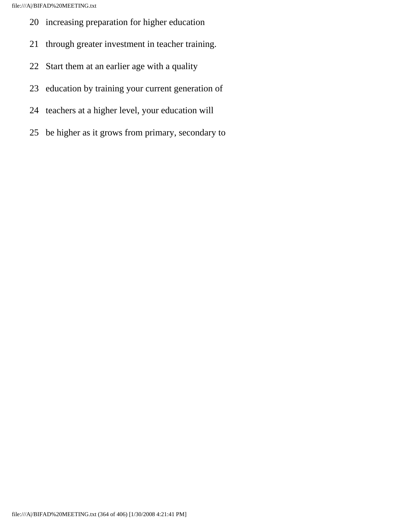- 20 increasing preparation for higher education
- 21 through greater investment in teacher training.
- 22 Start them at an earlier age with a quality
- 23 education by training your current generation of
- 24 teachers at a higher level, your education will
- 25 be higher as it grows from primary, secondary to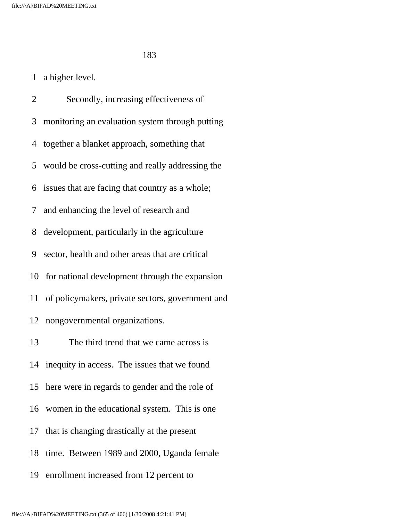## 1 a higher level.

 2 Secondly, increasing effectiveness of 3 monitoring an evaluation system through putting 4 together a blanket approach, something that 5 would be cross-cutting and really addressing the 6 issues that are facing that country as a whole; 7 and enhancing the level of research and 8 development, particularly in the agriculture 9 sector, health and other areas that are critical 10 for national development through the expansion 11 of policymakers, private sectors, government and 12 nongovernmental organizations. 13 The third trend that we came across is 14 inequity in access. The issues that we found 15 here were in regards to gender and the role of 16 women in the educational system. This is one 17 that is changing drastically at the present 18 time. Between 1989 and 2000, Uganda female

19 enrollment increased from 12 percent to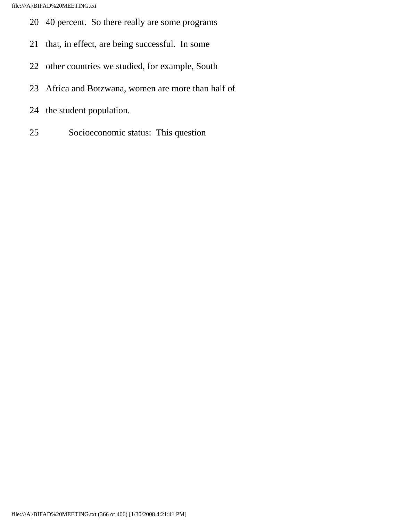- 20 40 percent. So there really are some programs
- 21 that, in effect, are being successful. In some
- 22 other countries we studied, for example, South
- 23 Africa and Botzwana, women are more than half of
- 24 the student population.
- 25 Socioeconomic status: This question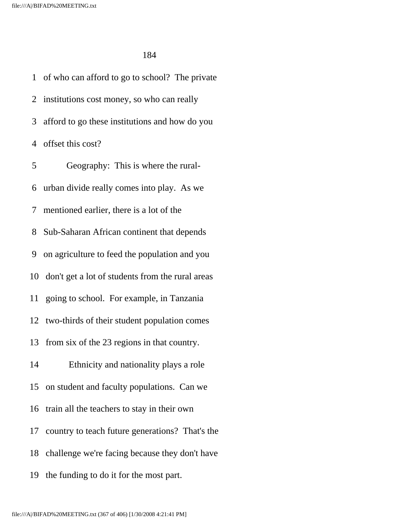1 of who can afford to go to school? The private 2 institutions cost money, so who can really 3 afford to go these institutions and how do you 4 offset this cost? 5 Geography: This is where the rural- 6 urban divide really comes into play. As we 7 mentioned earlier, there is a lot of the 8 Sub-Saharan African continent that depends 9 on agriculture to feed the population and you 10 don't get a lot of students from the rural areas 11 going to school. For example, in Tanzania 12 two-thirds of their student population comes 13 from six of the 23 regions in that country. 14 Ethnicity and nationality plays a role 15 on student and faculty populations. Can we 16 train all the teachers to stay in their own 17 country to teach future generations? That's the 18 challenge we're facing because they don't have 19 the funding to do it for the most part.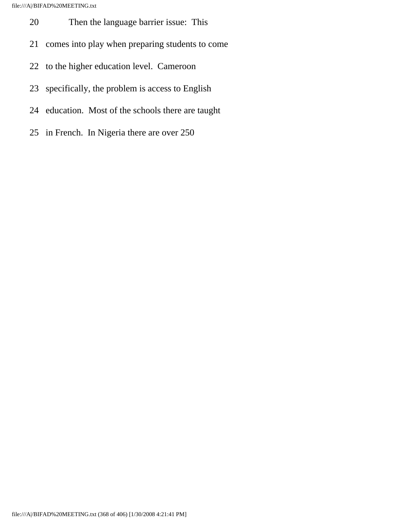- 20 Then the language barrier issue: This
- 21 comes into play when preparing students to come
- 22 to the higher education level. Cameroon
- 23 specifically, the problem is access to English
- 24 education. Most of the schools there are taught
- 25 in French. In Nigeria there are over 250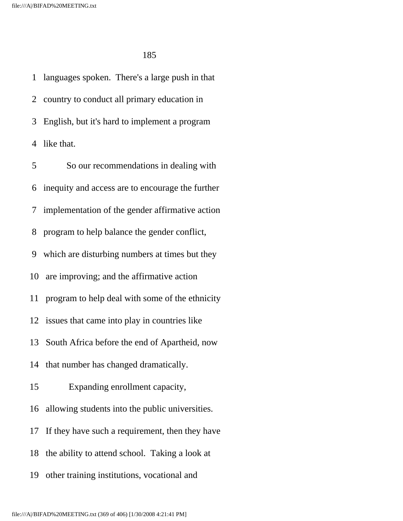1 languages spoken. There's a large push in that 2 country to conduct all primary education in 3 English, but it's hard to implement a program 4 like that.

 5 So our recommendations in dealing with 6 inequity and access are to encourage the further 7 implementation of the gender affirmative action 8 program to help balance the gender conflict, 9 which are disturbing numbers at times but they 10 are improving; and the affirmative action 11 program to help deal with some of the ethnicity 12 issues that came into play in countries like 13 South Africa before the end of Apartheid, now 14 that number has changed dramatically. 15 Expanding enrollment capacity, 16 allowing students into the public universities. 17 If they have such a requirement, then they have 18 the ability to attend school. Taking a look at 19 other training institutions, vocational and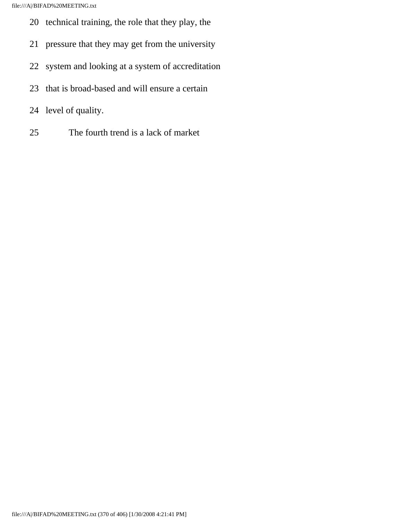- 20 technical training, the role that they play, the
- 21 pressure that they may get from the university
- 22 system and looking at a system of accreditation
- 23 that is broad-based and will ensure a certain
- 24 level of quality.
- 25 The fourth trend is a lack of market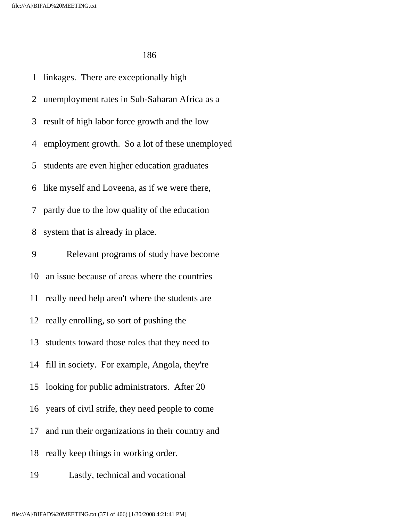1 linkages. There are exceptionally high 2 unemployment rates in Sub-Saharan Africa as a 3 result of high labor force growth and the low 4 employment growth. So a lot of these unemployed 5 students are even higher education graduates 6 like myself and Loveena, as if we were there, 7 partly due to the low quality of the education 8 system that is already in place. 9 Relevant programs of study have become 10 an issue because of areas where the countries

11 really need help aren't where the students are

12 really enrolling, so sort of pushing the

13 students toward those roles that they need to

14 fill in society. For example, Angola, they're

15 looking for public administrators. After 20

16 years of civil strife, they need people to come

17 and run their organizations in their country and

18 really keep things in working order.

19 Lastly, technical and vocational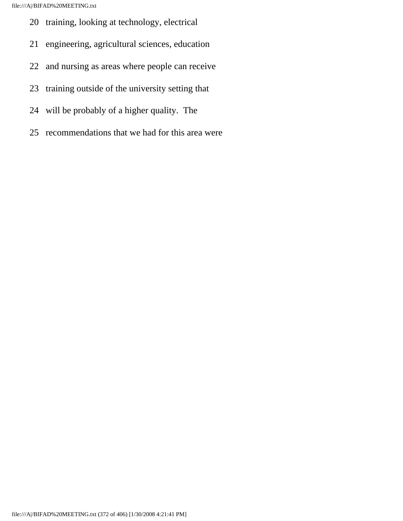- 20 training, looking at technology, electrical
- 21 engineering, agricultural sciences, education
- 22 and nursing as areas where people can receive
- 23 training outside of the university setting that
- 24 will be probably of a higher quality. The
- 25 recommendations that we had for this area were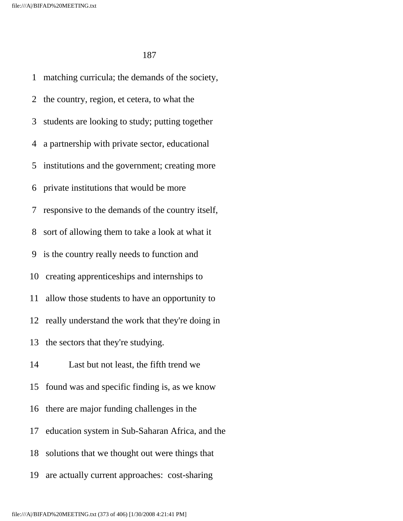1 matching curricula; the demands of the society, 2 the country, region, et cetera, to what the 3 students are looking to study; putting together 4 a partnership with private sector, educational 5 institutions and the government; creating more 6 private institutions that would be more 7 responsive to the demands of the country itself, 8 sort of allowing them to take a look at what it 9 is the country really needs to function and 10 creating apprenticeships and internships to 11 allow those students to have an opportunity to 12 really understand the work that they're doing in 13 the sectors that they're studying. 14 Last but not least, the fifth trend we 15 found was and specific finding is, as we know 16 there are major funding challenges in the 17 education system in Sub-Saharan Africa, and the 18 solutions that we thought out were things that 19 are actually current approaches: cost-sharing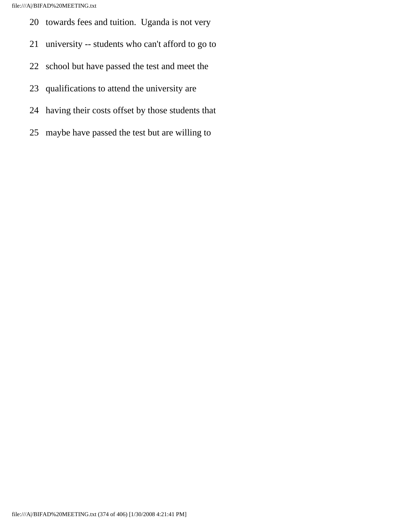- 20 towards fees and tuition. Uganda is not very
- 21 university -- students who can't afford to go to
- 22 school but have passed the test and meet the
- 23 qualifications to attend the university are
- 24 having their costs offset by those students that
- 25 maybe have passed the test but are willing to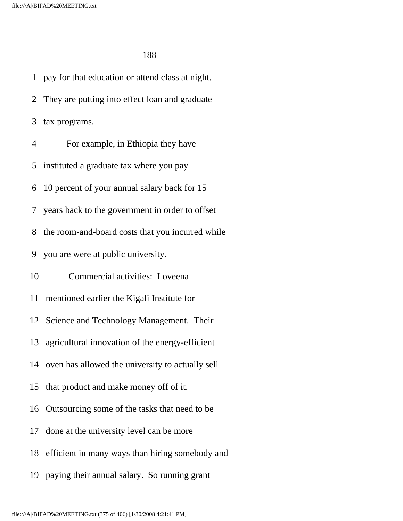1 pay for that education or attend class at night. 2 They are putting into effect loan and graduate 3 tax programs. 4 For example, in Ethiopia they have 5 instituted a graduate tax where you pay 6 10 percent of your annual salary back for 15 7 years back to the government in order to offset 8 the room-and-board costs that you incurred while 9 you are were at public university. 10 Commercial activities: Loveena 11 mentioned earlier the Kigali Institute for 12 Science and Technology Management. Their 13 agricultural innovation of the energy-efficient 14 oven has allowed the university to actually sell 15 that product and make money off of it. 16 Outsourcing some of the tasks that need to be 17 done at the university level can be more 18 efficient in many ways than hiring somebody and 19 paying their annual salary. So running grant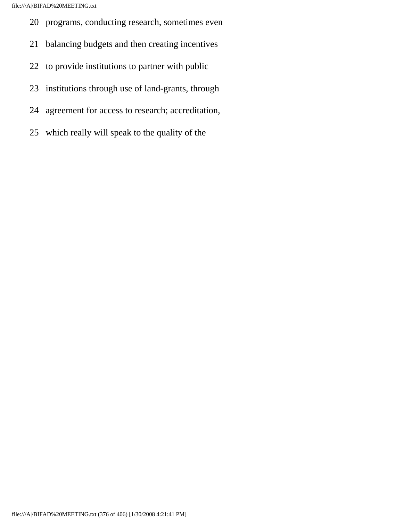- 20 programs, conducting research, sometimes even
- 21 balancing budgets and then creating incentives
- 22 to provide institutions to partner with public
- 23 institutions through use of land-grants, through
- 24 agreement for access to research; accreditation,
- 25 which really will speak to the quality of the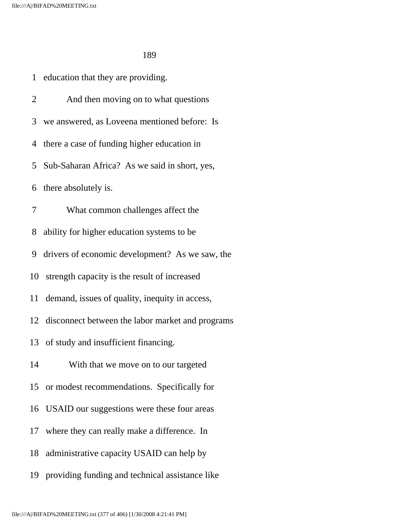1 education that they are providing.

 2 And then moving on to what questions 3 we answered, as Loveena mentioned before: Is 4 there a case of funding higher education in 5 Sub-Saharan Africa? As we said in short, yes, 6 there absolutely is. 7 What common challenges affect the 8 ability for higher education systems to be 9 drivers of economic development? As we saw, the 10 strength capacity is the result of increased 11 demand, issues of quality, inequity in access, 12 disconnect between the labor market and programs 13 of study and insufficient financing. 14 With that we move on to our targeted 15 or modest recommendations. Specifically for 16 USAID our suggestions were these four areas 17 where they can really make a difference. In 18 administrative capacity USAID can help by 19 providing funding and technical assistance like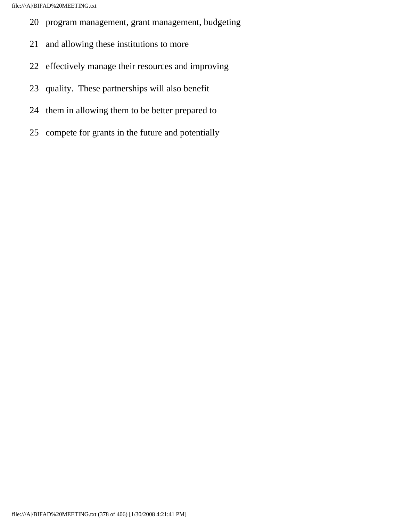- 20 program management, grant management, budgeting
- 21 and allowing these institutions to more
- 22 effectively manage their resources and improving
- 23 quality. These partnerships will also benefit
- 24 them in allowing them to be better prepared to
- 25 compete for grants in the future and potentially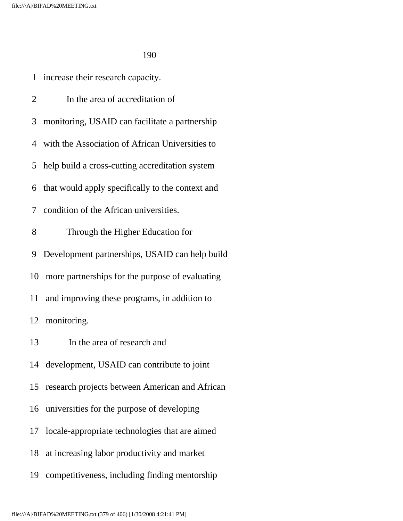|                | 1 increase their research capacity.                |
|----------------|----------------------------------------------------|
| $\overline{2}$ | In the area of accreditation of                    |
|                | 3 monitoring, USAID can facilitate a partnership   |
|                | 4 with the Association of African Universities to  |
|                | 5 help build a cross-cutting accreditation system  |
|                | 6 that would apply specifically to the context and |
|                | 7 condition of the African universities.           |
| 8              | Through the Higher Education for                   |
|                | 9 Development partnerships, USAID can help build   |
| 10             | more partnerships for the purpose of evaluating    |
| 11 -           | and improving these programs, in addition to       |
|                | 12 monitoring.                                     |
| 13             | In the area of research and                        |
|                | 14 development, USAID can contribute to joint      |
| 15             | research projects between American and African     |
| 16             | universities for the purpose of developing         |
| 17             | locale-appropriate technologies that are aimed     |
| 18             | at increasing labor productivity and market        |

19 competitiveness, including finding mentorship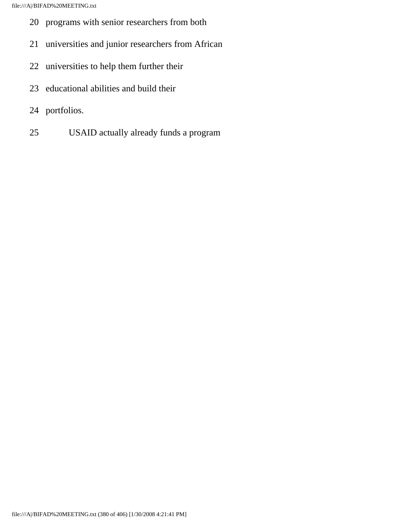- 20 programs with senior researchers from both
- 21 universities and junior researchers from African
- 22 universities to help them further their
- 23 educational abilities and build their
- 24 portfolios.
- 25 USAID actually already funds a program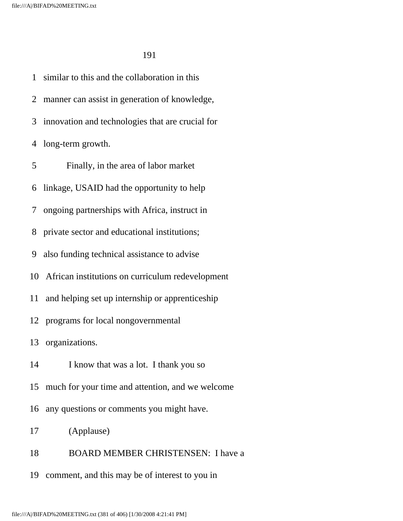1 similar to this and the collaboration in this 2 manner can assist in generation of knowledge, 3 innovation and technologies that are crucial for 4 long-term growth. 5 Finally, in the area of labor market 6 linkage, USAID had the opportunity to help 7 ongoing partnerships with Africa, instruct in 8 private sector and educational institutions; 9 also funding technical assistance to advise 10 African institutions on curriculum redevelopment 11 and helping set up internship or apprenticeship 12 programs for local nongovernmental 13 organizations. 14 I know that was a lot. I thank you so 15 much for your time and attention, and we welcome 16 any questions or comments you might have. 17 (Applause) 18 BOARD MEMBER CHRISTENSEN: I have a

19 comment, and this may be of interest to you in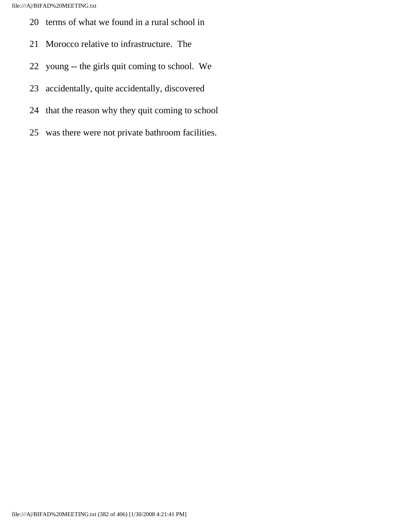- 20 terms of what we found in a rural school in
- 21 Morocco relative to infrastructure. The
- 22 young -- the girls quit coming to school. We
- 23 accidentally, quite accidentally, discovered
- 24 that the reason why they quit coming to school
- 25 was there were not private bathroom facilities.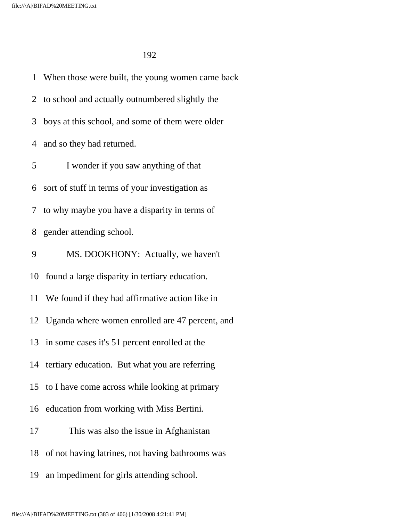1 When those were built, the young women came back 2 to school and actually outnumbered slightly the 3 boys at this school, and some of them were older 4 and so they had returned. 5 I wonder if you saw anything of that 6 sort of stuff in terms of your investigation as 7 to why maybe you have a disparity in terms of 8 gender attending school. 9 MS. DOOKHONY: Actually, we haven't 10 found a large disparity in tertiary education. 11 We found if they had affirmative action like in 12 Uganda where women enrolled are 47 percent, and 13 in some cases it's 51 percent enrolled at the 14 tertiary education. But what you are referring 15 to I have come across while looking at primary 16 education from working with Miss Bertini. 17 This was also the issue in Afghanistan 18 of not having latrines, not having bathrooms was 19 an impediment for girls attending school.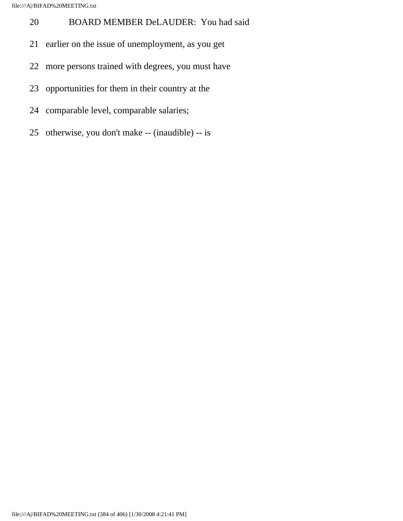- 20 BOARD MEMBER DeLAUDER: You had said
- 21 earlier on the issue of unemployment, as you get
- 22 more persons trained with degrees, you must have
- 23 opportunities for them in their country at the
- 24 comparable level, comparable salaries;
- 25 otherwise, you don't make -- (inaudible) -- is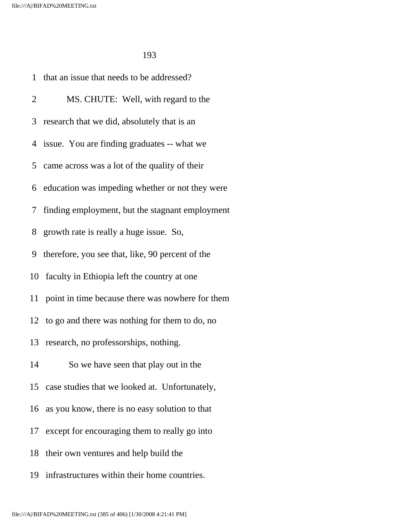| 1              | that an issue that needs to be addressed?         |
|----------------|---------------------------------------------------|
| $\overline{2}$ | MS. CHUTE: Well, with regard to the               |
| 3              | research that we did, absolutely that is an       |
|                | 4 issue. You are finding graduates -- what we     |
|                | 5 came across was a lot of the quality of their   |
|                | 6 education was impeding whether or not they were |
|                | 7 finding employment, but the stagnant employment |
|                | 8 growth rate is really a huge issue. So,         |
| 9              | therefore, you see that, like, 90 percent of the  |
| 10             | faculty in Ethiopia left the country at one       |
| 11             | point in time because there was nowhere for them  |
|                | 12 to go and there was nothing for them to do, no |
| 13             | research, no professorships, nothing.             |
| 14             | So we have seen that play out in the              |
|                | 15 case studies that we looked at. Unfortunately, |
| 16             | as you know, there is no easy solution to that    |
|                | 17 except for encouraging them to really go into  |
| 18             | their own ventures and help build the             |
| 19             | infrastructures within their home countries.      |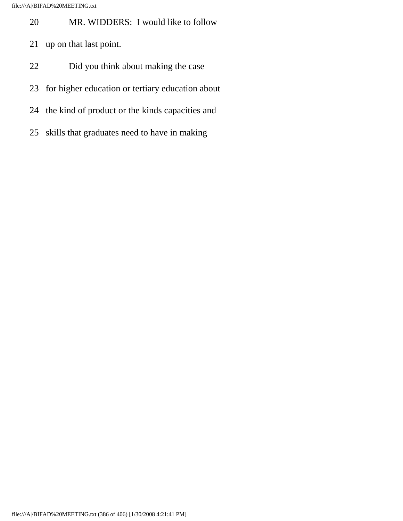- 20 MR. WIDDERS: I would like to follow
- 21 up on that last point.
- 22 Did you think about making the case
- 23 for higher education or tertiary education about
- 24 the kind of product or the kinds capacities and
- 25 skills that graduates need to have in making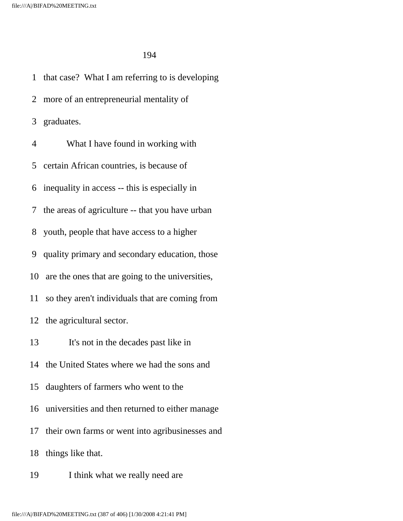1 that case? What I am referring to is developing 2 more of an entrepreneurial mentality of 3 graduates. 4 What I have found in working with 5 certain African countries, is because of 6 inequality in access -- this is especially in 7 the areas of agriculture -- that you have urban 8 youth, people that have access to a higher 9 quality primary and secondary education, those 10 are the ones that are going to the universities, 11 so they aren't individuals that are coming from 12 the agricultural sector. 13 It's not in the decades past like in 14 the United States where we had the sons and 15 daughters of farmers who went to the 16 universities and then returned to either manage 17 their own farms or went into agribusinesses and 18 things like that. 19 I think what we really need are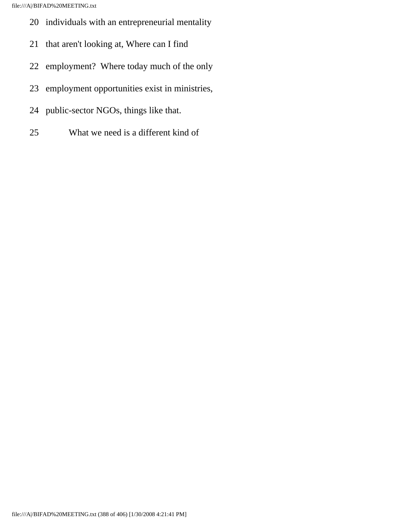- 20 individuals with an entrepreneurial mentality
- 21 that aren't looking at, Where can I find
- 22 employment? Where today much of the only
- 23 employment opportunities exist in ministries,
- 24 public-sector NGOs, things like that.
- 25 What we need is a different kind of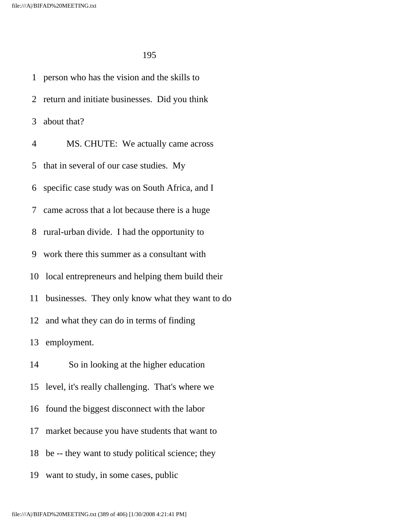1 person who has the vision and the skills to 2 return and initiate businesses. Did you think 3 about that? 4 MS. CHUTE: We actually came across 5 that in several of our case studies. My 6 specific case study was on South Africa, and I 7 came across that a lot because there is a huge 8 rural-urban divide. I had the opportunity to 9 work there this summer as a consultant with 10 local entrepreneurs and helping them build their 11 businesses. They only know what they want to do 12 and what they can do in terms of finding 13 employment. 14 So in looking at the higher education 15 level, it's really challenging. That's where we 16 found the biggest disconnect with the labor 17 market because you have students that want to 18 be -- they want to study political science; they 19 want to study, in some cases, public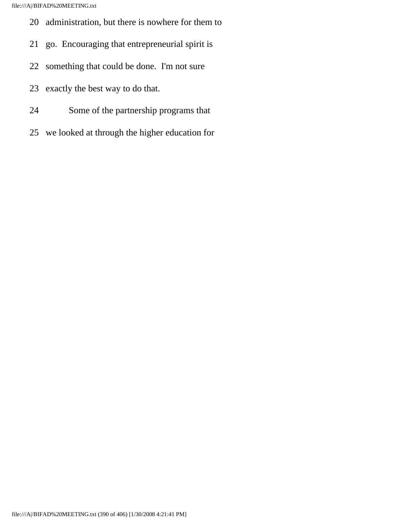- 20 administration, but there is nowhere for them to
- 21 go. Encouraging that entrepreneurial spirit is
- 22 something that could be done. I'm not sure
- 23 exactly the best way to do that.
- 24 Some of the partnership programs that
- 25 we looked at through the higher education for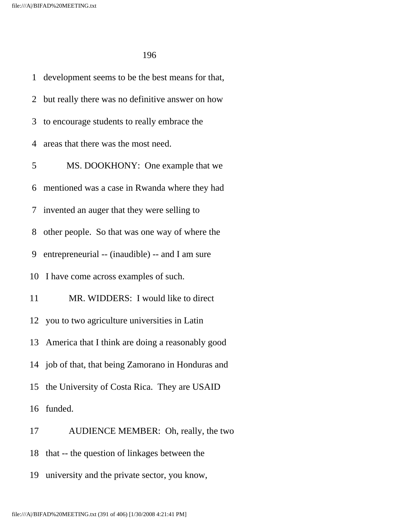1 development seems to be the best means for that, 2 but really there was no definitive answer on how 3 to encourage students to really embrace the 4 areas that there was the most need. 5 MS. DOOKHONY: One example that we 6 mentioned was a case in Rwanda where they had 7 invented an auger that they were selling to 8 other people. So that was one way of where the 9 entrepreneurial -- (inaudible) -- and I am sure 10 I have come across examples of such. 11 MR. WIDDERS: I would like to direct 12 you to two agriculture universities in Latin 13 America that I think are doing a reasonably good 14 job of that, that being Zamorano in Honduras and 15 the University of Costa Rica. They are USAID 16 funded. 17 AUDIENCE MEMBER: Oh, really, the two

18 that -- the question of linkages between the

19 university and the private sector, you know,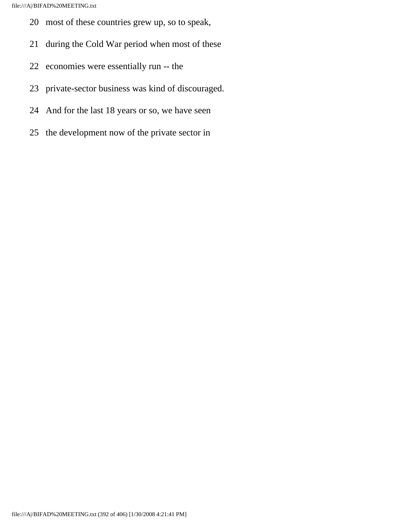- 20 most of these countries grew up, so to speak,
- 21 during the Cold War period when most of these
- 22 economies were essentially run -- the
- 23 private-sector business was kind of discouraged.
- 24 And for the last 18 years or so, we have seen
- 25 the development now of the private sector in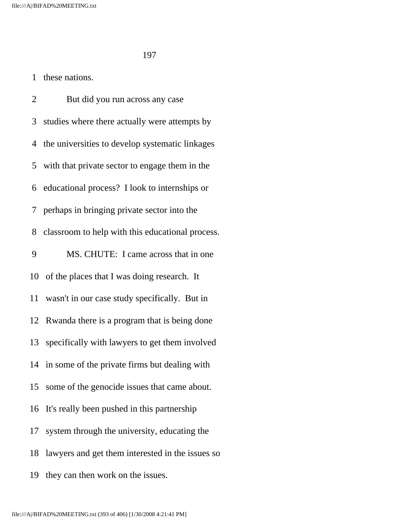## 1 these nations.

 2 But did you run across any case 3 studies where there actually were attempts by 4 the universities to develop systematic linkages 5 with that private sector to engage them in the 6 educational process? I look to internships or 7 perhaps in bringing private sector into the 8 classroom to help with this educational process. 9 MS. CHUTE: I came across that in one 10 of the places that I was doing research. It 11 wasn't in our case study specifically. But in 12 Rwanda there is a program that is being done 13 specifically with lawyers to get them involved 14 in some of the private firms but dealing with 15 some of the genocide issues that came about. 16 It's really been pushed in this partnership 17 system through the university, educating the 18 lawyers and get them interested in the issues so 19 they can then work on the issues.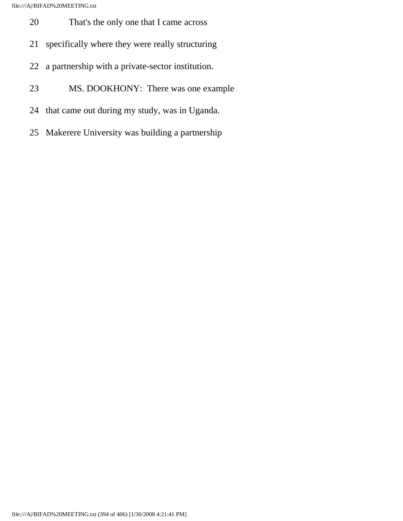- 20 That's the only one that I came across
- 21 specifically where they were really structuring
- 22 a partnership with a private-sector institution.
- 23 MS. DOOKHONY: There was one example
- 24 that came out during my study, was in Uganda.
- 25 Makerere University was building a partnership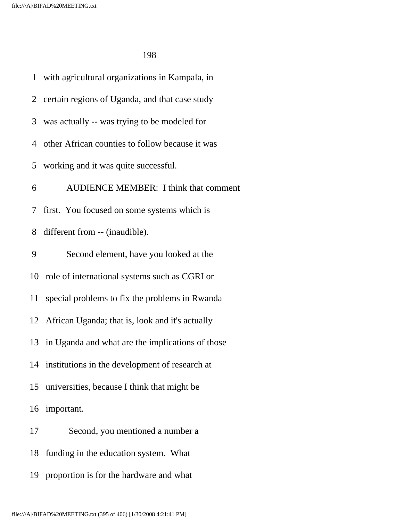1 with agricultural organizations in Kampala, in 2 certain regions of Uganda, and that case study 3 was actually -- was trying to be modeled for 4 other African counties to follow because it was 5 working and it was quite successful. 6 AUDIENCE MEMBER: I think that comment 7 first. You focused on some systems which is 8 different from -- (inaudible). 9 Second element, have you looked at the 10 role of international systems such as CGRI or 11 special problems to fix the problems in Rwanda 12 African Uganda; that is, look and it's actually 13 in Uganda and what are the implications of those 14 institutions in the development of research at 15 universities, because I think that might be 16 important. 17 Second, you mentioned a number a 18 funding in the education system. What 19 proportion is for the hardware and what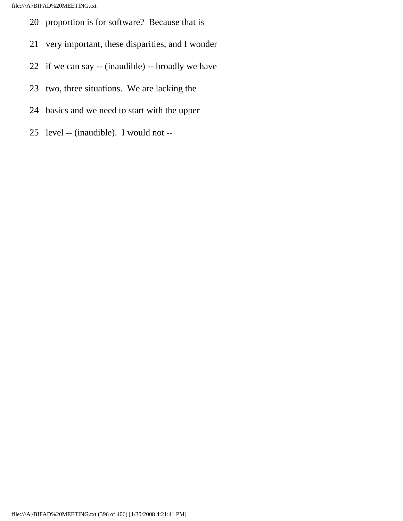- 20 proportion is for software? Because that is
- 21 very important, these disparities, and I wonder
- 22 if we can say -- (inaudible) -- broadly we have
- 23 two, three situations. We are lacking the
- 24 basics and we need to start with the upper
- 25 level -- (inaudible). I would not --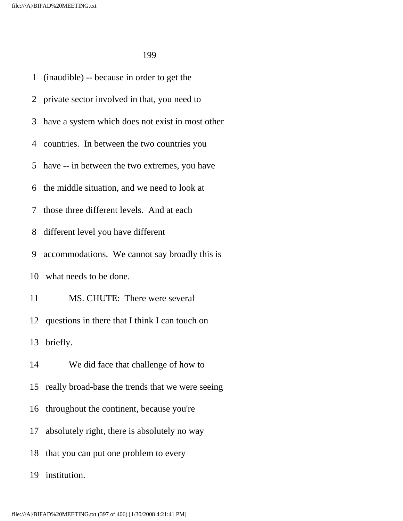1 (inaudible) -- because in order to get the 2 private sector involved in that, you need to 3 have a system which does not exist in most other 4 countries. In between the two countries you 5 have -- in between the two extremes, you have 6 the middle situation, and we need to look at 7 those three different levels. And at each 8 different level you have different 9 accommodations. We cannot say broadly this is 10 what needs to be done. 11 MS. CHUTE: There were several 12 questions in there that I think I can touch on 13 briefly. 14 We did face that challenge of how to 15 really broad-base the trends that we were seeing 16 throughout the continent, because you're 17 absolutely right, there is absolutely no way 18 that you can put one problem to every 19 institution.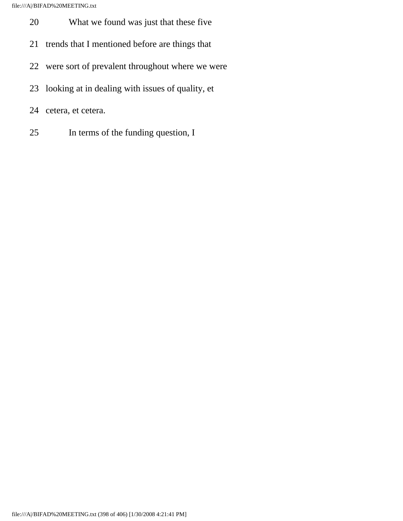file:///A|/BIFAD%20MEETING.txt

- 20 What we found was just that these five
- 21 trends that I mentioned before are things that
- 22 were sort of prevalent throughout where we were
- 23 looking at in dealing with issues of quality, et
- 24 cetera, et cetera.
- 25 In terms of the funding question, I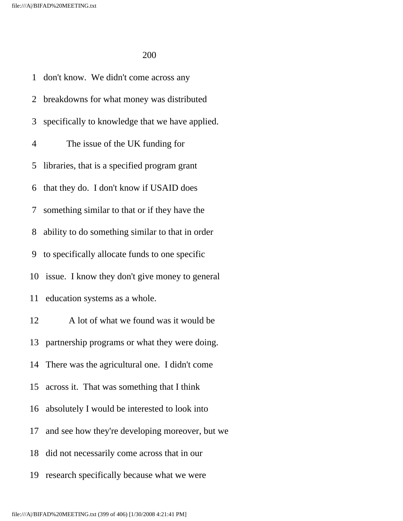1 don't know. We didn't come across any 2 breakdowns for what money was distributed 3 specifically to knowledge that we have applied. 4 The issue of the UK funding for 5 libraries, that is a specified program grant 6 that they do. I don't know if USAID does 7 something similar to that or if they have the 8 ability to do something similar to that in order 9 to specifically allocate funds to one specific 10 issue. I know they don't give money to general 11 education systems as a whole. 12 A lot of what we found was it would be 13 partnership programs or what they were doing. 14 There was the agricultural one. I didn't come 15 across it. That was something that I think 16 absolutely I would be interested to look into 17 and see how they're developing moreover, but we 18 did not necessarily come across that in our

19 research specifically because what we were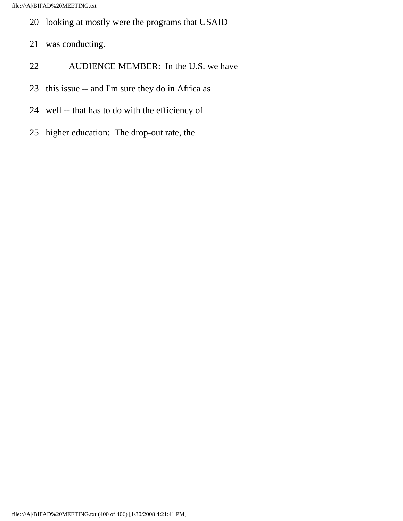- 20 looking at mostly were the programs that USAID
- 21 was conducting.
- 22 AUDIENCE MEMBER: In the U.S. we have
- 23 this issue -- and I'm sure they do in Africa as
- 24 well -- that has to do with the efficiency of
- 25 higher education: The drop-out rate, the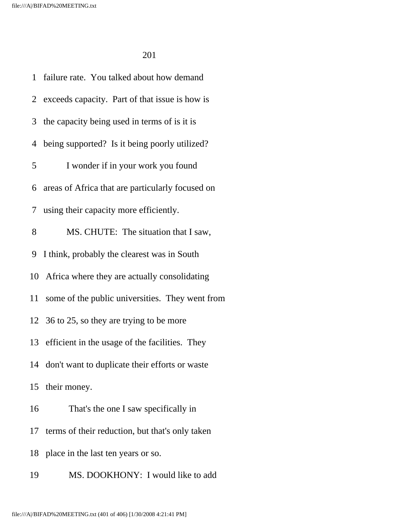| 1  | failure rate. You talked about how demand          |
|----|----------------------------------------------------|
|    | 2 exceeds capacity. Part of that issue is how is   |
|    | 3 the capacity being used in terms of is it is     |
|    | 4 being supported? Is it being poorly utilized?    |
| 5  | I wonder if in your work you found                 |
|    | 6 areas of Africa that are particularly focused on |
|    | 7 using their capacity more efficiently.           |
| 8  | MS. CHUTE: The situation that I saw,               |
|    | 9 I think, probably the clearest was in South      |
|    | 10 Africa where they are actually consolidating    |
| 11 | some of the public universities. They went from    |
|    | 12 36 to 25, so they are trying to be more         |
|    | 13 efficient in the usage of the facilities. They  |
|    | 14 don't want to duplicate their efforts or waste  |
| 15 | their money.                                       |
| 16 | That's the one I saw specifically in               |
| 17 | terms of their reduction, but that's only taken    |
| 18 | place in the last ten years or so.                 |
| 19 | MS. DOOKHONY: I would like to add                  |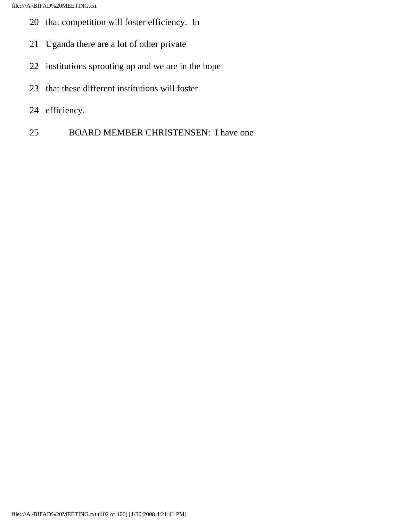file:///A|/BIFAD%20MEETING.txt

- 20 that competition will foster efficiency. In
- 21 Uganda there are a lot of other private
- 22 institutions sprouting up and we are in the hope
- 23 that these different institutions will foster
- 24 efficiency.
- 25 BOARD MEMBER CHRISTENSEN: I have one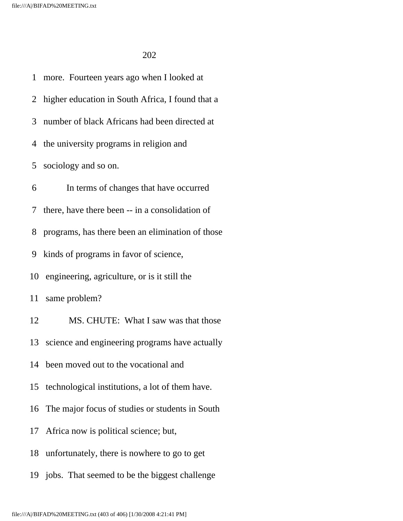1 more. Fourteen years ago when I looked at 2 higher education in South Africa, I found that a 3 number of black Africans had been directed at 4 the university programs in religion and 5 sociology and so on. 6 In terms of changes that have occurred 7 there, have there been -- in a consolidation of 8 programs, has there been an elimination of those 9 kinds of programs in favor of science, 10 engineering, agriculture, or is it still the 11 same problem? 12 MS. CHUTE: What I saw was that those 13 science and engineering programs have actually 14 been moved out to the vocational and 15 technological institutions, a lot of them have. 16 The major focus of studies or students in South 17 Africa now is political science; but, 18 unfortunately, there is nowhere to go to get 19 jobs. That seemed to be the biggest challenge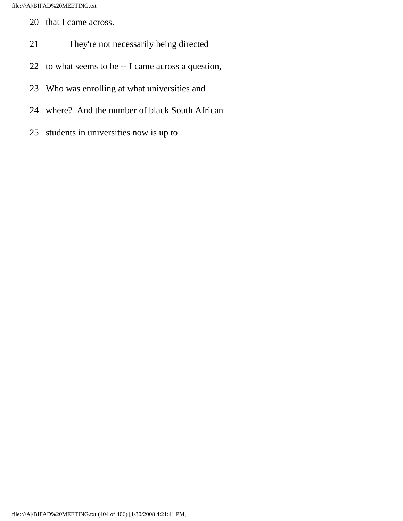- 20 that I came across.
- 21 They're not necessarily being directed
- 22 to what seems to be -- I came across a question,
- 23 Who was enrolling at what universities and
- 24 where? And the number of black South African
- 25 students in universities now is up to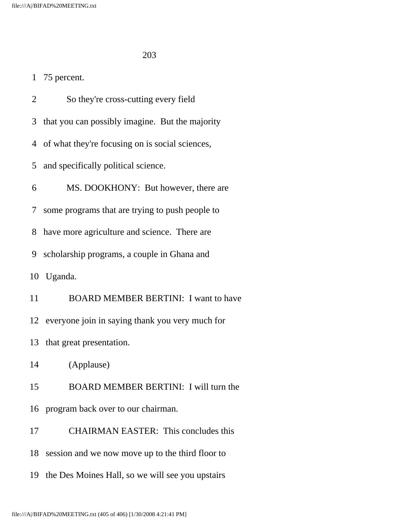## 1 75 percent.

 2 So they're cross-cutting every field 3 that you can possibly imagine. But the majority 4 of what they're focusing on is social sciences, 5 and specifically political science. 6 MS. DOOKHONY: But however, there are 7 some programs that are trying to push people to 8 have more agriculture and science. There are 9 scholarship programs, a couple in Ghana and 10 Uganda. 11 BOARD MEMBER BERTINI: I want to have 12 everyone join in saying thank you very much for 13 that great presentation. 14 (Applause) 15 BOARD MEMBER BERTINI: I will turn the 16 program back over to our chairman. 17 CHAIRMAN EASTER: This concludes this

18 session and we now move up to the third floor to

19 the Des Moines Hall, so we will see you upstairs